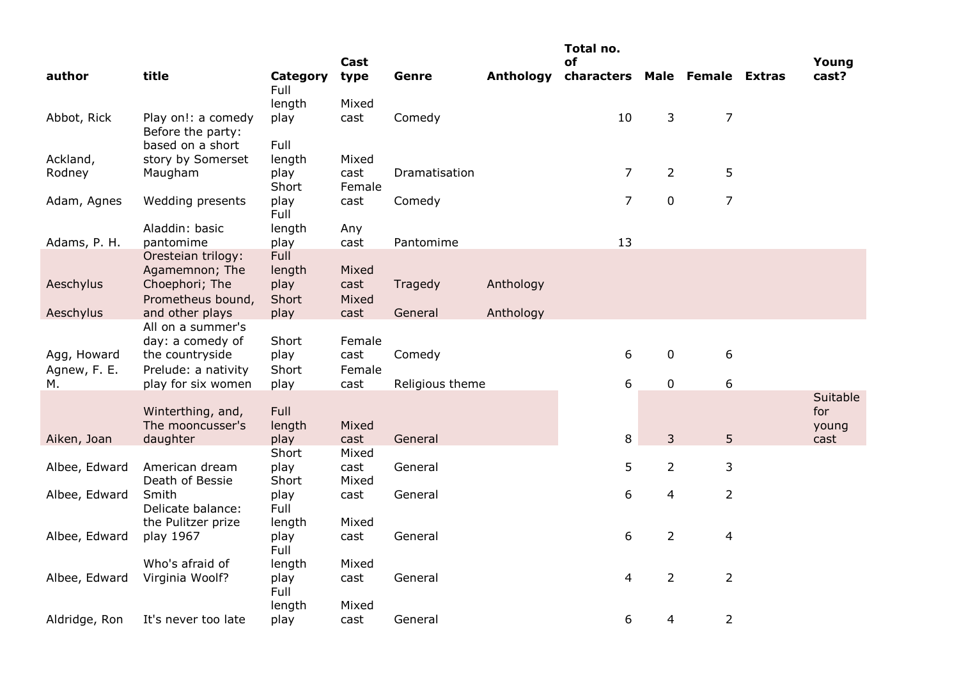|               |                                         |                  | Cast           |                 |                  | Total no.<br>οf               |                |                | Young           |
|---------------|-----------------------------------------|------------------|----------------|-----------------|------------------|-------------------------------|----------------|----------------|-----------------|
| author        | title                                   | Category<br>Full | type           | Genre           | <b>Anthology</b> | characters Male Female Extras |                |                | cast?           |
|               |                                         | length           | Mixed          |                 |                  |                               |                |                |                 |
| Abbot, Rick   | Play on!: a comedy<br>Before the party: | play             | cast           | Comedy          |                  | 10                            | 3              | $\overline{7}$ |                 |
|               | based on a short                        | Full             |                |                 |                  |                               |                |                |                 |
| Ackland,      | story by Somerset                       | length           | Mixed          |                 |                  |                               |                |                |                 |
| Rodney        | Maugham                                 | play<br>Short    | cast<br>Female | Dramatisation   |                  | $\overline{7}$                | $\overline{2}$ | 5              |                 |
| Adam, Agnes   | Wedding presents                        | play<br>Full     | cast           | Comedy          |                  | $\overline{7}$                | $\pmb{0}$      | $\overline{7}$ |                 |
|               | Aladdin: basic                          | length           | Any            |                 |                  |                               |                |                |                 |
| Adams, P. H.  | pantomime                               | play             | cast           | Pantomime       |                  | 13                            |                |                |                 |
|               | Oresteian trilogy:                      | <b>Full</b>      |                |                 |                  |                               |                |                |                 |
|               | Agamemnon; The                          | length           | Mixed          |                 |                  |                               |                |                |                 |
| Aeschylus     | Choephori; The                          | play             | cast           | Tragedy         | Anthology        |                               |                |                |                 |
|               | Prometheus bound,                       | Short            | Mixed          |                 |                  |                               |                |                |                 |
| Aeschylus     | and other plays                         | play             | cast           | General         | Anthology        |                               |                |                |                 |
|               | All on a summer's                       |                  |                |                 |                  |                               |                |                |                 |
|               | day: a comedy of                        | Short            | Female         |                 |                  |                               |                |                |                 |
| Agg, Howard   | the countryside                         | play             | cast           | Comedy          |                  | 6                             | $\pmb{0}$      | 6              |                 |
| Agnew, F. E.  | Prelude: a nativity                     | Short            | Female         |                 |                  |                               |                |                |                 |
| М.            | play for six women                      | play             | cast           | Religious theme |                  | 6                             | $\mathbf 0$    | 6              |                 |
|               | Winterthing, and,                       | Full             |                |                 |                  |                               |                |                | Suitable<br>for |
|               | The mooncusser's                        | length           | Mixed          |                 |                  |                               |                |                | young           |
| Aiken, Joan   | daughter                                | play             | cast           | General         |                  | 8                             | 3              | 5              | cast            |
|               |                                         | Short            | Mixed          |                 |                  |                               |                |                |                 |
| Albee, Edward | American dream<br>Death of Bessie       | play<br>Short    | cast<br>Mixed  | General         |                  | 5                             | $\overline{2}$ | 3              |                 |
| Albee, Edward | Smith                                   | play             | cast           | General         |                  | 6                             | 4              | $\overline{2}$ |                 |
|               | Delicate balance:                       | Full             |                |                 |                  |                               |                |                |                 |
|               | the Pulitzer prize                      | length           | Mixed          |                 |                  |                               |                |                |                 |
| Albee, Edward | play 1967                               | play<br>Full     | cast           | General         |                  | 6                             | $\overline{2}$ | 4              |                 |
|               | Who's afraid of                         | length           | Mixed          |                 |                  |                               |                |                |                 |
| Albee, Edward | Virginia Woolf?                         | play<br>Full     | cast           | General         |                  | 4                             | $\overline{2}$ | $\overline{2}$ |                 |
|               |                                         | length           | Mixed          |                 |                  |                               |                |                |                 |
| Aldridge, Ron | It's never too late                     | play             | cast           | General         |                  | 6                             | 4              | $\overline{2}$ |                 |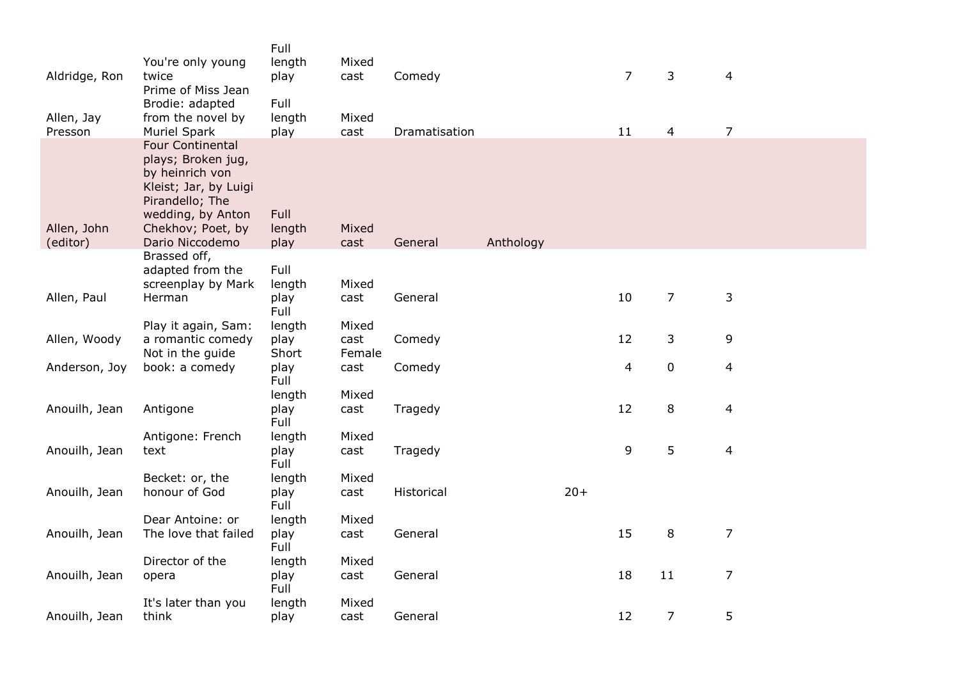|                         | You're only young                                                                                                                                                         | Full<br>length                | Mixed         |               |           |       |                          |                |                          |  |
|-------------------------|---------------------------------------------------------------------------------------------------------------------------------------------------------------------------|-------------------------------|---------------|---------------|-----------|-------|--------------------------|----------------|--------------------------|--|
| Aldridge, Ron           | twice<br>Prime of Miss Jean                                                                                                                                               | play                          | cast          | Comedy        |           |       | $\overline{7}$           | 3              | $\overline{4}$           |  |
| Allen, Jay<br>Presson   | Brodie: adapted<br>from the novel by<br><b>Muriel Spark</b>                                                                                                               | Full<br>length<br>play        | Mixed<br>cast | Dramatisation |           |       | 11                       | $\overline{4}$ | $\overline{7}$           |  |
| Allen, John<br>(editor) | <b>Four Continental</b><br>plays; Broken jug,<br>by heinrich von<br>Kleist; Jar, by Luigi<br>Pirandello; The<br>wedding, by Anton<br>Chekhov; Poet, by<br>Dario Niccodemo | <b>Full</b><br>length<br>play | Mixed<br>cast | General       | Anthology |       |                          |                |                          |  |
|                         | Brassed off,                                                                                                                                                              |                               |               |               |           |       |                          |                |                          |  |
|                         | adapted from the<br>screenplay by Mark                                                                                                                                    | Full<br>length                | Mixed         |               |           |       |                          |                |                          |  |
| Allen, Paul             | Herman                                                                                                                                                                    | play<br><b>Full</b>           | cast          | General       |           |       | 10                       | $\overline{7}$ | 3                        |  |
|                         | Play it again, Sam:                                                                                                                                                       | length                        | Mixed         |               |           |       |                          |                |                          |  |
| Allen, Woody            | a romantic comedy                                                                                                                                                         | play                          | cast          | Comedy        |           |       | 12                       | 3              | 9                        |  |
|                         | Not in the guide                                                                                                                                                          | Short                         | Female        |               |           |       |                          |                |                          |  |
| Anderson, Joy           | book: a comedy                                                                                                                                                            | play<br>Full                  | cast          | Comedy        |           |       | $\overline{\mathcal{L}}$ | $\pmb{0}$      | $\overline{\mathcal{A}}$ |  |
|                         |                                                                                                                                                                           | length                        | Mixed         |               |           |       |                          |                |                          |  |
| Anouilh, Jean           | Antigone                                                                                                                                                                  | play<br>Full                  | cast          | Tragedy       |           |       | 12                       | $\,8\,$        | $\overline{4}$           |  |
|                         | Antigone: French                                                                                                                                                          | length                        | Mixed         |               |           |       |                          |                |                          |  |
| Anouilh, Jean           | text                                                                                                                                                                      | play<br>Full                  | cast          | Tragedy       |           |       | 9                        | 5              | $\overline{4}$           |  |
|                         | Becket: or, the                                                                                                                                                           | length                        | Mixed         |               |           |       |                          |                |                          |  |
| Anouilh, Jean           | honour of God                                                                                                                                                             | play<br>Full                  | cast          | Historical    |           | $20+$ |                          |                |                          |  |
|                         | Dear Antoine: or                                                                                                                                                          | length                        | Mixed         |               |           |       |                          |                |                          |  |
| Anouilh, Jean           | The love that failed                                                                                                                                                      | play<br>Full                  | cast          | General       |           |       | 15                       | 8              | $\overline{7}$           |  |
|                         | Director of the                                                                                                                                                           | length                        | Mixed         |               |           |       |                          |                |                          |  |
| Anouilh, Jean           | opera                                                                                                                                                                     | play<br>Full                  | cast          | General       |           |       | 18                       | 11             | $\overline{7}$           |  |
|                         | It's later than you                                                                                                                                                       | length                        | Mixed         |               |           |       |                          |                |                          |  |
| Anouilh, Jean           | think                                                                                                                                                                     | play                          | cast          | General       |           |       | 12                       | $\overline{7}$ | 5                        |  |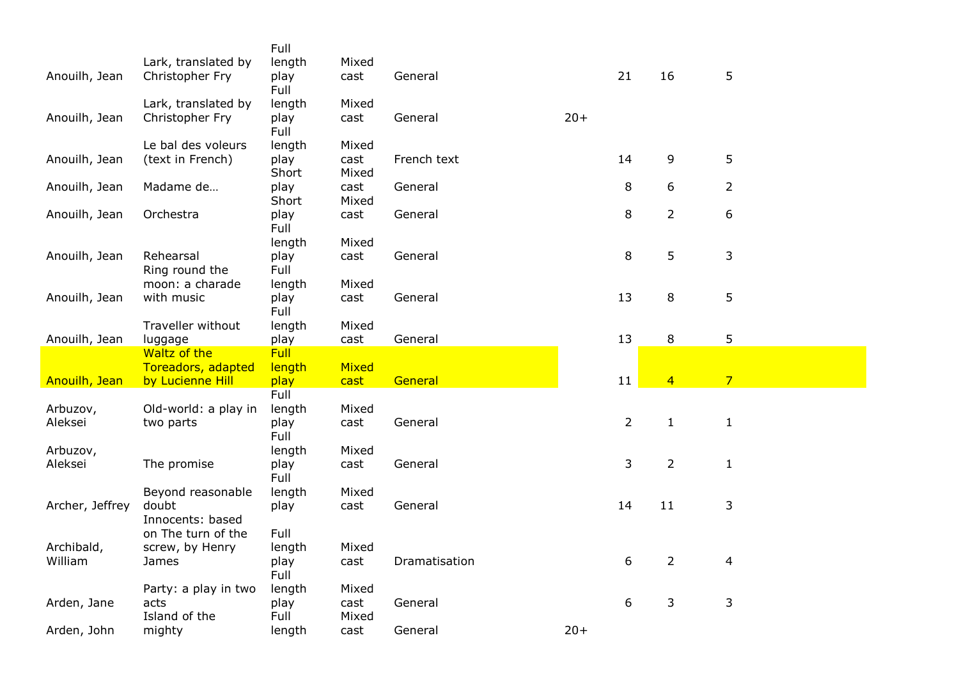|                 |                      | Full         |       |               |       |                |                |                |
|-----------------|----------------------|--------------|-------|---------------|-------|----------------|----------------|----------------|
|                 | Lark, translated by  | length       | Mixed |               |       |                |                |                |
| Anouilh, Jean   | Christopher Fry      | play         | cast  | General       |       | 21             | 16             | 5              |
|                 |                      | Full         |       |               |       |                |                |                |
|                 | Lark, translated by  | length       | Mixed |               |       |                |                |                |
| Anouilh, Jean   | Christopher Fry      | play<br>Full | cast  | General       | $20+$ |                |                |                |
|                 | Le bal des voleurs   | length       | Mixed |               |       |                |                |                |
| Anouilh, Jean   | (text in French)     | play         | cast  | French text   |       | 14             | 9              | 5              |
|                 |                      | Short        | Mixed |               |       |                |                |                |
| Anouilh, Jean   | Madame de            | play         | cast  | General       |       | 8              | 6              | $\overline{2}$ |
|                 |                      | Short        | Mixed |               |       |                |                |                |
| Anouilh, Jean   | Orchestra            | play<br>Full | cast  | General       |       | 8              | $\overline{2}$ | 6              |
|                 |                      | length       | Mixed |               |       |                |                |                |
| Anouilh, Jean   | Rehearsal            | play         | cast  | General       |       | 8              | 5              | 3              |
|                 | Ring round the       | Full         |       |               |       |                |                |                |
|                 | moon: a charade      | length       | Mixed |               |       |                |                |                |
| Anouilh, Jean   | with music           | play         | cast  | General       |       | 13             | 8              | 5              |
|                 |                      | Full         |       |               |       |                |                |                |
|                 | Traveller without    | length       | Mixed |               |       |                |                |                |
| Anouilh, Jean   | luggage              | play         | cast  | General       |       | 13             | 8              | 5              |
|                 | Waltz of the         | <b>Full</b>  |       |               |       |                |                |                |
|                 | Toreadors, adapted   | length       | Mixed |               |       |                |                |                |
| Anouilh, Jean   | by Lucienne Hill     | play         | cast  | General       |       | 11             | $\overline{4}$ | $\overline{7}$ |
|                 |                      | Full         |       |               |       |                |                |                |
| Arbuzov,        | Old-world: a play in | length       | Mixed |               |       |                |                |                |
| Aleksei         | two parts            | play         | cast  | General       |       | $\overline{2}$ | $\mathbf{1}$   | $\mathbf{1}$   |
|                 |                      | Full         |       |               |       |                |                |                |
| Arbuzov,        |                      | length       | Mixed |               |       |                |                |                |
| Aleksei         | The promise          | play         | cast  | General       |       | 3              | $\overline{2}$ | $\mathbf{1}$   |
|                 |                      | Full         |       |               |       |                |                |                |
|                 | Beyond reasonable    | length       | Mixed |               |       |                |                |                |
| Archer, Jeffrey | doubt                | play         | cast  | General       |       | 14             | 11             | 3              |
|                 | Innocents: based     |              |       |               |       |                |                |                |
|                 | on The turn of the   | Full         |       |               |       |                |                |                |
| Archibald,      | screw, by Henry      | length       | Mixed |               |       |                |                |                |
| William         | James                | play         | cast  | Dramatisation |       | 6              | $\overline{2}$ | 4              |
|                 |                      | Full         |       |               |       |                |                |                |
|                 | Party: a play in two | length       | Mixed |               |       |                |                |                |
| Arden, Jane     | acts                 | play         | cast  | General       |       | 6              | 3              | 3              |
|                 | Island of the        | Full         | Mixed |               |       |                |                |                |
| Arden, John     | mighty               | length       | cast  | General       | $20+$ |                |                |                |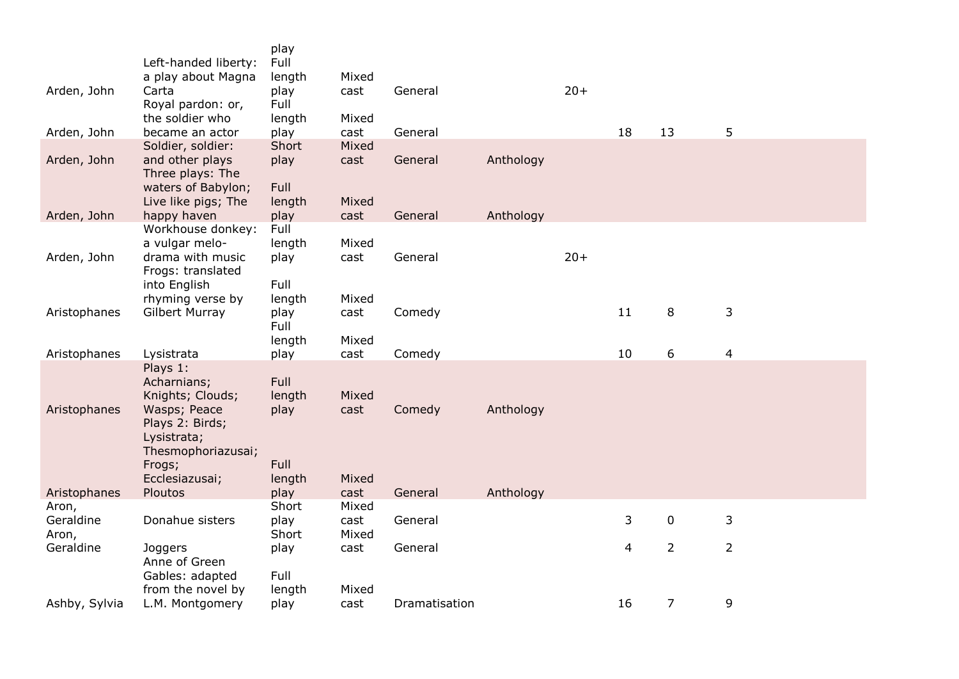| Arden, John                 | Left-handed liberty:<br>a play about Magna<br>Carta<br>Royal pardon: or,<br>the soldier who                                                     | play<br>Full<br>length<br>play<br>Full          | Mixed<br>cast          | General       |           | $20+$ |    |                |                         |
|-----------------------------|-------------------------------------------------------------------------------------------------------------------------------------------------|-------------------------------------------------|------------------------|---------------|-----------|-------|----|----------------|-------------------------|
| Arden, John                 | became an actor                                                                                                                                 | length<br>play                                  | Mixed<br>cast          | General       |           |       | 18 | 13             | 5                       |
| Arden, John                 | Soldier, soldier:<br>and other plays<br>Three plays: The<br>waters of Babylon;<br>Live like pigs; The                                           | Short<br>play<br><b>Full</b><br>length          | Mixed<br>cast<br>Mixed | General       | Anthology |       |    |                |                         |
| Arden, John                 | happy haven                                                                                                                                     | play                                            | cast                   | General       | Anthology |       |    |                |                         |
| Arden, John                 | Workhouse donkey:<br>a vulgar melo-<br>drama with music<br>Frogs: translated<br>into English<br>rhyming verse by                                | Full<br>length<br>play<br>Full<br>length        | Mixed<br>cast<br>Mixed | General       |           | $20+$ |    |                |                         |
| Aristophanes                | <b>Gilbert Murray</b>                                                                                                                           | play<br>Full<br>length                          | cast<br>Mixed          | Comedy        |           |       | 11 | 8              | 3                       |
| Aristophanes                | Lysistrata                                                                                                                                      | play                                            | cast                   | Comedy        |           |       | 10 | 6              | $\overline{\mathbf{4}}$ |
| Aristophanes                | Plays 1:<br>Acharnians;<br>Knights; Clouds;<br>Wasps; Peace<br>Plays 2: Birds;<br>Lysistrata;<br>Thesmophoriazusai;<br>Frogs;<br>Ecclesiazusai; | <b>Full</b><br>length<br>play<br>Full<br>length | Mixed<br>cast<br>Mixed | Comedy        | Anthology |       |    |                |                         |
| Aristophanes                | Ploutos                                                                                                                                         | play                                            | cast                   | General       | Anthology |       |    |                |                         |
| Aron,<br>Geraldine<br>Aron, | Donahue sisters                                                                                                                                 | Short<br>play<br>Short                          | Mixed<br>cast<br>Mixed | General       |           |       | 3  | $\mathbf 0$    | 3                       |
| Geraldine                   | Joggers<br>Anne of Green<br>Gables: adapted                                                                                                     | play<br>Full                                    | cast                   | General       |           |       | 4  | $\overline{2}$ | $\overline{2}$          |
| Ashby, Sylvia               | from the novel by<br>L.M. Montgomery                                                                                                            | length<br>play                                  | Mixed<br>cast          | Dramatisation |           |       | 16 | $\overline{7}$ | 9                       |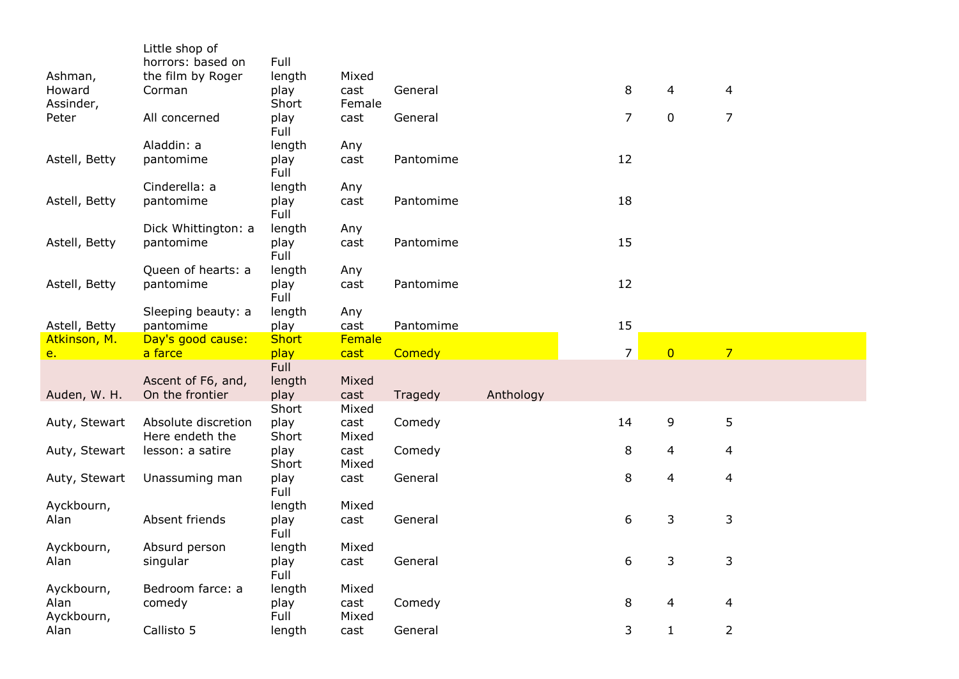| horrors: based on<br>Full<br>the film by Roger<br>length<br>Mixed<br>8<br>cast<br>General<br>4<br>4<br>Corman<br>play<br>Short<br>Female<br>Assinder,<br>$\mathbf 0$<br>$\overline{7}$<br>Peter<br>All concerned<br>7<br>play<br>cast<br>General<br>Full<br>Aladdin: a<br>length<br>Any<br>12<br>pantomime<br>play<br>cast<br>Pantomime<br>Full<br>Cinderella: a<br>length<br>Any<br>18<br>Astell, Betty<br>pantomime<br>Pantomime<br>play<br>cast<br>Full<br>Dick Whittington: a<br>length<br>Any<br>15<br>Astell, Betty<br>pantomime<br>play<br>cast<br>Pantomime<br>Full<br>Queen of hearts: a<br>length<br>Any<br>12<br>Astell, Betty<br>pantomime<br>play<br>Pantomime<br>cast<br>Full<br>Sleeping beauty: a<br>length<br>Any<br>15<br>play<br>Astell, Betty<br>pantomime<br>cast<br>Pantomime<br>Female<br>Atkinson, M.<br>Day's good cause:<br><b>Short</b><br>$\overline{0}$<br>$\overline{7}$<br>$\overline{7}$<br>a farce<br>play<br>Comedy<br>cast<br>$e_{1}$<br>Full<br>length<br>Mixed<br>Ascent of F6, and,<br>On the frontier<br>play<br>Anthology<br>Auden, W. H.<br>cast<br>Tragedy<br>Short<br>Mixed<br>14<br>9<br>5<br>Absolute discretion<br>Comedy<br>Auty, Stewart<br>play<br>cast<br>Short<br>Here endeth the<br>Mixed<br>8<br>4<br>4<br>Auty, Stewart<br>lesson: a satire<br>Comedy<br>play<br>cast<br>Short<br>Mixed<br>8<br>General<br>4<br>4<br>Auty, Stewart<br>Unassuming man<br>play<br>cast<br>Full<br>Ayckbourn,<br>Mixed<br>length<br>6<br>3<br>3<br>Absent friends<br>Alan<br>cast<br>General<br>play<br>Full<br>Ayckbourn,<br>Absurd person<br>length<br>Mixed<br>3<br>3<br>6<br>cast<br>General<br>Alan<br>singular<br>play<br>Full<br>Ayckbourn,<br>Bedroom farce: a<br>Mixed<br>length<br>Comedy<br>8<br>comedy<br>play<br>cast<br>4<br>4<br>Full<br>Mixed<br>3<br>$\overline{2}$<br>Callisto 5<br>$\mathbf{1}$<br>General<br>length<br>cast |               | Little shop of |  |  |  |  |  |
|------------------------------------------------------------------------------------------------------------------------------------------------------------------------------------------------------------------------------------------------------------------------------------------------------------------------------------------------------------------------------------------------------------------------------------------------------------------------------------------------------------------------------------------------------------------------------------------------------------------------------------------------------------------------------------------------------------------------------------------------------------------------------------------------------------------------------------------------------------------------------------------------------------------------------------------------------------------------------------------------------------------------------------------------------------------------------------------------------------------------------------------------------------------------------------------------------------------------------------------------------------------------------------------------------------------------------------------------------------------------------------------------------------------------------------------------------------------------------------------------------------------------------------------------------------------------------------------------------------------------------------------------------------------------------------------------------------------------------------------------------------------------------------------------------------------------------------------------------------------------------------|---------------|----------------|--|--|--|--|--|
|                                                                                                                                                                                                                                                                                                                                                                                                                                                                                                                                                                                                                                                                                                                                                                                                                                                                                                                                                                                                                                                                                                                                                                                                                                                                                                                                                                                                                                                                                                                                                                                                                                                                                                                                                                                                                                                                                    |               |                |  |  |  |  |  |
|                                                                                                                                                                                                                                                                                                                                                                                                                                                                                                                                                                                                                                                                                                                                                                                                                                                                                                                                                                                                                                                                                                                                                                                                                                                                                                                                                                                                                                                                                                                                                                                                                                                                                                                                                                                                                                                                                    | Ashman,       |                |  |  |  |  |  |
|                                                                                                                                                                                                                                                                                                                                                                                                                                                                                                                                                                                                                                                                                                                                                                                                                                                                                                                                                                                                                                                                                                                                                                                                                                                                                                                                                                                                                                                                                                                                                                                                                                                                                                                                                                                                                                                                                    | Howard        |                |  |  |  |  |  |
|                                                                                                                                                                                                                                                                                                                                                                                                                                                                                                                                                                                                                                                                                                                                                                                                                                                                                                                                                                                                                                                                                                                                                                                                                                                                                                                                                                                                                                                                                                                                                                                                                                                                                                                                                                                                                                                                                    |               |                |  |  |  |  |  |
|                                                                                                                                                                                                                                                                                                                                                                                                                                                                                                                                                                                                                                                                                                                                                                                                                                                                                                                                                                                                                                                                                                                                                                                                                                                                                                                                                                                                                                                                                                                                                                                                                                                                                                                                                                                                                                                                                    |               |                |  |  |  |  |  |
|                                                                                                                                                                                                                                                                                                                                                                                                                                                                                                                                                                                                                                                                                                                                                                                                                                                                                                                                                                                                                                                                                                                                                                                                                                                                                                                                                                                                                                                                                                                                                                                                                                                                                                                                                                                                                                                                                    |               |                |  |  |  |  |  |
|                                                                                                                                                                                                                                                                                                                                                                                                                                                                                                                                                                                                                                                                                                                                                                                                                                                                                                                                                                                                                                                                                                                                                                                                                                                                                                                                                                                                                                                                                                                                                                                                                                                                                                                                                                                                                                                                                    |               |                |  |  |  |  |  |
|                                                                                                                                                                                                                                                                                                                                                                                                                                                                                                                                                                                                                                                                                                                                                                                                                                                                                                                                                                                                                                                                                                                                                                                                                                                                                                                                                                                                                                                                                                                                                                                                                                                                                                                                                                                                                                                                                    | Astell, Betty |                |  |  |  |  |  |
|                                                                                                                                                                                                                                                                                                                                                                                                                                                                                                                                                                                                                                                                                                                                                                                                                                                                                                                                                                                                                                                                                                                                                                                                                                                                                                                                                                                                                                                                                                                                                                                                                                                                                                                                                                                                                                                                                    |               |                |  |  |  |  |  |
|                                                                                                                                                                                                                                                                                                                                                                                                                                                                                                                                                                                                                                                                                                                                                                                                                                                                                                                                                                                                                                                                                                                                                                                                                                                                                                                                                                                                                                                                                                                                                                                                                                                                                                                                                                                                                                                                                    |               |                |  |  |  |  |  |
|                                                                                                                                                                                                                                                                                                                                                                                                                                                                                                                                                                                                                                                                                                                                                                                                                                                                                                                                                                                                                                                                                                                                                                                                                                                                                                                                                                                                                                                                                                                                                                                                                                                                                                                                                                                                                                                                                    |               |                |  |  |  |  |  |
|                                                                                                                                                                                                                                                                                                                                                                                                                                                                                                                                                                                                                                                                                                                                                                                                                                                                                                                                                                                                                                                                                                                                                                                                                                                                                                                                                                                                                                                                                                                                                                                                                                                                                                                                                                                                                                                                                    |               |                |  |  |  |  |  |
|                                                                                                                                                                                                                                                                                                                                                                                                                                                                                                                                                                                                                                                                                                                                                                                                                                                                                                                                                                                                                                                                                                                                                                                                                                                                                                                                                                                                                                                                                                                                                                                                                                                                                                                                                                                                                                                                                    |               |                |  |  |  |  |  |
|                                                                                                                                                                                                                                                                                                                                                                                                                                                                                                                                                                                                                                                                                                                                                                                                                                                                                                                                                                                                                                                                                                                                                                                                                                                                                                                                                                                                                                                                                                                                                                                                                                                                                                                                                                                                                                                                                    |               |                |  |  |  |  |  |
|                                                                                                                                                                                                                                                                                                                                                                                                                                                                                                                                                                                                                                                                                                                                                                                                                                                                                                                                                                                                                                                                                                                                                                                                                                                                                                                                                                                                                                                                                                                                                                                                                                                                                                                                                                                                                                                                                    |               |                |  |  |  |  |  |
|                                                                                                                                                                                                                                                                                                                                                                                                                                                                                                                                                                                                                                                                                                                                                                                                                                                                                                                                                                                                                                                                                                                                                                                                                                                                                                                                                                                                                                                                                                                                                                                                                                                                                                                                                                                                                                                                                    |               |                |  |  |  |  |  |
|                                                                                                                                                                                                                                                                                                                                                                                                                                                                                                                                                                                                                                                                                                                                                                                                                                                                                                                                                                                                                                                                                                                                                                                                                                                                                                                                                                                                                                                                                                                                                                                                                                                                                                                                                                                                                                                                                    |               |                |  |  |  |  |  |
|                                                                                                                                                                                                                                                                                                                                                                                                                                                                                                                                                                                                                                                                                                                                                                                                                                                                                                                                                                                                                                                                                                                                                                                                                                                                                                                                                                                                                                                                                                                                                                                                                                                                                                                                                                                                                                                                                    |               |                |  |  |  |  |  |
|                                                                                                                                                                                                                                                                                                                                                                                                                                                                                                                                                                                                                                                                                                                                                                                                                                                                                                                                                                                                                                                                                                                                                                                                                                                                                                                                                                                                                                                                                                                                                                                                                                                                                                                                                                                                                                                                                    |               |                |  |  |  |  |  |
|                                                                                                                                                                                                                                                                                                                                                                                                                                                                                                                                                                                                                                                                                                                                                                                                                                                                                                                                                                                                                                                                                                                                                                                                                                                                                                                                                                                                                                                                                                                                                                                                                                                                                                                                                                                                                                                                                    |               |                |  |  |  |  |  |
|                                                                                                                                                                                                                                                                                                                                                                                                                                                                                                                                                                                                                                                                                                                                                                                                                                                                                                                                                                                                                                                                                                                                                                                                                                                                                                                                                                                                                                                                                                                                                                                                                                                                                                                                                                                                                                                                                    |               |                |  |  |  |  |  |
|                                                                                                                                                                                                                                                                                                                                                                                                                                                                                                                                                                                                                                                                                                                                                                                                                                                                                                                                                                                                                                                                                                                                                                                                                                                                                                                                                                                                                                                                                                                                                                                                                                                                                                                                                                                                                                                                                    |               |                |  |  |  |  |  |
|                                                                                                                                                                                                                                                                                                                                                                                                                                                                                                                                                                                                                                                                                                                                                                                                                                                                                                                                                                                                                                                                                                                                                                                                                                                                                                                                                                                                                                                                                                                                                                                                                                                                                                                                                                                                                                                                                    |               |                |  |  |  |  |  |
|                                                                                                                                                                                                                                                                                                                                                                                                                                                                                                                                                                                                                                                                                                                                                                                                                                                                                                                                                                                                                                                                                                                                                                                                                                                                                                                                                                                                                                                                                                                                                                                                                                                                                                                                                                                                                                                                                    |               |                |  |  |  |  |  |
|                                                                                                                                                                                                                                                                                                                                                                                                                                                                                                                                                                                                                                                                                                                                                                                                                                                                                                                                                                                                                                                                                                                                                                                                                                                                                                                                                                                                                                                                                                                                                                                                                                                                                                                                                                                                                                                                                    |               |                |  |  |  |  |  |
|                                                                                                                                                                                                                                                                                                                                                                                                                                                                                                                                                                                                                                                                                                                                                                                                                                                                                                                                                                                                                                                                                                                                                                                                                                                                                                                                                                                                                                                                                                                                                                                                                                                                                                                                                                                                                                                                                    |               |                |  |  |  |  |  |
|                                                                                                                                                                                                                                                                                                                                                                                                                                                                                                                                                                                                                                                                                                                                                                                                                                                                                                                                                                                                                                                                                                                                                                                                                                                                                                                                                                                                                                                                                                                                                                                                                                                                                                                                                                                                                                                                                    |               |                |  |  |  |  |  |
|                                                                                                                                                                                                                                                                                                                                                                                                                                                                                                                                                                                                                                                                                                                                                                                                                                                                                                                                                                                                                                                                                                                                                                                                                                                                                                                                                                                                                                                                                                                                                                                                                                                                                                                                                                                                                                                                                    |               |                |  |  |  |  |  |
|                                                                                                                                                                                                                                                                                                                                                                                                                                                                                                                                                                                                                                                                                                                                                                                                                                                                                                                                                                                                                                                                                                                                                                                                                                                                                                                                                                                                                                                                                                                                                                                                                                                                                                                                                                                                                                                                                    |               |                |  |  |  |  |  |
|                                                                                                                                                                                                                                                                                                                                                                                                                                                                                                                                                                                                                                                                                                                                                                                                                                                                                                                                                                                                                                                                                                                                                                                                                                                                                                                                                                                                                                                                                                                                                                                                                                                                                                                                                                                                                                                                                    |               |                |  |  |  |  |  |
|                                                                                                                                                                                                                                                                                                                                                                                                                                                                                                                                                                                                                                                                                                                                                                                                                                                                                                                                                                                                                                                                                                                                                                                                                                                                                                                                                                                                                                                                                                                                                                                                                                                                                                                                                                                                                                                                                    |               |                |  |  |  |  |  |
|                                                                                                                                                                                                                                                                                                                                                                                                                                                                                                                                                                                                                                                                                                                                                                                                                                                                                                                                                                                                                                                                                                                                                                                                                                                                                                                                                                                                                                                                                                                                                                                                                                                                                                                                                                                                                                                                                    |               |                |  |  |  |  |  |
|                                                                                                                                                                                                                                                                                                                                                                                                                                                                                                                                                                                                                                                                                                                                                                                                                                                                                                                                                                                                                                                                                                                                                                                                                                                                                                                                                                                                                                                                                                                                                                                                                                                                                                                                                                                                                                                                                    |               |                |  |  |  |  |  |
|                                                                                                                                                                                                                                                                                                                                                                                                                                                                                                                                                                                                                                                                                                                                                                                                                                                                                                                                                                                                                                                                                                                                                                                                                                                                                                                                                                                                                                                                                                                                                                                                                                                                                                                                                                                                                                                                                    |               |                |  |  |  |  |  |
|                                                                                                                                                                                                                                                                                                                                                                                                                                                                                                                                                                                                                                                                                                                                                                                                                                                                                                                                                                                                                                                                                                                                                                                                                                                                                                                                                                                                                                                                                                                                                                                                                                                                                                                                                                                                                                                                                    |               |                |  |  |  |  |  |
|                                                                                                                                                                                                                                                                                                                                                                                                                                                                                                                                                                                                                                                                                                                                                                                                                                                                                                                                                                                                                                                                                                                                                                                                                                                                                                                                                                                                                                                                                                                                                                                                                                                                                                                                                                                                                                                                                    |               |                |  |  |  |  |  |
|                                                                                                                                                                                                                                                                                                                                                                                                                                                                                                                                                                                                                                                                                                                                                                                                                                                                                                                                                                                                                                                                                                                                                                                                                                                                                                                                                                                                                                                                                                                                                                                                                                                                                                                                                                                                                                                                                    |               |                |  |  |  |  |  |
|                                                                                                                                                                                                                                                                                                                                                                                                                                                                                                                                                                                                                                                                                                                                                                                                                                                                                                                                                                                                                                                                                                                                                                                                                                                                                                                                                                                                                                                                                                                                                                                                                                                                                                                                                                                                                                                                                    |               |                |  |  |  |  |  |
|                                                                                                                                                                                                                                                                                                                                                                                                                                                                                                                                                                                                                                                                                                                                                                                                                                                                                                                                                                                                                                                                                                                                                                                                                                                                                                                                                                                                                                                                                                                                                                                                                                                                                                                                                                                                                                                                                    | Alan          |                |  |  |  |  |  |
|                                                                                                                                                                                                                                                                                                                                                                                                                                                                                                                                                                                                                                                                                                                                                                                                                                                                                                                                                                                                                                                                                                                                                                                                                                                                                                                                                                                                                                                                                                                                                                                                                                                                                                                                                                                                                                                                                    | Ayckbourn,    |                |  |  |  |  |  |
|                                                                                                                                                                                                                                                                                                                                                                                                                                                                                                                                                                                                                                                                                                                                                                                                                                                                                                                                                                                                                                                                                                                                                                                                                                                                                                                                                                                                                                                                                                                                                                                                                                                                                                                                                                                                                                                                                    | Alan          |                |  |  |  |  |  |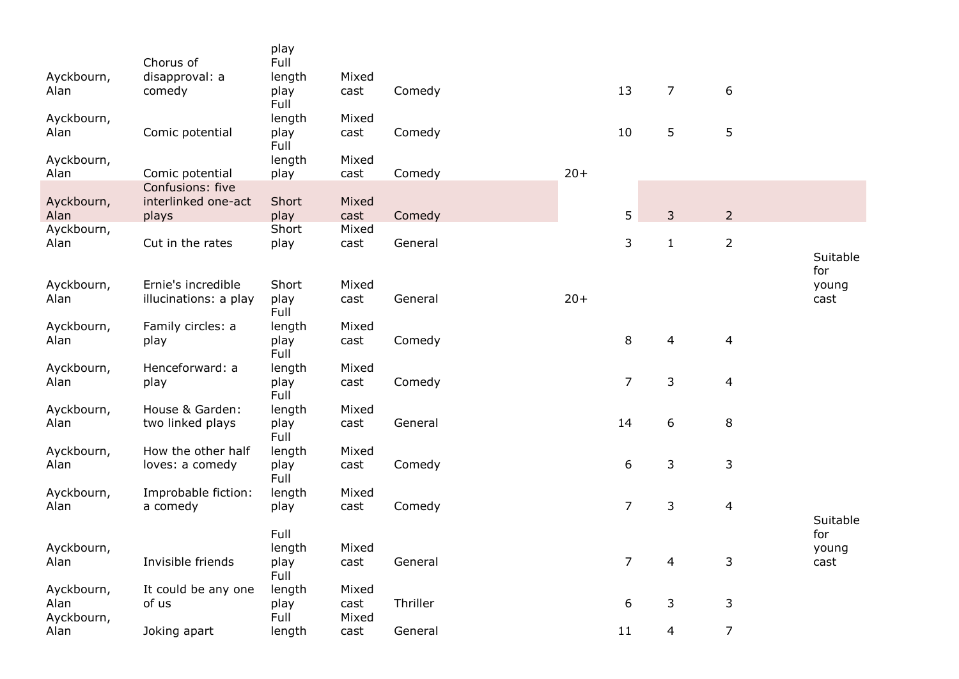| Ayckbourn,<br>Alan               | Chorus of<br>disapproval: a<br>comedy       | play<br>Full<br>length<br>play<br>Full | Mixed<br>cast          | Comedy   |       | 13             | $\overline{7}$ | 6                        |                      |
|----------------------------------|---------------------------------------------|----------------------------------------|------------------------|----------|-------|----------------|----------------|--------------------------|----------------------|
| Ayckbourn,<br>Alan               | Comic potential                             | length<br>play<br>Full                 | Mixed<br>cast          | Comedy   |       | 10             | 5              | 5                        |                      |
| Ayckbourn,<br>Alan               | Comic potential                             | length<br>play                         | Mixed<br>cast          | Comedy   | $20+$ |                |                |                          |                      |
| Ayckbourn,                       | Confusions: five<br>interlinked one-act     | Short                                  | Mixed                  |          |       |                |                |                          |                      |
| Alan<br>Ayckbourn,               | plays                                       | play<br>Short                          | cast<br>Mixed          | Comedy   |       | 5              | 3              | $\overline{2}$           |                      |
| Alan                             | Cut in the rates                            | play                                   | cast                   | General  |       | 3              | $\mathbf{1}$   | $\overline{2}$           | Suitable             |
| Ayckbourn,<br>Alan               | Ernie's incredible<br>illucinations: a play | Short<br>play<br>Full                  | Mixed<br>cast          | General  | $20+$ |                |                |                          | for<br>young<br>cast |
| Ayckbourn,<br>Alan               | Family circles: a<br>play                   | length<br>play<br>Full                 | Mixed<br>cast          | Comedy   |       | 8              | 4              | $\overline{\mathbf{4}}$  |                      |
| Ayckbourn,<br>Alan               | Henceforward: a<br>play                     | length<br>play<br>Full                 | Mixed<br>cast          | Comedy   |       | $\overline{7}$ | 3              | $\overline{\mathbf{4}}$  |                      |
| Ayckbourn,<br>Alan               | House & Garden:<br>two linked plays         | length<br>play<br>Full                 | Mixed<br>cast          | General  |       | 14             | 6              | 8                        |                      |
| Ayckbourn,<br>Alan               | How the other half<br>loves: a comedy       | length<br>play<br>Full                 | Mixed<br>cast          | Comedy   |       | 6              | 3              | 3                        |                      |
| Ayckbourn,<br>Alan               | Improbable fiction:<br>a comedy             | length<br>play                         | Mixed<br>cast          | Comedy   |       | $\overline{7}$ | 3              | $\overline{\mathcal{L}}$ | Suitable             |
| Ayckbourn,<br>Alan               | Invisible friends                           | Full<br>length<br>play<br>Full         | Mixed<br>cast          | General  |       | $\overline{7}$ | 4              | $\mathsf 3$              | for<br>young<br>cast |
| Ayckbourn,<br>Alan<br>Ayckbourn, | It could be any one<br>of us                | length<br>play<br>Full                 | Mixed<br>cast<br>Mixed | Thriller |       | 6              | 3              | 3                        |                      |
| Alan                             | Joking apart                                | length                                 | cast                   | General  |       | 11             | 4              | $\overline{7}$           |                      |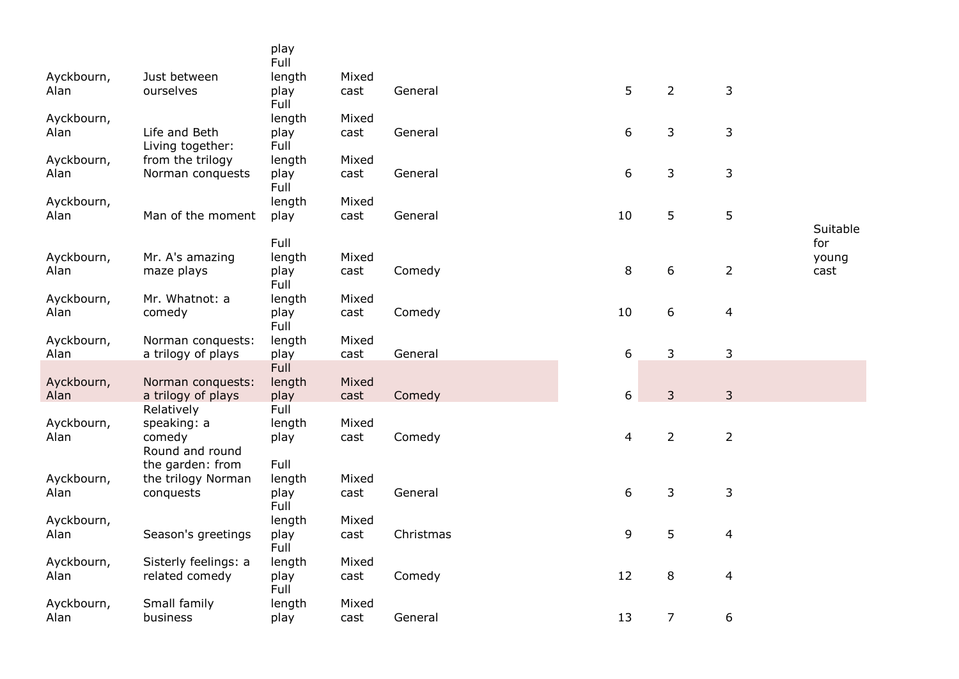|                    |                                  | play<br>Full   |               |           |    |                |                |          |
|--------------------|----------------------------------|----------------|---------------|-----------|----|----------------|----------------|----------|
| Ayckbourn,         | Just between                     | length         | Mixed         |           |    |                |                |          |
| Alan               | ourselves                        | play<br>Full   | cast          | General   | 5  | $\overline{2}$ | 3              |          |
| Ayckbourn,         |                                  | length         | Mixed         |           |    |                |                |          |
| Alan               | Life and Beth                    | play           | cast          | General   | 6  | 3              | 3              |          |
|                    | Living together:                 | Full           |               |           |    |                |                |          |
| Ayckbourn,         | from the trilogy                 | length         | Mixed         |           |    |                |                |          |
| Alan               | Norman conquests                 | play<br>Full   | cast          | General   | 6  | 3              | 3              |          |
| Ayckbourn,         |                                  | length         | Mixed         |           |    |                |                |          |
| Alan               | Man of the moment                | play           | cast          | General   | 10 | 5              | 5              | Suitable |
|                    |                                  | Full           |               |           |    |                |                | for      |
| Ayckbourn,         | Mr. A's amazing                  | length         | Mixed         |           |    |                |                | young    |
| Alan               | maze plays                       | play           | cast          | Comedy    | 8  | 6              | $\overline{2}$ | cast     |
|                    |                                  | Full           |               |           |    |                |                |          |
| Ayckbourn,         | Mr. Whatnot: a                   | length         | Mixed         |           |    |                |                |          |
| Alan               | comedy                           | play<br>Full   | cast          | Comedy    | 10 | 6              | $\overline{4}$ |          |
| Ayckbourn,         | Norman conquests:                | length         | Mixed         |           |    |                |                |          |
| Alan               | a trilogy of plays               | play           | cast          | General   | 6  | 3              | 3              |          |
|                    |                                  | <b>Full</b>    |               |           |    |                |                |          |
| Ayckbourn,<br>Alan | Norman conquests:                | length<br>play | Mixed<br>cast | Comedy    | 6  | 3              | 3              |          |
|                    | a trilogy of plays<br>Relatively | Full           |               |           |    |                |                |          |
| Ayckbourn,         | speaking: a                      | length         | Mixed         |           |    |                |                |          |
| Alan               | comedy                           | play           | cast          | Comedy    | 4  | $\overline{2}$ | $\overline{2}$ |          |
|                    | Round and round                  |                |               |           |    |                |                |          |
|                    | the garden: from                 | Full           |               |           |    |                |                |          |
| Ayckbourn,         | the trilogy Norman               | length         | Mixed         |           |    |                |                |          |
| Alan               | conquests                        | play<br>Full   | cast          | General   | 6  | 3              | 3              |          |
| Ayckbourn,         |                                  | length         | Mixed         |           |    |                |                |          |
| Alan               | Season's greetings               | play           | cast          | Christmas | 9  | 5              | 4              |          |
|                    |                                  | Full           |               |           |    |                |                |          |
| Ayckbourn,         | Sisterly feelings: a             | length         | Mixed         |           |    |                |                |          |
| Alan               | related comedy                   | play<br>Full   | cast          | Comedy    | 12 | 8              | $\overline{4}$ |          |
| Ayckbourn,         | Small family                     | length         | Mixed         |           |    |                |                |          |
| Alan               | business                         | play           | cast          | General   | 13 | $\overline{7}$ | 6              |          |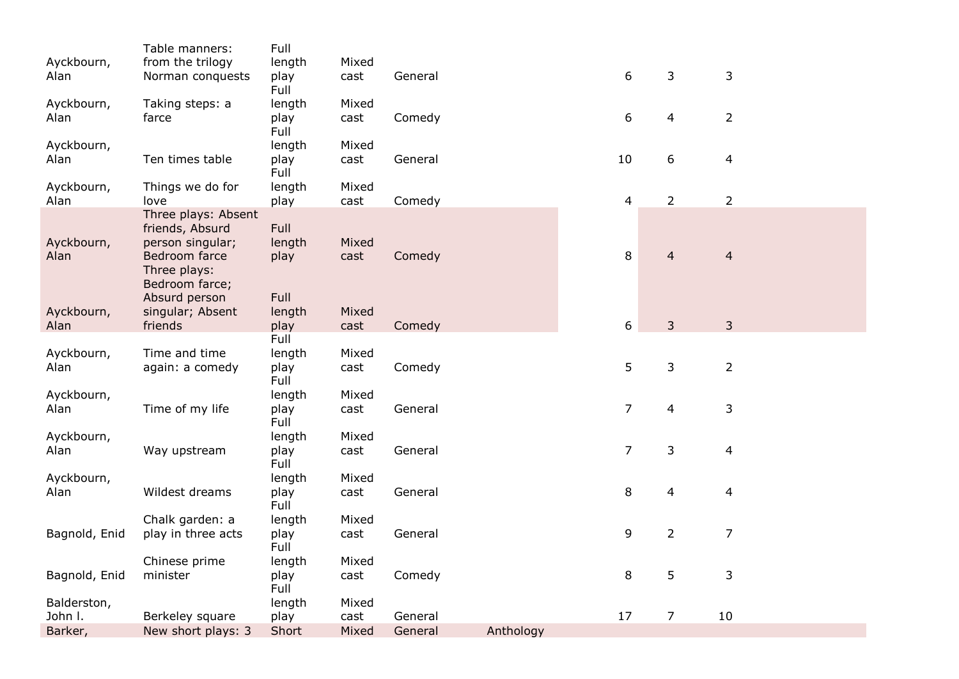|               | Table manners:                 | Full         |       |         |           |                |                |                         |  |
|---------------|--------------------------------|--------------|-------|---------|-----------|----------------|----------------|-------------------------|--|
| Ayckbourn,    | from the trilogy               | length       | Mixed |         |           |                |                |                         |  |
| Alan          | Norman conquests               | play<br>Full | cast  | General |           | 6              | 3              | 3                       |  |
| Ayckbourn,    | Taking steps: a                | length       | Mixed |         |           |                |                |                         |  |
| Alan          | farce                          | play         | cast  | Comedy  |           | 6              | 4              | $\overline{2}$          |  |
|               |                                | Full         |       |         |           |                |                |                         |  |
| Ayckbourn,    |                                | length       | Mixed |         |           |                |                |                         |  |
| Alan          | Ten times table                | play         | cast  | General |           | 10             | 6              | 4                       |  |
|               |                                | Full         |       |         |           |                |                |                         |  |
| Ayckbourn,    | Things we do for               | length       | Mixed |         |           |                |                |                         |  |
| Alan          | love                           | play         | cast  | Comedy  |           | $\overline{4}$ | $\overline{2}$ | $\overline{2}$          |  |
|               | Three plays: Absent            |              |       |         |           |                |                |                         |  |
|               | friends, Absurd                | Full         |       |         |           |                |                |                         |  |
| Ayckbourn,    | person singular;               | length       | Mixed |         |           |                |                |                         |  |
| Alan          | Bedroom farce                  | play         | cast  | Comedy  |           | 8              | $\overline{4}$ | $\overline{4}$          |  |
|               | Three plays:<br>Bedroom farce; |              |       |         |           |                |                |                         |  |
|               | Absurd person                  | Full         |       |         |           |                |                |                         |  |
| Ayckbourn,    | singular; Absent               | length       | Mixed |         |           |                |                |                         |  |
| Alan          | friends                        | play         | cast  | Comedy  |           | 6              | 3              | 3                       |  |
|               |                                | Full         |       |         |           |                |                |                         |  |
| Ayckbourn,    | Time and time                  | length       | Mixed |         |           |                |                |                         |  |
| Alan          | again: a comedy                | play         | cast  | Comedy  |           | 5              | 3              | $\overline{2}$          |  |
|               |                                | Full         |       |         |           |                |                |                         |  |
| Ayckbourn,    |                                | length       | Mixed |         |           |                |                |                         |  |
| Alan          | Time of my life                | play         | cast  | General |           | $\overline{7}$ | 4              | 3                       |  |
|               |                                | Full         |       |         |           |                |                |                         |  |
| Ayckbourn,    |                                | length       | Mixed |         |           |                |                |                         |  |
| Alan          | Way upstream                   | play         | cast  | General |           | $\overline{7}$ | 3              | $\overline{\mathbf{4}}$ |  |
|               |                                | Full         |       |         |           |                |                |                         |  |
| Ayckbourn,    |                                | length       | Mixed |         |           |                |                |                         |  |
| Alan          | Wildest dreams                 | play<br>Full | cast  | General |           | 8              | 4              | 4                       |  |
|               | Chalk garden: a                | length       | Mixed |         |           |                |                |                         |  |
| Bagnold, Enid | play in three acts             | play         | cast  | General |           | 9              | $\overline{2}$ | $\overline{7}$          |  |
|               |                                | Full         |       |         |           |                |                |                         |  |
|               | Chinese prime                  | length       | Mixed |         |           |                |                |                         |  |
| Bagnold, Enid | minister                       | play         | cast  | Comedy  |           | 8              | 5              | 3                       |  |
|               |                                | Full         |       |         |           |                |                |                         |  |
| Balderston,   |                                | length       | Mixed |         |           |                |                |                         |  |
| John I.       | Berkeley square                | play         | cast  | General |           | 17             | $\overline{7}$ | 10                      |  |
| Barker,       | New short plays: 3             | Short        | Mixed | General | Anthology |                |                |                         |  |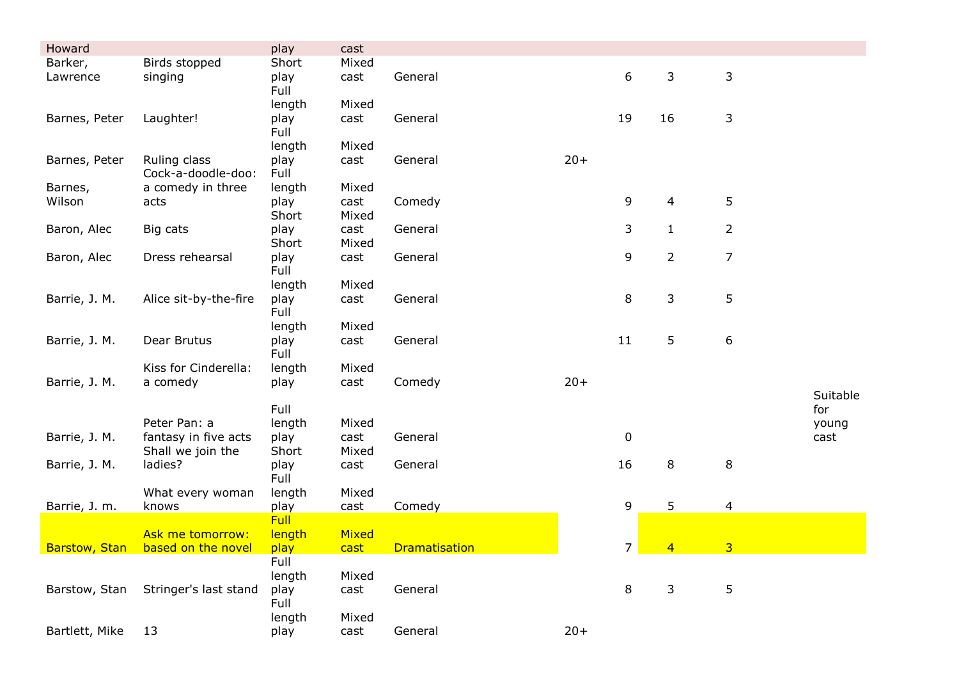| Howard         |                                    | play                | cast          |                      |       |                  |                |                |          |
|----------------|------------------------------------|---------------------|---------------|----------------------|-------|------------------|----------------|----------------|----------|
| Barker,        | Birds stopped                      | Short               | Mixed         |                      |       |                  |                |                |          |
| Lawrence       | singing                            | play<br>Full        | cast          | General              |       | 6                | 3              | 3              |          |
|                |                                    | length              | Mixed         |                      |       |                  |                |                |          |
| Barnes, Peter  | Laughter!                          | play<br>Full        | cast          | General              |       | 19               | 16             | 3              |          |
|                |                                    | length              | Mixed         |                      |       |                  |                |                |          |
| Barnes, Peter  | Ruling class<br>Cock-a-doodle-doo: | play<br>Full        | cast          | General              | $20+$ |                  |                |                |          |
| Barnes,        | a comedy in three                  | length              | Mixed         |                      |       |                  |                |                |          |
| Wilson         | acts                               | play<br>Short       | cast<br>Mixed | Comedy               |       | 9                | 4              | 5              |          |
| Baron, Alec    | Big cats                           | play                | cast          | General              |       | 3                | $\mathbf{1}$   | 2              |          |
|                |                                    | Short               | Mixed         |                      |       |                  |                |                |          |
| Baron, Alec    | Dress rehearsal                    | play<br>Full        | cast          | General              |       | 9                | $\overline{2}$ | 7              |          |
|                |                                    | length              | Mixed         |                      |       |                  |                |                |          |
| Barrie, J. M.  | Alice sit-by-the-fire              | play<br>Full        | cast          | General              |       | 8                | 3              | 5              |          |
|                |                                    | length              | Mixed         |                      |       |                  |                |                |          |
| Barrie, J. M.  | Dear Brutus                        | play<br>Full        | cast          | General              |       | 11               | 5              | 6              |          |
|                | Kiss for Cinderella:               | length              | Mixed         |                      |       |                  |                |                |          |
| Barrie, J. M.  | a comedy                           | play                | cast          | Comedy               | $20+$ |                  |                |                |          |
|                |                                    |                     |               |                      |       |                  |                |                | Suitable |
|                |                                    | Full                |               |                      |       |                  |                |                | for      |
|                | Peter Pan: a                       | length              | Mixed         |                      |       |                  |                |                | young    |
| Barrie, J. M.  | fantasy in five acts               | play                | cast          | General              |       | $\boldsymbol{0}$ |                |                | cast     |
|                | Shall we join the                  | Short               | Mixed         |                      |       |                  |                |                |          |
| Barrie, J. M.  | ladies?                            | play                | cast          | General              |       | 16               | 8              | 8              |          |
|                |                                    | Full                | Mixed         |                      |       |                  |                |                |          |
|                | What every woman                   | length              |               |                      |       | 9                | 5              |                |          |
| Barrie, J. m.  | knows                              | play<br><b>Full</b> | cast          | Comedy               |       |                  |                | $\overline{4}$ |          |
|                | Ask me tomorrow:                   | length              | Mixed         |                      |       |                  |                |                |          |
| Barstow, Stan  | based on the novel                 | play                | cast          | <b>Dramatisation</b> |       | 7                | 4              | 3              |          |
|                |                                    | Full                |               |                      |       |                  |                |                |          |
|                |                                    | length              | Mixed         |                      |       |                  |                |                |          |
| Barstow, Stan  | Stringer's last stand              | play<br>Full        | cast          | General              |       | 8                | 3              | 5              |          |
|                |                                    | length              | Mixed         |                      |       |                  |                |                |          |
| Bartlett, Mike | 13                                 | play                | cast          | General              | $20+$ |                  |                |                |          |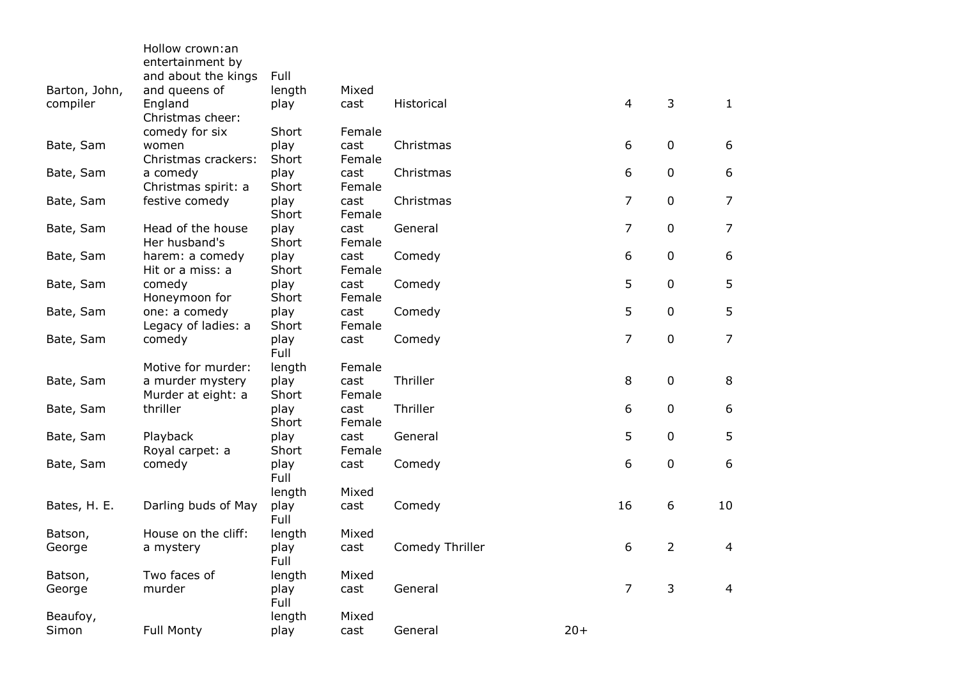|               | Hollow crown:an<br>entertainment by    |               |                |                 |       |                |                |                |
|---------------|----------------------------------------|---------------|----------------|-----------------|-------|----------------|----------------|----------------|
|               | and about the kings                    | Full          |                |                 |       |                |                |                |
| Barton, John, | and queens of                          | length        | Mixed          |                 |       |                |                |                |
| compiler      | England<br>Christmas cheer:            | play          | cast           | Historical      |       | 4              | 3              | $\mathbf{1}$   |
|               | comedy for six                         | Short         | Female         |                 |       |                |                |                |
| Bate, Sam     | women<br>Christmas crackers:           | play<br>Short | cast<br>Female | Christmas       |       | 6              | 0              | 6              |
| Bate, Sam     | a comedy<br>Christmas spirit: a        | play<br>Short | cast<br>Female | Christmas       |       | 6              | 0              | 6              |
| Bate, Sam     | festive comedy                         | play<br>Short | cast<br>Female | Christmas       |       | $\overline{7}$ | 0              | $\overline{7}$ |
| Bate, Sam     | Head of the house<br>Her husband's     | play<br>Short | cast<br>Female | General         |       | $\overline{7}$ | 0              | $\overline{7}$ |
| Bate, Sam     | harem: a comedy<br>Hit or a miss: a    | play<br>Short | cast<br>Female | Comedy          |       | 6              | 0              | 6              |
| Bate, Sam     | comedy<br>Honeymoon for                | play<br>Short | cast<br>Female | Comedy          |       | 5              | 0              | 5              |
| Bate, Sam     | one: a comedy                          | play<br>Short | cast           | Comedy          |       | 5              | 0              | 5              |
| Bate, Sam     | Legacy of ladies: a<br>comedy          | play<br>Full  | Female<br>cast | Comedy          |       | $\overline{7}$ | 0              | $\overline{7}$ |
|               | Motive for murder:                     | length        | Female         |                 |       |                |                |                |
| Bate, Sam     | a murder mystery<br>Murder at eight: a | play<br>Short | cast<br>Female | Thriller        |       | 8              | 0              | 8              |
| Bate, Sam     | thriller                               | play<br>Short | cast<br>Female | Thriller        |       | 6              | 0              | 6              |
| Bate, Sam     | Playback<br>Royal carpet: a            | play<br>Short | cast<br>Female | General         |       | 5              | 0              | 5              |
| Bate, Sam     | comedy                                 | play<br>Full  | cast           | Comedy          |       | 6              | 0              | 6              |
|               |                                        | length        | Mixed          |                 |       |                |                |                |
| Bates, H. E.  | Darling buds of May                    | play<br>Full  | cast           | Comedy          |       | 16             | 6              | 10             |
| Batson,       | House on the cliff:                    | length        | Mixed          |                 |       |                |                |                |
| George        | a mystery                              | play<br>Full  | cast           | Comedy Thriller |       | 6              | $\overline{2}$ | $\overline{4}$ |
| Batson,       | Two faces of                           | length        | Mixed          |                 |       |                |                |                |
| George        | murder                                 | play<br>Full  | cast           | General         |       | $\overline{7}$ | 3              | 4              |
| Beaufoy,      |                                        | length        | Mixed          |                 |       |                |                |                |
| Simon         | <b>Full Monty</b>                      | play          | cast           | General         | $20+$ |                |                |                |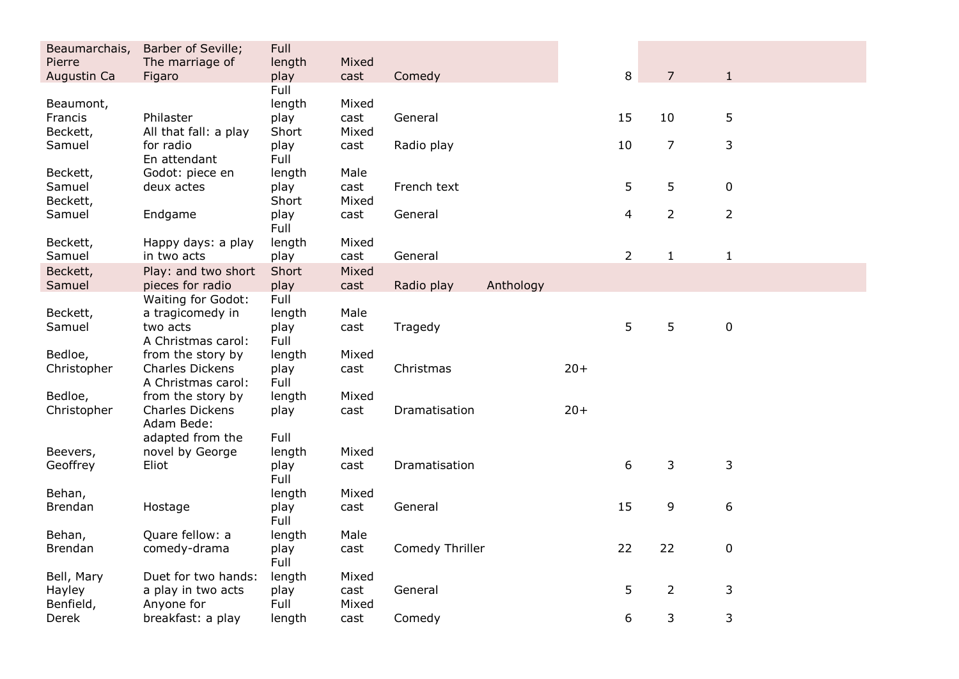| Beaumarchais,  | Barber of Seville;                            | Full         |       |                 |           |       |                |                |                |  |
|----------------|-----------------------------------------------|--------------|-------|-----------------|-----------|-------|----------------|----------------|----------------|--|
| Pierre         | The marriage of                               | length       | Mixed |                 |           |       |                | $\overline{7}$ |                |  |
| Augustin Ca    | Figaro                                        | play<br>Full | cast  | Comedy          |           |       | 8              |                | $\mathbf{1}$   |  |
| Beaumont,      |                                               | length       | Mixed |                 |           |       |                |                |                |  |
| Francis        | Philaster                                     | play         | cast  | General         |           |       | 15             | 10             | 5              |  |
| Beckett,       | All that fall: a play                         | Short        | Mixed |                 |           |       |                |                |                |  |
| Samuel         | for radio<br>En attendant                     | play<br>Full | cast  | Radio play      |           |       | 10             | $\overline{7}$ | 3              |  |
| Beckett,       | Godot: piece en                               | length       | Male  |                 |           |       |                |                |                |  |
| Samuel         | deux actes                                    | play         | cast  | French text     |           |       | 5              | 5              | 0              |  |
| Beckett,       |                                               | Short        | Mixed |                 |           |       |                |                |                |  |
| Samuel         | Endgame                                       | play<br>Full | cast  | General         |           |       | $\overline{4}$ | $\overline{2}$ | $\overline{2}$ |  |
| Beckett,       | Happy days: a play                            | length       | Mixed |                 |           |       |                |                |                |  |
| Samuel         | in two acts                                   | play         | cast  | General         |           |       | $\overline{2}$ | $\mathbf{1}$   | $\mathbf{1}$   |  |
| Beckett,       | Play: and two short                           | Short        | Mixed |                 |           |       |                |                |                |  |
| Samuel         | pieces for radio<br><b>Waiting for Godot:</b> | play<br>Full | cast  | Radio play      | Anthology |       |                |                |                |  |
| Beckett,       | a tragicomedy in                              | length       | Male  |                 |           |       |                |                |                |  |
| Samuel         | two acts                                      | play         | cast  | Tragedy         |           |       | 5              | 5              | $\pmb{0}$      |  |
|                | A Christmas carol:                            | Full         |       |                 |           |       |                |                |                |  |
| Bedloe,        | from the story by                             | length       | Mixed |                 |           |       |                |                |                |  |
| Christopher    | <b>Charles Dickens</b>                        | play         | cast  | Christmas       |           | $20+$ |                |                |                |  |
|                | A Christmas carol:                            | Full         |       |                 |           |       |                |                |                |  |
| Bedloe,        | from the story by                             | length       | Mixed |                 |           |       |                |                |                |  |
| Christopher    | Charles Dickens<br>Adam Bede:                 | play         | cast  | Dramatisation   |           | $20+$ |                |                |                |  |
|                | adapted from the                              | Full         |       |                 |           |       |                |                |                |  |
| Beevers,       | novel by George                               | length       | Mixed |                 |           |       |                |                |                |  |
| Geoffrey       | Eliot                                         | play<br>Full | cast  | Dramatisation   |           |       | 6              | 3              | 3              |  |
| Behan,         |                                               | length       | Mixed |                 |           |       |                |                |                |  |
| <b>Brendan</b> | Hostage                                       | play<br>Full | cast  | General         |           |       | 15             | 9              | 6              |  |
| Behan,         | Quare fellow: a                               | length       | Male  |                 |           |       |                |                |                |  |
| Brendan        | comedy-drama                                  | play<br>Full | cast  | Comedy Thriller |           |       | 22             | 22             | $\pmb{0}$      |  |
| Bell, Mary     | Duet for two hands:                           | length       | Mixed |                 |           |       |                |                |                |  |
| Hayley         | a play in two acts                            | play         | cast  | General         |           |       | 5              | $\overline{2}$ | 3              |  |
| Benfield,      | Anyone for                                    | Full         | Mixed |                 |           |       |                |                |                |  |
| Derek          | breakfast: a play                             | length       | cast  | Comedy          |           |       | 6              | 3              | 3              |  |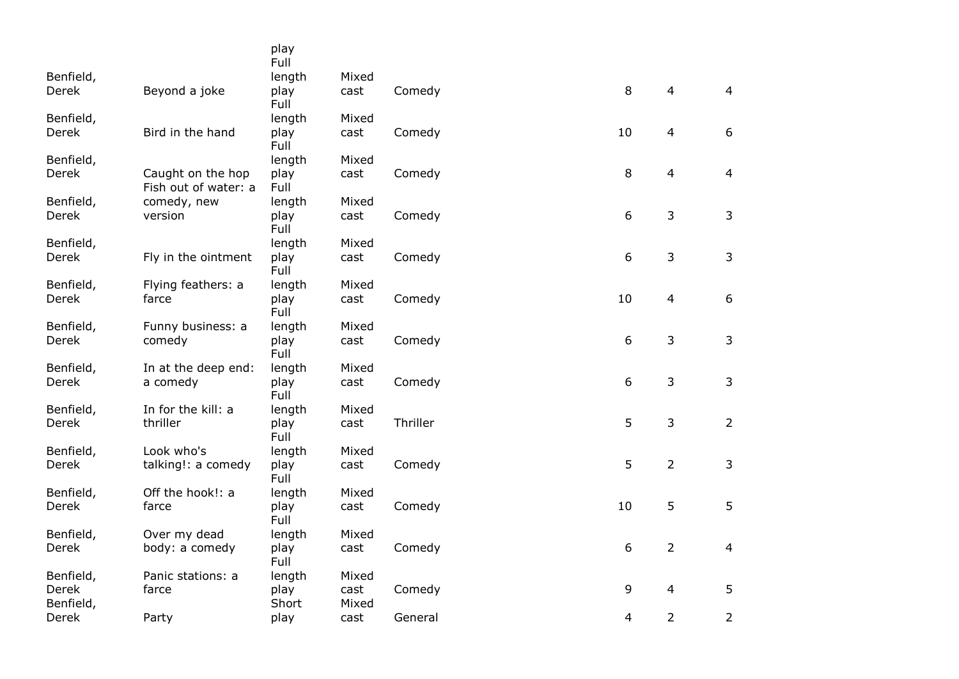|                    |                                           | play<br>Full  |               |          |    |                |                |
|--------------------|-------------------------------------------|---------------|---------------|----------|----|----------------|----------------|
| Benfield,          |                                           | length        | Mixed         |          |    |                |                |
| Derek              | Beyond a joke                             | play<br>Full  | cast          | Comedy   | 8  | $\overline{4}$ | $\overline{4}$ |
| Benfield,          |                                           | length        | Mixed         |          |    |                |                |
| Derek              | Bird in the hand                          | play<br>Full  | cast          | Comedy   | 10 | $\overline{4}$ | 6              |
| Benfield,          |                                           | length        | Mixed         |          |    |                |                |
| Derek              | Caught on the hop<br>Fish out of water: a | play<br>Full  | cast          | Comedy   | 8  | $\overline{4}$ | $\overline{4}$ |
| Benfield,          | comedy, new                               | length        | Mixed         |          |    |                |                |
| Derek              | version                                   | play<br>Full  | cast          | Comedy   | 6  | 3              | 3              |
| Benfield,          |                                           | length        | Mixed         |          |    |                |                |
| Derek              | Fly in the ointment                       | play<br>Full  | cast          | Comedy   | 6  | 3              | 3              |
| Benfield,          | Flying feathers: a                        | length        | Mixed         |          |    |                |                |
| Derek              | farce                                     | play<br>Full  | cast          | Comedy   | 10 | $\overline{4}$ | 6              |
| Benfield,          | Funny business: a                         | length        | Mixed         |          |    |                |                |
| Derek              | comedy                                    | play<br>Full  | cast          | Comedy   | 6  | 3              | 3              |
| Benfield,          | In at the deep end:                       | length        | Mixed         |          |    |                |                |
| Derek              | a comedy                                  | play<br>Full  | cast          | Comedy   | 6  | $\mathsf{3}$   | 3              |
| Benfield,          | In for the kill: a                        | length        | Mixed         |          |    |                |                |
| Derek              | thriller                                  | play<br>Full  | cast          | Thriller | 5  | 3              | $2^{\circ}$    |
| Benfield,          | Look who's                                | length        | Mixed         |          |    |                |                |
| Derek              | talking!: a comedy                        | play<br>Full  | cast          | Comedy   | 5  | $\overline{2}$ | 3              |
| Benfield,          | Off the hook!: a                          | length        | Mixed         |          |    |                |                |
| Derek              | farce                                     | play<br>Full  | cast          | Comedy   | 10 | 5              | 5              |
| Benfield,          | Over my dead                              | length        | Mixed         |          |    |                |                |
| Derek              | body: a comedy                            | play<br>Full  | cast          | Comedy   | 6  | $\overline{2}$ | $\overline{4}$ |
| Benfield,          | Panic stations: a                         | length        | Mixed         |          |    |                |                |
| Derek<br>Benfield, | farce                                     | play<br>Short | cast<br>Mixed | Comedy   | 9  | $\overline{4}$ | 5              |
| Derek              | Party                                     | play          | cast          | General  | 4  | $\overline{2}$ | $\overline{2}$ |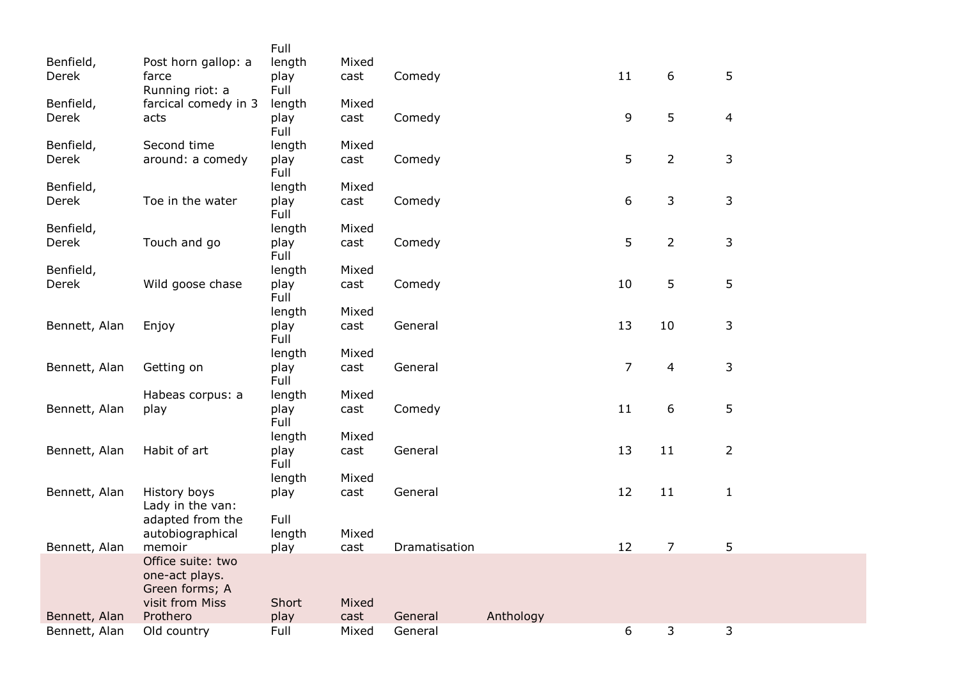|               |                      | Full         |       |               |           |                |                |                |
|---------------|----------------------|--------------|-------|---------------|-----------|----------------|----------------|----------------|
| Benfield,     | Post horn gallop: a  | length       | Mixed |               |           |                |                |                |
| Derek         | farce                | play         | cast  | Comedy        |           | 11             | 6              | 5              |
|               | Running riot: a      | Full         |       |               |           |                |                |                |
| Benfield,     | farcical comedy in 3 | length       | Mixed |               |           |                |                |                |
| Derek         | acts                 | play         | cast  | Comedy        |           | 9              | 5              | $\overline{4}$ |
|               |                      | Full         |       |               |           |                |                |                |
| Benfield,     | Second time          | length       | Mixed |               |           |                |                |                |
| Derek         | around: a comedy     | play         | cast  | Comedy        |           | 5              | $\overline{2}$ | 3              |
|               |                      | Full         |       |               |           |                |                |                |
| Benfield,     |                      | length       | Mixed |               |           |                |                |                |
| Derek         | Toe in the water     | play         | cast  | Comedy        |           | 6              | 3              | 3              |
|               |                      | Full         |       |               |           |                |                |                |
| Benfield,     |                      | length       | Mixed |               |           |                |                |                |
| Derek         | Touch and go         | play         | cast  | Comedy        |           | 5              | $\overline{2}$ | 3              |
|               |                      | Full         |       |               |           |                |                |                |
| Benfield,     |                      | length       | Mixed |               |           |                |                |                |
| Derek         | Wild goose chase     | play         | cast  | Comedy        |           | 10             | 5              | 5              |
|               |                      | Full         |       |               |           |                |                |                |
|               |                      | length       | Mixed |               |           |                |                |                |
| Bennett, Alan | Enjoy                | play         | cast  | General       |           | 13             | 10             | 3              |
|               |                      | Full         |       |               |           |                |                |                |
|               |                      | length       | Mixed |               |           |                |                |                |
| Bennett, Alan | Getting on           | play         | cast  | General       |           | $\overline{7}$ | $\overline{4}$ | 3              |
|               |                      | Full         |       |               |           |                |                |                |
|               | Habeas corpus: a     | length       | Mixed |               |           | 11             | 6              | 5              |
| Bennett, Alan | play                 | play<br>Full | cast  | Comedy        |           |                |                |                |
|               |                      | length       | Mixed |               |           |                |                |                |
| Bennett, Alan | Habit of art         | play         | cast  | General       |           | 13             | 11             | $\overline{2}$ |
|               |                      | Full         |       |               |           |                |                |                |
|               |                      | length       | Mixed |               |           |                |                |                |
| Bennett, Alan | History boys         | play         | cast  | General       |           | 12             | 11             | $\mathbf{1}$   |
|               | Lady in the van:     |              |       |               |           |                |                |                |
|               | adapted from the     | Full         |       |               |           |                |                |                |
|               | autobiographical     | length       | Mixed |               |           |                |                |                |
| Bennett, Alan | memoir               | play         | cast  | Dramatisation |           | 12             | $\overline{7}$ | 5              |
|               | Office suite: two    |              |       |               |           |                |                |                |
|               | one-act plays.       |              |       |               |           |                |                |                |
|               | Green forms; A       |              |       |               |           |                |                |                |
|               | visit from Miss      | Short        | Mixed |               |           |                |                |                |
| Bennett, Alan | Prothero             | play         | cast  | General       | Anthology |                |                |                |
| Bennett, Alan | Old country          | Full         | Mixed | General       |           | 6              | 3              | 3              |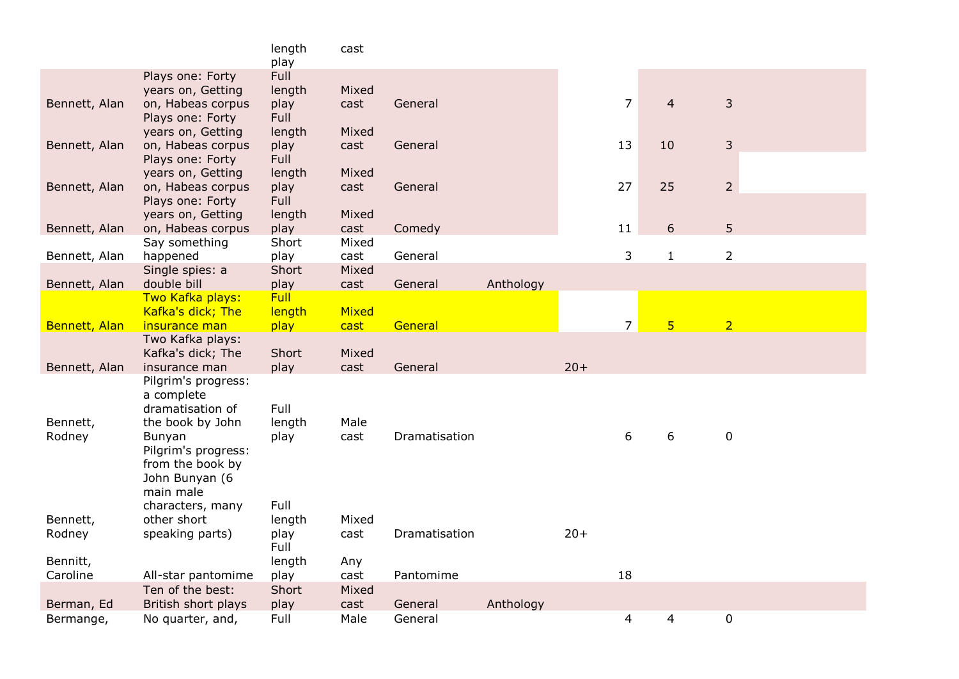| play<br>Full<br>Plays one: Forty<br>years on, Getting<br>length<br>Mixed<br>$\overline{7}$<br>$\overline{4}$<br>3<br>Bennett, Alan<br>on, Habeas corpus<br>play<br>General<br>cast<br>Full<br>Plays one: Forty<br>years on, Getting<br>length<br>Mixed<br>$\mathsf 3$<br>13<br>10<br>Bennett, Alan<br>on, Habeas corpus<br>play<br>General<br>cast<br>Full<br>Plays one: Forty<br>years on, Getting<br>Mixed<br>length<br>$\overline{2}$<br>25<br>on, Habeas corpus<br>27<br>Bennett, Alan<br>play<br>General<br>cast<br>Plays one: Forty<br>Full<br>years on, Getting<br>length<br>Mixed<br>5<br>on, Habeas corpus<br>11<br>6<br>Bennett, Alan<br>play<br>cast<br>Comedy<br>Short<br>Mixed<br>Say something<br>3<br>$\overline{2}$<br>play<br>$\mathbf{1}$<br>happened<br>General<br>Bennett, Alan<br>cast<br>Single spies: a<br>Short<br>Mixed<br>double bill<br>Anthology<br>Bennett, Alan<br>play<br>General<br>cast<br><b>Full</b><br>Two Kafka plays:<br>Kafka's dick; The<br>length<br><b>Mixed</b><br>$\overline{7}$<br>5 <sup>5</sup><br>$\overline{2}$<br>Bennett, Alan<br>insurance man<br>play<br>General<br>cast<br>Two Kafka plays:<br>Kafka's dick; The<br>Short<br>Mixed<br>$20+$<br>play<br>General<br>Bennett, Alan<br>insurance man<br>cast<br>Pilgrim's progress:<br>a complete<br>Full<br>dramatisation of<br>Male<br>Bennett,<br>the book by John<br>length<br>6<br>6<br>$\pmb{0}$<br>Dramatisation<br>Rodney<br>Bunyan<br>play<br>cast<br>Pilgrim's progress:<br>from the book by<br>John Bunyan (6 |
|----------------------------------------------------------------------------------------------------------------------------------------------------------------------------------------------------------------------------------------------------------------------------------------------------------------------------------------------------------------------------------------------------------------------------------------------------------------------------------------------------------------------------------------------------------------------------------------------------------------------------------------------------------------------------------------------------------------------------------------------------------------------------------------------------------------------------------------------------------------------------------------------------------------------------------------------------------------------------------------------------------------------------------------------------------------------------------------------------------------------------------------------------------------------------------------------------------------------------------------------------------------------------------------------------------------------------------------------------------------------------------------------------------------------------------------------------------------------------------------------------------------------------|
|                                                                                                                                                                                                                                                                                                                                                                                                                                                                                                                                                                                                                                                                                                                                                                                                                                                                                                                                                                                                                                                                                                                                                                                                                                                                                                                                                                                                                                                                                                                            |
|                                                                                                                                                                                                                                                                                                                                                                                                                                                                                                                                                                                                                                                                                                                                                                                                                                                                                                                                                                                                                                                                                                                                                                                                                                                                                                                                                                                                                                                                                                                            |
|                                                                                                                                                                                                                                                                                                                                                                                                                                                                                                                                                                                                                                                                                                                                                                                                                                                                                                                                                                                                                                                                                                                                                                                                                                                                                                                                                                                                                                                                                                                            |
|                                                                                                                                                                                                                                                                                                                                                                                                                                                                                                                                                                                                                                                                                                                                                                                                                                                                                                                                                                                                                                                                                                                                                                                                                                                                                                                                                                                                                                                                                                                            |
|                                                                                                                                                                                                                                                                                                                                                                                                                                                                                                                                                                                                                                                                                                                                                                                                                                                                                                                                                                                                                                                                                                                                                                                                                                                                                                                                                                                                                                                                                                                            |
|                                                                                                                                                                                                                                                                                                                                                                                                                                                                                                                                                                                                                                                                                                                                                                                                                                                                                                                                                                                                                                                                                                                                                                                                                                                                                                                                                                                                                                                                                                                            |
|                                                                                                                                                                                                                                                                                                                                                                                                                                                                                                                                                                                                                                                                                                                                                                                                                                                                                                                                                                                                                                                                                                                                                                                                                                                                                                                                                                                                                                                                                                                            |
|                                                                                                                                                                                                                                                                                                                                                                                                                                                                                                                                                                                                                                                                                                                                                                                                                                                                                                                                                                                                                                                                                                                                                                                                                                                                                                                                                                                                                                                                                                                            |
|                                                                                                                                                                                                                                                                                                                                                                                                                                                                                                                                                                                                                                                                                                                                                                                                                                                                                                                                                                                                                                                                                                                                                                                                                                                                                                                                                                                                                                                                                                                            |
|                                                                                                                                                                                                                                                                                                                                                                                                                                                                                                                                                                                                                                                                                                                                                                                                                                                                                                                                                                                                                                                                                                                                                                                                                                                                                                                                                                                                                                                                                                                            |
|                                                                                                                                                                                                                                                                                                                                                                                                                                                                                                                                                                                                                                                                                                                                                                                                                                                                                                                                                                                                                                                                                                                                                                                                                                                                                                                                                                                                                                                                                                                            |
|                                                                                                                                                                                                                                                                                                                                                                                                                                                                                                                                                                                                                                                                                                                                                                                                                                                                                                                                                                                                                                                                                                                                                                                                                                                                                                                                                                                                                                                                                                                            |
|                                                                                                                                                                                                                                                                                                                                                                                                                                                                                                                                                                                                                                                                                                                                                                                                                                                                                                                                                                                                                                                                                                                                                                                                                                                                                                                                                                                                                                                                                                                            |
|                                                                                                                                                                                                                                                                                                                                                                                                                                                                                                                                                                                                                                                                                                                                                                                                                                                                                                                                                                                                                                                                                                                                                                                                                                                                                                                                                                                                                                                                                                                            |
|                                                                                                                                                                                                                                                                                                                                                                                                                                                                                                                                                                                                                                                                                                                                                                                                                                                                                                                                                                                                                                                                                                                                                                                                                                                                                                                                                                                                                                                                                                                            |
|                                                                                                                                                                                                                                                                                                                                                                                                                                                                                                                                                                                                                                                                                                                                                                                                                                                                                                                                                                                                                                                                                                                                                                                                                                                                                                                                                                                                                                                                                                                            |
|                                                                                                                                                                                                                                                                                                                                                                                                                                                                                                                                                                                                                                                                                                                                                                                                                                                                                                                                                                                                                                                                                                                                                                                                                                                                                                                                                                                                                                                                                                                            |
|                                                                                                                                                                                                                                                                                                                                                                                                                                                                                                                                                                                                                                                                                                                                                                                                                                                                                                                                                                                                                                                                                                                                                                                                                                                                                                                                                                                                                                                                                                                            |
|                                                                                                                                                                                                                                                                                                                                                                                                                                                                                                                                                                                                                                                                                                                                                                                                                                                                                                                                                                                                                                                                                                                                                                                                                                                                                                                                                                                                                                                                                                                            |
|                                                                                                                                                                                                                                                                                                                                                                                                                                                                                                                                                                                                                                                                                                                                                                                                                                                                                                                                                                                                                                                                                                                                                                                                                                                                                                                                                                                                                                                                                                                            |
|                                                                                                                                                                                                                                                                                                                                                                                                                                                                                                                                                                                                                                                                                                                                                                                                                                                                                                                                                                                                                                                                                                                                                                                                                                                                                                                                                                                                                                                                                                                            |
|                                                                                                                                                                                                                                                                                                                                                                                                                                                                                                                                                                                                                                                                                                                                                                                                                                                                                                                                                                                                                                                                                                                                                                                                                                                                                                                                                                                                                                                                                                                            |
|                                                                                                                                                                                                                                                                                                                                                                                                                                                                                                                                                                                                                                                                                                                                                                                                                                                                                                                                                                                                                                                                                                                                                                                                                                                                                                                                                                                                                                                                                                                            |
|                                                                                                                                                                                                                                                                                                                                                                                                                                                                                                                                                                                                                                                                                                                                                                                                                                                                                                                                                                                                                                                                                                                                                                                                                                                                                                                                                                                                                                                                                                                            |
|                                                                                                                                                                                                                                                                                                                                                                                                                                                                                                                                                                                                                                                                                                                                                                                                                                                                                                                                                                                                                                                                                                                                                                                                                                                                                                                                                                                                                                                                                                                            |
|                                                                                                                                                                                                                                                                                                                                                                                                                                                                                                                                                                                                                                                                                                                                                                                                                                                                                                                                                                                                                                                                                                                                                                                                                                                                                                                                                                                                                                                                                                                            |
| main male                                                                                                                                                                                                                                                                                                                                                                                                                                                                                                                                                                                                                                                                                                                                                                                                                                                                                                                                                                                                                                                                                                                                                                                                                                                                                                                                                                                                                                                                                                                  |
| Full<br>characters, many                                                                                                                                                                                                                                                                                                                                                                                                                                                                                                                                                                                                                                                                                                                                                                                                                                                                                                                                                                                                                                                                                                                                                                                                                                                                                                                                                                                                                                                                                                   |
| Bennett,<br>other short<br>length<br>Mixed                                                                                                                                                                                                                                                                                                                                                                                                                                                                                                                                                                                                                                                                                                                                                                                                                                                                                                                                                                                                                                                                                                                                                                                                                                                                                                                                                                                                                                                                                 |
| $20+$<br>speaking parts)<br>play<br>Dramatisation<br>Rodney<br>cast                                                                                                                                                                                                                                                                                                                                                                                                                                                                                                                                                                                                                                                                                                                                                                                                                                                                                                                                                                                                                                                                                                                                                                                                                                                                                                                                                                                                                                                        |
| Full                                                                                                                                                                                                                                                                                                                                                                                                                                                                                                                                                                                                                                                                                                                                                                                                                                                                                                                                                                                                                                                                                                                                                                                                                                                                                                                                                                                                                                                                                                                       |
| Bennitt,<br>length<br>Any                                                                                                                                                                                                                                                                                                                                                                                                                                                                                                                                                                                                                                                                                                                                                                                                                                                                                                                                                                                                                                                                                                                                                                                                                                                                                                                                                                                                                                                                                                  |
| 18<br>Caroline<br>All-star pantomime<br>play<br>Pantomime<br>cast<br>Ten of the best:<br>Short<br>Mixed                                                                                                                                                                                                                                                                                                                                                                                                                                                                                                                                                                                                                                                                                                                                                                                                                                                                                                                                                                                                                                                                                                                                                                                                                                                                                                                                                                                                                    |
| Anthology<br>British short plays<br>General<br>Berman, Ed<br>play<br>cast                                                                                                                                                                                                                                                                                                                                                                                                                                                                                                                                                                                                                                                                                                                                                                                                                                                                                                                                                                                                                                                                                                                                                                                                                                                                                                                                                                                                                                                  |
| $\pmb{0}$<br>4<br>No quarter, and,<br>Full<br>Male<br>General<br>4<br>Bermange,                                                                                                                                                                                                                                                                                                                                                                                                                                                                                                                                                                                                                                                                                                                                                                                                                                                                                                                                                                                                                                                                                                                                                                                                                                                                                                                                                                                                                                            |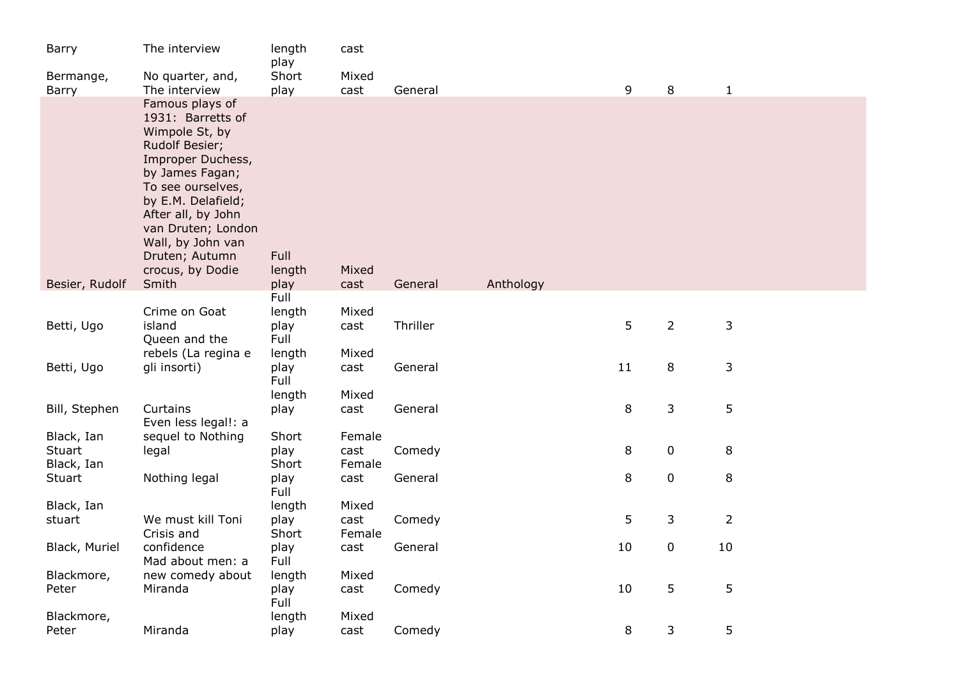| Barry                | The interview                                                                                                                                                                                                                                                      | length<br>play         | cast           |          |           |    |                |                |  |
|----------------------|--------------------------------------------------------------------------------------------------------------------------------------------------------------------------------------------------------------------------------------------------------------------|------------------------|----------------|----------|-----------|----|----------------|----------------|--|
| Bermange,            | No quarter, and,                                                                                                                                                                                                                                                   | Short                  | Mixed          |          |           |    |                |                |  |
| Barry                | The interview                                                                                                                                                                                                                                                      | play                   | cast           | General  |           | 9  | 8              | $\mathbf 1$    |  |
|                      | Famous plays of<br>1931: Barretts of<br>Wimpole St, by<br>Rudolf Besier;<br>Improper Duchess,<br>by James Fagan;<br>To see ourselves,<br>by E.M. Delafield;<br>After all, by John<br>van Druten; London<br>Wall, by John van<br>Druten; Autumn<br>crocus, by Dodie | Full<br>length         | Mixed          |          |           |    |                |                |  |
| Besier, Rudolf       | Smith                                                                                                                                                                                                                                                              | play                   | cast           | General  | Anthology |    |                |                |  |
| Betti, Ugo           | Crime on Goat<br>island                                                                                                                                                                                                                                            | Full<br>length<br>play | Mixed<br>cast  | Thriller |           | 5  | $\overline{2}$ | 3              |  |
|                      | Queen and the<br>rebels (La regina e                                                                                                                                                                                                                               | Full<br>length         | Mixed          |          |           |    |                |                |  |
| Betti, Ugo           | gli insorti)                                                                                                                                                                                                                                                       | play<br>Full           | cast           | General  |           | 11 | 8              | 3              |  |
| Bill, Stephen        | Curtains<br>Even less legal!: a                                                                                                                                                                                                                                    | length<br>play         | Mixed<br>cast  | General  |           | 8  | 3              | 5              |  |
| Black, Ian<br>Stuart | sequel to Nothing<br>legal                                                                                                                                                                                                                                         | Short<br>play          | Female<br>cast | Comedy   |           | 8  | $\mathbf 0$    | 8              |  |
| Black, Ian<br>Stuart | Nothing legal                                                                                                                                                                                                                                                      | Short<br>play<br>Full  | Female<br>cast | General  |           | 8  | $\mathbf 0$    | 8              |  |
| Black, Ian           |                                                                                                                                                                                                                                                                    | length                 | Mixed          |          |           |    |                |                |  |
| stuart               | We must kill Toni<br>Crisis and                                                                                                                                                                                                                                    | play<br>Short          | cast<br>Female | Comedy   |           | 5  | 3              | $\overline{2}$ |  |
| Black, Muriel        | confidence<br>Mad about men: a                                                                                                                                                                                                                                     | play<br>Full           | cast           | General  |           | 10 | $\mathbf 0$    | 10             |  |
| Blackmore,           | new comedy about                                                                                                                                                                                                                                                   | length                 | Mixed          |          |           |    |                |                |  |
| Peter                | Miranda                                                                                                                                                                                                                                                            | play<br>Full           | cast           | Comedy   |           | 10 | 5              | 5              |  |
| Blackmore,<br>Peter  | Miranda                                                                                                                                                                                                                                                            | length<br>play         | Mixed<br>cast  | Comedy   |           | 8  | 3              | 5              |  |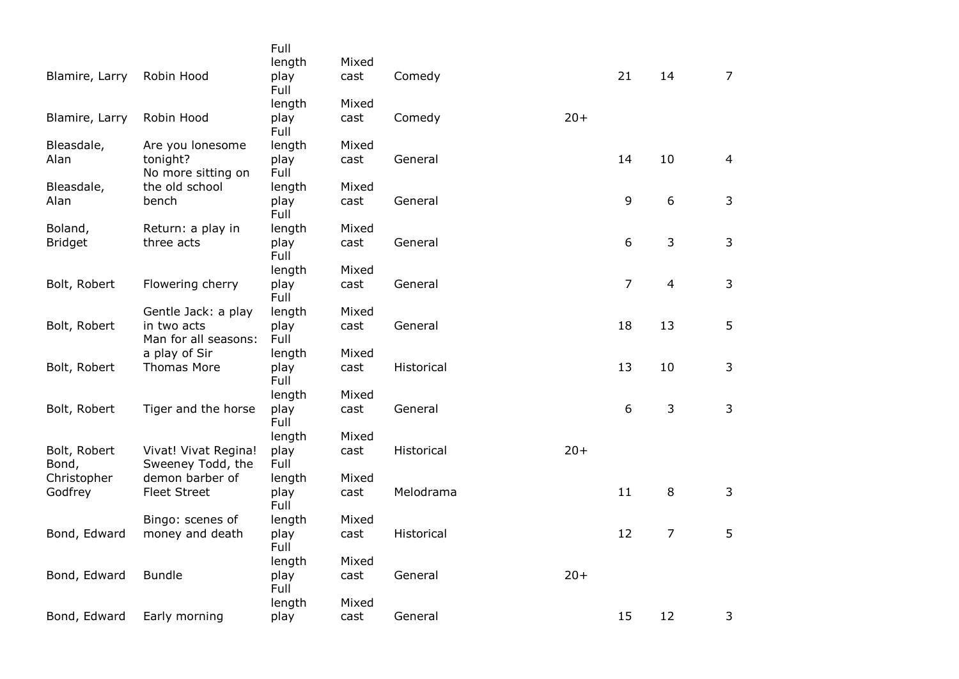|                |                      | Full         |       |            |       |                |                  |                |
|----------------|----------------------|--------------|-------|------------|-------|----------------|------------------|----------------|
|                |                      | length       | Mixed |            |       |                |                  |                |
| Blamire, Larry | Robin Hood           | play<br>Full | cast  | Comedy     |       | 21             | 14               | $\overline{7}$ |
|                |                      | length       | Mixed |            |       |                |                  |                |
| Blamire, Larry | Robin Hood           | play<br>Full | cast  | Comedy     | $20+$ |                |                  |                |
| Bleasdale,     | Are you lonesome     | length       | Mixed |            |       |                |                  |                |
| Alan           | tonight?             | play         | cast  | General    |       | 14             | 10               | 4              |
|                | No more sitting on   | Full         |       |            |       |                |                  |                |
| Bleasdale,     | the old school       | length       | Mixed |            |       |                |                  |                |
| Alan           | bench                | play<br>Full | cast  | General    |       | 9              | $\boldsymbol{6}$ | 3              |
| Boland,        | Return: a play in    | length       | Mixed |            |       |                |                  |                |
| <b>Bridget</b> | three acts           | play<br>Full | cast  | General    |       | 6              | 3                | 3              |
|                |                      | length       | Mixed |            |       |                |                  |                |
| Bolt, Robert   | Flowering cherry     | play         | cast  | General    |       | $\overline{7}$ | $\overline{4}$   | 3              |
|                |                      | Full         |       |            |       |                |                  |                |
|                | Gentle Jack: a play  | length       | Mixed |            |       |                |                  |                |
| Bolt, Robert   | in two acts          | play         | cast  | General    |       | 18             | 13               | 5              |
|                | Man for all seasons: | Full         |       |            |       |                |                  |                |
|                | a play of Sir        | length       | Mixed |            |       |                |                  |                |
| Bolt, Robert   | <b>Thomas More</b>   | play<br>Full | cast  | Historical |       | 13             | 10               | 3              |
|                |                      | length       | Mixed |            |       |                |                  |                |
| Bolt, Robert   | Tiger and the horse  | play         | cast  | General    |       | 6              | 3                | 3              |
|                |                      | Full         |       |            |       |                |                  |                |
|                |                      | length       | Mixed |            |       |                |                  |                |
| Bolt, Robert   | Vivat! Vivat Regina! | play         | cast  | Historical | $20+$ |                |                  |                |
| Bond,          | Sweeney Todd, the    | Full         |       |            |       |                |                  |                |
| Christopher    | demon barber of      | length       | Mixed |            |       |                |                  |                |
| Godfrey        | <b>Fleet Street</b>  | play<br>Full | cast  | Melodrama  |       | 11             | $\,8\,$          | 3              |
|                | Bingo: scenes of     | length       | Mixed |            |       |                |                  |                |
| Bond, Edward   | money and death      | play         | cast  | Historical |       | 12             | $\overline{7}$   | 5              |
|                |                      | Full         |       |            |       |                |                  |                |
|                |                      | length       | Mixed |            |       |                |                  |                |
| Bond, Edward   | <b>Bundle</b>        | play<br>Full | cast  | General    | $20+$ |                |                  |                |
|                |                      | length       | Mixed |            |       |                |                  |                |
| Bond, Edward   | Early morning        | play         | cast  | General    |       | 15             | 12               | 3              |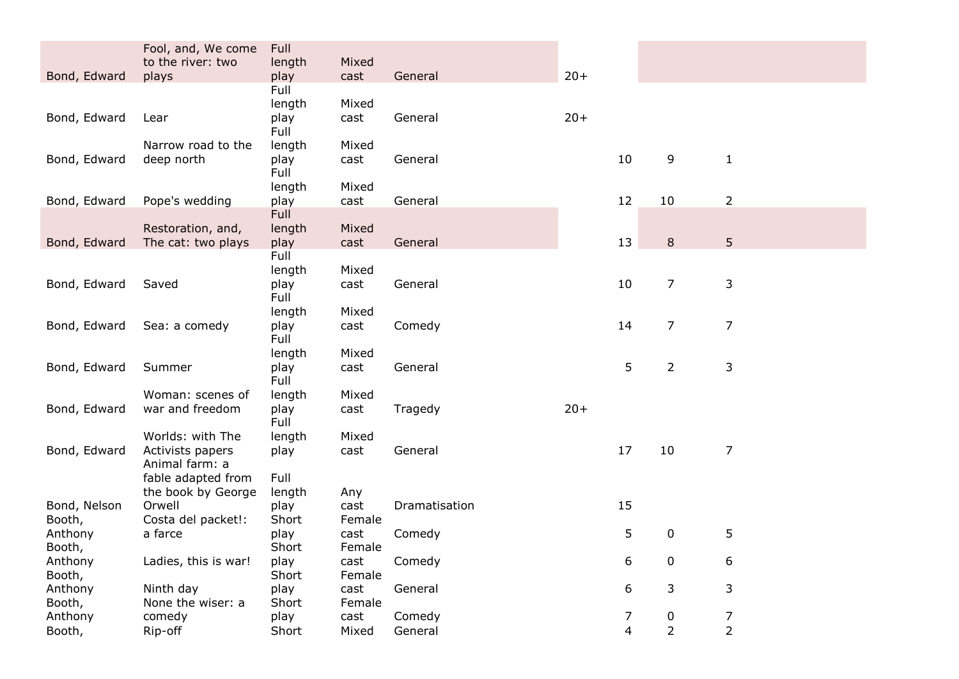|                   | Fool, and, We come                       | Full           |                |                   |       |        |                                    |                     |  |
|-------------------|------------------------------------------|----------------|----------------|-------------------|-------|--------|------------------------------------|---------------------|--|
| Bond, Edward      | to the river: two<br>plays               | length<br>play | Mixed<br>cast  | General           | $20+$ |        |                                    |                     |  |
|                   |                                          | Full           |                |                   |       |        |                                    |                     |  |
|                   |                                          | length         | Mixed          |                   |       |        |                                    |                     |  |
| Bond, Edward      | Lear                                     | play           | cast           | General           | $20+$ |        |                                    |                     |  |
|                   | Narrow road to the                       | Full<br>length | Mixed          |                   |       |        |                                    |                     |  |
| Bond, Edward      | deep north                               | play           | cast           | General           |       | 10     | 9                                  | $\mathbf{1}$        |  |
|                   |                                          | Full           |                |                   |       |        |                                    |                     |  |
|                   |                                          | length         | Mixed          |                   |       |        |                                    |                     |  |
| Bond, Edward      | Pope's wedding                           | play<br>Full   | cast           | General           |       | 12     | 10                                 | $\overline{2}$      |  |
|                   | Restoration, and,                        | length         | Mixed          |                   |       |        |                                    |                     |  |
| Bond, Edward      | The cat: two plays                       | play           | cast           | General           |       | 13     | 8                                  | 5                   |  |
|                   |                                          | Full           |                |                   |       |        |                                    |                     |  |
| Bond, Edward      | Saved                                    | length<br>play | Mixed<br>cast  | General           |       | 10     | 7                                  | 3                   |  |
|                   |                                          | Full           |                |                   |       |        |                                    |                     |  |
|                   |                                          | length         | Mixed          |                   |       |        |                                    |                     |  |
| Bond, Edward      | Sea: a comedy                            | play           | cast           | Comedy            |       | 14     | 7                                  | $\overline{7}$      |  |
|                   |                                          | Full<br>length | Mixed          |                   |       |        |                                    |                     |  |
| Bond, Edward      | Summer                                   | play           | cast           | General           |       | 5      | $\overline{2}$                     | 3                   |  |
|                   |                                          | Full           |                |                   |       |        |                                    |                     |  |
|                   | Woman: scenes of                         | length         | Mixed          |                   |       |        |                                    |                     |  |
| Bond, Edward      | war and freedom                          | play<br>Full   | cast           | Tragedy           | $20+$ |        |                                    |                     |  |
|                   | Worlds: with The                         | length         | Mixed          |                   |       |        |                                    |                     |  |
| Bond, Edward      | Activists papers                         | play           | cast           | General           |       | 17     | 10                                 | $\overline{7}$      |  |
|                   | Animal farm: a                           |                |                |                   |       |        |                                    |                     |  |
|                   | fable adapted from<br>the book by George | Full<br>length | Any            |                   |       |        |                                    |                     |  |
| Bond, Nelson      | Orwell                                   | play           | cast           | Dramatisation     |       | 15     |                                    |                     |  |
| Booth,            | Costa del packet!:                       | Short          | Female         |                   |       |        |                                    |                     |  |
| Anthony           | a farce                                  | play           | cast           | Comedy            |       | 5      | 0                                  | 5                   |  |
| Booth,<br>Anthony | Ladies, this is war!                     | Short<br>play  | Female<br>cast | Comedy            |       | 6      | 0                                  | 6                   |  |
| Booth,            |                                          | Short          | Female         |                   |       |        |                                    |                     |  |
| Anthony           | Ninth day                                | play           | cast           | General           |       | 6      | 3                                  | 3                   |  |
| Booth,            | None the wiser: a                        | Short          | Female         |                   |       |        |                                    |                     |  |
| Anthony<br>Booth, | comedy<br>Rip-off                        | play<br>Short  | cast<br>Mixed  | Comedy<br>General |       | 7<br>4 | $\boldsymbol{0}$<br>$\overline{2}$ | 7<br>$\overline{2}$ |  |
|                   |                                          |                |                |                   |       |        |                                    |                     |  |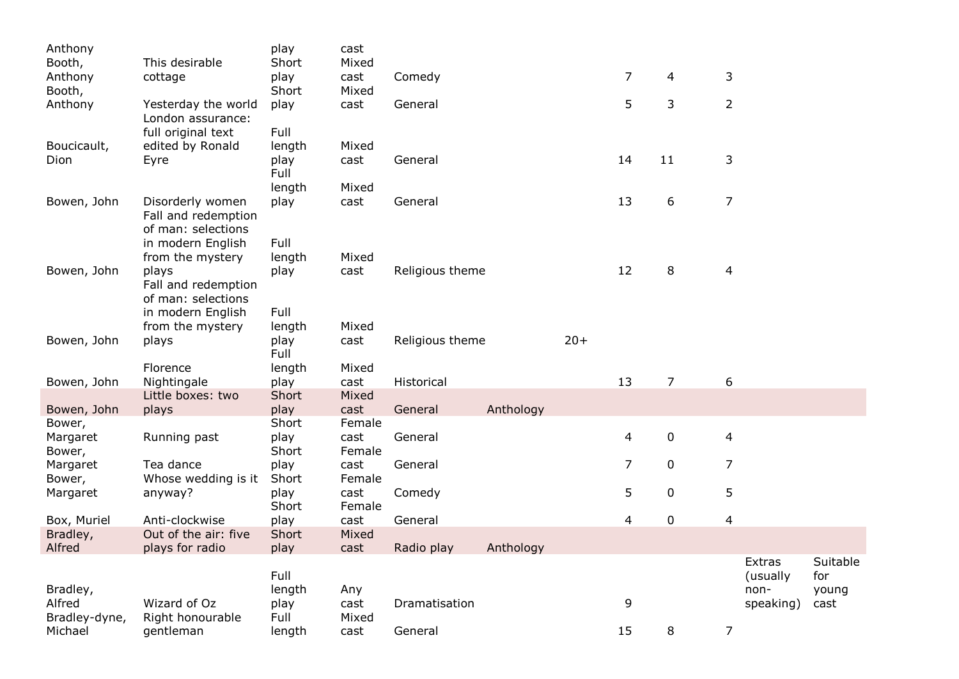| Anthony            |                                                               | play         | cast        |                 |           |       |                |                |                |                   |               |
|--------------------|---------------------------------------------------------------|--------------|-------------|-----------------|-----------|-------|----------------|----------------|----------------|-------------------|---------------|
| Booth,             | This desirable                                                | Short        | Mixed       |                 |           |       |                |                |                |                   |               |
| Anthony            | cottage                                                       | play         | cast        | Comedy          |           |       | $\overline{7}$ | 4              | 3              |                   |               |
| Booth,             |                                                               | Short        | Mixed       |                 |           |       |                |                |                |                   |               |
| Anthony            | Yesterday the world<br>London assurance:                      | play         | cast        | General         |           |       | 5              | 3              | $\overline{2}$ |                   |               |
|                    | full original text                                            | Full         |             |                 |           |       |                |                |                |                   |               |
| Boucicault,        | edited by Ronald                                              | length       | Mixed       |                 |           |       |                |                |                |                   |               |
| Dion               | Eyre                                                          | play<br>Full | cast        | General         |           |       | 14             | 11             | 3              |                   |               |
|                    |                                                               | length       | Mixed       |                 |           |       |                |                |                |                   |               |
| Bowen, John        | Disorderly women<br>Fall and redemption<br>of man: selections | play         | cast        | General         |           |       | 13             | 6              | 7              |                   |               |
|                    | in modern English                                             | Full         |             |                 |           |       |                |                |                |                   |               |
|                    | from the mystery                                              | length       | Mixed       |                 |           |       |                |                |                |                   |               |
| Bowen, John        | plays<br>Fall and redemption<br>of man: selections            | play         | cast        | Religious theme |           |       | 12             | 8              | 4              |                   |               |
|                    | in modern English                                             | Full         |             |                 |           |       |                |                |                |                   |               |
|                    | from the mystery                                              | length       | Mixed       |                 |           |       |                |                |                |                   |               |
| Bowen, John        | plays                                                         | play<br>Full | cast        | Religious theme |           | $20+$ |                |                |                |                   |               |
|                    | Florence                                                      | length       | Mixed       |                 |           |       |                |                |                |                   |               |
| Bowen, John        | Nightingale                                                   | play         | cast        | Historical      |           |       | 13             | $\overline{7}$ | 6              |                   |               |
|                    | Little boxes: two                                             | Short        | Mixed       |                 |           |       |                |                |                |                   |               |
| Bowen, John        | plays                                                         | play         | cast        | General         | Anthology |       |                |                |                |                   |               |
| Bower,             |                                                               | Short        | Female      |                 |           |       |                |                |                |                   |               |
| Margaret           | Running past                                                  | play         | cast        | General         |           |       | 4              | 0              | 4              |                   |               |
| Bower,             |                                                               | Short        | Female      |                 |           |       |                |                |                |                   |               |
| Margaret           | Tea dance                                                     | play         | cast        | General         |           |       | 7              | $\mathbf 0$    | 7              |                   |               |
| Bower,             | Whose wedding is it                                           | Short        | Female      |                 |           |       |                |                |                |                   |               |
| Margaret           | anyway?                                                       | play         | cast        | Comedy          |           |       | 5              | $\mathbf 0$    | 5              |                   |               |
|                    |                                                               | Short        | Female      |                 |           |       |                |                |                |                   |               |
| Box, Muriel        | Anti-clockwise                                                | play         | cast        | General         |           |       | 4              | 0              | 4              |                   |               |
| Bradley,           | Out of the air: five                                          | Short        | Mixed       |                 |           |       |                |                |                |                   |               |
| Alfred             | plays for radio                                               | play         | cast        | Radio play      | Anthology |       |                |                |                |                   |               |
|                    |                                                               |              |             |                 |           |       |                |                |                | Extras            | Suitable      |
|                    |                                                               | Full         |             |                 |           |       |                |                |                | (usually          | for           |
| Bradley,<br>Alfred | Wizard of Oz                                                  | length       | Any<br>cast | Dramatisation   |           |       | 9              |                |                | non-<br>speaking) | young<br>cast |
| Bradley-dyne,      | Right honourable                                              | play<br>Full | Mixed       |                 |           |       |                |                |                |                   |               |
| Michael            | gentleman                                                     | length       | cast        | General         |           |       | 15             | 8              | $\overline{7}$ |                   |               |
|                    |                                                               |              |             |                 |           |       |                |                |                |                   |               |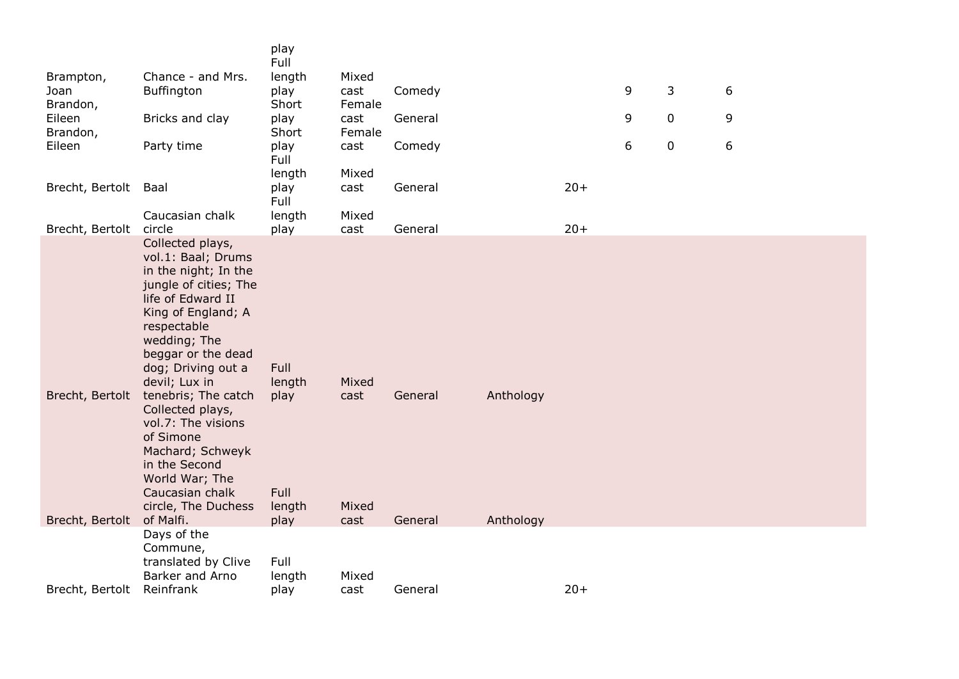|                      |                                                                                                                                                                                                                                                                                                                                                                                                               | play<br>Full                             |                        |         |           |       |   |   |   |  |
|----------------------|---------------------------------------------------------------------------------------------------------------------------------------------------------------------------------------------------------------------------------------------------------------------------------------------------------------------------------------------------------------------------------------------------------------|------------------------------------------|------------------------|---------|-----------|-------|---|---|---|--|
| Brampton,            | Chance - and Mrs.                                                                                                                                                                                                                                                                                                                                                                                             | length                                   | Mixed                  |         |           |       |   |   |   |  |
| Joan<br>Brandon,     | Buffington                                                                                                                                                                                                                                                                                                                                                                                                    | play<br>Short                            | cast<br>Female         | Comedy  |           |       | 9 | 3 | 6 |  |
| Eileen<br>Brandon,   | Bricks and clay                                                                                                                                                                                                                                                                                                                                                                                               | play<br>Short                            | cast<br>Female         | General |           |       | 9 | 0 | 9 |  |
| Eileen               | Party time                                                                                                                                                                                                                                                                                                                                                                                                    | play<br>Full                             | cast                   | Comedy  |           |       | 6 | 0 | 6 |  |
|                      |                                                                                                                                                                                                                                                                                                                                                                                                               | length                                   | Mixed                  |         |           |       |   |   |   |  |
| Brecht, Bertolt Baal |                                                                                                                                                                                                                                                                                                                                                                                                               | play<br>Full                             | cast                   | General |           | $20+$ |   |   |   |  |
| Brecht, Bertolt      | Caucasian chalk<br>circle                                                                                                                                                                                                                                                                                                                                                                                     | length<br>play                           | Mixed<br>cast          | General |           | $20+$ |   |   |   |  |
| Brecht, Bertolt      | Collected plays,<br>vol.1: Baal; Drums<br>in the night; In the<br>jungle of cities; The<br>life of Edward II<br>King of England; A<br>respectable<br>wedding; The<br>beggar or the dead<br>dog; Driving out a<br>devil; Lux in<br>tenebris; The catch<br>Collected plays,<br>vol.7: The visions<br>of Simone<br>Machard; Schweyk<br>in the Second<br>World War; The<br>Caucasian chalk<br>circle, The Duchess | Full<br>length<br>play<br>Full<br>length | Mixed<br>cast<br>Mixed | General | Anthology |       |   |   |   |  |
| Brecht, Bertolt      | of Malfi.                                                                                                                                                                                                                                                                                                                                                                                                     | play                                     | cast                   | General | Anthology |       |   |   |   |  |
| Brecht, Bertolt      | Days of the<br>Commune,<br>translated by Clive<br>Barker and Arno<br>Reinfrank                                                                                                                                                                                                                                                                                                                                | Full<br>length<br>play                   | Mixed<br>cast          | General |           | $20+$ |   |   |   |  |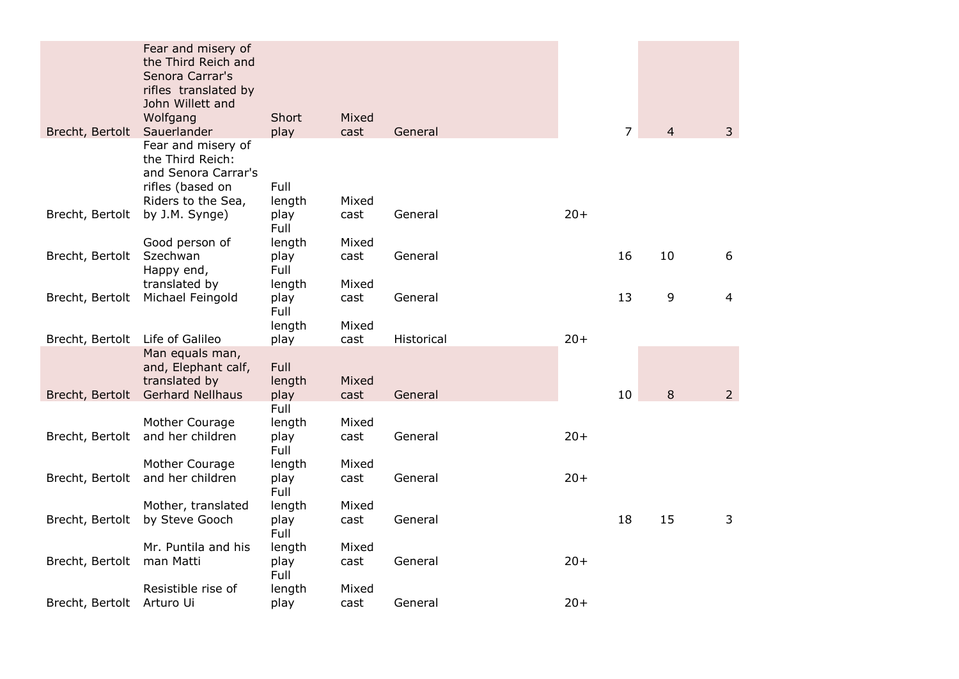|                           | Fear and misery of<br>the Third Reich and<br>Senora Carrar's<br>rifles translated by<br>John Willett and |                        |               |            |       |                |                |                |
|---------------------------|----------------------------------------------------------------------------------------------------------|------------------------|---------------|------------|-------|----------------|----------------|----------------|
| Brecht, Bertolt           | Wolfgang<br>Sauerlander                                                                                  | Short<br>play          | Mixed<br>cast | General    |       | $\overline{7}$ | $\overline{4}$ | 3              |
|                           | Fear and misery of<br>the Third Reich:<br>and Senora Carrar's<br>rifles (based on<br>Riders to the Sea,  | Full<br>length         | Mixed         |            |       |                |                |                |
| Brecht, Bertolt           | by J.M. Synge)                                                                                           | play<br>Full           | cast          | General    | $20+$ |                |                |                |
|                           | Good person of                                                                                           | length                 | Mixed         |            |       |                |                |                |
| Brecht, Bertolt           | Szechwan<br>Happy end,                                                                                   | play<br>Full           | cast          | General    |       | 16             | 10             | 6              |
|                           | translated by                                                                                            | length                 | Mixed         |            |       |                |                |                |
|                           | Brecht, Bertolt Michael Feingold                                                                         | play<br>Full           | cast          | General    |       | 13             | 9              | $\overline{4}$ |
|                           |                                                                                                          | length                 | Mixed         |            |       |                |                |                |
| Brecht, Bertolt           | Life of Galileo<br>Man equals man,<br>and, Elephant calf,<br>translated by                               | play<br>Full<br>length | cast<br>Mixed | Historical | $20+$ |                |                |                |
|                           | Brecht, Bertolt Gerhard Nellhaus                                                                         | play                   | cast          | General    |       | 10             | 8              | $\overline{2}$ |
|                           | Mother Courage                                                                                           | Full<br>length         | Mixed         |            |       |                |                |                |
| Brecht, Bertolt           | and her children                                                                                         | play<br>Full           | cast          | General    | $20+$ |                |                |                |
|                           | Mother Courage                                                                                           | length                 | Mixed         |            |       |                |                |                |
| Brecht, Bertolt           | and her children                                                                                         | play<br>Full           | cast          | General    | $20+$ |                |                |                |
|                           | Mother, translated                                                                                       | length                 | Mixed         |            |       |                |                |                |
| Brecht, Bertolt           | by Steve Gooch                                                                                           | play<br>Full           | cast          | General    |       | 18             | 15             | 3              |
|                           | Mr. Puntila and his                                                                                      | length                 | Mixed         |            |       |                |                |                |
| Brecht, Bertolt           | man Matti                                                                                                | play<br>Full           | cast          | General    | $20+$ |                |                |                |
|                           | Resistible rise of                                                                                       | length                 | Mixed         |            |       |                |                |                |
| Brecht, Bertolt Arturo Ui |                                                                                                          | play                   | cast          | General    | $20+$ |                |                |                |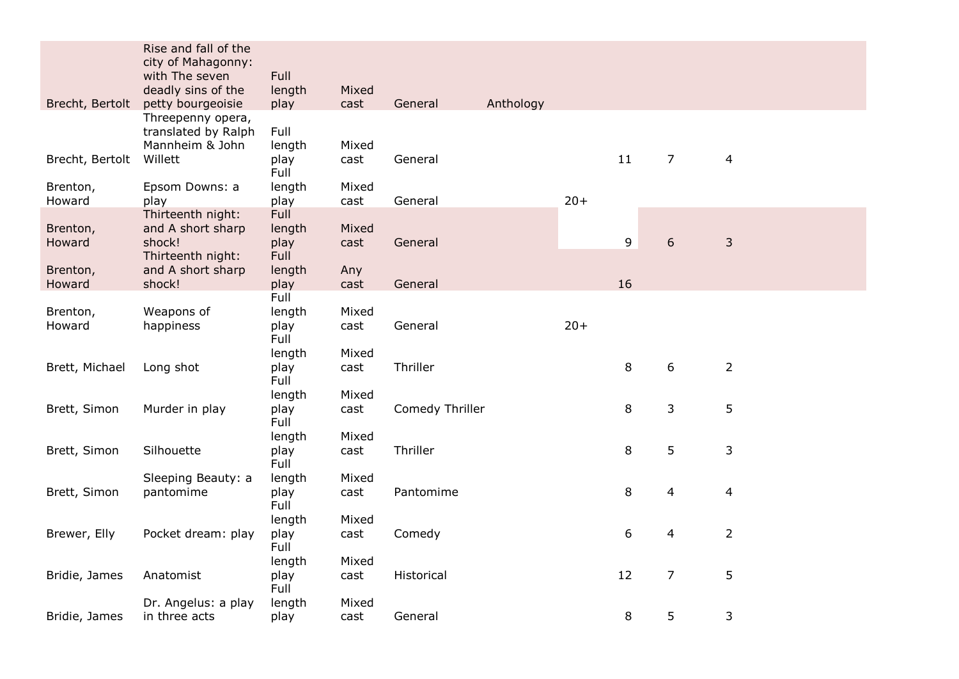|                    | Rise and fall of the<br>city of Mahagonny:<br>with The seven<br>deadly sins of the | Full<br>length                               | Mixed         |                      |       |    |                  |                |
|--------------------|------------------------------------------------------------------------------------|----------------------------------------------|---------------|----------------------|-------|----|------------------|----------------|
| Brecht, Bertolt    | petty bourgeoisie                                                                  | play                                         | cast          | General<br>Anthology |       |    |                  |                |
| Brecht, Bertolt    | Threepenny opera,<br>translated by Ralph<br>Mannheim & John<br>Willett             | Full<br>length<br>play<br>Full               | Mixed<br>cast | General              |       | 11 | $\overline{7}$   | $\overline{4}$ |
| Brenton,           | Epsom Downs: a                                                                     | length                                       | Mixed         |                      |       |    |                  |                |
| Howard             | play                                                                               | play                                         | cast          | General              | $20+$ |    |                  |                |
| Brenton,<br>Howard | Thirteenth night:<br>and A short sharp<br>shock!<br>Thirteenth night:              | <b>Full</b><br>length<br>play<br><b>Full</b> | Mixed<br>cast | General              |       | 9  | $\boldsymbol{6}$ | $\mathsf 3$    |
| Brenton,           | and A short sharp                                                                  | length                                       | Any           |                      |       |    |                  |                |
| Howard             | shock!                                                                             | play                                         | cast          | General              |       | 16 |                  |                |
| Brenton,<br>Howard | Weapons of<br>happiness                                                            | Full<br>length<br>play<br>Full               | Mixed<br>cast | General              | $20+$ |    |                  |                |
| Brett, Michael     | Long shot                                                                          | length<br>play<br>Full                       | Mixed<br>cast | Thriller             |       | 8  | 6                | $\overline{2}$ |
| Brett, Simon       | Murder in play                                                                     | length<br>play<br>Full                       | Mixed<br>cast | Comedy Thriller      |       | 8  | 3                | 5              |
| Brett, Simon       | Silhouette                                                                         | length<br>play<br>Full                       | Mixed<br>cast | Thriller             |       | 8  | 5                | 3              |
| Brett, Simon       | Sleeping Beauty: a<br>pantomime                                                    | length<br>play<br>Full                       | Mixed<br>cast | Pantomime            |       | 8  | 4                | $\overline{4}$ |
| Brewer, Elly       | Pocket dream: play                                                                 | length<br>play<br>Full                       | Mixed<br>cast | Comedy               |       | 6  | 4                | $\overline{2}$ |
| Bridie, James      | Anatomist                                                                          | length<br>play<br>Full                       | Mixed<br>cast | Historical           |       | 12 | $\overline{7}$   | 5              |
| Bridie, James      | Dr. Angelus: a play<br>in three acts                                               | length<br>play                               | Mixed<br>cast | General              |       | 8  | 5                | 3              |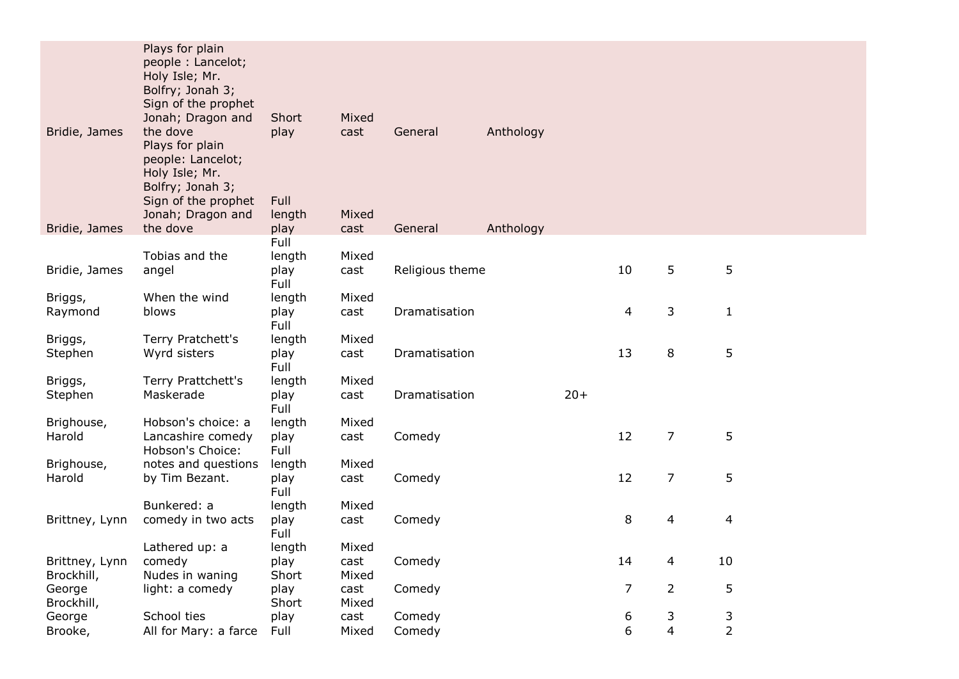| Bridie, James<br>Bridie, James | Plays for plain<br>people: Lancelot;<br>Holy Isle; Mr.<br>Bolfry; Jonah 3;<br>Sign of the prophet<br>Jonah; Dragon and<br>the dove<br>Plays for plain<br>people: Lancelot;<br>Holy Isle; Mr.<br>Bolfry; Jonah 3;<br>Sign of the prophet<br>Jonah; Dragon and<br>the dove | Short<br>play<br>Full<br>length<br>play | Mixed<br>cast<br>Mixed<br>cast | General<br>General | Anthology<br>Anthology |       |                |                |                     |  |
|--------------------------------|--------------------------------------------------------------------------------------------------------------------------------------------------------------------------------------------------------------------------------------------------------------------------|-----------------------------------------|--------------------------------|--------------------|------------------------|-------|----------------|----------------|---------------------|--|
|                                |                                                                                                                                                                                                                                                                          | Full                                    |                                |                    |                        |       |                |                |                     |  |
| Bridie, James                  | Tobias and the<br>angel                                                                                                                                                                                                                                                  | length<br>play<br>Full                  | Mixed<br>cast                  | Religious theme    |                        |       | 10             | 5              | 5                   |  |
| Briggs,<br>Raymond             | When the wind<br>blows                                                                                                                                                                                                                                                   | length<br>play<br>Full                  | Mixed<br>cast                  | Dramatisation      |                        |       | 4              | 3              | $\mathbf{1}$        |  |
| Briggs,<br>Stephen             | Terry Pratchett's<br>Wyrd sisters                                                                                                                                                                                                                                        | length<br>play<br>Full                  | Mixed<br>cast                  | Dramatisation      |                        |       | 13             | 8              | 5                   |  |
| Briggs,<br>Stephen             | Terry Prattchett's<br>Maskerade                                                                                                                                                                                                                                          | length<br>play<br>Full                  | Mixed<br>cast                  | Dramatisation      |                        | $20+$ |                |                |                     |  |
| Brighouse,<br>Harold           | Hobson's choice: a<br>Lancashire comedy<br>Hobson's Choice:                                                                                                                                                                                                              | length<br>play<br>Full                  | Mixed<br>cast                  | Comedy             |                        |       | 12             | $\overline{7}$ | 5                   |  |
| Brighouse,<br>Harold           | notes and questions<br>by Tim Bezant.                                                                                                                                                                                                                                    | length<br>play<br>Full                  | Mixed<br>cast                  | Comedy             |                        |       | 12             | $\overline{7}$ | 5                   |  |
| Brittney, Lynn                 | Bunkered: a<br>comedy in two acts                                                                                                                                                                                                                                        | length<br>play<br>Full                  | Mixed<br>cast                  | Comedy             |                        |       | 8              | 4              | $\overline{4}$      |  |
| Brittney, Lynn<br>Brockhill,   | Lathered up: a<br>comedy<br>Nudes in waning                                                                                                                                                                                                                              | length<br>play<br>Short                 | Mixed<br>cast<br>Mixed         | Comedy             |                        |       | 14             | 4              | 10                  |  |
| George<br>Brockhill,           | light: a comedy                                                                                                                                                                                                                                                          | play<br>Short                           | cast<br>Mixed                  | Comedy             |                        |       | $\overline{7}$ | $\overline{2}$ | 5                   |  |
| George<br>Brooke,              | School ties<br>All for Mary: a farce                                                                                                                                                                                                                                     | play<br>Full                            | cast<br>Mixed                  | Comedy<br>Comedy   |                        |       | 6<br>6         | 3<br>4         | 3<br>$\overline{2}$ |  |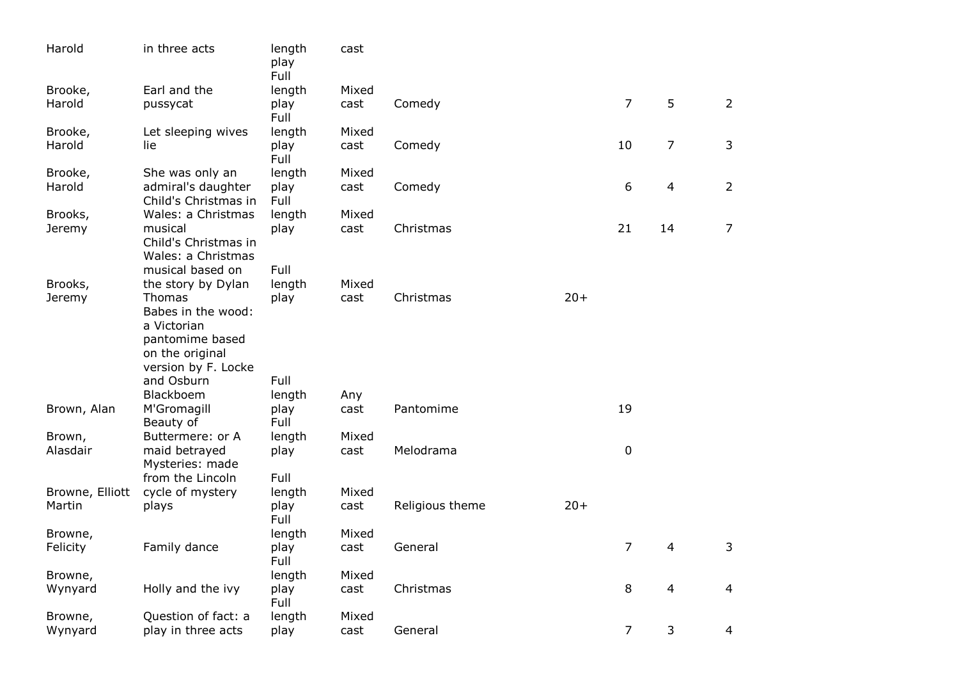| Harold                    | in three acts                                                                                  | length<br>play<br>Full | cast          |                 |       |                |                |                |
|---------------------------|------------------------------------------------------------------------------------------------|------------------------|---------------|-----------------|-------|----------------|----------------|----------------|
| Brooke,                   | Earl and the                                                                                   | length                 | Mixed         |                 |       |                |                |                |
| Harold                    | pussycat                                                                                       | play<br>Full           | cast          | Comedy          |       | $\overline{7}$ | 5              | $\overline{2}$ |
| Brooke,                   | Let sleeping wives                                                                             | length                 | Mixed         |                 |       |                |                |                |
| Harold                    | lie                                                                                            | play<br>Full           | cast          | Comedy          |       | 10             | $\overline{7}$ | 3              |
| Brooke,                   | She was only an                                                                                | length                 | Mixed         |                 |       |                |                |                |
| Harold                    | admiral's daughter<br>Child's Christmas in                                                     | play<br>Full           | cast          | Comedy          |       | 6              | 4              | $\overline{2}$ |
| Brooks,                   | Wales: a Christmas                                                                             | length                 | Mixed         |                 |       |                |                |                |
| Jeremy                    | musical<br>Child's Christmas in<br>Wales: a Christmas<br>musical based on                      | play<br>Full           | cast          | Christmas       |       | 21             | 14             | $\overline{7}$ |
| Brooks,                   | the story by Dylan                                                                             | length                 | Mixed         |                 |       |                |                |                |
| Jeremy                    | Thomas                                                                                         | play                   | cast          | Christmas       | $20+$ |                |                |                |
|                           | Babes in the wood:<br>a Victorian<br>pantomime based<br>on the original<br>version by F. Locke |                        |               |                 |       |                |                |                |
|                           | and Osburn                                                                                     | Full                   |               |                 |       |                |                |                |
|                           | Blackboem                                                                                      | length                 | Any           |                 |       |                |                |                |
| Brown, Alan               | M'Gromagill                                                                                    | play<br>Full           | cast          | Pantomime       |       | 19             |                |                |
|                           | Beauty of<br>Buttermere: or A                                                                  |                        | Mixed         |                 |       |                |                |                |
| Brown,<br>Alasdair        | maid betrayed<br>Mysteries: made                                                               | length<br>play         | cast          | Melodrama       |       | $\mathbf 0$    |                |                |
|                           | from the Lincoln                                                                               | Full                   |               |                 |       |                |                |                |
| Browne, Elliott<br>Martin | cycle of mystery<br>plays                                                                      | length<br>play<br>Full | Mixed<br>cast | Religious theme | $20+$ |                |                |                |
| Browne,                   |                                                                                                | length                 | Mixed         |                 |       |                |                |                |
| Felicity                  | Family dance                                                                                   | play<br>Full           | cast          | General         |       | $\overline{7}$ | 4              | 3              |
| Browne,                   |                                                                                                | length                 | Mixed         |                 |       |                |                |                |
| Wynyard                   | Holly and the ivy                                                                              | play<br>Full           | cast          | Christmas       |       | 8              | 4              | $\overline{4}$ |
| Browne,                   | Question of fact: a                                                                            | length                 | Mixed         |                 |       |                |                |                |
| Wynyard                   | play in three acts                                                                             | play                   | cast          | General         |       | 7              | 3              | 4              |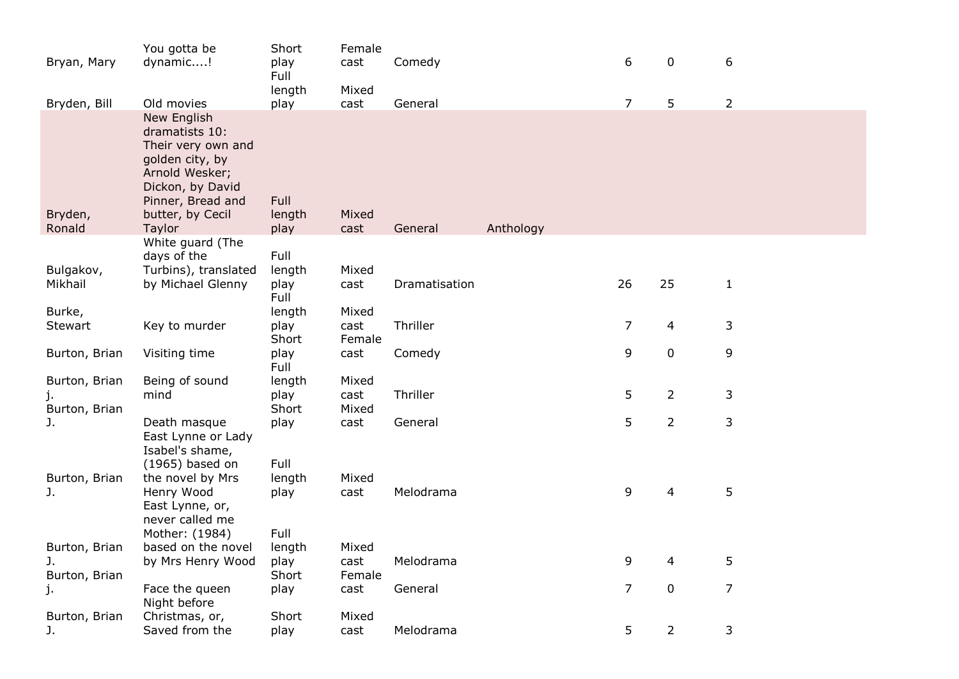| Bryan, Mary          | You gotta be<br>dynamic!                                                                                                                                        | Short<br>play<br>Full  | Female<br>cast<br>Mixed | Comedy        |           | 6              | 0              | 6              |
|----------------------|-----------------------------------------------------------------------------------------------------------------------------------------------------------------|------------------------|-------------------------|---------------|-----------|----------------|----------------|----------------|
| Bryden, Bill         | Old movies                                                                                                                                                      | length<br>play         | cast                    | General       |           | $\overline{7}$ | 5              | $\overline{2}$ |
| Bryden,<br>Ronald    | New English<br>dramatists 10:<br>Their very own and<br>golden city, by<br>Arnold Wesker;<br>Dickon, by David<br>Pinner, Bread and<br>butter, by Cecil<br>Taylor | Full<br>length<br>play | Mixed<br>cast           | General       | Anthology |                |                |                |
|                      | White guard (The                                                                                                                                                |                        |                         |               |           |                |                |                |
|                      | days of the                                                                                                                                                     | Full                   |                         |               |           |                |                |                |
| Bulgakov,<br>Mikhail | Turbins), translated<br>by Michael Glenny                                                                                                                       | length<br>play<br>Full | Mixed<br>cast           | Dramatisation |           | 26             | 25             | $\mathbf{1}$   |
| Burke,               |                                                                                                                                                                 | length                 | Mixed                   |               |           |                |                |                |
| Stewart              | Key to murder                                                                                                                                                   | play<br>Short          | cast<br>Female          | Thriller      |           | $\overline{7}$ | $\overline{4}$ | 3              |
| Burton, Brian        | Visiting time                                                                                                                                                   | play<br>Full           | cast                    | Comedy        |           | 9              | $\mathbf 0$    | 9              |
| Burton, Brian<br>j.  | Being of sound<br>mind                                                                                                                                          | length<br>play         | Mixed<br>cast           | Thriller      |           | 5              | $\overline{2}$ | 3              |
| Burton, Brian        |                                                                                                                                                                 | Short                  | Mixed                   |               |           |                |                |                |
| J.                   | Death masque<br>East Lynne or Lady<br>Isabel's shame,<br>$(1965)$ based on                                                                                      | play<br>Full           | cast                    | General       |           | 5              | $\overline{2}$ | 3              |
| Burton, Brian        | the novel by Mrs                                                                                                                                                | length                 | Mixed                   |               |           |                |                |                |
| J.                   | Henry Wood<br>East Lynne, or,<br>never called me                                                                                                                | play                   | cast                    | Melodrama     |           | 9              | $\overline{4}$ | 5              |
|                      | Mother: (1984)                                                                                                                                                  | Full                   |                         |               |           |                |                |                |
| Burton, Brian        | based on the novel                                                                                                                                              | length                 | Mixed                   |               |           |                |                |                |
| J.<br>Burton, Brian  | by Mrs Henry Wood                                                                                                                                               | play<br>Short          | cast<br>Female          | Melodrama     |           | 9              | $\overline{4}$ | 5              |
| j.                   | Face the queen<br>Night before                                                                                                                                  | play                   | cast                    | General       |           | $\overline{7}$ | $\mathbf 0$    | $\overline{7}$ |
| Burton, Brian        | Christmas, or,                                                                                                                                                  | Short                  | Mixed                   |               |           |                |                |                |
| J.                   | Saved from the                                                                                                                                                  | play                   | cast                    | Melodrama     |           | 5              | $\overline{2}$ | 3              |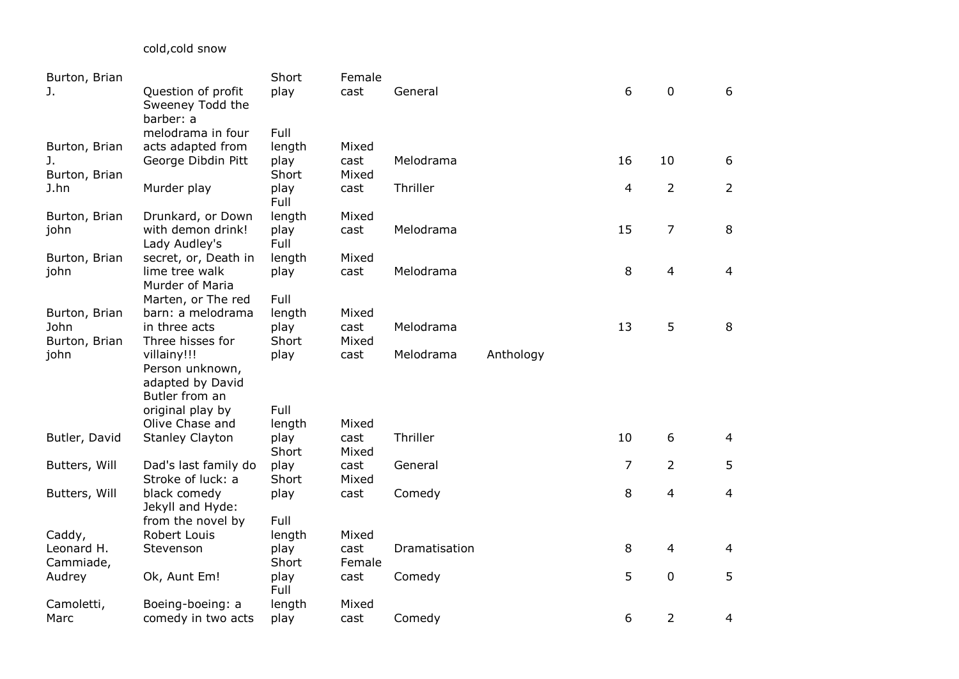cold,cold snow

| Burton, Brian         |                                                     | Short         | Female        |               |           |                |                |                |
|-----------------------|-----------------------------------------------------|---------------|---------------|---------------|-----------|----------------|----------------|----------------|
| J.                    | Question of profit<br>Sweeney Todd the<br>barber: a | play          | cast          | General       |           | 6              | 0              | 6              |
|                       | melodrama in four                                   | Full          |               |               |           |                |                |                |
| Burton, Brian         | acts adapted from                                   | length        | Mixed         |               |           |                |                |                |
| J.                    | George Dibdin Pitt                                  | play          | cast          | Melodrama     |           | 16             | 10             | 6              |
| Burton, Brian         |                                                     | Short         | Mixed         |               |           |                |                |                |
| J.hn                  | Murder play                                         | play<br>Full  | cast          | Thriller      |           | 4              | $\overline{2}$ | $\overline{2}$ |
| Burton, Brian         | Drunkard, or Down                                   | length        | Mixed         |               |           |                |                |                |
| john                  | with demon drink!                                   | play          | cast          | Melodrama     |           | 15             | $\overline{7}$ | 8              |
|                       | Lady Audley's                                       | Full          |               |               |           |                |                |                |
| Burton, Brian         | secret, or, Death in                                | length        | Mixed         |               |           |                |                |                |
| john                  | lime tree walk<br>Murder of Maria                   | play          | cast          | Melodrama     |           | 8              | $\overline{4}$ | $\overline{4}$ |
|                       | Marten, or The red                                  | Full          |               |               |           |                |                |                |
| Burton, Brian         | barn: a melodrama                                   | length        | Mixed         |               |           |                |                |                |
| John                  | in three acts                                       | play<br>Short | cast          | Melodrama     |           | 13             | 5              | 8              |
| Burton, Brian<br>john | Three hisses for<br>villainy!!!                     | play          | Mixed<br>cast | Melodrama     | Anthology |                |                |                |
|                       | Person unknown,                                     |               |               |               |           |                |                |                |
|                       | adapted by David                                    |               |               |               |           |                |                |                |
|                       | Butler from an                                      |               |               |               |           |                |                |                |
|                       | original play by                                    | Full          |               |               |           |                |                |                |
|                       | Olive Chase and                                     | length        | Mixed         |               |           |                |                |                |
| Butler, David         | <b>Stanley Clayton</b>                              | play          | cast          | Thriller      |           | 10             | 6              | $\overline{4}$ |
|                       |                                                     | Short         | Mixed         |               |           |                |                |                |
| Butters, Will         | Dad's last family do                                | play          | cast          | General       |           | $\overline{7}$ | $\overline{2}$ | 5              |
|                       | Stroke of luck: a                                   | Short         | Mixed         |               |           |                |                |                |
| Butters, Will         | black comedy<br>Jekyll and Hyde:                    | play          | cast          | Comedy        |           | 8              | $\overline{4}$ | 4              |
|                       | from the novel by                                   | Full          |               |               |           |                |                |                |
| Caddy,                | Robert Louis                                        | length        | Mixed         |               |           |                |                |                |
| Leonard H.            | Stevenson                                           | play          | cast          | Dramatisation |           | 8              | $\overline{4}$ | $\overline{4}$ |
| Cammiade,             |                                                     | Short         | Female        |               |           |                |                |                |
| Audrey                | Ok, Aunt Em!                                        | play<br>Full  | cast          | Comedy        |           | 5              | $\mathbf 0$    | 5              |
| Camoletti,            | Boeing-boeing: a                                    | length        | Mixed         |               |           |                |                |                |
| Marc                  | comedy in two acts                                  | play          | cast          | Comedy        |           | 6              | $\overline{2}$ | 4              |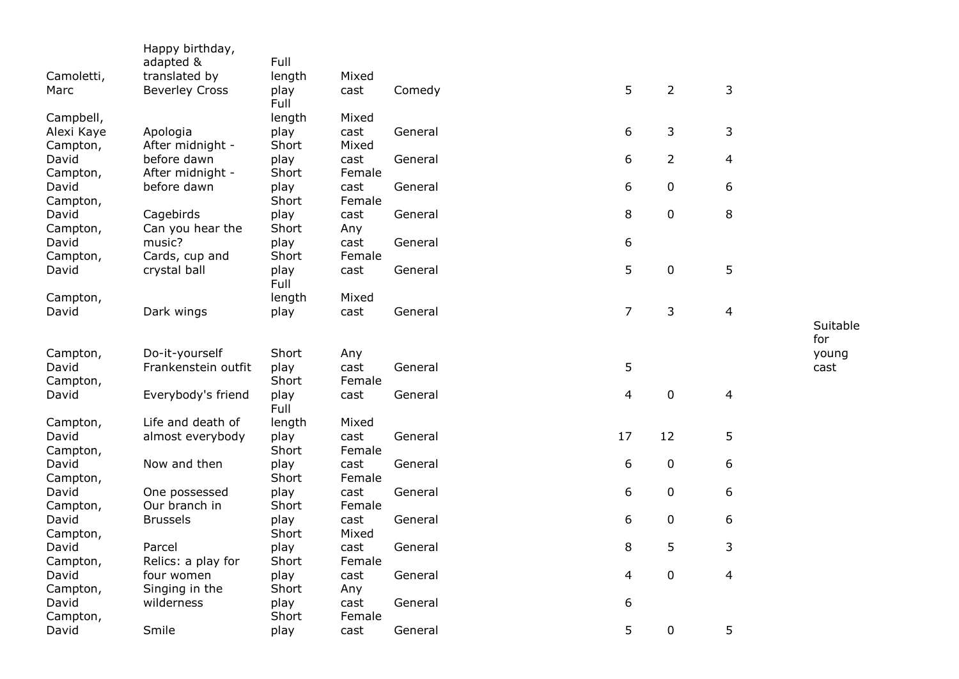| Camoletti,<br>Marc | Happy birthday,<br>adapted &<br>translated by<br><b>Beverley Cross</b> | Full<br>length<br>play | Mixed<br>cast  | Comedy  | 5              | $\overline{2}$ | 3                       |                 |
|--------------------|------------------------------------------------------------------------|------------------------|----------------|---------|----------------|----------------|-------------------------|-----------------|
|                    |                                                                        | Full                   |                |         |                |                |                         |                 |
| Campbell,          |                                                                        | length                 | Mixed          |         |                |                |                         |                 |
| Alexi Kaye         | Apologia                                                               | play                   | cast           | General | 6              | 3              | 3                       |                 |
| Campton,<br>David  | After midnight -<br>before dawn                                        | Short<br>play          | Mixed<br>cast  | General | 6              | $\overline{2}$ | 4                       |                 |
| Campton,           | After midnight -                                                       | Short                  | Female         |         |                |                |                         |                 |
| David              | before dawn                                                            | play                   | cast           | General | 6              | $\mathbf 0$    | 6                       |                 |
| Campton,           |                                                                        | Short                  | Female         |         |                |                |                         |                 |
| David              | Cagebirds                                                              | play                   | cast           | General | 8              | $\mathbf 0$    | 8                       |                 |
| Campton,<br>David  | Can you hear the<br>music?                                             | Short<br>play          | Any<br>cast    | General | 6              |                |                         |                 |
| Campton,           | Cards, cup and                                                         | Short                  | Female         |         |                |                |                         |                 |
| David              | crystal ball                                                           | play                   | cast           | General | 5              | $\pmb{0}$      | 5                       |                 |
|                    |                                                                        | Full                   |                |         |                |                |                         |                 |
| Campton,           |                                                                        | length                 | Mixed          |         |                |                |                         |                 |
| David              | Dark wings                                                             | play                   | cast           | General | $\overline{7}$ | 3              | $\overline{\mathbf{4}}$ |                 |
|                    |                                                                        |                        |                |         |                |                |                         | Suitable<br>for |
| Campton,           | Do-it-yourself                                                         | Short                  | Any            |         |                |                |                         | young           |
| David              | Frankenstein outfit                                                    | play                   | cast           | General | 5              |                |                         | cast            |
| Campton,           |                                                                        | Short                  | Female         |         |                |                |                         |                 |
| David              | Everybody's friend                                                     | play<br>Full           | cast           | General | 4              | $\mathbf 0$    | 4                       |                 |
| Campton,           | Life and death of                                                      | length                 | Mixed          |         |                |                |                         |                 |
| David              | almost everybody                                                       | play                   | cast           | General | 17             | 12             | 5                       |                 |
| Campton,           |                                                                        | Short                  | Female         |         |                |                |                         |                 |
| David              | Now and then                                                           | play                   | cast           | General | 6              | $\pmb{0}$      | 6                       |                 |
| Campton,           |                                                                        | Short                  | Female         |         |                |                |                         |                 |
| David              | One possessed                                                          | play                   | cast           | General | 6              | 0              | 6                       |                 |
| Campton,<br>David  | Our branch in<br><b>Brussels</b>                                       | Short<br>play          | Female<br>cast | General | 6              | 0              | 6                       |                 |
| Campton,           |                                                                        | Short                  | Mixed          |         |                |                |                         |                 |
| David              | Parcel                                                                 | play                   | cast           | General | 8              | 5              | 3                       |                 |
| Campton,           | Relics: a play for                                                     | Short                  | Female         |         |                |                |                         |                 |
| David              | four women                                                             | play                   | cast           | General | 4              | $\mathbf 0$    | 4                       |                 |
| Campton,           | Singing in the                                                         | Short                  | Any            |         |                |                |                         |                 |
| David              | wilderness                                                             | play                   | cast           | General | 6              |                |                         |                 |
| Campton,<br>David  | Smile                                                                  | Short<br>play          | Female<br>cast | General | 5              | $\mathbf 0$    | 5                       |                 |
|                    |                                                                        |                        |                |         |                |                |                         |                 |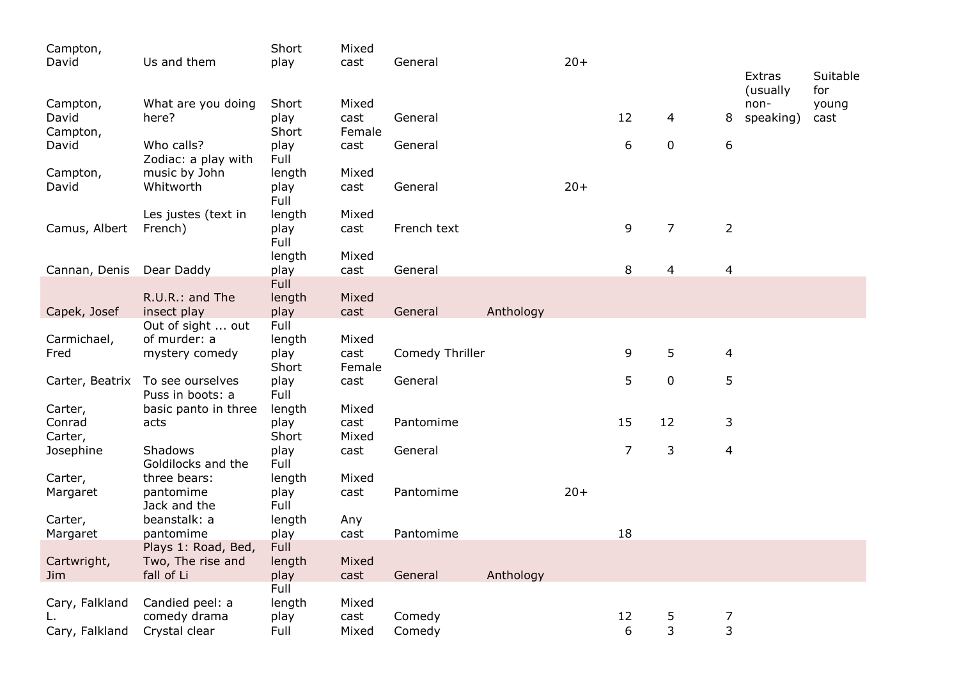| Campton,            |                                   | Short          | Mixed  |                 |           |       |                |                |                     |                  |              |
|---------------------|-----------------------------------|----------------|--------|-----------------|-----------|-------|----------------|----------------|---------------------|------------------|--------------|
| David               | Us and them                       | play           | cast   | General         |           | $20+$ |                |                |                     |                  |              |
|                     |                                   |                |        |                 |           |       |                |                |                     | Extras           | Suitable     |
| Campton,            | What are you doing                | Short          | Mixed  |                 |           |       |                |                |                     | (usually<br>non- | for<br>young |
| David               | here?                             | play           | cast   | General         |           |       | 12             | 4              | 8                   | speaking)        | cast         |
| Campton,            |                                   | Short          | Female |                 |           |       |                |                |                     |                  |              |
| David               | Who calls?                        | play           | cast   | General         |           |       | 6              | 0              | 6                   |                  |              |
|                     | Zodiac: a play with               | Full           |        |                 |           |       |                |                |                     |                  |              |
| Campton,            | music by John                     | length         | Mixed  |                 |           |       |                |                |                     |                  |              |
| David               | Whitworth                         | play<br>Full   | cast   | General         |           | $20+$ |                |                |                     |                  |              |
|                     | Les justes (text in               | length         | Mixed  |                 |           |       |                |                |                     |                  |              |
| Camus, Albert       | French)                           | play           | cast   | French text     |           |       | 9              | $\overline{7}$ | $\overline{2}$      |                  |              |
|                     |                                   | Full           |        |                 |           |       |                |                |                     |                  |              |
|                     |                                   | length         | Mixed  |                 |           |       |                |                |                     |                  |              |
| Cannan, Denis       | Dear Daddy                        | play           | cast   | General         |           |       | 8              | 4              | $\overline{4}$      |                  |              |
|                     |                                   | <b>Full</b>    |        |                 |           |       |                |                |                     |                  |              |
|                     | R.U.R.: and The                   | length         | Mixed  |                 |           |       |                |                |                     |                  |              |
| Capek, Josef        | insect play                       | play           | cast   | General         | Anthology |       |                |                |                     |                  |              |
|                     | Out of sight  out<br>of murder: a | Full<br>length | Mixed  |                 |           |       |                |                |                     |                  |              |
| Carmichael,<br>Fred | mystery comedy                    | play           | cast   | Comedy Thriller |           |       | 9              | 5              | $\overline{4}$      |                  |              |
|                     |                                   | Short          | Female |                 |           |       |                |                |                     |                  |              |
| Carter, Beatrix     | To see ourselves                  | play           | cast   | General         |           |       | 5              | $\mathbf 0$    | 5                   |                  |              |
|                     | Puss in boots: a                  | Full           |        |                 |           |       |                |                |                     |                  |              |
| Carter,             | basic panto in three              | length         | Mixed  |                 |           |       |                |                |                     |                  |              |
| Conrad              | acts                              | play           | cast   | Pantomime       |           |       | 15             | 12             | 3                   |                  |              |
| Carter,             |                                   | Short          | Mixed  |                 |           |       |                |                |                     |                  |              |
| Josephine           | Shadows                           | play           | cast   | General         |           |       | $\overline{7}$ | 3              | $\overline{4}$      |                  |              |
|                     | Goldilocks and the                | Full           |        |                 |           |       |                |                |                     |                  |              |
| Carter,             | three bears:                      | length         | Mixed  |                 |           | $20+$ |                |                |                     |                  |              |
| Margaret            | pantomime<br>Jack and the         | play<br>Full   | cast   | Pantomime       |           |       |                |                |                     |                  |              |
| Carter,             | beanstalk: a                      | length         | Any    |                 |           |       |                |                |                     |                  |              |
| Margaret            | pantomime                         | play           | cast   | Pantomime       |           |       | 18             |                |                     |                  |              |
|                     | Plays 1: Road, Bed,               | <b>Full</b>    |        |                 |           |       |                |                |                     |                  |              |
| Cartwright,         | Two, The rise and                 | length         | Mixed  |                 |           |       |                |                |                     |                  |              |
| Jim.                | fall of Li                        | play           | cast   | General         | Anthology |       |                |                |                     |                  |              |
|                     |                                   | Full           |        |                 |           |       |                |                |                     |                  |              |
| Cary, Falkland      | Candied peel: a                   | length         | Mixed  |                 |           |       |                |                |                     |                  |              |
|                     | comedy drama                      | play           | cast   | Comedy          |           |       | 12             | 5<br>3         | 7<br>$\overline{3}$ |                  |              |
| Cary, Falkland      | Crystal clear                     | Full           | Mixed  | Comedy          |           |       | 6              |                |                     |                  |              |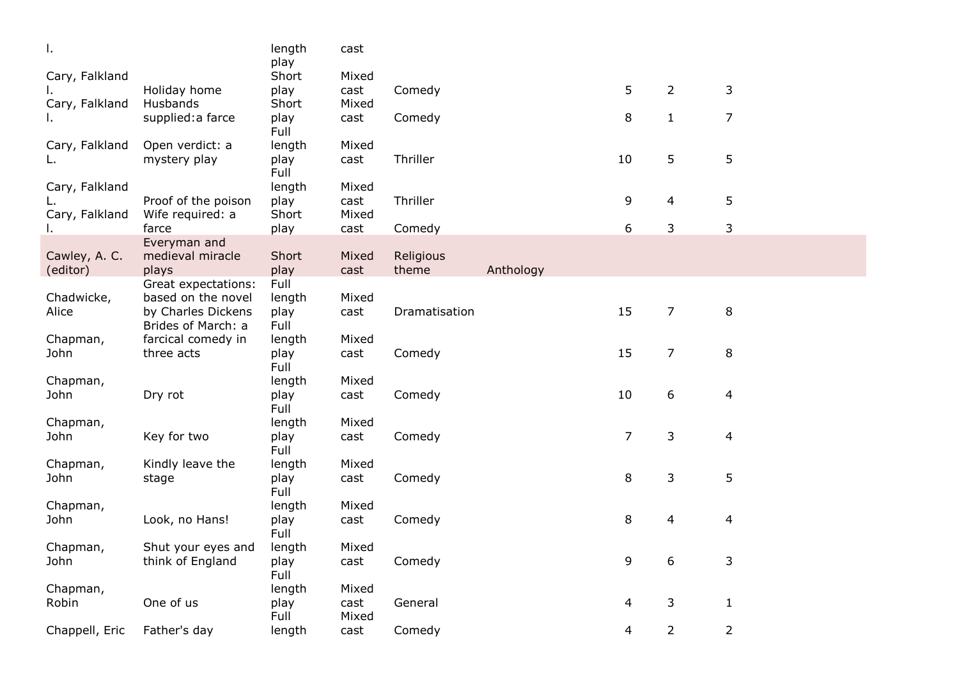| Τ.             |                              | length<br>play | cast  |               |           |                |                |                          |
|----------------|------------------------------|----------------|-------|---------------|-----------|----------------|----------------|--------------------------|
| Cary, Falkland |                              | Short          | Mixed |               |           |                |                |                          |
| I.             | Holiday home                 | play           | cast  | Comedy        |           | 5              | $\overline{2}$ | 3                        |
| Cary, Falkland | Husbands                     | Short          | Mixed |               |           |                |                |                          |
| ı.             | supplied: a farce            | play<br>Full   | cast  | Comedy        |           | 8              | $\mathbf{1}$   | $\overline{7}$           |
| Cary, Falkland | Open verdict: a              | length         | Mixed |               |           |                |                |                          |
| L.             | mystery play                 | play           | cast  | Thriller      |           | 10             | 5              | 5                        |
|                |                              | Full           |       |               |           |                |                |                          |
| Cary, Falkland |                              | length         | Mixed |               |           |                |                |                          |
|                | Proof of the poison          | play           | cast  | Thriller      |           | 9              | 4              | 5                        |
| Cary, Falkland | Wife required: a             | Short          | Mixed |               |           |                |                |                          |
| ı.             | farce                        | play           | cast  | Comedy        |           | 6              | 3              | 3                        |
|                | Everyman and                 |                |       |               |           |                |                |                          |
| Cawley, A. C.  | medieval miracle             | Short          | Mixed | Religious     |           |                |                |                          |
| (editor)       | plays<br>Great expectations: | play<br>Full   | cast  | theme         | Anthology |                |                |                          |
| Chadwicke,     | based on the novel           | length         | Mixed |               |           |                |                |                          |
| Alice          | by Charles Dickens           | play           | cast  | Dramatisation |           | 15             | $\overline{7}$ | 8                        |
|                | Brides of March: a           | Full           |       |               |           |                |                |                          |
| Chapman,       | farcical comedy in           | length         | Mixed |               |           |                |                |                          |
| John           | three acts                   | play           | cast  | Comedy        |           | 15             | 7              | 8                        |
|                |                              | Full           |       |               |           |                |                |                          |
| Chapman,       |                              | length         | Mixed |               |           |                |                |                          |
| John           | Dry rot                      | play           | cast  | Comedy        |           | 10             | 6              | 4                        |
|                |                              | Full           |       |               |           |                |                |                          |
| Chapman,       |                              | length         | Mixed |               |           |                |                |                          |
| John           | Key for two                  | play           | cast  | Comedy        |           | $\overline{7}$ | 3              | $\overline{\mathcal{A}}$ |
|                |                              | Full           |       |               |           |                |                |                          |
| Chapman,       | Kindly leave the             | length         | Mixed |               |           |                |                |                          |
| John           | stage                        | play           | cast  | Comedy        |           | 8              | 3              | 5                        |
|                |                              | Full           |       |               |           |                |                |                          |
| Chapman,       |                              | length         | Mixed |               |           |                |                |                          |
| John           | Look, no Hans!               | play<br>Full   | cast  | Comedy        |           | 8              | 4              | $\overline{\mathcal{A}}$ |
| Chapman,       | Shut your eyes and           | length         | Mixed |               |           |                |                |                          |
| John           | think of England             | play           | cast  | Comedy        |           | 9              | 6              | 3                        |
|                |                              | Full           |       |               |           |                |                |                          |
| Chapman,       |                              | length         | Mixed |               |           |                |                |                          |
| Robin          | One of us                    | play           | cast  | General       |           | 4              | 3              | $\mathbf{1}$             |
|                |                              | Full           | Mixed |               |           |                |                |                          |
| Chappell, Eric | Father's day                 | length         | cast  | Comedy        |           | 4              | $\overline{2}$ | $\overline{2}$           |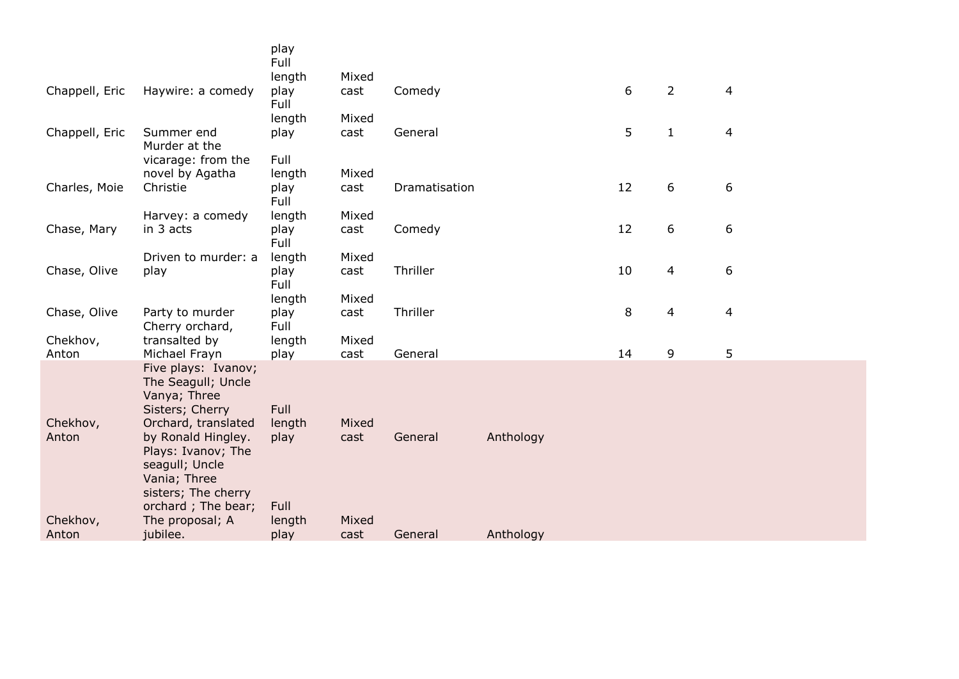|                   |                                                                                                                           | play<br>Full           |               |               |           |    |                          |                |
|-------------------|---------------------------------------------------------------------------------------------------------------------------|------------------------|---------------|---------------|-----------|----|--------------------------|----------------|
|                   |                                                                                                                           | length                 | Mixed         |               |           |    |                          |                |
| Chappell, Eric    | Haywire: a comedy                                                                                                         | play<br>Full           | cast          | Comedy        |           | 6  | $\overline{2}$           | $\overline{4}$ |
|                   |                                                                                                                           | length                 | Mixed         |               |           |    |                          |                |
| Chappell, Eric    | Summer end<br>Murder at the                                                                                               | play                   | cast          | General       |           | 5  | $\mathbf{1}$             | 4              |
|                   | vicarage: from the                                                                                                        | Full                   |               |               |           |    |                          |                |
|                   | novel by Agatha                                                                                                           | length                 | Mixed         |               |           |    |                          |                |
| Charles, Moie     | Christie                                                                                                                  | play<br>Full           | cast          | Dramatisation |           | 12 | 6                        | 6              |
|                   | Harvey: a comedy                                                                                                          | length                 | Mixed         |               |           |    |                          |                |
| Chase, Mary       | in 3 acts                                                                                                                 | play<br>Full           | cast          | Comedy        |           | 12 | 6                        | 6              |
|                   | Driven to murder: a                                                                                                       | length                 | Mixed         |               |           |    |                          |                |
| Chase, Olive      | play                                                                                                                      | play                   | cast          | Thriller      |           | 10 | 4                        | 6              |
|                   |                                                                                                                           | Full                   | Mixed         |               |           |    |                          |                |
| Chase, Olive      | Party to murder                                                                                                           | length<br>play         | cast          | Thriller      |           | 8  | $\overline{\mathcal{A}}$ | $\overline{4}$ |
|                   | Cherry orchard,                                                                                                           | Full                   |               |               |           |    |                          |                |
| Chekhov,          | transalted by                                                                                                             | length                 | Mixed         |               |           |    |                          |                |
| Anton             | Michael Frayn                                                                                                             | play                   | cast          | General       |           | 14 | 9                        | 5              |
| Chekhov,<br>Anton | Five plays: Ivanov;<br>The Seagull; Uncle<br>Vanya; Three<br>Sisters; Cherry<br>Orchard, translated<br>by Ronald Hingley. | Full<br>length<br>play | Mixed<br>cast | General       | Anthology |    |                          |                |
|                   | Plays: Ivanov; The<br>seagull; Uncle<br>Vania; Three<br>sisters; The cherry<br>orchard; The bear;                         | Full                   |               |               |           |    |                          |                |
| Chekhov,          | The proposal; A                                                                                                           | length                 | Mixed         |               |           |    |                          |                |
| Anton             | jubilee.                                                                                                                  | play                   | cast          | General       | Anthology |    |                          |                |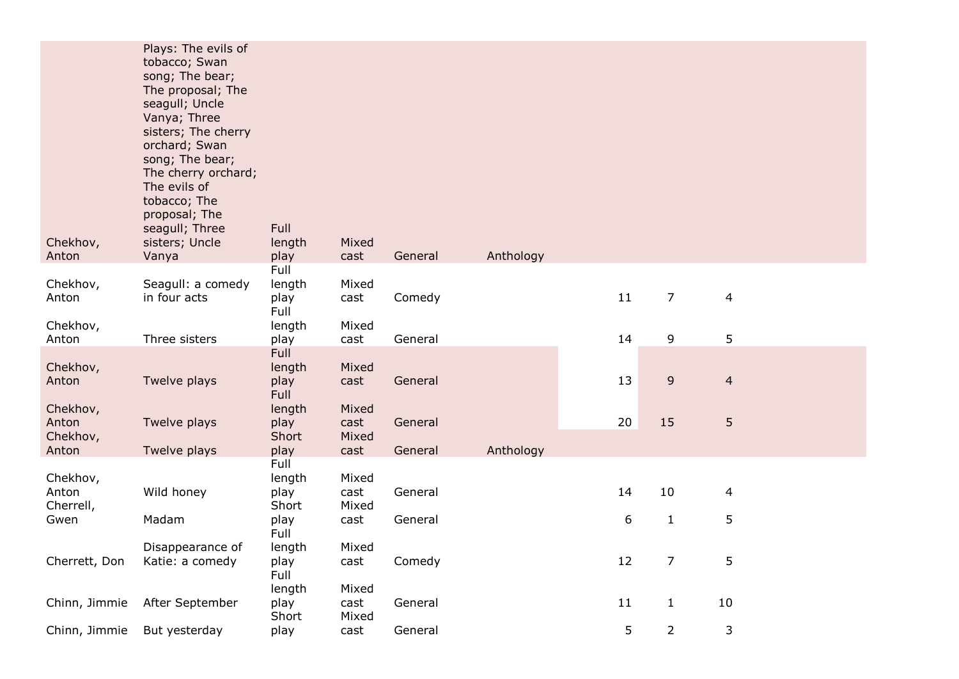| Chekhov,<br>Anton             | Plays: The evils of<br>tobacco; Swan<br>song; The bear;<br>The proposal; The<br>seagull; Uncle<br>Vanya; Three<br>sisters; The cherry<br>orchard; Swan<br>song; The bear;<br>The cherry orchard;<br>The evils of<br>tobacco; The<br>proposal; The<br>seagull; Three<br>sisters; Uncle<br>Vanya | Full<br>length<br>play         | Mixed<br>cast          | General | Anthology |    |                |                |
|-------------------------------|------------------------------------------------------------------------------------------------------------------------------------------------------------------------------------------------------------------------------------------------------------------------------------------------|--------------------------------|------------------------|---------|-----------|----|----------------|----------------|
|                               |                                                                                                                                                                                                                                                                                                | Full                           |                        |         |           |    |                |                |
| Chekhov,<br>Anton             | Seagull: a comedy<br>in four acts                                                                                                                                                                                                                                                              | length<br>play<br>Full         | Mixed<br>cast          | Comedy  |           | 11 | $\overline{7}$ | 4              |
| Chekhov,<br>Anton             | Three sisters                                                                                                                                                                                                                                                                                  | length<br>play                 | Mixed<br>cast          | General |           | 14 | 9              | 5              |
| Chekhov,<br>Anton             | Twelve plays                                                                                                                                                                                                                                                                                   | Full<br>length<br>play<br>Full | Mixed<br>cast          | General |           | 13 | 9              | $\overline{4}$ |
| Chekhov,<br>Anton<br>Chekhov, | Twelve plays                                                                                                                                                                                                                                                                                   | length<br>play<br>Short        | Mixed<br>cast<br>Mixed | General |           | 20 | 15             | 5              |
| Anton                         | Twelve plays                                                                                                                                                                                                                                                                                   | play                           | cast                   | General | Anthology |    |                |                |
| Chekhov,<br>Anton             | Wild honey                                                                                                                                                                                                                                                                                     | Full<br>length<br>play         | Mixed<br>cast          | General |           | 14 | 10             | 4              |
| Cherrell,<br>Gwen             | Madam                                                                                                                                                                                                                                                                                          | Short<br>play<br>Full          | Mixed<br>cast          | General |           | 6  | $\mathbf{1}$   | 5              |
| Cherrett, Don                 | Disappearance of<br>Katie: a comedy                                                                                                                                                                                                                                                            | length<br>play<br>Full         | Mixed<br>cast          | Comedy  |           | 12 | $\overline{7}$ | 5              |
| Chinn, Jimmie                 | After September                                                                                                                                                                                                                                                                                | length<br>play<br>Short        | Mixed<br>cast<br>Mixed | General |           | 11 | $\mathbf{1}$   | 10             |
| Chinn, Jimmie                 | But yesterday                                                                                                                                                                                                                                                                                  | play                           | cast                   | General |           | 5  | $\overline{2}$ | 3              |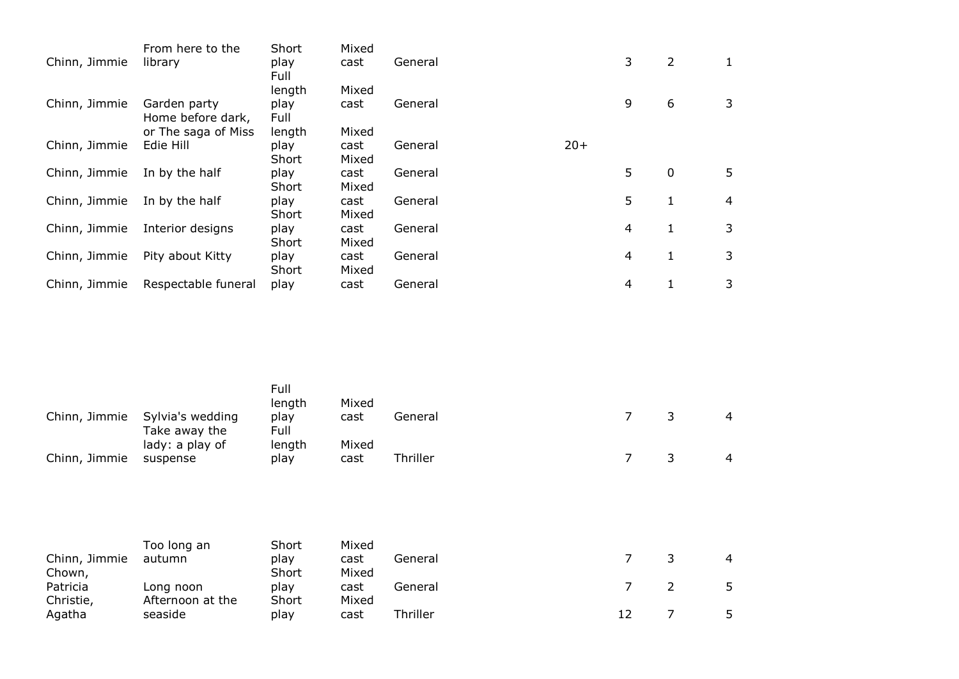|               | From here to the                  | Short         | Mixed         |         |       |   |   |   |
|---------------|-----------------------------------|---------------|---------------|---------|-------|---|---|---|
| Chinn, Jimmie | library                           | play<br>Full  | cast          | General |       | 3 | 2 | 1 |
|               |                                   | length        | Mixed         |         |       |   |   |   |
| Chinn, Jimmie | Garden party<br>Home before dark, | play<br>Full  | cast          | General |       | 9 | 6 | 3 |
|               | or The saga of Miss               | length        | Mixed         |         |       |   |   |   |
| Chinn, Jimmie | Edie Hill                         | play<br>Short | cast<br>Mixed | General | $20+$ |   |   |   |
| Chinn, Jimmie | In by the half                    | play<br>Short | cast<br>Mixed | General |       | 5 | 0 | 5 |
| Chinn, Jimmie | In by the half                    | play<br>Short | cast<br>Mixed | General |       | 5 | 1 | 4 |
| Chinn, Jimmie | Interior designs                  | play<br>Short | cast<br>Mixed | General |       | 4 | 1 | 3 |
| Chinn, Jimmie | Pity about Kitty                  | play<br>Short | cast<br>Mixed | General |       | 4 | 1 | 3 |
| Chinn, Jimmie | Respectable funeral               | play          | cast          | General |       | 4 |   | 3 |

|               |                                   | Full<br>length | Mixed |          |  |   |                |
|---------------|-----------------------------------|----------------|-------|----------|--|---|----------------|
| Chinn, Jimmie | Sylvia's wedding<br>Take away the | play<br>Full   | cast  | General  |  | 3 | $\overline{4}$ |
|               | lady: a play of                   | length         | Mixed |          |  |   |                |
| Chinn, Jimmie | suspense                          | play           | cast  | Thriller |  | 3 | $\overline{4}$ |
|               |                                   |                |       |          |  |   |                |
|               |                                   |                |       |          |  |   |                |
|               |                                   |                |       |          |  |   |                |

|               | Too long an      | Short | Mixed |          |  |                |
|---------------|------------------|-------|-------|----------|--|----------------|
| Chinn, Jimmie | autumn           | plav  | cast  | General  |  | $\overline{a}$ |
| Chown,        |                  | Short | Mixed |          |  |                |
| Patricia      | Long noon        | plav  | cast  | General  |  |                |
| Christie,     | Afternoon at the | Short | Mixed |          |  |                |
| Agatha        | seaside          | plav  | cast  | Thriller |  |                |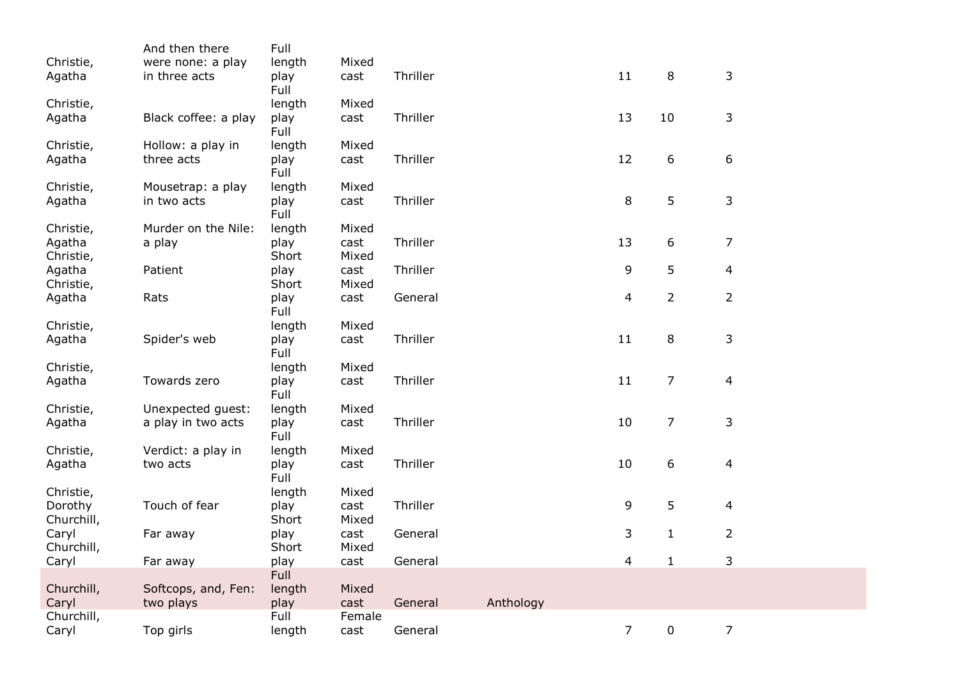|                       | And then there                   | Full           |               |          |           |                |                |                |
|-----------------------|----------------------------------|----------------|---------------|----------|-----------|----------------|----------------|----------------|
| Christie,             | were none: a play                | length         | Mixed         |          |           |                |                |                |
| Agatha                | in three acts                    | play<br>Full   | cast          | Thriller |           | 11             | 8              | 3              |
| Christie,             |                                  | length         | Mixed         |          |           |                |                |                |
| Agatha                | Black coffee: a play             | play<br>Full   | cast          | Thriller |           | 13             | 10             | 3              |
| Christie,             | Hollow: a play in                | length         | Mixed         |          |           |                |                |                |
| Agatha                | three acts                       | play<br>Full   | cast          | Thriller |           | 12             | 6              | 6              |
| Christie,             | Mousetrap: a play                | length         | Mixed         |          |           |                |                |                |
| Agatha                | in two acts                      | play<br>Full   | cast          | Thriller |           | 8              | 5              | 3              |
| Christie,             | Murder on the Nile:              | length         | Mixed         |          |           |                |                |                |
| Agatha<br>Christie,   | a play                           | play<br>Short  | cast<br>Mixed | Thriller |           | 13             | 6              | 7              |
| Agatha                | Patient                          | play           | cast          | Thriller |           | 9              | 5              | 4              |
| Christie,             |                                  | Short          | Mixed         |          |           |                |                |                |
| Agatha                | Rats                             | play<br>Full   | cast          | General  |           | 4              | $\overline{2}$ | $\overline{2}$ |
| Christie,             |                                  | length         | Mixed         |          |           |                |                |                |
| Agatha                | Spider's web                     | play<br>Full   | cast          | Thriller |           | 11             | 8              | 3              |
| Christie,             |                                  | length         | Mixed         |          |           |                |                |                |
| Agatha                | Towards zero                     | play<br>Full   | cast          | Thriller |           | 11             | $\overline{7}$ | 4              |
| Christie,             | Unexpected guest:                | length         | Mixed         |          |           |                |                |                |
| Agatha                | a play in two acts               | play<br>Full   | cast          | Thriller |           | 10             | 7              | 3              |
| Christie,             | Verdict: a play in               | length         | Mixed         |          |           |                |                |                |
| Agatha                | two acts                         | play<br>Full   | cast          | Thriller |           | 10             | 6              | 4              |
| Christie,             |                                  | length         | Mixed         |          |           |                |                |                |
| Dorothy<br>Churchill, | Touch of fear                    | play<br>Short  | cast<br>Mixed | Thriller |           | 9              | 5              | 4              |
| Caryl<br>Churchill,   | Far away                         | play<br>Short  | cast<br>Mixed | General  |           | 3              | $\mathbf{1}$   | $\overline{2}$ |
| Caryl                 | Far away                         | play           | cast          | General  |           | 4              | $\mathbf{1}$   | 3              |
|                       |                                  | Full           |               |          |           |                |                |                |
| Churchill,<br>Caryl   | Softcops, and, Fen:<br>two plays | length<br>play | Mixed<br>cast | General  | Anthology |                |                |                |
| Churchill,            |                                  | Full           | Female        |          |           |                |                |                |
| Caryl                 | Top girls                        | length         | cast          | General  |           | $\overline{7}$ | 0              | $\overline{7}$ |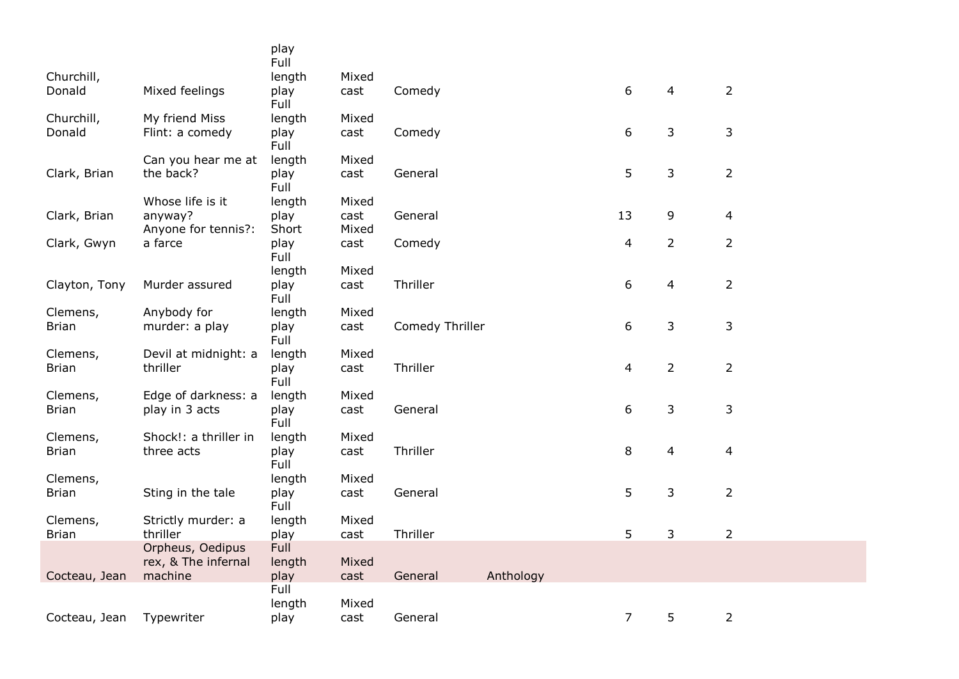|               |                                         | play<br>Full   |               |                 |           |                |                |                |
|---------------|-----------------------------------------|----------------|---------------|-----------------|-----------|----------------|----------------|----------------|
| Churchill,    |                                         | length         | Mixed         |                 |           |                |                |                |
| Donald        | Mixed feelings                          | play<br>Full   | cast          | Comedy          |           | 6              | 4              | $\overline{2}$ |
| Churchill,    | My friend Miss                          | length         | Mixed         |                 |           |                |                |                |
| Donald        | Flint: a comedy                         | play<br>Full   | cast          | Comedy          |           | 6              | 3              | 3              |
|               | Can you hear me at                      | length         | Mixed         |                 |           |                |                |                |
| Clark, Brian  | the back?                               | play<br>Full   | cast          | General         |           | 5              | 3              | $\overline{2}$ |
|               | Whose life is it                        | length         | Mixed         |                 |           |                |                |                |
| Clark, Brian  | anyway?<br>Anyone for tennis?:          | play<br>Short  | cast<br>Mixed | General         |           | 13             | 9              | 4              |
| Clark, Gwyn   | a farce                                 | play<br>Full   | cast          | Comedy          |           | 4              | $\overline{2}$ | $\overline{2}$ |
|               |                                         | length         | Mixed         |                 |           |                |                |                |
| Clayton, Tony | Murder assured                          | play<br>Full   | cast          | Thriller        |           | 6              | 4              | $\overline{2}$ |
| Clemens,      | Anybody for                             | length         | Mixed         |                 |           |                |                |                |
| <b>Brian</b>  | murder: a play                          | play<br>Full   | cast          | Comedy Thriller |           | 6              | 3              | 3              |
| Clemens,      | Devil at midnight: a                    | length         | Mixed         |                 |           |                |                |                |
| <b>Brian</b>  | thriller                                | play<br>Full   | cast          | Thriller        |           | $\overline{4}$ | $\overline{2}$ | $\overline{2}$ |
| Clemens,      | Edge of darkness: a                     | length         | Mixed         |                 |           |                |                |                |
| <b>Brian</b>  | play in 3 acts                          | play<br>Full   | cast          | General         |           | 6              | 3              | 3              |
| Clemens,      | Shock!: a thriller in                   | length         | Mixed         |                 |           |                |                |                |
| <b>Brian</b>  | three acts                              | play<br>Full   | cast          | Thriller        |           | 8              | 4              | 4              |
| Clemens,      |                                         | length         | Mixed         |                 |           |                |                |                |
| <b>Brian</b>  | Sting in the tale                       | play<br>Full   | cast          | General         |           | 5              | 3              | $\overline{2}$ |
| Clemens,      | Strictly murder: a                      | length         | Mixed         |                 |           |                |                |                |
| <b>Brian</b>  | thriller                                | play           | cast          | Thriller        |           | 5              | 3              | $\overline{2}$ |
|               | Orpheus, Oedipus<br>rex, & The infernal | Full<br>length | Mixed         |                 |           |                |                |                |
| Cocteau, Jean | machine                                 | play           | cast          | General         | Anthology |                |                |                |
|               |                                         | Full<br>length | Mixed         |                 |           |                |                |                |
| Cocteau, Jean | Typewriter                              | play           | cast          | General         |           | $\overline{7}$ | 5              | $\overline{2}$ |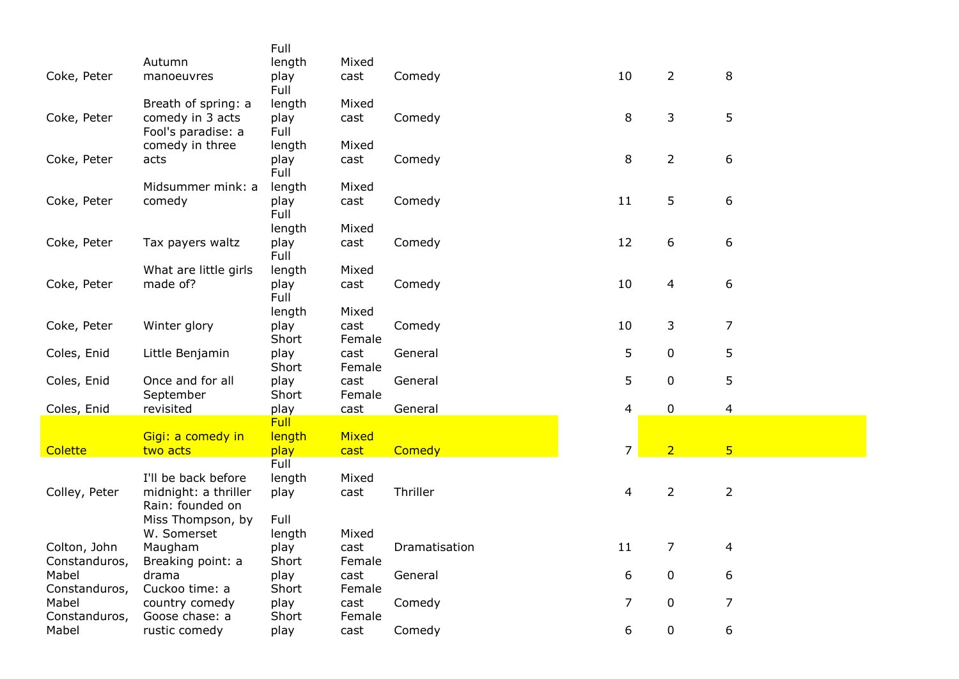|               |                       | Full          |                |               |                |                |                         |  |
|---------------|-----------------------|---------------|----------------|---------------|----------------|----------------|-------------------------|--|
|               | Autumn                | length        | Mixed          |               |                |                |                         |  |
| Coke, Peter   | manoeuvres            | play          | cast           | Comedy        | 10             | $\overline{2}$ | 8                       |  |
|               |                       | Full          |                |               |                |                |                         |  |
|               | Breath of spring: a   | length        | Mixed          |               |                |                |                         |  |
| Coke, Peter   | comedy in 3 acts      | play          | cast           | Comedy        | 8              | 3              | 5                       |  |
|               | Fool's paradise: a    | Full          |                |               |                |                |                         |  |
|               | comedy in three       | length        | Mixed          |               |                |                |                         |  |
| Coke, Peter   | acts                  | play          | cast           | Comedy        | 8              | $\overline{2}$ | 6                       |  |
|               |                       | Full          |                |               |                |                |                         |  |
|               | Midsummer mink: a     | length        | Mixed          |               |                |                |                         |  |
| Coke, Peter   | comedy                | play          | cast           | Comedy        | 11             | 5              | 6                       |  |
|               |                       | Full          |                |               |                |                |                         |  |
|               |                       | length        | Mixed          |               |                |                |                         |  |
| Coke, Peter   | Tax payers waltz      | play          | cast           | Comedy        | 12             | 6              | 6                       |  |
|               |                       | Full          |                |               |                |                |                         |  |
|               | What are little girls | length        | Mixed          |               |                |                |                         |  |
| Coke, Peter   | made of?              | play          | cast           | Comedy        | 10             | 4              | 6                       |  |
|               |                       | Full          |                |               |                |                |                         |  |
|               |                       | length        | Mixed          |               |                |                |                         |  |
| Coke, Peter   | Winter glory          | play          | cast           | Comedy        | 10             | 3              | $\overline{7}$          |  |
|               |                       | Short         | Female         |               | 5              |                |                         |  |
| Coles, Enid   | Little Benjamin       | play<br>Short | cast<br>Female | General       |                | 0              | 5                       |  |
| Coles, Enid   | Once and for all      | play          | cast           | General       | 5              | 0              | 5                       |  |
|               | September             | Short         | Female         |               |                |                |                         |  |
| Coles, Enid   | revisited             | play          | cast           | General       | 4              | $\pmb{0}$      | $\overline{\mathbf{4}}$ |  |
|               |                       | <b>Full</b>   |                |               |                |                |                         |  |
|               | Gigi: a comedy in     | length        | Mixed          |               |                |                |                         |  |
| Colette       | two acts              | play          | cast           | Comedy        | $\overline{7}$ | $\overline{2}$ | $\overline{5}$          |  |
|               |                       | Full          |                |               |                |                |                         |  |
|               | I'll be back before   | length        | Mixed          |               |                |                |                         |  |
| Colley, Peter | midnight: a thriller  | play          | cast           | Thriller      | $\overline{4}$ | $\overline{2}$ | $\overline{2}$          |  |
|               | Rain: founded on      |               |                |               |                |                |                         |  |
|               | Miss Thompson, by     | Full          |                |               |                |                |                         |  |
|               | W. Somerset           | length        | Mixed          |               |                |                |                         |  |
| Colton, John  | Maugham               | play          | cast           | Dramatisation | 11             | 7              | 4                       |  |
| Constanduros, | Breaking point: a     | Short         | Female         |               |                |                |                         |  |
| Mabel         | drama                 | play          | cast           | General       | 6              | $\pmb{0}$      | 6                       |  |
| Constanduros, | Cuckoo time: a        | Short         | Female         |               |                |                |                         |  |
| Mabel         | country comedy        | play          | cast           | Comedy        | $\overline{7}$ | 0              | $\overline{7}$          |  |
| Constanduros, | Goose chase: a        | Short         | Female         |               |                |                |                         |  |
| Mabel         | rustic comedy         | play          | cast           | Comedy        | 6              | 0              | 6                       |  |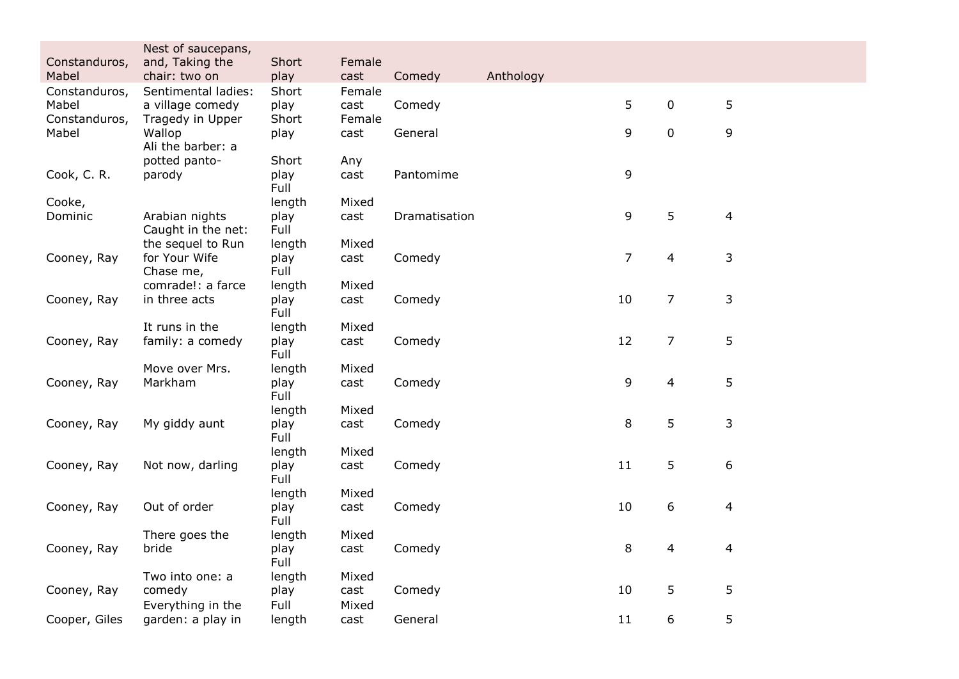|                        | Nest of saucepans,<br>and, Taking the   | Short          | Female         |               |           |                |                |                |  |
|------------------------|-----------------------------------------|----------------|----------------|---------------|-----------|----------------|----------------|----------------|--|
| Constanduros,<br>Mabel | chair: two on                           | play           | cast           | Comedy        | Anthology |                |                |                |  |
| Constanduros,          | Sentimental ladies:                     | Short          | Female         |               |           |                |                |                |  |
| Mabel<br>Constanduros, | a village comedy<br>Tragedy in Upper    | play<br>Short  | cast<br>Female | Comedy        |           | 5              | $\mathbf 0$    | 5              |  |
| Mabel                  | Wallop                                  | play           | cast           | General       |           | 9              | $\mathbf 0$    | 9              |  |
|                        | Ali the barber: a                       |                |                |               |           |                |                |                |  |
|                        | potted panto-                           | Short          | Any            |               |           |                |                |                |  |
| Cook, C. R.            | parody                                  | play<br>Full   | cast           | Pantomime     |           | 9              |                |                |  |
| Cooke,                 |                                         | length         | Mixed          |               |           |                |                |                |  |
| Dominic                | Arabian nights                          | play           | cast           | Dramatisation |           | 9              | 5              | $\overline{4}$ |  |
|                        | Caught in the net:<br>the sequel to Run | Full           | Mixed          |               |           |                |                |                |  |
| Cooney, Ray            | for Your Wife                           | length<br>play | cast           | Comedy        |           | $\overline{7}$ | 4              | 3              |  |
|                        | Chase me,                               | Full           |                |               |           |                |                |                |  |
|                        | comrade!: a farce                       | length         | Mixed          |               |           |                |                |                |  |
| Cooney, Ray            | in three acts                           | play<br>Full   | cast           | Comedy        |           | 10             | $\overline{7}$ | 3              |  |
|                        | It runs in the                          | length         | Mixed          |               |           |                |                |                |  |
| Cooney, Ray            | family: a comedy                        | play           | cast           | Comedy        |           | 12             | $\overline{7}$ | 5              |  |
|                        |                                         | Full           |                |               |           |                |                |                |  |
| Cooney, Ray            | Move over Mrs.<br>Markham               | length<br>play | Mixed<br>cast  | Comedy        |           | 9              | $\overline{4}$ | 5              |  |
|                        |                                         | Full           |                |               |           |                |                |                |  |
|                        |                                         | length         | Mixed          |               |           |                |                |                |  |
| Cooney, Ray            | My giddy aunt                           | play           | cast           | Comedy        |           | 8              | 5              | 3              |  |
|                        |                                         | Full<br>length | Mixed          |               |           |                |                |                |  |
| Cooney, Ray            | Not now, darling                        | play           | cast           | Comedy        |           | 11             | 5              | 6              |  |
|                        |                                         | Full           |                |               |           |                |                |                |  |
|                        |                                         | length         | Mixed          |               |           |                |                |                |  |
| Cooney, Ray            | Out of order                            | play<br>Full   | cast           | Comedy        |           | 10             | 6              | $\overline{4}$ |  |
|                        | There goes the                          | length         | Mixed          |               |           |                |                |                |  |
| Cooney, Ray            | bride                                   | play           | cast           | Comedy        |           | 8              | 4              | 4              |  |
|                        |                                         | Full           |                |               |           |                |                |                |  |
| Cooney, Ray            | Two into one: a<br>comedy               | length<br>play | Mixed<br>cast  | Comedy        |           | 10             | 5              | 5              |  |
|                        | Everything in the                       | Full           | Mixed          |               |           |                |                |                |  |
| Cooper, Giles          | garden: a play in                       | length         | cast           | General       |           | 11             | 6              | 5              |  |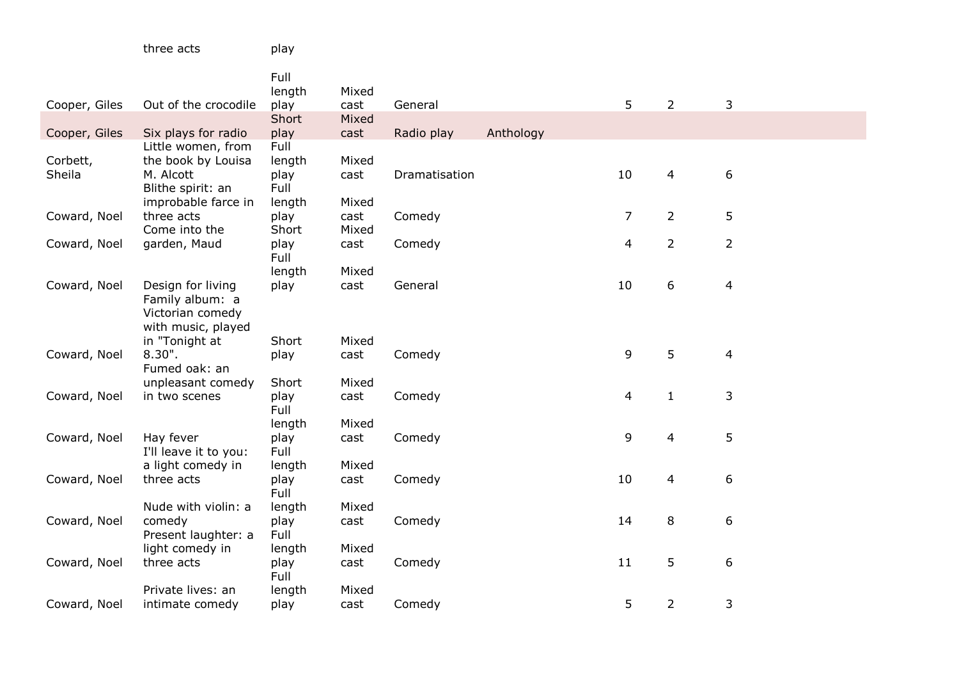|               |                                    | Full<br>length | Mixed |               |           |                |                |                  |
|---------------|------------------------------------|----------------|-------|---------------|-----------|----------------|----------------|------------------|
| Cooper, Giles | Out of the crocodile               | play           | cast  | General       |           | 5              | $\overline{2}$ | 3                |
|               |                                    | Short          | Mixed |               |           |                |                |                  |
| Cooper, Giles | Six plays for radio                | play           | cast  | Radio play    | Anthology |                |                |                  |
|               | Little women, from                 | Full           |       |               |           |                |                |                  |
| Corbett,      | the book by Louisa                 | length         | Mixed |               |           |                |                |                  |
| Sheila        | M. Alcott                          | play           | cast  | Dramatisation |           | 10             | 4              | 6                |
|               | Blithe spirit: an                  | Full           |       |               |           |                |                |                  |
|               | improbable farce in                | length         | Mixed |               |           |                |                |                  |
| Coward, Noel  | three acts                         | play           | cast  | Comedy        |           | $\overline{7}$ | $\overline{2}$ | 5                |
|               | Come into the                      | Short          | Mixed |               |           |                |                |                  |
| Coward, Noel  | garden, Maud                       | play<br>Full   | cast  | Comedy        |           | 4              | $\overline{2}$ | $\overline{2}$   |
|               |                                    | length         | Mixed |               |           |                |                |                  |
| Coward, Noel  | Design for living                  | play           | cast  | General       |           | 10             | 6              | 4                |
|               | Family album: a                    |                |       |               |           |                |                |                  |
|               | Victorian comedy                   |                |       |               |           |                |                |                  |
|               | with music, played                 |                |       |               |           |                |                |                  |
|               | in "Tonight at                     | Short          | Mixed |               |           |                |                |                  |
| Coward, Noel  | 8.30".                             | play           | cast  | Comedy        |           | 9              | 5              | 4                |
|               | Fumed oak: an                      |                |       |               |           |                |                |                  |
|               | unpleasant comedy                  | Short          | Mixed |               |           |                |                |                  |
| Coward, Noel  | in two scenes                      | play           | cast  | Comedy        |           | $\overline{4}$ | $\mathbf{1}$   | 3                |
|               |                                    | Full           |       |               |           |                |                |                  |
|               |                                    | length         | Mixed |               |           | 9              |                |                  |
| Coward, Noel  | Hay fever<br>I'll leave it to you: | play<br>Full   | cast  | Comedy        |           |                | 4              | 5                |
|               | a light comedy in                  | length         | Mixed |               |           |                |                |                  |
| Coward, Noel  | three acts                         | play           | cast  | Comedy        |           | 10             | 4              | $\boldsymbol{6}$ |
|               |                                    | Full           |       |               |           |                |                |                  |
|               | Nude with violin: a                | length         | Mixed |               |           |                |                |                  |
| Coward, Noel  | comedy                             | play           | cast  | Comedy        |           | 14             | 8              | 6                |
|               | Present laughter: a                | Full           |       |               |           |                |                |                  |
|               | light comedy in                    | length         | Mixed |               |           |                |                |                  |
| Coward, Noel  | three acts                         | play           | cast  | Comedy        |           | 11             | 5              | 6                |
|               |                                    | Full           |       |               |           |                |                |                  |
|               | Private lives: an                  | length         | Mixed |               |           |                |                |                  |
| Coward, Noel  | intimate comedy                    | play           | cast  | Comedy        |           | 5              | $\overline{2}$ | 3                |

three acts blay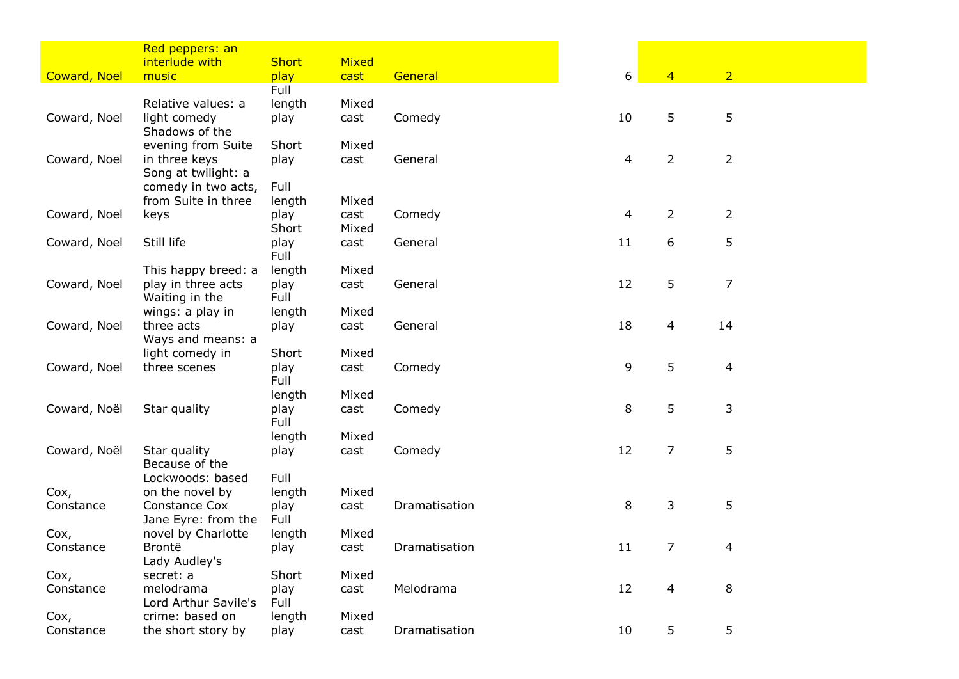|                     | Red peppers: an                            |                |               |               |    |                |                |  |
|---------------------|--------------------------------------------|----------------|---------------|---------------|----|----------------|----------------|--|
|                     | interlude with                             | <b>Short</b>   | Mixed         |               |    |                |                |  |
| <b>Coward, Noel</b> | music                                      | play           | cast          | General       | 6  | $\overline{4}$ | $\overline{2}$ |  |
|                     |                                            | Full           |               |               |    |                |                |  |
|                     | Relative values: a                         | length         | Mixed         |               |    |                |                |  |
| Coward, Noel        | light comedy                               | play           | cast          | Comedy        | 10 | 5              | 5              |  |
|                     | Shadows of the                             |                |               |               |    |                |                |  |
|                     | evening from Suite                         | Short          | Mixed         |               |    |                |                |  |
| Coward, Noel        | in three keys                              | play           | cast          | General       | 4  | $\overline{2}$ | $\overline{2}$ |  |
|                     | Song at twilight: a<br>comedy in two acts, | Full           |               |               |    |                |                |  |
|                     | from Suite in three                        | length         | Mixed         |               |    |                |                |  |
| Coward, Noel        | keys                                       | play           | cast          | Comedy        | 4  | $\overline{2}$ | $\overline{2}$ |  |
|                     |                                            | Short          | Mixed         |               |    |                |                |  |
| Coward, Noel        | Still life                                 | play           | cast          | General       | 11 | 6              | 5              |  |
|                     |                                            | Full           |               |               |    |                |                |  |
|                     | This happy breed: a                        | length         | Mixed         |               |    |                |                |  |
| Coward, Noel        | play in three acts                         | play           | cast          | General       | 12 | 5              | 7              |  |
|                     | Waiting in the                             | Full           |               |               |    |                |                |  |
|                     | wings: a play in                           | length         | Mixed         |               |    |                |                |  |
| Coward, Noel        | three acts                                 | play           | cast          | General       | 18 | 4              | 14             |  |
|                     | Ways and means: a                          |                |               |               |    |                |                |  |
|                     | light comedy in                            | Short          | Mixed         |               |    |                |                |  |
| Coward, Noel        | three scenes                               | play           | cast          | Comedy        | 9  | 5              | $\overline{4}$ |  |
|                     |                                            | Full           |               |               |    |                |                |  |
| Coward, Noël        | Star quality                               | length<br>play | Mixed<br>cast | Comedy        | 8  | 5              | 3              |  |
|                     |                                            | Full           |               |               |    |                |                |  |
|                     |                                            | length         | Mixed         |               |    |                |                |  |
| Coward, Noël        | Star quality                               | play           | cast          | Comedy        | 12 | $\overline{7}$ | 5              |  |
|                     | Because of the                             |                |               |               |    |                |                |  |
|                     | Lockwoods: based                           | Full           |               |               |    |                |                |  |
| Cox,                | on the novel by                            | length         | Mixed         |               |    |                |                |  |
| Constance           | Constance Cox                              | play           | cast          | Dramatisation | 8  | 3              | 5              |  |
|                     | Jane Eyre: from the                        | Full           |               |               |    |                |                |  |
| Cox,                | novel by Charlotte                         | length         | Mixed         |               |    |                |                |  |
| Constance           | Brontë                                     | play           | cast          | Dramatisation | 11 | 7              | 4              |  |
|                     | Lady Audley's                              |                |               |               |    |                |                |  |
| Cox,                | secret: a<br>melodrama                     | Short          | Mixed         |               | 12 |                |                |  |
| Constance           | Lord Arthur Savile's                       | play<br>Full   | cast          | Melodrama     |    | 4              | 8              |  |
| Cox,                | crime: based on                            | length         | Mixed         |               |    |                |                |  |
| Constance           | the short story by                         | play           | cast          | Dramatisation | 10 | 5              | 5              |  |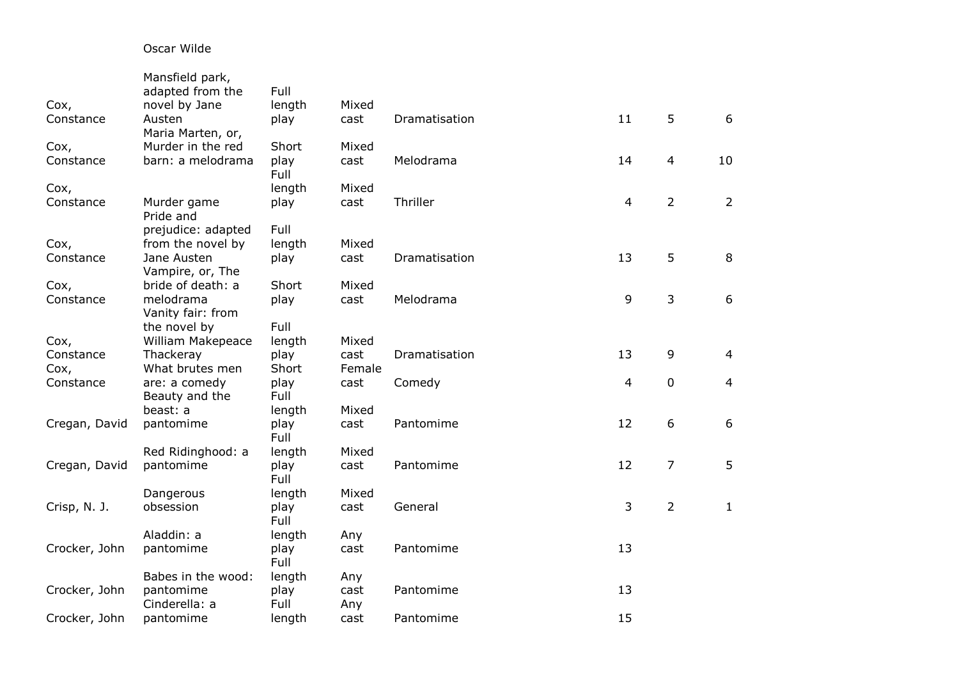## Oscar Wilde

|                   | Mansfield park,<br>adapted from the          | Full                  | Mixed         |               |    |                  |                |
|-------------------|----------------------------------------------|-----------------------|---------------|---------------|----|------------------|----------------|
| Cox,<br>Constance | novel by Jane<br>Austen<br>Maria Marten, or, | length<br>play        | cast          | Dramatisation | 11 | 5                | 6              |
| Cox,<br>Constance | Murder in the red<br>barn: a melodrama       | Short<br>play<br>Full | Mixed<br>cast | Melodrama     | 14 | 4                | 10             |
| Cox,              |                                              | length                | Mixed         |               |    |                  |                |
| Constance         | Murder game<br>Pride and                     | play                  | cast          | Thriller      | 4  | $\overline{2}$   | $\overline{2}$ |
|                   | prejudice: adapted                           | Full                  |               |               |    |                  |                |
| Cox,              | from the novel by                            | length                | Mixed         |               |    |                  |                |
| Constance         | Jane Austen                                  | play                  | cast          | Dramatisation | 13 | 5                | 8              |
|                   | Vampire, or, The                             |                       |               |               |    |                  |                |
| Cox,              | bride of death: a                            | Short                 | Mixed         |               |    |                  |                |
| Constance         | melodrama                                    | play                  | cast          | Melodrama     | 9  | 3                | 6              |
|                   | Vanity fair: from                            | Full                  |               |               |    |                  |                |
|                   | the novel by                                 |                       | Mixed         |               |    |                  |                |
| Cox,<br>Constance | William Makepeace<br>Thackeray               | length<br>play        | cast          | Dramatisation | 13 | 9                | $\overline{4}$ |
| Cox,              | What brutes men                              | Short                 | Female        |               |    |                  |                |
| Constance         | are: a comedy                                | play                  | cast          | Comedy        | 4  | $\boldsymbol{0}$ | $\overline{4}$ |
|                   | Beauty and the                               | Full                  |               |               |    |                  |                |
|                   | beast: a                                     | length                | Mixed         |               |    |                  |                |
| Cregan, David     | pantomime                                    | play<br>Full          | cast          | Pantomime     | 12 | 6                | 6              |
|                   | Red Ridinghood: a                            | length                | Mixed         |               |    |                  |                |
| Cregan, David     | pantomime                                    | play<br>Full          | cast          | Pantomime     | 12 | 7                | 5              |
|                   | Dangerous                                    | length                | Mixed         |               |    |                  |                |
| Crisp, N. J.      | obsession                                    | play<br>Full          | cast          | General       | 3  | $\overline{2}$   | $\mathbf{1}$   |
|                   | Aladdin: a                                   | length                | Any           |               |    |                  |                |
| Crocker, John     | pantomime                                    | play<br>Full          | cast          | Pantomime     | 13 |                  |                |
|                   | Babes in the wood:                           | length                | Any           |               |    |                  |                |
| Crocker, John     | pantomime                                    | play                  | cast          | Pantomime     | 13 |                  |                |
|                   | Cinderella: a                                | Full                  | Any           |               |    |                  |                |
| Crocker, John     | pantomime                                    | length                | cast          | Pantomime     | 15 |                  |                |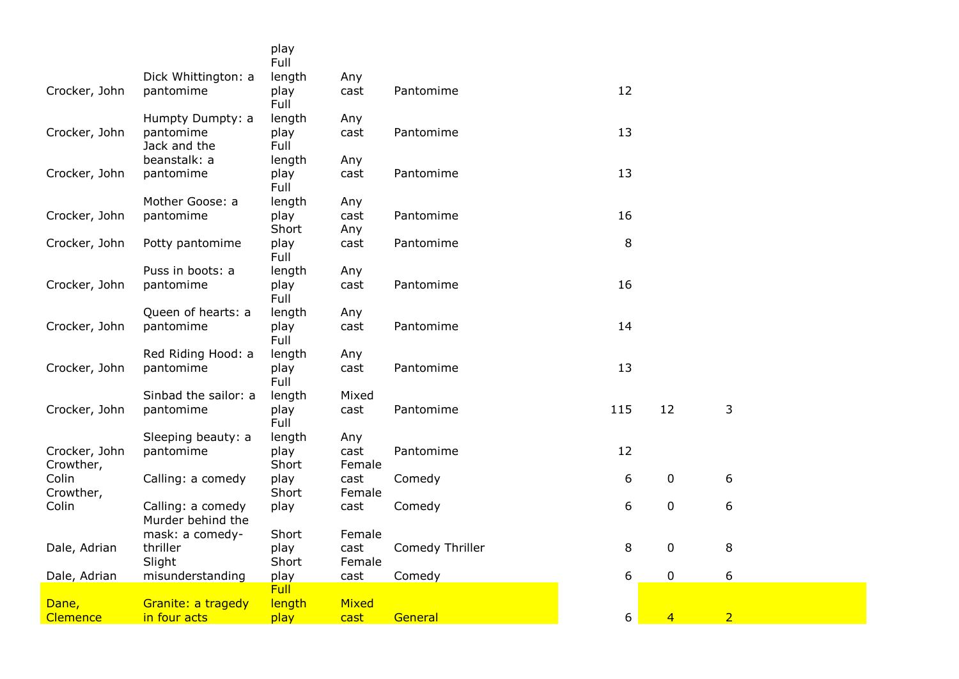|                    |                                  | play                   |                |                 |     |                |                |  |
|--------------------|----------------------------------|------------------------|----------------|-----------------|-----|----------------|----------------|--|
|                    |                                  | Full                   |                |                 |     |                |                |  |
| Crocker, John      | Dick Whittington: a<br>pantomime | length<br>play<br>Full | Any<br>cast    | Pantomime       | 12  |                |                |  |
|                    | Humpty Dumpty: a                 | length                 | Any            |                 |     |                |                |  |
| Crocker, John      | pantomime                        | play                   | cast           | Pantomime       | 13  |                |                |  |
|                    | Jack and the                     | Full                   |                |                 |     |                |                |  |
|                    | beanstalk: a                     | length                 | Any            |                 |     |                |                |  |
| Crocker, John      | pantomime                        | play<br>Full           | cast           | Pantomime       | 13  |                |                |  |
|                    | Mother Goose: a                  | length                 | Any            |                 |     |                |                |  |
| Crocker, John      | pantomime                        | play                   | cast           | Pantomime       | 16  |                |                |  |
|                    |                                  | Short                  | Any            |                 |     |                |                |  |
| Crocker, John      | Potty pantomime                  | play<br>Full           | cast           | Pantomime       | 8   |                |                |  |
|                    | Puss in boots: a                 | length                 | Any            |                 |     |                |                |  |
| Crocker, John      | pantomime                        | play<br>Full           | cast           | Pantomime       | 16  |                |                |  |
|                    | Queen of hearts: a               | length                 | Any            |                 |     |                |                |  |
| Crocker, John      | pantomime                        | play<br>Full           | cast           | Pantomime       | 14  |                |                |  |
|                    | Red Riding Hood: a               | length                 | Any            |                 |     |                |                |  |
| Crocker, John      | pantomime                        | play<br>Full           | cast           | Pantomime       | 13  |                |                |  |
|                    | Sinbad the sailor: a             | length                 | Mixed          |                 |     |                |                |  |
| Crocker, John      | pantomime                        | play<br>Full           | cast           | Pantomime       | 115 | 12             | 3              |  |
|                    | Sleeping beauty: a               | length                 | Any            |                 |     |                |                |  |
| Crocker, John      | pantomime                        | play                   | cast           | Pantomime       | 12  |                |                |  |
| Crowther,          |                                  | Short                  | Female         |                 |     |                |                |  |
| Colin<br>Crowther, | Calling: a comedy                | play<br>Short          | cast<br>Female | Comedy          | 6   | $\mathbf 0$    | 6              |  |
| Colin              | Calling: a comedy                | play                   | cast           | Comedy          | 6   | $\pmb{0}$      | 6              |  |
|                    | Murder behind the                |                        |                |                 |     |                |                |  |
|                    | mask: a comedy-                  | Short                  | Female         |                 |     |                |                |  |
| Dale, Adrian       | thriller                         | play                   | cast           | Comedy Thriller | 8   | $\mathbf 0$    | 8              |  |
|                    | Slight                           | Short                  | Female         |                 |     | $\mathbf 0$    | 6              |  |
| Dale, Adrian       | misunderstanding                 | play<br><b>Full</b>    | cast           | Comedy          | 6   |                |                |  |
| Dane,              | Granite: a tragedy               | length                 | Mixed          |                 |     |                |                |  |
| Clemence           | in four acts                     | play                   | cast           | General         | 6   | $\overline{4}$ | $\overline{2}$ |  |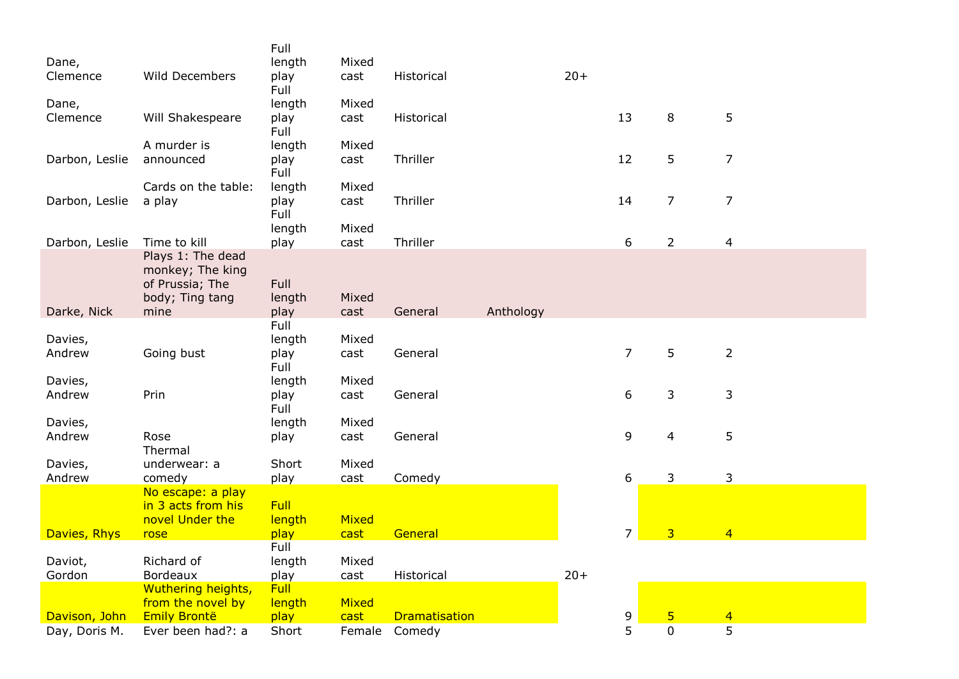|                |                                         | Full           |        |                      |           |       |                |                |                |
|----------------|-----------------------------------------|----------------|--------|----------------------|-----------|-------|----------------|----------------|----------------|
| Dane,          |                                         | length         | Mixed  |                      |           |       |                |                |                |
| Clemence       | <b>Wild Decembers</b>                   | play<br>Full   | cast   | Historical           |           | $20+$ |                |                |                |
| Dane,          |                                         | length         | Mixed  |                      |           |       |                |                |                |
| Clemence       | Will Shakespeare                        | play           | cast   | Historical           |           |       | 13             | 8              | 5              |
|                |                                         | Full           |        |                      |           |       |                |                |                |
|                | A murder is                             | length         | Mixed  |                      |           |       |                |                |                |
| Darbon, Leslie | announced                               | play<br>Full   | cast   | Thriller             |           |       | 12             | 5              | $\overline{7}$ |
|                | Cards on the table:                     | length         | Mixed  |                      |           |       |                |                |                |
| Darbon, Leslie | a play                                  | play           | cast   | Thriller             |           |       | 14             | $\overline{7}$ | $\overline{7}$ |
|                |                                         | Full           |        |                      |           |       |                |                |                |
|                |                                         | length         | Mixed  |                      |           |       |                |                |                |
| Darbon, Leslie | Time to kill<br>Plays 1: The dead       | play           | cast   | Thriller             |           |       | 6              | $\overline{2}$ | 4              |
|                | monkey; The king                        |                |        |                      |           |       |                |                |                |
|                | of Prussia; The                         | Full           |        |                      |           |       |                |                |                |
|                | body; Ting tang                         | length         | Mixed  |                      |           |       |                |                |                |
| Darke, Nick    | mine                                    | play           | cast   | General              | Anthology |       |                |                |                |
| Davies,        |                                         | Full<br>length | Mixed  |                      |           |       |                |                |                |
| Andrew         | Going bust                              | play           | cast   | General              |           |       | $\overline{7}$ | 5              | $\overline{2}$ |
|                |                                         | Full           |        |                      |           |       |                |                |                |
| Davies,        |                                         | length         | Mixed  |                      |           |       |                |                |                |
| Andrew         | Prin                                    | play           | cast   | General              |           |       | 6              | 3              | 3              |
| Davies,        |                                         | Full<br>length | Mixed  |                      |           |       |                |                |                |
| Andrew         | Rose                                    | play           | cast   | General              |           |       | 9              | 4              | 5              |
|                | Thermal                                 |                |        |                      |           |       |                |                |                |
| Davies,        | underwear: a                            | Short          | Mixed  |                      |           |       |                |                |                |
| Andrew         | comedy                                  | play           | cast   | Comedy               |           |       | 6              | 3              | 3              |
|                | No escape: a play<br>in 3 acts from his | <b>Full</b>    |        |                      |           |       |                |                |                |
|                | novel Under the                         | length         | Mixed  |                      |           |       |                |                |                |
| Davies, Rhys   | rose                                    | play           | cast   | General              |           |       | $\overline{7}$ | $\overline{3}$ | $\overline{4}$ |
|                |                                         | Full           |        |                      |           |       |                |                |                |
| Daviot,        | Richard of                              | length         | Mixed  |                      |           |       |                |                |                |
| Gordon         | <b>Bordeaux</b><br>Wuthering heights,   | play<br>Full   | cast   | Historical           |           | $20+$ |                |                |                |
|                | from the novel by                       | length         | Mixed  |                      |           |       |                |                |                |
| Davison, John  | <b>Emily Brontë</b>                     | play           | cast   | <b>Dramatisation</b> |           |       | 9              | 5              | $\overline{4}$ |
| Day, Doris M.  | Ever been had?: a                       | Short          | Female | Comedy               |           |       | 5              | $\mathbf 0$    | 5              |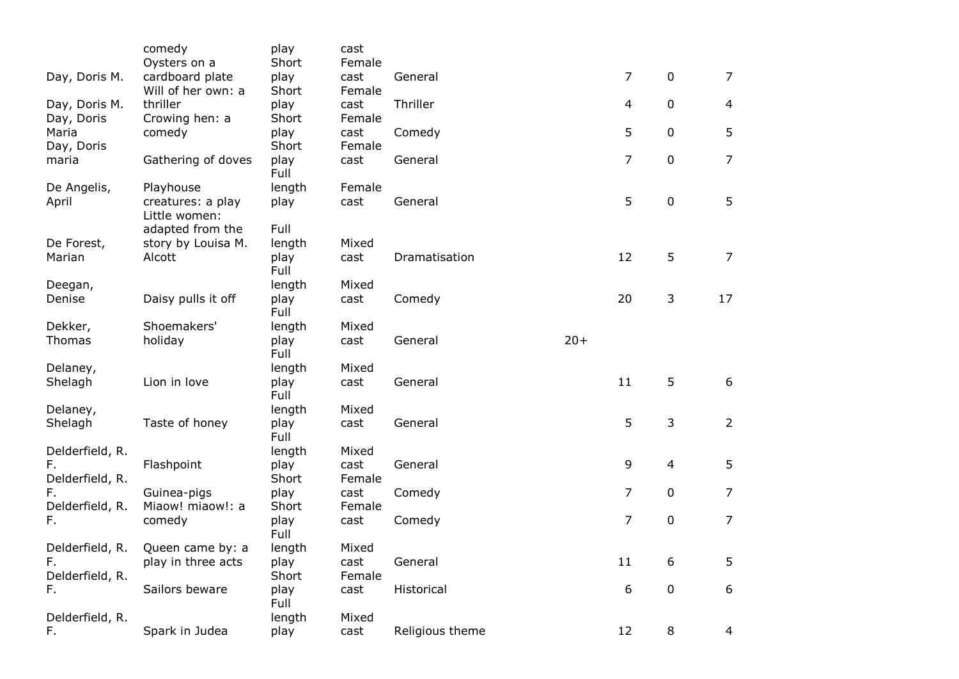|                     | comedy                             | play          | cast           |                 |       |                |                |                |
|---------------------|------------------------------------|---------------|----------------|-----------------|-------|----------------|----------------|----------------|
|                     | Oysters on a                       | Short         | Female         |                 |       |                |                |                |
| Day, Doris M.       | cardboard plate                    | play          | cast           | General         |       | $\overline{7}$ | $\mathbf 0$    | $\overline{7}$ |
|                     | Will of her own: a                 | Short         | Female         |                 |       |                |                |                |
| Day, Doris M.       | thriller                           | play          | cast           | Thriller        |       | 4              | $\pmb{0}$      | $\overline{4}$ |
| Day, Doris<br>Maria | Crowing hen: a                     | Short         | Female<br>cast |                 |       | 5              | $\mathbf 0$    | 5              |
| Day, Doris          | comedy                             | play<br>Short | Female         | Comedy          |       |                |                |                |
| maria               | Gathering of doves                 | play          | cast           | General         |       | $\overline{7}$ | $\mathbf 0$    | $\overline{7}$ |
|                     |                                    | Full          |                |                 |       |                |                |                |
| De Angelis,         | Playhouse                          | length        | Female         |                 |       |                |                |                |
| April               | creatures: a play<br>Little women: | play          | cast           | General         |       | 5              | $\mathbf 0$    | 5              |
|                     | adapted from the                   | Full          |                |                 |       |                |                |                |
| De Forest,          | story by Louisa M.                 | length        | Mixed          |                 |       |                |                |                |
| Marian              | Alcott                             | play<br>Full  | cast           | Dramatisation   |       | 12             | 5              | 7              |
| Deegan,             |                                    | length        | Mixed          |                 |       |                |                |                |
| Denise              | Daisy pulls it off                 | play<br>Full  | cast           | Comedy          |       | 20             | 3              | 17             |
| Dekker,             | Shoemakers'                        | length        | Mixed          |                 |       |                |                |                |
| Thomas              | holiday                            | play          | cast           | General         | $20+$ |                |                |                |
|                     |                                    | Full          |                |                 |       |                |                |                |
| Delaney,            |                                    | length        | Mixed          |                 |       |                |                |                |
| Shelagh             | Lion in love                       | play<br>Full  | cast           | General         |       | 11             | 5              | 6              |
| Delaney,            |                                    | length        | Mixed          |                 |       |                |                |                |
| Shelagh             | Taste of honey                     | play<br>Full  | cast           | General         |       | 5              | 3              | $\overline{2}$ |
| Delderfield, R.     |                                    | length        | Mixed          |                 |       |                |                |                |
| F.                  | Flashpoint                         | play          | cast           | General         |       | 9              | $\overline{4}$ | 5              |
| Delderfield, R.     |                                    | Short         | Female         |                 |       |                |                |                |
| F.                  | Guinea-pigs                        | play          | cast           | Comedy          |       | $\overline{7}$ | $\mathbf 0$    | $\overline{7}$ |
| Delderfield, R.     | Miaow! miaow!: a                   | Short         | Female         |                 |       |                |                |                |
| F.                  | comedy                             | play<br>Full  | cast           | Comedy          |       | $\overline{7}$ | $\mathbf 0$    | $\overline{7}$ |
| Delderfield, R.     | Queen came by: a                   | length        | Mixed          |                 |       |                |                |                |
| F.                  | play in three acts                 | play          | cast           | General         |       | 11             | 6              | 5              |
| Delderfield, R.     |                                    | Short         | Female         |                 |       |                |                |                |
| F.                  | Sailors beware                     | play<br>Full  | cast           | Historical      |       | 6              | $\mathbf 0$    | 6              |
| Delderfield, R.     |                                    | length        | Mixed          |                 |       |                |                |                |
| F.                  | Spark in Judea                     | play          | cast           | Religious theme |       | 12             | $\,8\,$        | 4              |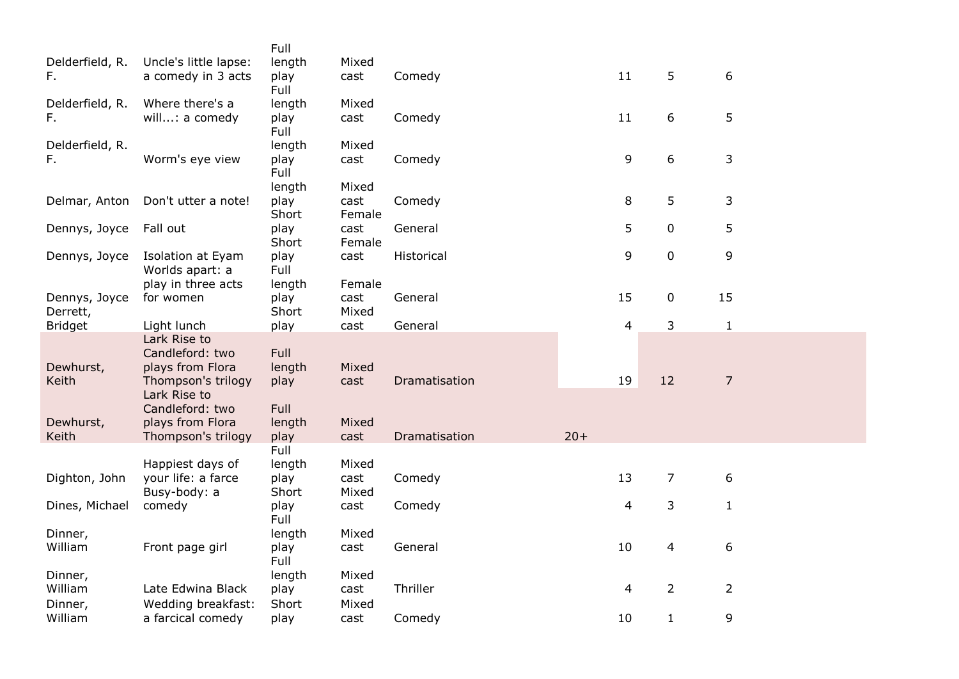|                 |                                       | Full         |        |               |       |    |                |                |
|-----------------|---------------------------------------|--------------|--------|---------------|-------|----|----------------|----------------|
| Delderfield, R. | Uncle's little lapse:                 | length       | Mixed  |               |       |    |                |                |
| F.              | a comedy in 3 acts                    | play         | cast   | Comedy        |       | 11 | 5              | 6              |
|                 |                                       | Full         |        |               |       |    |                |                |
| Delderfield, R. | Where there's a                       | length       | Mixed  |               |       |    |                |                |
| F.              | will: a comedy                        | play         | cast   | Comedy        |       | 11 | 6              | 5              |
|                 |                                       | Full         |        |               |       |    |                |                |
| Delderfield, R. |                                       | length       | Mixed  |               |       |    |                |                |
| F.              | Worm's eye view                       | play         | cast   | Comedy        |       | 9  | 6              | 3              |
|                 |                                       | Full         |        |               |       |    |                |                |
|                 |                                       | length       | Mixed  |               |       |    |                |                |
| Delmar, Anton   | Don't utter a note!                   | play         | cast   | Comedy        |       | 8  | 5              | 3              |
|                 |                                       | Short        | Female |               |       |    |                |                |
| Dennys, Joyce   | Fall out                              | play         | cast   | General       |       | 5  | $\mathbf 0$    | 5              |
|                 |                                       | Short        | Female |               |       | 9  | $\mathbf 0$    |                |
| Dennys, Joyce   | Isolation at Eyam                     | play<br>Full | cast   | Historical    |       |    |                | 9              |
|                 | Worlds apart: a<br>play in three acts | length       | Female |               |       |    |                |                |
| Dennys, Joyce   | for women                             | play         | cast   | General       |       | 15 | 0              | 15             |
| Derrett,        |                                       | Short        | Mixed  |               |       |    |                |                |
| <b>Bridget</b>  | Light lunch                           | play         | cast   | General       |       | 4  | 3              | $\mathbf{1}$   |
|                 | Lark Rise to                          |              |        |               |       |    |                |                |
|                 | Candleford: two                       | Full         |        |               |       |    |                |                |
| Dewhurst,       | plays from Flora                      | length       | Mixed  |               |       |    |                |                |
| Keith           | Thompson's trilogy                    | play         | cast   | Dramatisation |       | 19 | 12             | $\overline{7}$ |
|                 | Lark Rise to                          |              |        |               |       |    |                |                |
|                 | Candleford: two                       | Full         |        |               |       |    |                |                |
| Dewhurst,       | plays from Flora                      | length       | Mixed  |               |       |    |                |                |
| Keith           | Thompson's trilogy                    | play         | cast   | Dramatisation | $20+$ |    |                |                |
|                 |                                       | Full         |        |               |       |    |                |                |
|                 | Happiest days of                      | length       | Mixed  |               |       |    |                |                |
| Dighton, John   | your life: a farce                    | play         | cast   | Comedy        |       | 13 | $\overline{7}$ | 6              |
|                 | Busy-body: a                          | Short        | Mixed  |               |       |    |                |                |
| Dines, Michael  | comedy                                | play         | cast   | Comedy        |       | 4  | 3              | $\mathbf{1}$   |
|                 |                                       | Full         |        |               |       |    |                |                |
| Dinner,         |                                       | length       | Mixed  |               |       |    |                |                |
| William         | Front page girl                       | play<br>Full | cast   | General       |       | 10 | 4              | 6              |
| Dinner,         |                                       | length       | Mixed  |               |       |    |                |                |
| William         | Late Edwina Black                     | play         | cast   | Thriller      |       | 4  | $\overline{2}$ | $\overline{2}$ |
| Dinner,         | Wedding breakfast:                    | Short        | Mixed  |               |       |    |                |                |
| William         | a farcical comedy                     | play         | cast   | Comedy        |       | 10 | $\mathbf{1}$   | 9              |
|                 |                                       |              |        |               |       |    |                |                |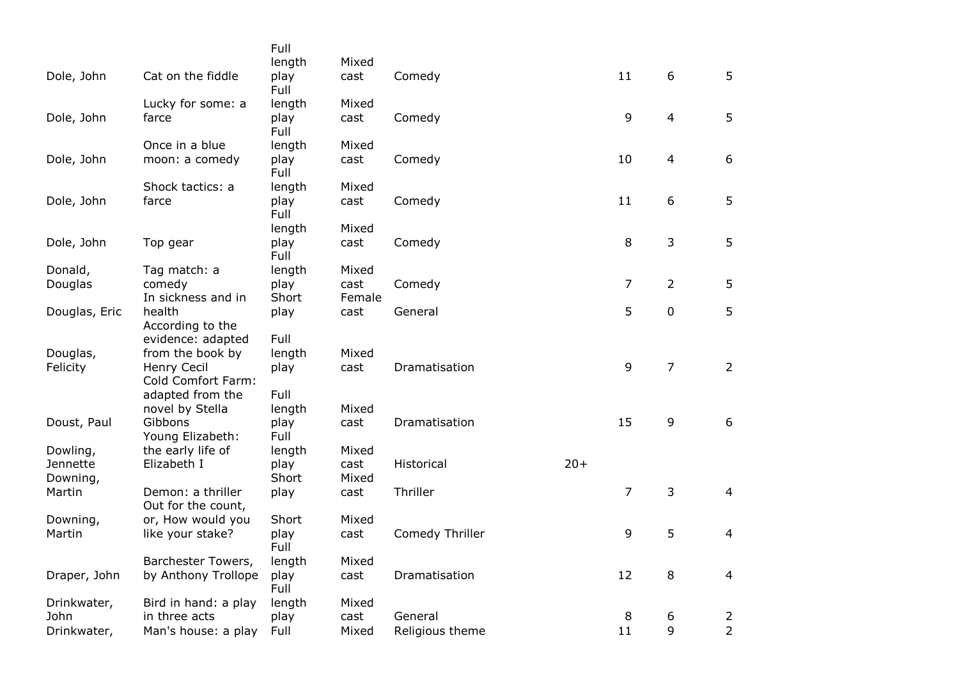|               |                                   | Full         |        |                 |       |    |                |                |
|---------------|-----------------------------------|--------------|--------|-----------------|-------|----|----------------|----------------|
|               |                                   | length       | Mixed  |                 |       |    |                |                |
| Dole, John    | Cat on the fiddle                 | play<br>Full | cast   | Comedy          |       | 11 | 6              | 5              |
|               | Lucky for some: a                 | length       | Mixed  |                 |       |    |                |                |
| Dole, John    | farce                             | play<br>Full | cast   | Comedy          |       | 9  | $\overline{4}$ | 5              |
|               | Once in a blue                    | length       | Mixed  |                 |       |    |                |                |
| Dole, John    | moon: a comedy                    | play<br>Full | cast   | Comedy          |       | 10 | $\overline{4}$ | 6              |
|               | Shock tactics: a                  | length       | Mixed  |                 |       |    |                |                |
| Dole, John    | farce                             | play<br>Full | cast   | Comedy          |       | 11 | 6              | 5              |
|               |                                   | length       | Mixed  |                 |       |    |                |                |
| Dole, John    | Top gear                          | play<br>Full | cast   | Comedy          |       | 8  | 3              | 5              |
| Donald,       | Tag match: a                      | length       | Mixed  |                 |       |    |                |                |
| Douglas       | comedy                            | play         | cast   | Comedy          |       | 7  | $\overline{2}$ | 5              |
|               | In sickness and in                | Short        | Female |                 |       |    |                |                |
| Douglas, Eric | health                            | play         | cast   | General         |       | 5  | $\pmb{0}$      | 5              |
|               | According to the                  |              |        |                 |       |    |                |                |
|               | evidence: adapted                 | Full         |        |                 |       |    |                |                |
| Douglas,      | from the book by                  | length       | Mixed  |                 |       |    |                |                |
| Felicity      | Henry Cecil<br>Cold Comfort Farm: | play         | cast   | Dramatisation   |       | 9  | $\overline{7}$ | $\overline{2}$ |
|               | adapted from the                  | Full         |        |                 |       |    |                |                |
|               | novel by Stella                   | length       | Mixed  |                 |       |    |                |                |
| Doust, Paul   | Gibbons                           | play         | cast   | Dramatisation   |       | 15 | 9              | 6              |
|               | Young Elizabeth:                  | Full         |        |                 |       |    |                |                |
| Dowling,      | the early life of                 | length       | Mixed  |                 |       |    |                |                |
| Jennette      | Elizabeth I                       | play         | cast   | Historical      | $20+$ |    |                |                |
| Downing,      |                                   | Short        | Mixed  |                 |       |    |                |                |
| Martin        | Demon: a thriller                 | play         | cast   | Thriller        |       | 7  | 3              | $\overline{4}$ |
|               | Out for the count,                |              |        |                 |       |    |                |                |
| Downing,      | or, How would you                 | Short        | Mixed  |                 |       |    |                |                |
| Martin        | like your stake?                  | play<br>Full | cast   | Comedy Thriller |       | 9  | 5              | 4              |
|               | Barchester Towers,                | length       | Mixed  |                 |       |    |                |                |
| Draper, John  | by Anthony Trollope               | play<br>Full | cast   | Dramatisation   |       | 12 | 8              | $\overline{4}$ |
| Drinkwater,   | Bird in hand: a play              | length       | Mixed  |                 |       |    |                |                |
| John          | in three acts                     | play         | cast   | General         |       | 8  | 6              | $\overline{2}$ |
| Drinkwater,   | Man's house: a play               | Full         | Mixed  | Religious theme |       | 11 | 9              | $\overline{2}$ |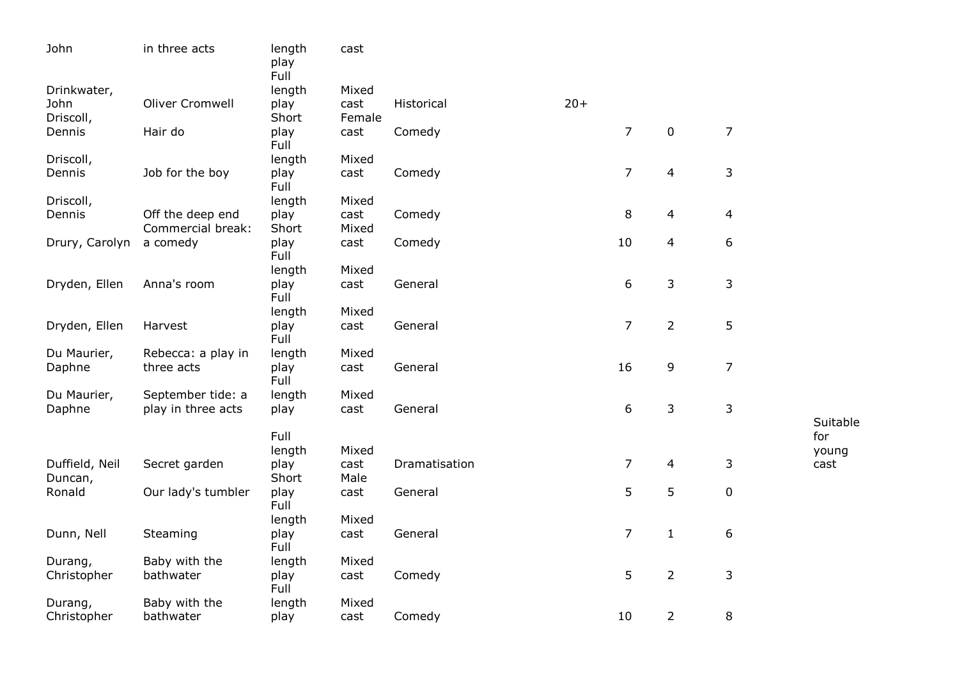| John                      | in three acts                         | length<br>play<br>Full | cast           |               |       |                |                         |                |          |
|---------------------------|---------------------------------------|------------------------|----------------|---------------|-------|----------------|-------------------------|----------------|----------|
| Drinkwater,               |                                       | length                 | Mixed          |               |       |                |                         |                |          |
| John<br>Driscoll,         | <b>Oliver Cromwell</b>                | play<br>Short          | cast<br>Female | Historical    | $20+$ |                |                         |                |          |
| Dennis                    | Hair do                               | play<br>Full           | cast           | Comedy        |       | $\overline{7}$ | $\mathbf 0$             | $\overline{7}$ |          |
| Driscoll,                 |                                       | length                 | Mixed          |               |       |                |                         |                |          |
| Dennis                    | Job for the boy                       | play<br>Full           | cast           | Comedy        |       | $\overline{7}$ | $\overline{\mathbf{4}}$ | 3              |          |
| Driscoll,                 |                                       | length                 | Mixed          |               |       |                |                         |                |          |
| Dennis                    | Off the deep end<br>Commercial break: | play<br>Short          | cast<br>Mixed  | Comedy        |       | 8              | 4                       | 4              |          |
| Drury, Carolyn            | a comedy                              | play<br>Full           | cast           | Comedy        |       | 10             | 4                       | 6              |          |
|                           |                                       | length                 | Mixed          |               |       |                |                         |                |          |
| Dryden, Ellen             | Anna's room                           | play<br>Full           | cast           | General       |       | 6              | 3                       | 3              |          |
|                           |                                       | length                 | Mixed          |               |       |                |                         |                |          |
| Dryden, Ellen             | Harvest                               | play<br>Full           | cast           | General       |       | $\overline{7}$ | $\overline{2}$          | 5              |          |
| Du Maurier,               | Rebecca: a play in                    | length                 | Mixed          |               |       |                |                         |                |          |
| Daphne                    | three acts                            | play<br>Full           | cast           | General       |       | 16             | 9                       | $\overline{7}$ |          |
| Du Maurier,               | September tide: a                     | length                 | Mixed          |               |       |                |                         |                |          |
| Daphne                    | play in three acts                    | play                   | cast           | General       |       | 6              | 3                       | 3              | Suitable |
|                           |                                       | Full                   |                |               |       |                |                         |                | for      |
|                           |                                       | length                 | Mixed          |               |       |                |                         |                | young    |
| Duffield, Neil<br>Duncan, | Secret garden                         | play<br>Short          | cast<br>Male   | Dramatisation |       | 7              | 4                       | 3              | cast     |
| Ronald                    | Our lady's tumbler                    | play<br>Full           | cast           | General       |       | 5              | 5                       | 0              |          |
|                           |                                       | length                 | Mixed          |               |       |                |                         |                |          |
| Dunn, Nell                | Steaming                              | play<br>Full           | cast           | General       |       | $\overline{7}$ | $\mathbf{1}$            | 6              |          |
| Durang,                   | Baby with the                         | length                 | Mixed          |               |       |                |                         |                |          |
| Christopher               | bathwater                             | play<br>Full           | cast           | Comedy        |       | 5              | $\overline{2}$          | 3              |          |
| Durang,                   | Baby with the                         | length                 | Mixed          |               |       |                |                         |                |          |
| Christopher               | bathwater                             | play                   | cast           | Comedy        |       | 10             | $\overline{2}$          | 8              |          |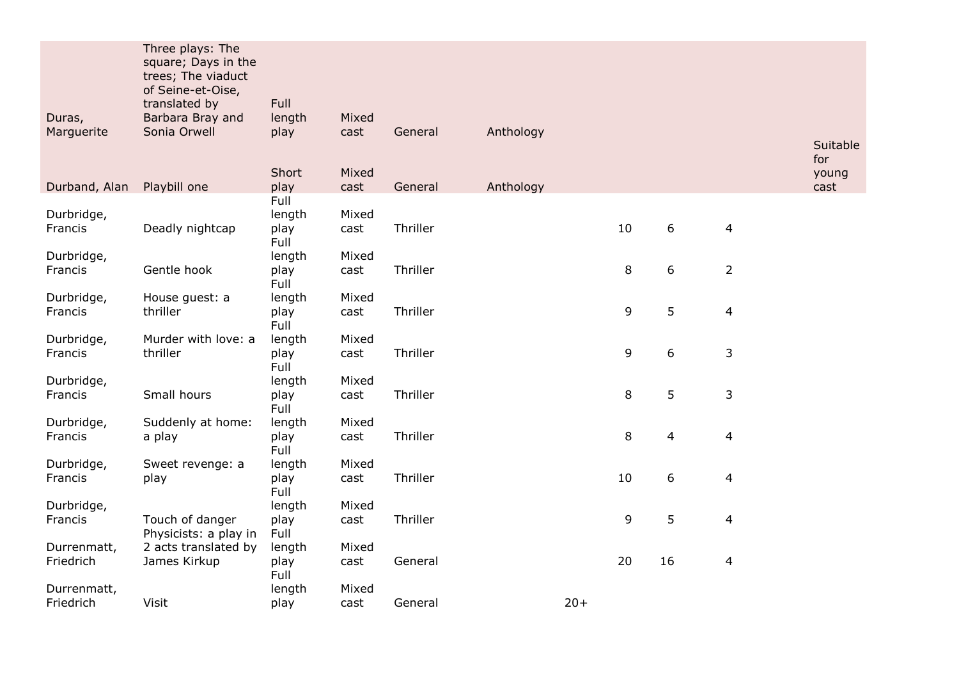| Duras,                | Three plays: The<br>square; Days in the<br>trees; The viaduct<br>of Seine-et-Oise,<br>translated by<br>Barbara Bray and | Full<br>length | Mixed         |          |           |       |    |                  |                |                 |
|-----------------------|-------------------------------------------------------------------------------------------------------------------------|----------------|---------------|----------|-----------|-------|----|------------------|----------------|-----------------|
| Marguerite            | Sonia Orwell                                                                                                            | play           | cast          | General  | Anthology |       |    |                  |                | Suitable<br>for |
|                       |                                                                                                                         | Short          | Mixed         |          |           |       |    |                  |                | young           |
| Durband, Alan         | Playbill one                                                                                                            | play<br>Full   | cast          | General  | Anthology |       |    |                  |                | cast            |
| Durbridge,<br>Francis | Deadly nightcap                                                                                                         | length<br>play | Mixed<br>cast | Thriller |           |       | 10 | 6                | 4              |                 |
|                       |                                                                                                                         | Full           |               |          |           |       |    |                  |                |                 |
| Durbridge,            |                                                                                                                         | length         | Mixed         |          |           |       |    |                  |                |                 |
| Francis               | Gentle hook                                                                                                             | play<br>Full   | cast          | Thriller |           |       | 8  | 6                | $\overline{2}$ |                 |
| Durbridge,            | House guest: a                                                                                                          | length         | Mixed         |          |           |       |    |                  |                |                 |
| Francis               | thriller                                                                                                                | play<br>Full   | cast          | Thriller |           |       | 9  | 5                | 4              |                 |
| Durbridge,            | Murder with love: a                                                                                                     | length         | Mixed         |          |           |       |    |                  |                |                 |
| Francis               | thriller                                                                                                                | play<br>Full   | cast          | Thriller |           |       | 9  | 6                | 3              |                 |
| Durbridge,            |                                                                                                                         | length         | Mixed         |          |           |       |    |                  |                |                 |
| Francis               | Small hours                                                                                                             | play<br>Full   | cast          | Thriller |           |       | 8  | 5                | 3              |                 |
| Durbridge,            | Suddenly at home:                                                                                                       | length         | Mixed         |          |           |       |    |                  |                |                 |
| Francis               | a play                                                                                                                  | play<br>Full   | cast          | Thriller |           |       | 8  | $\overline{4}$   | $\overline{4}$ |                 |
| Durbridge,            | Sweet revenge: a                                                                                                        | length         | Mixed         |          |           |       |    |                  |                |                 |
| Francis               | play                                                                                                                    | play<br>Full   | cast          | Thriller |           |       | 10 | $\boldsymbol{6}$ | 4              |                 |
| Durbridge,            |                                                                                                                         | length         | Mixed         |          |           |       |    |                  |                |                 |
| Francis               | Touch of danger<br>Physicists: a play in                                                                                | play<br>Full   | cast          | Thriller |           |       | 9  | 5                | 4              |                 |
| Durrenmatt,           | 2 acts translated by                                                                                                    | length         | Mixed         |          |           |       |    |                  |                |                 |
| Friedrich             | James Kirkup                                                                                                            | play<br>Full   | cast          | General  |           |       | 20 | 16               | 4              |                 |
| Durrenmatt,           |                                                                                                                         | length         | Mixed         |          |           |       |    |                  |                |                 |
| Friedrich             | Visit                                                                                                                   | play           | cast          | General  |           | $20+$ |    |                  |                |                 |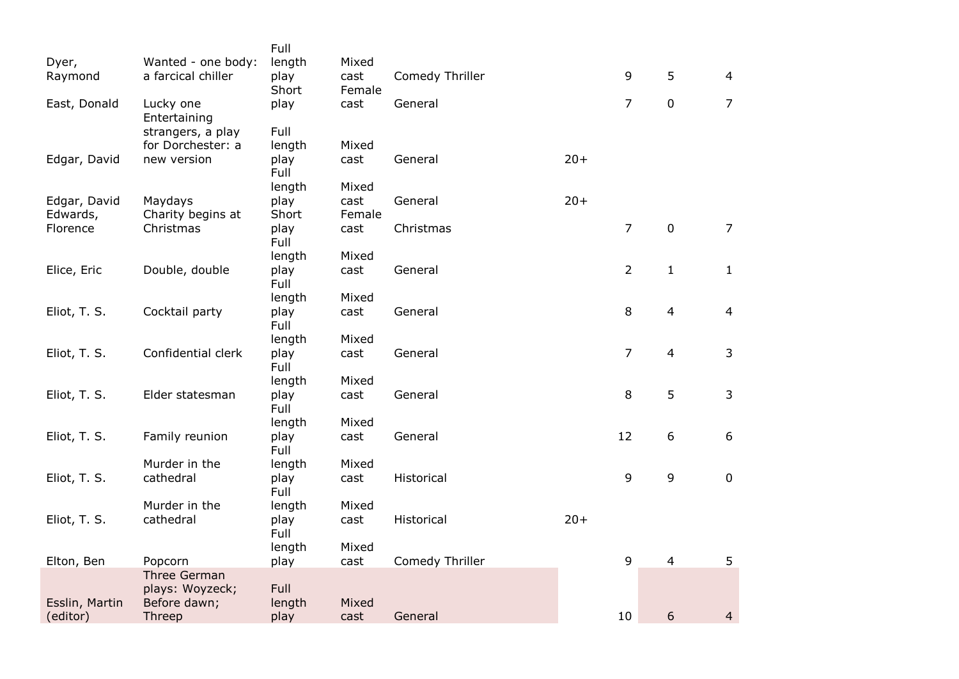|                |                           | Full                |        |                 |       |                |                |                |
|----------------|---------------------------|---------------------|--------|-----------------|-------|----------------|----------------|----------------|
| Dyer,          | Wanted - one body:        | length              | Mixed  |                 |       |                |                |                |
| Raymond        | a farcical chiller        | play                | cast   | Comedy Thriller |       | 9              | 5              | $\overline{4}$ |
|                |                           | Short               | Female |                 |       |                |                |                |
| East, Donald   | Lucky one<br>Entertaining | play                | cast   | General         |       | $\overline{7}$ | $\mathbf 0$    | $\overline{7}$ |
|                | strangers, a play         | Full                |        |                 |       |                |                |                |
|                | for Dorchester: a         | length              | Mixed  |                 |       |                |                |                |
| Edgar, David   | new version               | play<br>Full        | cast   | General         | $20+$ |                |                |                |
|                |                           | length              | Mixed  |                 |       |                |                |                |
| Edgar, David   | Maydays                   | play                | cast   | General         | $20+$ |                |                |                |
| Edwards,       | Charity begins at         | Short               | Female |                 |       |                |                |                |
| Florence       | Christmas                 | play<br>Full        | cast   | Christmas       |       | $\overline{7}$ | $\pmb{0}$      | $\overline{7}$ |
|                |                           | length              | Mixed  |                 |       |                |                |                |
| Elice, Eric    | Double, double            | play<br>Full        | cast   | General         |       | $\overline{2}$ | $\mathbf{1}$   | $\mathbf{1}$   |
|                |                           | length              | Mixed  |                 |       |                |                |                |
| Eliot, T. S.   | Cocktail party            | play<br>Full        | cast   | General         |       | 8              | $\overline{4}$ | $\overline{4}$ |
|                |                           | length              | Mixed  |                 |       |                |                |                |
| Eliot, T. S.   | Confidential clerk        | play<br>Full        | cast   | General         |       | $\overline{7}$ | $\overline{4}$ | 3              |
|                |                           | length              | Mixed  |                 |       |                |                |                |
| Eliot, T. S.   | Elder statesman           | play<br>Full        | cast   | General         |       | 8              | 5              | 3              |
|                |                           | length              | Mixed  |                 |       |                |                |                |
| Eliot, T. S.   | Family reunion            | play<br>Full        | cast   | General         |       | 12             | 6              | 6              |
|                | Murder in the             | length              | Mixed  |                 |       |                |                |                |
| Eliot, T. S.   | cathedral                 | play<br>Full        | cast   | Historical      |       | 9              | $\mathsf 9$    | $\mathbf 0$    |
|                | Murder in the             | length              | Mixed  |                 |       |                |                |                |
| Eliot, T. S.   | cathedral                 | play<br><b>Full</b> | cast   | Historical      | $20+$ |                |                |                |
|                |                           | length              | Mixed  |                 |       |                |                |                |
| Elton, Ben     | Popcorn                   | play                | cast   | Comedy Thriller |       | 9              | $\overline{4}$ | 5              |
|                | <b>Three German</b>       |                     |        |                 |       |                |                |                |
|                | plays: Woyzeck;           | Full                |        |                 |       |                |                |                |
| Esslin, Martin | Before dawn;              | length              | Mixed  |                 |       |                |                |                |
| (editor)       | Threep                    | play                | cast   | General         |       | 10             | 6              | $\overline{4}$ |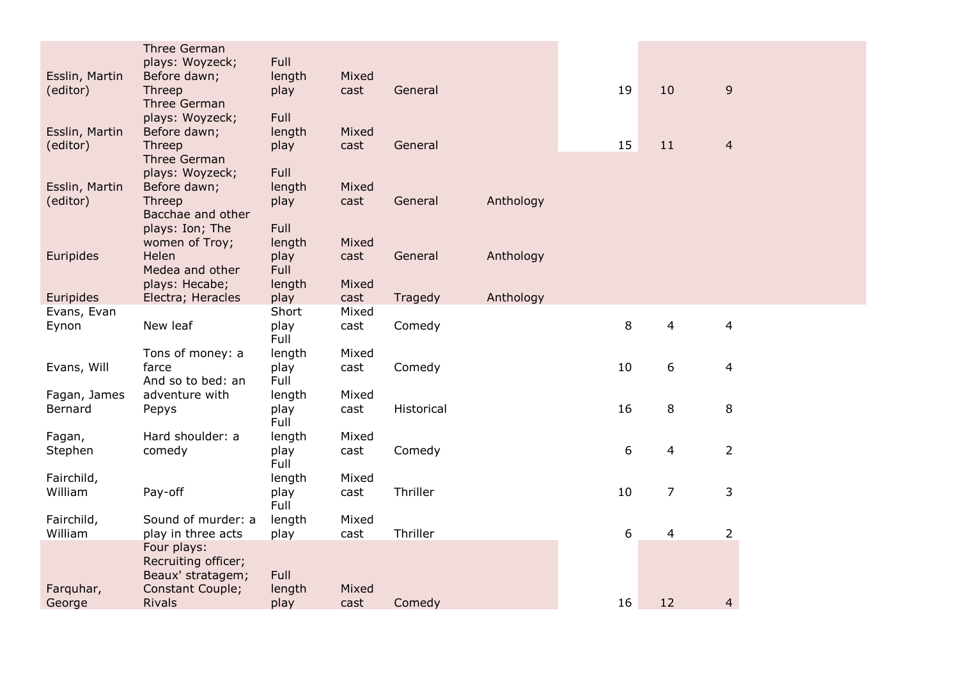|                      | <b>Three German</b>                      |               |               |            |           |    |                |                         |
|----------------------|------------------------------------------|---------------|---------------|------------|-----------|----|----------------|-------------------------|
|                      | plays: Woyzeck;                          | Full          |               |            |           |    |                |                         |
| Esslin, Martin       | Before dawn;                             | length        | Mixed         |            |           |    |                |                         |
| (editor)             | Threep                                   | play          | cast          | General    |           | 19 | 10             | 9                       |
|                      | <b>Three German</b>                      |               |               |            |           |    |                |                         |
|                      | plays: Woyzeck;                          | Full          |               |            |           |    |                |                         |
| Esslin, Martin       | Before dawn;                             | length        | Mixed         |            |           |    |                |                         |
| (editor)             | Threep                                   | play          | cast          | General    |           | 15 | 11             | $\overline{4}$          |
|                      | Three German                             |               |               |            |           |    |                |                         |
|                      | plays: Woyzeck;                          | Full          |               |            |           |    |                |                         |
| Esslin, Martin       | Before dawn;                             | length        | Mixed         |            |           |    |                |                         |
| (editor)             | Threep                                   | play          | cast          | General    | Anthology |    |                |                         |
|                      | Bacchae and other                        |               |               |            |           |    |                |                         |
|                      | plays: Ion; The                          | Full          |               |            |           |    |                |                         |
|                      | women of Troy;                           | length        | Mixed         |            |           |    |                |                         |
| Euripides            | Helen                                    | play          | cast          | General    | Anthology |    |                |                         |
|                      | Medea and other                          | <b>Full</b>   |               |            |           |    |                |                         |
|                      | plays: Hecabe;                           | length        | Mixed         |            |           |    |                |                         |
| Euripides            | Electra; Heracles                        | play<br>Short | cast<br>Mixed | Tragedy    | Anthology |    |                |                         |
| Evans, Evan<br>Eynon | New leaf                                 | play          |               | Comedy     |           | 8  | 4              | $\overline{\mathbf{4}}$ |
|                      |                                          | Full          | cast          |            |           |    |                |                         |
|                      | Tons of money: a                         | length        | Mixed         |            |           |    |                |                         |
| Evans, Will          | farce                                    | play          | cast          | Comedy     |           | 10 | 6              | $\overline{4}$          |
|                      | And so to bed: an                        | Full          |               |            |           |    |                |                         |
| Fagan, James         | adventure with                           | length        | Mixed         |            |           |    |                |                         |
| Bernard              | Pepys                                    | play          | cast          | Historical |           | 16 | $\,8\,$        | 8                       |
|                      |                                          | Full          |               |            |           |    |                |                         |
| Fagan,               | Hard shoulder: a                         | length        | Mixed         |            |           |    |                |                         |
| Stephen              | comedy                                   | play          | cast          | Comedy     |           | 6  | 4              | $\overline{2}$          |
|                      |                                          | Full          |               |            |           |    |                |                         |
| Fairchild,           |                                          | length        | Mixed         |            |           |    |                |                         |
| William              | Pay-off                                  | play          | cast          | Thriller   |           | 10 | $\overline{7}$ | 3                       |
|                      |                                          | Full          |               |            |           |    |                |                         |
| Fairchild,           | Sound of murder: a                       | length        | Mixed         |            |           |    |                |                         |
| William              | play in three acts                       | play          | cast          | Thriller   |           | 6  | $\overline{4}$ | $\overline{2}$          |
|                      | Four plays:                              |               |               |            |           |    |                |                         |
|                      | Recruiting officer;                      |               |               |            |           |    |                |                         |
|                      | Beaux' stratagem;                        | Full          |               |            |           |    |                |                         |
| Farquhar,            | <b>Constant Couple;</b><br><b>Rivals</b> | length        | Mixed         | Comedy     |           | 16 | 12             |                         |
| George               |                                          | play          | cast          |            |           |    |                | 4                       |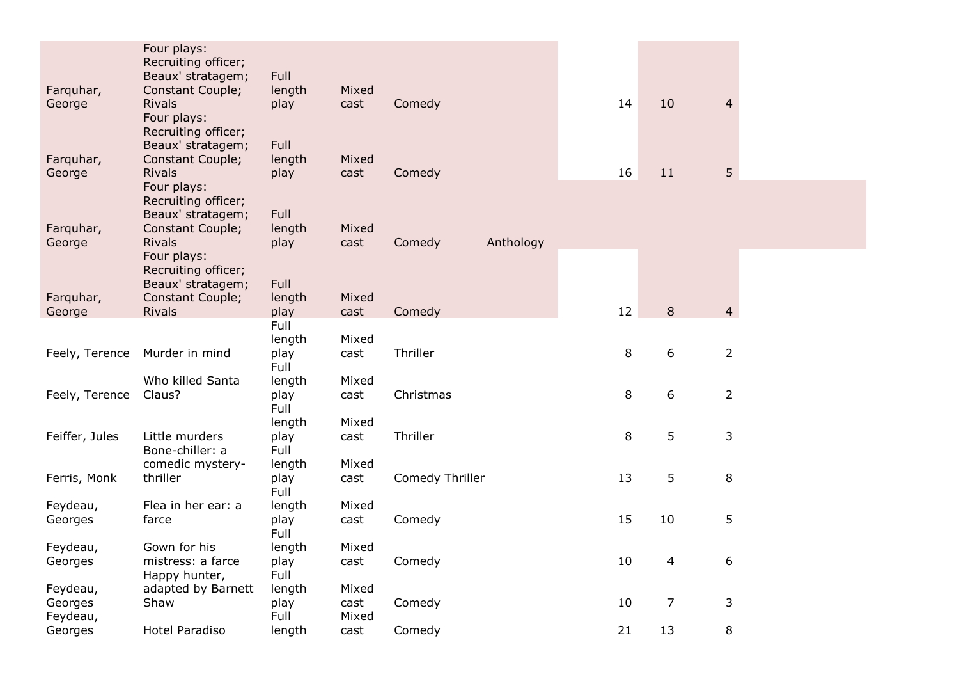|                | Four plays:                              |                |       |                 |           |    |                |                |
|----------------|------------------------------------------|----------------|-------|-----------------|-----------|----|----------------|----------------|
|                | Recruiting officer;<br>Beaux' stratagem; | Full           |       |                 |           |    |                |                |
| Farquhar,      | Constant Couple;                         | length         | Mixed |                 |           |    |                |                |
| George         | <b>Rivals</b>                            | play           | cast  | Comedy          |           | 14 | 10             | $\overline{4}$ |
|                | Four plays:                              |                |       |                 |           |    |                |                |
|                | Recruiting officer;                      |                |       |                 |           |    |                |                |
|                | Beaux' stratagem;                        | Full           |       |                 |           |    |                |                |
| Farquhar,      | Constant Couple;                         | length         | Mixed |                 |           |    |                |                |
| George         | <b>Rivals</b><br>Four plays:             | play           | cast  | Comedy          |           | 16 | 11             | 5 <sup>5</sup> |
|                | Recruiting officer;                      |                |       |                 |           |    |                |                |
|                | Beaux' stratagem;                        | Full           |       |                 |           |    |                |                |
| Farquhar,      | Constant Couple;                         | length         | Mixed |                 |           |    |                |                |
| George         | <b>Rivals</b>                            | play           | cast  | Comedy          | Anthology |    |                |                |
|                | Four plays:                              |                |       |                 |           |    |                |                |
|                | Recruiting officer;                      |                |       |                 |           |    |                |                |
| Farquhar,      | Beaux' stratagem;<br>Constant Couple;    | Full           | Mixed |                 |           |    |                |                |
| George         | <b>Rivals</b>                            | length<br>play | cast  | Comedy          |           | 12 | 8              | $\overline{4}$ |
|                |                                          | Full           |       |                 |           |    |                |                |
|                |                                          | length         | Mixed |                 |           |    |                |                |
| Feely, Terence | Murder in mind                           | play           | cast  | Thriller        |           | 8  | 6              | $\overline{2}$ |
|                |                                          | Full           |       |                 |           |    |                |                |
|                | Who killed Santa                         | length         | Mixed |                 |           |    |                |                |
| Feely, Terence | Claus?                                   | play<br>Full   | cast  | Christmas       |           | 8  | 6              | $\overline{2}$ |
|                |                                          | length         | Mixed |                 |           |    |                |                |
| Feiffer, Jules | Little murders                           | play           | cast  | Thriller        |           | 8  | 5              | 3              |
|                | Bone-chiller: a                          | Full           |       |                 |           |    |                |                |
|                | comedic mystery-                         | length         | Mixed |                 |           |    |                |                |
| Ferris, Monk   | thriller                                 | play           | cast  | Comedy Thriller |           | 13 | 5              | 8              |
|                |                                          | Full           |       |                 |           |    |                |                |
| Feydeau,       | Flea in her ear: a                       | length         | Mixed | Comedy          |           | 15 | 10             | 5              |
| Georges        | farce                                    | play<br>Full   | cast  |                 |           |    |                |                |
| Feydeau,       | Gown for his                             | length         | Mixed |                 |           |    |                |                |
| Georges        | mistress: a farce                        | play           | cast  | Comedy          |           | 10 | 4              | 6              |
|                | Happy hunter,                            | Full           |       |                 |           |    |                |                |
| Feydeau,       | adapted by Barnett                       | length         | Mixed |                 |           |    |                |                |
| Georges        | Shaw                                     | play           | cast  | Comedy          |           | 10 | $\overline{7}$ | 3              |
| Feydeau,       |                                          | Full           | Mixed |                 |           |    |                |                |
| Georges        | Hotel Paradiso                           | length         | cast  | Comedy          |           | 21 | 13             | 8              |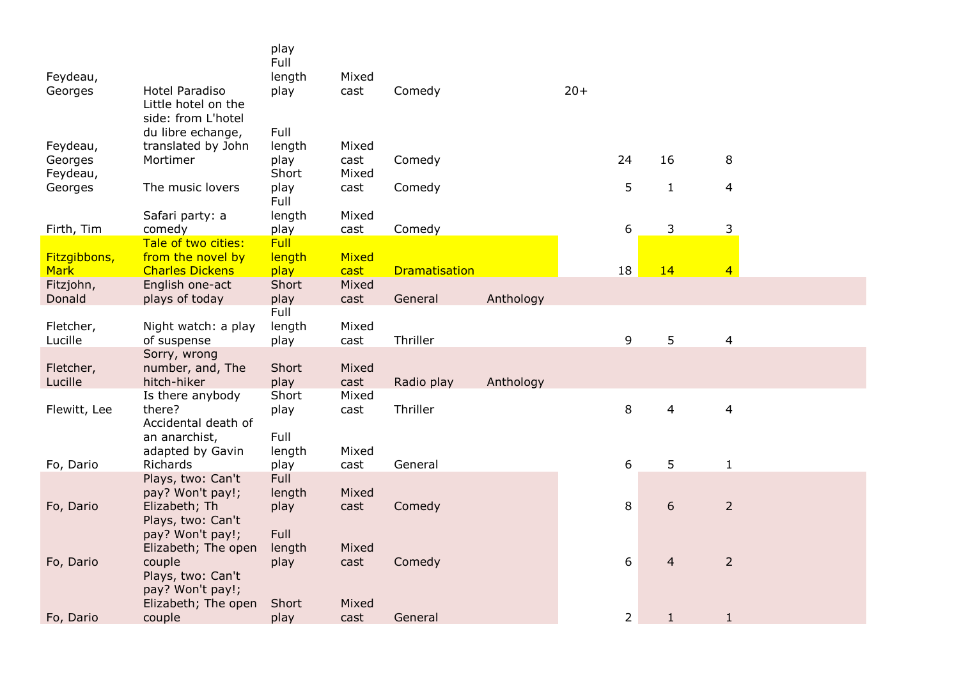|                             |                                                             | play<br>Full   |               |                      |           |       |                |                |                          |
|-----------------------------|-------------------------------------------------------------|----------------|---------------|----------------------|-----------|-------|----------------|----------------|--------------------------|
| Feydeau,                    |                                                             | length         | Mixed         |                      |           |       |                |                |                          |
| Georges                     | Hotel Paradiso<br>Little hotel on the<br>side: from L'hotel | play           | cast          | Comedy               |           | $20+$ |                |                |                          |
|                             | du libre echange,                                           | Full           |               |                      |           |       |                |                |                          |
| Feydeau,                    | translated by John                                          | length         | Mixed         |                      |           |       |                |                |                          |
| Georges                     | Mortimer                                                    | play           | cast          | Comedy               |           |       | 24             | 16             | 8                        |
| Feydeau,                    |                                                             | Short          | Mixed         |                      |           |       | 5              |                |                          |
| Georges                     | The music lovers                                            | play<br>Full   | cast          | Comedy               |           |       |                | $\mathbf{1}$   | $\overline{\mathcal{L}}$ |
|                             | Safari party: a                                             | length         | Mixed         |                      |           |       |                |                |                          |
| Firth, Tim                  | comedy                                                      | play           | cast          | Comedy               |           |       | 6              | 3              | 3                        |
|                             | Tale of two cities:                                         | Full           |               |                      |           |       |                |                |                          |
| Fitzgibbons,<br><b>Mark</b> | from the novel by<br><b>Charles Dickens</b>                 | length<br>play | Mixed<br>cast | <b>Dramatisation</b> |           |       | 18             | 14             | $\overline{4}$           |
| Fitzjohn,                   | English one-act                                             | Short          | Mixed         |                      |           |       |                |                |                          |
| Donald                      | plays of today                                              | play           | cast          | General              | Anthology |       |                |                |                          |
|                             |                                                             | Full           |               |                      |           |       |                |                |                          |
| Fletcher,                   | Night watch: a play                                         | length         | Mixed         |                      |           |       |                |                |                          |
| Lucille                     | of suspense                                                 | play           | cast          | Thriller             |           |       | 9              | 5              | $\overline{a}$           |
|                             | Sorry, wrong                                                |                |               |                      |           |       |                |                |                          |
| Fletcher,                   | number, and, The                                            | Short          | Mixed         |                      |           |       |                |                |                          |
| Lucille                     | hitch-hiker                                                 | play           | cast          | Radio play           | Anthology |       |                |                |                          |
|                             | Is there anybody                                            | Short          | Mixed         |                      |           |       |                |                |                          |
| Flewitt, Lee                | there?                                                      | play           | cast          | Thriller             |           |       | 8              | 4              | $\overline{\mathbf{4}}$  |
|                             | Accidental death of                                         |                |               |                      |           |       |                |                |                          |
|                             | an anarchist,                                               | Full           |               |                      |           |       |                |                |                          |
|                             | adapted by Gavin<br>Richards                                | length         | Mixed         | General              |           |       | 6              | 5              | $\mathbf{1}$             |
| Fo, Dario                   | Plays, two: Can't                                           | play<br>Full   | cast          |                      |           |       |                |                |                          |
|                             | pay? Won't pay!;                                            | length         | Mixed         |                      |           |       |                |                |                          |
| Fo, Dario                   | Elizabeth; Th                                               | play           | cast          | Comedy               |           |       | 8              | 6              | $\overline{2}$           |
|                             | Plays, two: Can't                                           |                |               |                      |           |       |                |                |                          |
|                             | pay? Won't pay!;                                            | Full           |               |                      |           |       |                |                |                          |
|                             | Elizabeth; The open                                         | length         | Mixed         |                      |           |       |                |                |                          |
| Fo, Dario                   | couple                                                      | play           | cast          | Comedy               |           |       | 6              | $\overline{4}$ | $\overline{2}$           |
|                             | Plays, two: Can't                                           |                |               |                      |           |       |                |                |                          |
|                             | pay? Won't pay!;                                            |                |               |                      |           |       |                |                |                          |
|                             | Elizabeth; The open                                         | Short          | Mixed         |                      |           |       |                |                |                          |
| Fo, Dario                   | couple                                                      | play           | cast          | General              |           |       | $\overline{2}$ | $\mathbf{1}$   | $\mathbf{1}$             |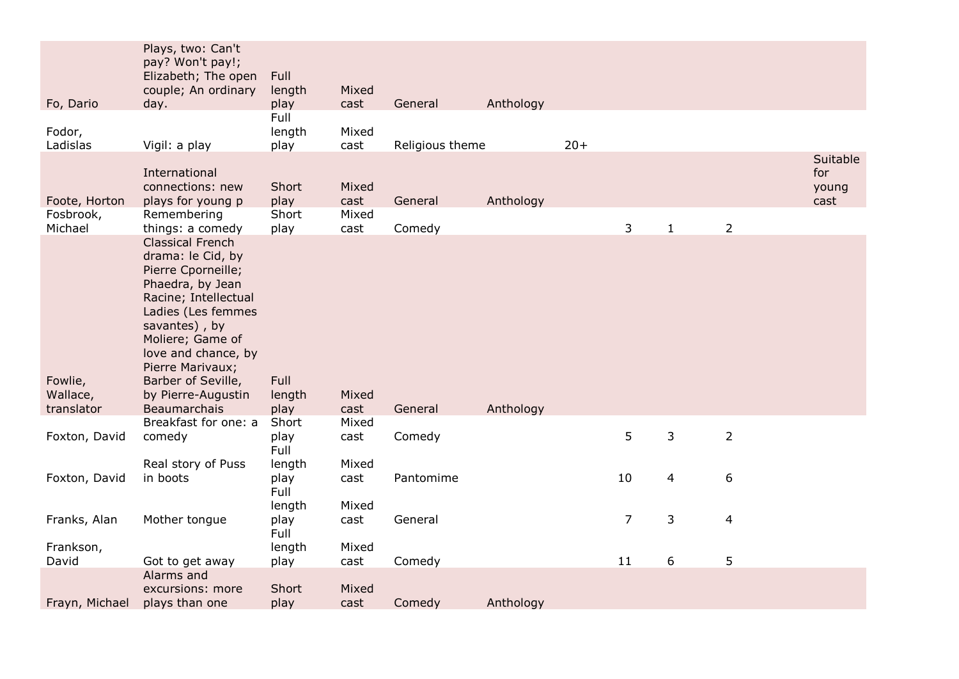|                                       | Plays, two: Can't<br>pay? Won't pay!;<br>Elizabeth; The open<br>couple; An ordinary                                                                                                                                                                                              | Full<br>length                   | Mixed                  |                   |           |       |                |              |                |                                  |
|---------------------------------------|----------------------------------------------------------------------------------------------------------------------------------------------------------------------------------------------------------------------------------------------------------------------------------|----------------------------------|------------------------|-------------------|-----------|-------|----------------|--------------|----------------|----------------------------------|
| Fo, Dario                             | day.                                                                                                                                                                                                                                                                             | play<br>Full                     | cast                   | General           | Anthology |       |                |              |                |                                  |
| Fodor,<br>Ladislas                    | Vigil: a play                                                                                                                                                                                                                                                                    | length<br>play                   | Mixed<br>cast          | Religious theme   |           | $20+$ |                |              |                |                                  |
| Foote, Horton<br>Fosbrook,<br>Michael | International<br>connections: new<br>plays for young p<br>Remembering<br>things: a comedy                                                                                                                                                                                        | Short<br>play<br>Short           | Mixed<br>cast<br>Mixed | General           | Anthology |       | $\mathbf{3}$   | $\mathbf{1}$ | $\overline{2}$ | Suitable<br>for<br>young<br>cast |
| Fowlie,<br>Wallace,<br>translator     | <b>Classical French</b><br>drama: le Cid, by<br>Pierre Cporneille;<br>Phaedra, by Jean<br>Racine; Intellectual<br>Ladies (Les femmes<br>savantes), by<br>Moliere; Game of<br>love and chance, by<br>Pierre Marivaux;<br>Barber of Seville,<br>by Pierre-Augustin<br>Beaumarchais | play<br>Full<br>length<br>play   | cast<br>Mixed<br>cast  | Comedy<br>General | Anthology |       |                |              |                |                                  |
| Foxton, David                         | Breakfast for one: a<br>comedy                                                                                                                                                                                                                                                   | Short<br>play<br>Full            | Mixed<br>cast          | Comedy            |           |       | 5              | 3            | $\overline{2}$ |                                  |
| Foxton, David                         | Real story of Puss<br>in boots                                                                                                                                                                                                                                                   | length<br>play<br>Full<br>length | Mixed<br>cast<br>Mixed | Pantomime         |           |       | 10             | 4            | 6              |                                  |
| Franks, Alan                          | Mother tongue                                                                                                                                                                                                                                                                    | play<br>Full                     | cast                   | General           |           |       | $\overline{7}$ | 3            | 4              |                                  |
| Frankson,                             |                                                                                                                                                                                                                                                                                  | length                           | Mixed                  |                   |           |       |                |              |                |                                  |
| David                                 | Got to get away                                                                                                                                                                                                                                                                  | play                             | cast                   | Comedy            |           |       | 11             | 6            | 5              |                                  |
| Frayn, Michael                        | Alarms and<br>excursions: more<br>plays than one                                                                                                                                                                                                                                 | Short<br>play                    | Mixed<br>cast          | Comedy            | Anthology |       |                |              |                |                                  |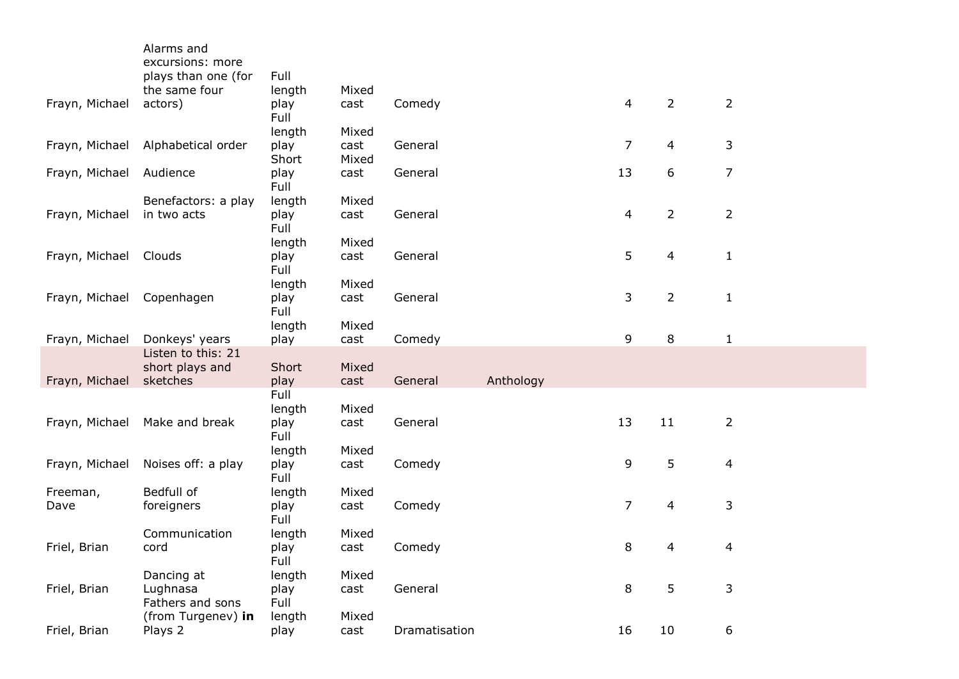|                | Alarms and<br>excursions: more |               |               |               |           |                |                |                |
|----------------|--------------------------------|---------------|---------------|---------------|-----------|----------------|----------------|----------------|
|                | plays than one (for            | Full          |               |               |           |                |                |                |
|                | the same four                  | length        | Mixed         |               |           |                |                |                |
| Frayn, Michael | actors)                        | play<br>Full  | cast          | Comedy        |           | $\overline{4}$ | $\overline{2}$ | $\overline{2}$ |
|                |                                | length        | Mixed         |               |           |                |                |                |
| Frayn, Michael | Alphabetical order             | play<br>Short | cast<br>Mixed | General       |           | 7              | 4              | 3              |
| Frayn, Michael | Audience                       | play<br>Full  | cast          | General       |           | 13             | 6              | $\overline{7}$ |
|                | Benefactors: a play            | length        | Mixed         |               |           |                |                |                |
| Frayn, Michael | in two acts                    | play<br>Full  | cast          | General       |           | 4              | $\overline{2}$ | $\overline{2}$ |
|                |                                | length        | Mixed         |               |           |                |                |                |
| Frayn, Michael | Clouds                         | play<br>Full  | cast          | General       |           | 5              | 4              | $\mathbf{1}$   |
|                |                                | length        | Mixed         |               |           |                |                |                |
| Frayn, Michael | Copenhagen                     | play<br>Full  | cast          | General       |           | 3              | $\overline{2}$ | $\mathbf{1}$   |
|                |                                | length        | Mixed         |               |           |                |                |                |
| Frayn, Michael | Donkeys' years                 | play          | cast          | Comedy        |           | 9              | 8              | $\mathbf{1}$   |
|                | Listen to this: 21             |               |               |               |           |                |                |                |
| Frayn, Michael | short plays and<br>sketches    | Short<br>play | Mixed<br>cast | General       | Anthology |                |                |                |
|                |                                | Full          |               |               |           |                |                |                |
|                |                                | length        | Mixed         |               |           |                |                |                |
| Frayn, Michael | Make and break                 | play<br>Full  | cast          | General       |           | 13             | 11             | $\overline{2}$ |
|                |                                | length        | Mixed         |               |           |                |                |                |
| Frayn, Michael | Noises off: a play             | play<br>Full  | cast          | Comedy        |           | 9              | 5              | $\overline{4}$ |
| Freeman,       | Bedfull of                     | length        | Mixed         |               |           |                |                |                |
| Dave           | foreigners                     | play<br>Full  | cast          | Comedy        |           | $\overline{7}$ | 4              | 3              |
|                | Communication                  | length        | Mixed         |               |           |                |                |                |
| Friel, Brian   | cord                           | play<br>Full  | cast          | Comedy        |           | 8              | 4              | 4              |
|                | Dancing at                     | length        | Mixed         |               |           |                |                |                |
| Friel, Brian   | Lughnasa<br>Fathers and sons   | play<br>Full  | cast          | General       |           | 8              | 5              | 3              |
|                | (from Turgenev) in             | length        | Mixed         |               |           |                |                |                |
| Friel, Brian   | Plays 2                        | play          | cast          | Dramatisation |           | 16             | 10             | 6              |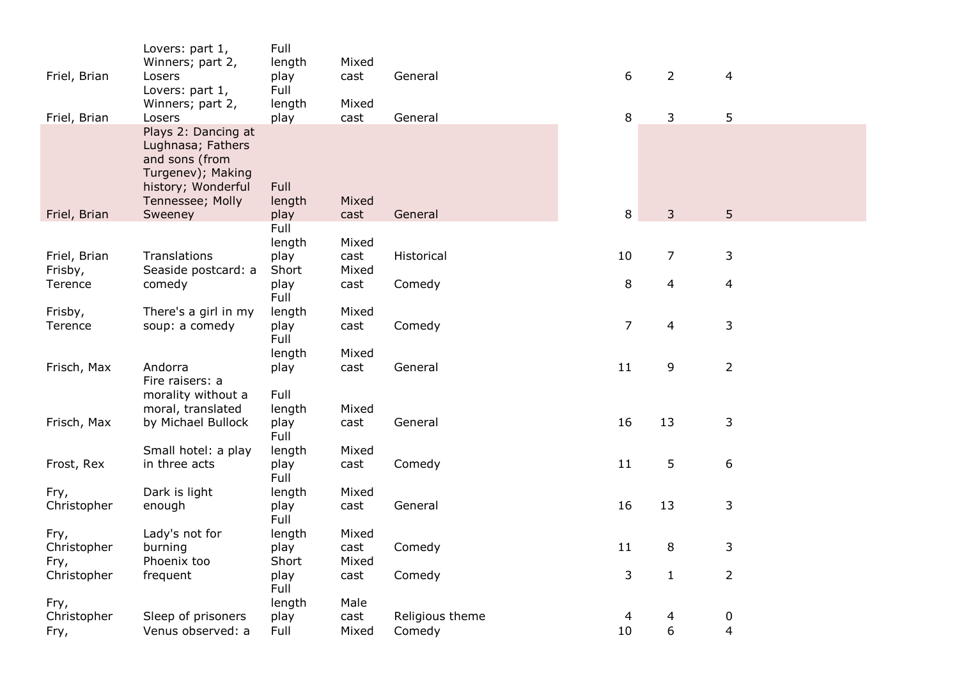| Friel, Brian            | Lovers: part 1,<br>Winners; part 2,<br>Losers                                                                                        | Full<br>length<br>play<br>Full | Mixed<br>cast | General         | 6              | $\overline{2}$ | $\overline{4}$   |  |
|-------------------------|--------------------------------------------------------------------------------------------------------------------------------------|--------------------------------|---------------|-----------------|----------------|----------------|------------------|--|
| Friel, Brian            | Lovers: part 1,<br>Winners; part 2,<br>Losers                                                                                        | length<br>play                 | Mixed<br>cast | General         | 8              | 3              | 5                |  |
| Friel, Brian            | Plays 2: Dancing at<br>Lughnasa; Fathers<br>and sons (from<br>Turgenev); Making<br>history; Wonderful<br>Tennessee; Molly<br>Sweeney | <b>Full</b><br>length<br>play  | Mixed<br>cast | General         | 8              | 3              | 5                |  |
|                         |                                                                                                                                      | Full                           |               |                 |                |                |                  |  |
|                         |                                                                                                                                      | length                         | Mixed         |                 |                |                |                  |  |
| Friel, Brian<br>Frisby, | Translations<br>Seaside postcard: a                                                                                                  | play<br>Short                  | cast<br>Mixed | Historical      | 10             | $\overline{7}$ | 3                |  |
| Terence                 | comedy                                                                                                                               | play<br>Full                   | cast          | Comedy          | 8              | 4              | $\overline{4}$   |  |
| Frisby,                 | There's a girl in my                                                                                                                 | length                         | Mixed         |                 |                |                |                  |  |
| Terence                 | soup: a comedy                                                                                                                       | play<br>Full                   | cast          | Comedy          | $\overline{7}$ | 4              | 3                |  |
|                         |                                                                                                                                      | length                         | Mixed         |                 |                |                |                  |  |
| Frisch, Max             | Andorra<br>Fire raisers: a                                                                                                           | play                           | cast          | General         | 11             | 9              | $\overline{2}$   |  |
|                         | morality without a                                                                                                                   | Full                           | Mixed         |                 |                |                |                  |  |
| Frisch, Max             | moral, translated<br>by Michael Bullock                                                                                              | length<br>play<br>Full         | cast          | General         | 16             | 13             | 3                |  |
|                         | Small hotel: a play                                                                                                                  | length                         | Mixed         |                 |                |                |                  |  |
| Frost, Rex              | in three acts                                                                                                                        | play<br>Full                   | cast          | Comedy          | 11             | 5              | 6                |  |
| Fry,                    | Dark is light                                                                                                                        | length                         | Mixed         |                 |                |                |                  |  |
| Christopher             | enough                                                                                                                               | play<br>Full                   | cast          | General         | 16             | 13             | 3                |  |
| Fry,                    | Lady's not for                                                                                                                       | length                         | Mixed         |                 |                |                |                  |  |
| Christopher             | burning                                                                                                                              | play                           | cast          | Comedy          | 11             | 8              | 3                |  |
| Fry,                    | Phoenix too                                                                                                                          | Short                          | Mixed         |                 |                |                |                  |  |
| Christopher             | frequent                                                                                                                             | play<br>Full                   | cast          | Comedy          | 3              | $\mathbf{1}$   | $\overline{2}$   |  |
| Fry,                    |                                                                                                                                      | length                         | Male          |                 |                |                |                  |  |
| Christopher             | Sleep of prisoners                                                                                                                   | play                           | cast          | Religious theme | 4              | 4              | $\boldsymbol{0}$ |  |
| Fry,                    | Venus observed: a                                                                                                                    | Full                           | Mixed         | Comedy          | 10             | 6              | $\overline{4}$   |  |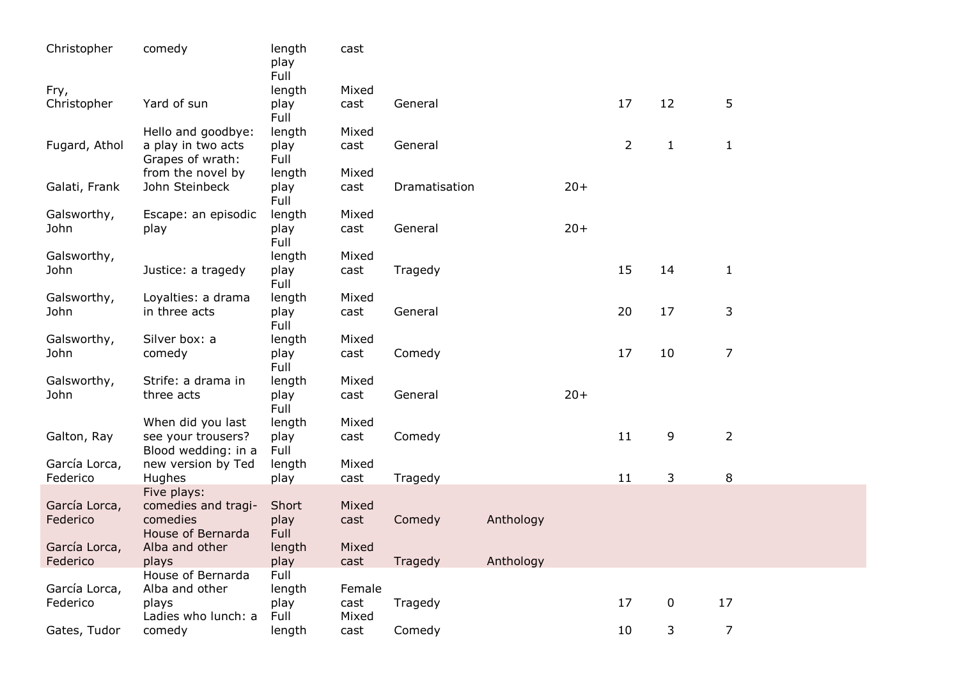| Christopher   | comedy                                    | length<br>play<br>Full | cast   |               |           |       |                |                  |                |  |
|---------------|-------------------------------------------|------------------------|--------|---------------|-----------|-------|----------------|------------------|----------------|--|
| Fry,          |                                           | length                 | Mixed  |               |           |       |                |                  |                |  |
| Christopher   | Yard of sun                               | play<br>Full           | cast   | General       |           |       | 17             | 12               | 5              |  |
|               | Hello and goodbye:                        | length                 | Mixed  |               |           |       |                |                  |                |  |
| Fugard, Athol | a play in two acts<br>Grapes of wrath:    | play<br>Full           | cast   | General       |           |       | $\overline{2}$ | $\mathbf{1}$     | $\mathbf{1}$   |  |
|               | from the novel by                         | length                 | Mixed  |               |           |       |                |                  |                |  |
| Galati, Frank | John Steinbeck                            | play<br>Full           | cast   | Dramatisation |           | $20+$ |                |                  |                |  |
| Galsworthy,   | Escape: an episodic                       | length                 | Mixed  |               |           |       |                |                  |                |  |
| John          | play                                      | play<br>Full           | cast   | General       |           | $20+$ |                |                  |                |  |
| Galsworthy,   |                                           | length                 | Mixed  |               |           |       |                |                  |                |  |
| John          | Justice: a tragedy                        | play<br>Full           | cast   | Tragedy       |           |       | 15             | 14               | $\mathbf{1}$   |  |
| Galsworthy,   | Loyalties: a drama                        | length                 | Mixed  |               |           |       |                |                  |                |  |
| John          | in three acts                             | play<br>Full           | cast   | General       |           |       | 20             | 17               | 3              |  |
| Galsworthy,   | Silver box: a                             | length                 | Mixed  |               |           |       |                |                  |                |  |
| John          | comedy                                    | play<br>Full           | cast   | Comedy        |           |       | 17             | 10               | $\overline{7}$ |  |
| Galsworthy,   | Strife: a drama in                        | length                 | Mixed  |               |           |       |                |                  |                |  |
| John          | three acts                                | play<br>Full           | cast   | General       |           | $20+$ |                |                  |                |  |
|               | When did you last                         | length                 | Mixed  |               |           |       |                |                  |                |  |
| Galton, Ray   | see your trousers?<br>Blood wedding: in a | play<br>Full           | cast   | Comedy        |           |       | 11             | 9                | $\overline{2}$ |  |
| García Lorca, | new version by Ted                        | length                 | Mixed  |               |           |       |                |                  |                |  |
| Federico      | Hughes                                    | play                   | cast   | Tragedy       |           |       | 11             | 3                | 8              |  |
|               | Five plays:                               |                        |        |               |           |       |                |                  |                |  |
| García Lorca, | comedies and tragi-                       | Short                  | Mixed  |               |           |       |                |                  |                |  |
| Federico      | comedies                                  | play                   | cast   | Comedy        | Anthology |       |                |                  |                |  |
|               | House of Bernarda                         | Full                   |        |               |           |       |                |                  |                |  |
| García Lorca, | Alba and other                            | length                 | Mixed  |               |           |       |                |                  |                |  |
| Federico      | plays                                     | play                   | cast   | Tragedy       | Anthology |       |                |                  |                |  |
|               | House of Bernarda                         | Full                   |        |               |           |       |                |                  |                |  |
| García Lorca, | Alba and other                            | length                 | Female |               |           |       |                |                  |                |  |
| Federico      | plays                                     | play                   | cast   | Tragedy       |           |       | 17             | $\boldsymbol{0}$ | 17             |  |
| Gates, Tudor  | Ladies who lunch: a<br>comedy             | Full                   | Mixed  |               |           |       | 10             |                  | $\overline{7}$ |  |
|               |                                           | length                 | cast   | Comedy        |           |       |                | 3                |                |  |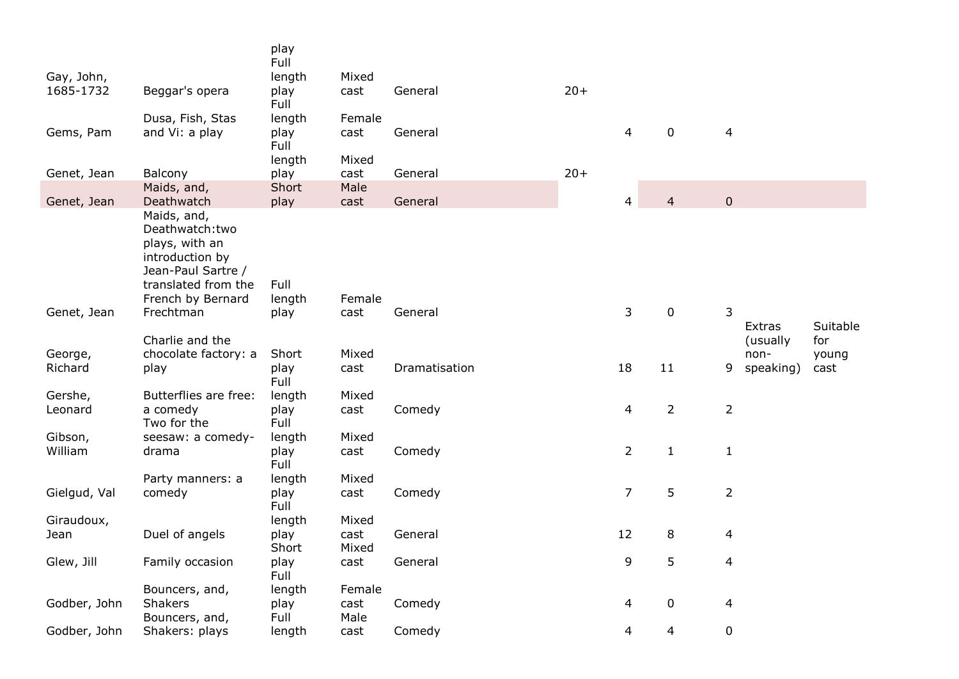|              |                                                                                                                                      | play<br>Full           |               |               |       |                |                |                |                           |                 |
|--------------|--------------------------------------------------------------------------------------------------------------------------------------|------------------------|---------------|---------------|-------|----------------|----------------|----------------|---------------------------|-----------------|
| Gay, John,   |                                                                                                                                      | length                 | Mixed         |               |       |                |                |                |                           |                 |
| 1685-1732    | Beggar's opera                                                                                                                       | play<br>Full           | cast          | General       | $20+$ |                |                |                |                           |                 |
|              | Dusa, Fish, Stas                                                                                                                     | length                 | Female        |               |       |                |                |                |                           |                 |
| Gems, Pam    | and Vi: a play                                                                                                                       | play<br>Full<br>length | cast<br>Mixed | General       |       | 4              | $\mathbf 0$    | 4              |                           |                 |
| Genet, Jean  | Balcony                                                                                                                              | play                   | cast          | General       | $20+$ |                |                |                |                           |                 |
|              | Maids, and,                                                                                                                          | Short                  | Male          |               |       |                |                |                |                           |                 |
| Genet, Jean  | Deathwatch                                                                                                                           | play                   | cast          | General       |       | 4              | 4              | $\mathbf 0$    |                           |                 |
|              | Maids, and,<br>Deathwatch:two<br>plays, with an<br>introduction by<br>Jean-Paul Sartre /<br>translated from the<br>French by Bernard | Full<br>length         | Female        |               |       |                |                |                |                           |                 |
| Genet, Jean  | Frechtman                                                                                                                            | play                   | cast          | General       |       | 3              | $\mathbf 0$    | 3              |                           |                 |
|              | Charlie and the                                                                                                                      |                        |               |               |       |                |                |                | <b>Extras</b><br>(usually | Suitable<br>for |
| George,      | chocolate factory: a                                                                                                                 | Short                  | Mixed         |               |       |                |                |                | non-                      | young           |
| Richard      | play                                                                                                                                 | play<br>Full           | cast          | Dramatisation |       | 18             | 11             | 9              | speaking)                 | cast            |
| Gershe,      | Butterflies are free:                                                                                                                | length                 | Mixed         |               |       |                |                |                |                           |                 |
| Leonard      | a comedy<br>Two for the                                                                                                              | play<br>Full           | cast          | Comedy        |       | 4              | $\overline{2}$ | $\overline{2}$ |                           |                 |
| Gibson,      | seesaw: a comedy-                                                                                                                    | length                 | Mixed         |               |       |                |                |                |                           |                 |
| William      | drama                                                                                                                                | play<br>Full           | cast          | Comedy        |       | $\overline{2}$ | $\mathbf{1}$   | $\mathbf{1}$   |                           |                 |
| Gielgud, Val | Party manners: a<br>comedy                                                                                                           | length<br>play<br>Full | Mixed<br>cast | Comedy        |       | $\overline{7}$ | 5              | $\overline{2}$ |                           |                 |
| Giraudoux,   |                                                                                                                                      | length                 | Mixed         |               |       |                |                |                |                           |                 |
| Jean         | Duel of angels                                                                                                                       | play<br>Short          | cast<br>Mixed | General       |       | 12             | 8              | 4              |                           |                 |
| Glew, Jill   | Family occasion                                                                                                                      | play<br>Full           | cast          | General       |       | 9              | 5              | $\overline{4}$ |                           |                 |
|              | Bouncers, and,                                                                                                                       | length                 | Female        |               |       |                |                |                |                           |                 |
| Godber, John | <b>Shakers</b><br>Bouncers, and,                                                                                                     | play<br>Full           | cast<br>Male  | Comedy        |       | 4              | $\mathbf 0$    | 4              |                           |                 |
| Godber, John | Shakers: plays                                                                                                                       | length                 | cast          | Comedy        |       | 4              | 4              | 0              |                           |                 |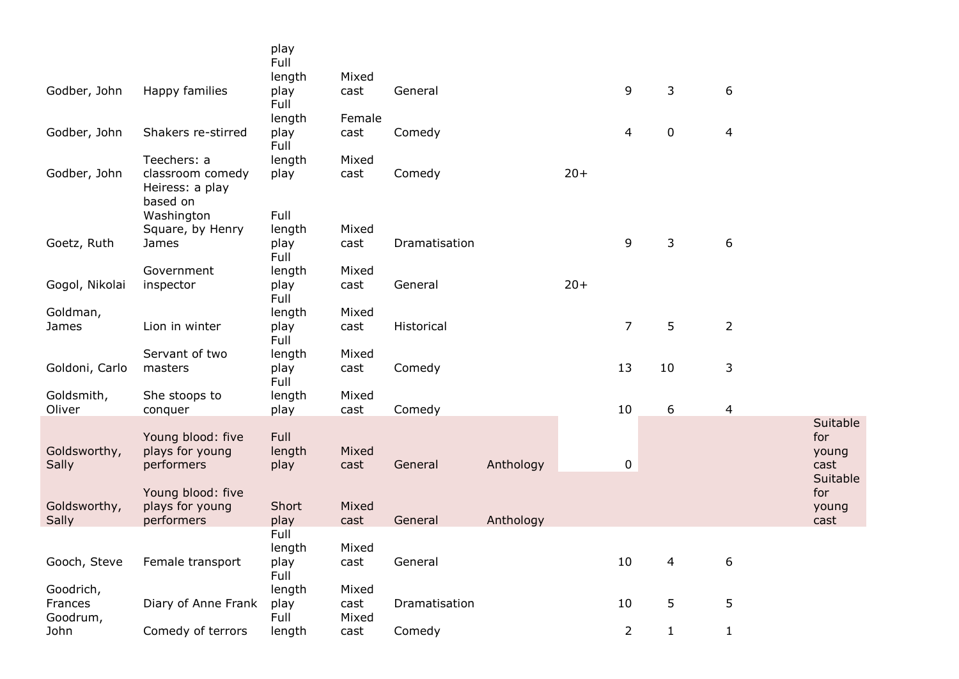|                |                                                 | play<br>Full   |        |               |           |       |                |              |                |                          |
|----------------|-------------------------------------------------|----------------|--------|---------------|-----------|-------|----------------|--------------|----------------|--------------------------|
|                |                                                 | length         | Mixed  |               |           |       |                |              |                |                          |
| Godber, John   | Happy families                                  | play<br>Full   | cast   | General       |           |       | 9              | 3            | 6              |                          |
|                |                                                 | length         | Female |               |           |       |                |              |                |                          |
| Godber, John   | Shakers re-stirred                              | play<br>Full   | cast   | Comedy        |           |       | 4              | $\mathbf 0$  | $\overline{4}$ |                          |
|                | Teechers: a                                     | length         | Mixed  |               |           |       |                |              |                |                          |
| Godber, John   | classroom comedy<br>Heiress: a play<br>based on | play           | cast   | Comedy        |           | $20+$ |                |              |                |                          |
|                | Washington                                      | Full           |        |               |           |       |                |              |                |                          |
|                | Square, by Henry                                | length         | Mixed  |               |           |       |                |              |                |                          |
| Goetz, Ruth    | James                                           | play<br>Full   | cast   | Dramatisation |           |       | 9              | 3            | 6              |                          |
|                | Government                                      | length         | Mixed  |               |           |       |                |              |                |                          |
| Gogol, Nikolai | inspector                                       | play<br>Full   | cast   | General       |           | $20+$ |                |              |                |                          |
| Goldman,       |                                                 | length         | Mixed  |               |           |       |                |              |                |                          |
| James          | Lion in winter                                  | play<br>Full   | cast   | Historical    |           |       | $\overline{7}$ | 5            | $\overline{2}$ |                          |
|                | Servant of two                                  | length         | Mixed  |               |           |       |                |              |                |                          |
| Goldoni, Carlo | masters                                         | play<br>Full   | cast   | Comedy        |           |       | 13             | 10           | 3              |                          |
| Goldsmith,     | She stoops to                                   | length         | Mixed  |               |           |       |                |              |                |                          |
| Oliver         | conquer                                         | play           | cast   | Comedy        |           |       | 10             | 6            | $\overline{4}$ |                          |
| Goldsworthy,   | Young blood: five<br>plays for young            | Full<br>length | Mixed  |               |           |       |                |              |                | Suitable<br>for<br>young |
| Sally          | performers                                      | play           | cast   | General       | Anthology |       | 0              |              |                | cast                     |
|                | Young blood: five                               |                |        |               |           |       |                |              |                | Suitable<br>for          |
| Goldsworthy,   | plays for young                                 | Short          | Mixed  |               |           |       |                |              |                | young                    |
| Sally          | performers                                      | play<br>Full   | cast   | General       | Anthology |       |                |              |                | cast                     |
|                |                                                 | length         | Mixed  |               |           |       |                |              |                |                          |
| Gooch, Steve   | Female transport                                | play           | cast   | General       |           |       | 10             | 4            | 6              |                          |
|                |                                                 | Full           |        |               |           |       |                |              |                |                          |
| Goodrich,      |                                                 | length         | Mixed  |               |           |       |                |              |                |                          |
| Frances        | Diary of Anne Frank                             | play           | cast   | Dramatisation |           |       | 10             | 5            | 5              |                          |
| Goodrum,       |                                                 | Full           | Mixed  |               |           |       |                |              |                |                          |
| John           | Comedy of terrors                               | length         | cast   | Comedy        |           |       | $\overline{2}$ | $\mathbf{1}$ | $\mathbf{1}$   |                          |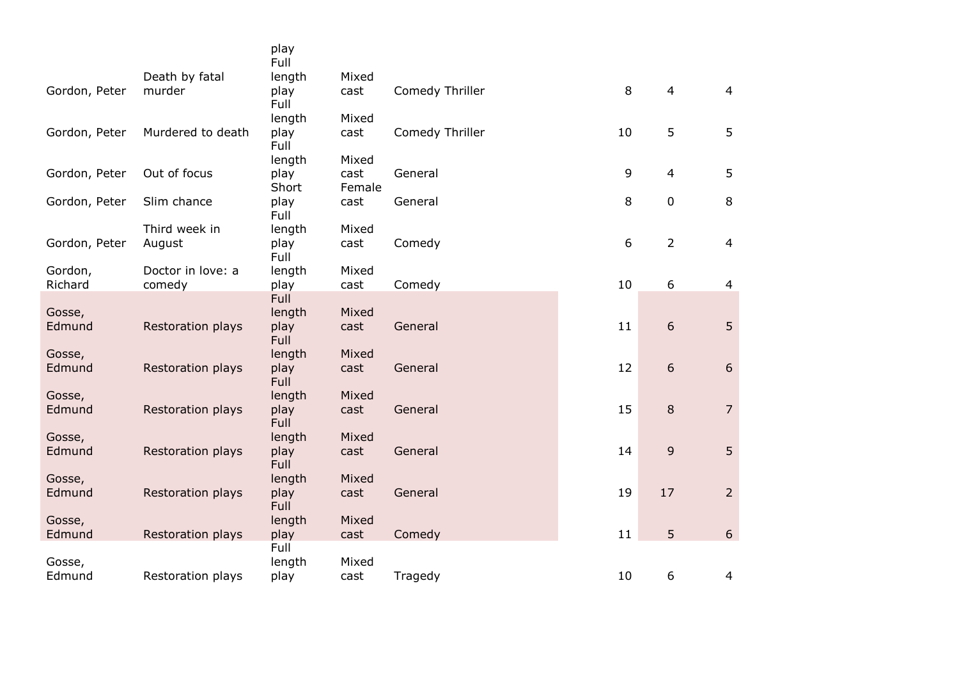|               |                          | play<br>Full        |        |                 |                  |                |                |
|---------------|--------------------------|---------------------|--------|-----------------|------------------|----------------|----------------|
|               | Death by fatal           | length              | Mixed  |                 |                  |                |                |
| Gordon, Peter | murder                   | play<br>Full        | cast   | Comedy Thriller | 8                | $\overline{4}$ | $\overline{4}$ |
|               |                          | length              | Mixed  |                 |                  |                |                |
| Gordon, Peter | Murdered to death        | play<br>Full        | cast   | Comedy Thriller | 10               | 5              | 5              |
|               |                          | length              | Mixed  |                 |                  |                |                |
| Gordon, Peter | Out of focus             | play                | cast   | General         | 9                | $\overline{4}$ | 5              |
|               |                          | Short               | Female |                 |                  |                |                |
| Gordon, Peter | Slim chance              | play<br>Full        | cast   | General         | 8                | $\pmb{0}$      | 8              |
|               | Third week in            | length              | Mixed  |                 |                  |                |                |
| Gordon, Peter | August                   | play<br>Full        | cast   | Comedy          | $\boldsymbol{6}$ | $\overline{2}$ | $\overline{4}$ |
| Gordon,       | Doctor in love: a        | length              | Mixed  |                 |                  |                |                |
| Richard       | comedy                   | play                | cast   | Comedy          | 10               | 6              | $\overline{4}$ |
|               |                          | Full                |        |                 |                  |                |                |
| Gosse,        |                          | length              | Mixed  |                 |                  |                |                |
| Edmund        | <b>Restoration plays</b> | play<br>Full        | cast   | General         | 11               | 6              | 5              |
| Gosse,        |                          | length              | Mixed  |                 |                  |                |                |
| Edmund        | Restoration plays        | play<br><b>Full</b> | cast   | General         | 12               | 6              | 6              |
| Gosse,        |                          | length              | Mixed  |                 |                  |                |                |
| Edmund        | Restoration plays        | play<br>Full        | cast   | General         | 15               | 8              | $\overline{7}$ |
| Gosse,        |                          | length              | Mixed  |                 |                  |                |                |
| Edmund        | Restoration plays        | play<br>Full        | cast   | General         | 14               | 9              | 5              |
| Gosse,        |                          | length              | Mixed  |                 |                  |                |                |
| Edmund        | Restoration plays        | play<br><b>Full</b> | cast   | General         | 19               | 17             | $\overline{2}$ |
| Gosse,        |                          | length              | Mixed  |                 |                  |                |                |
| Edmund        | Restoration plays        | play                | cast   | Comedy          | 11               | 5              | 6              |
|               |                          | Full                |        |                 |                  |                |                |
| Gosse,        |                          | length              | Mixed  |                 |                  |                |                |
| Edmund        | Restoration plays        | play                | cast   | Tragedy         | 10               | 6              | $\overline{4}$ |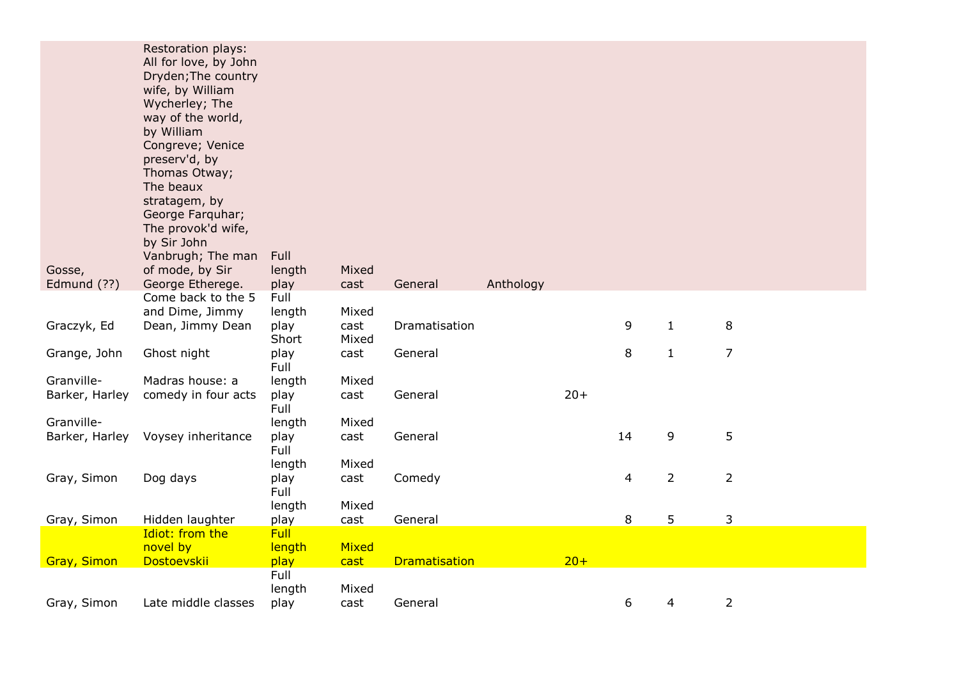| Gosse,                       | <b>Restoration plays:</b><br>All for love, by John<br>Dryden; The country<br>wife, by William<br>Wycherley; The<br>way of the world,<br>by William<br>Congreve; Venice<br>preserv'd, by<br>Thomas Otway;<br>The beaux<br>stratagem, by<br>George Farquhar;<br>The provok'd wife,<br>by Sir John<br>Vanbrugh; The man<br>of mode, by Sir | Full<br>length                  | Mixed                  |                      |           |        |    |                |                |
|------------------------------|-----------------------------------------------------------------------------------------------------------------------------------------------------------------------------------------------------------------------------------------------------------------------------------------------------------------------------------------|---------------------------------|------------------------|----------------------|-----------|--------|----|----------------|----------------|
| Edmund (??)                  | George Etherege.                                                                                                                                                                                                                                                                                                                        | play                            | cast                   | General              | Anthology |        |    |                |                |
| Graczyk, Ed                  | Come back to the 5<br>and Dime, Jimmy<br>Dean, Jimmy Dean                                                                                                                                                                                                                                                                               | Full<br>length<br>play<br>Short | Mixed<br>cast<br>Mixed | Dramatisation        |           |        | 9  | $\mathbf{1}$   | 8              |
| Grange, John                 | Ghost night                                                                                                                                                                                                                                                                                                                             | play<br>Full                    | cast                   | General              |           |        | 8  | $\mathbf{1}$   | $\overline{7}$ |
| Granville-                   | Madras house: a                                                                                                                                                                                                                                                                                                                         | length                          | Mixed                  |                      |           |        |    |                |                |
| Barker, Harley               | comedy in four acts                                                                                                                                                                                                                                                                                                                     | play<br>Full                    | cast                   | General              |           | $20+$  |    |                |                |
| Granville-<br>Barker, Harley | Voysey inheritance                                                                                                                                                                                                                                                                                                                      | length<br>play                  | Mixed<br>cast          | General              |           |        | 14 | 9              | 5              |
|                              |                                                                                                                                                                                                                                                                                                                                         | Full<br>length                  | Mixed                  |                      |           |        |    |                |                |
| Gray, Simon                  | Dog days                                                                                                                                                                                                                                                                                                                                | play<br>Full                    | cast                   | Comedy               |           |        | 4  | $\overline{2}$ | $\overline{2}$ |
|                              |                                                                                                                                                                                                                                                                                                                                         | length                          | Mixed                  |                      |           |        |    |                |                |
| Gray, Simon                  | Hidden laughter<br>Idiot: from the                                                                                                                                                                                                                                                                                                      | play<br><b>Full</b>             | cast                   | General              |           |        | 8  | 5              | 3              |
|                              | novel by                                                                                                                                                                                                                                                                                                                                | length                          | Mixed                  |                      |           |        |    |                |                |
| <b>Gray, Simon</b>           | Dostoevskii                                                                                                                                                                                                                                                                                                                             | play                            | cast                   | <b>Dramatisation</b> |           | $20 +$ |    |                |                |
|                              |                                                                                                                                                                                                                                                                                                                                         | Full                            |                        |                      |           |        |    |                |                |
| Gray, Simon                  | Late middle classes                                                                                                                                                                                                                                                                                                                     | length<br>play                  | Mixed<br>cast          | General              |           |        | 6  | 4              | $\overline{2}$ |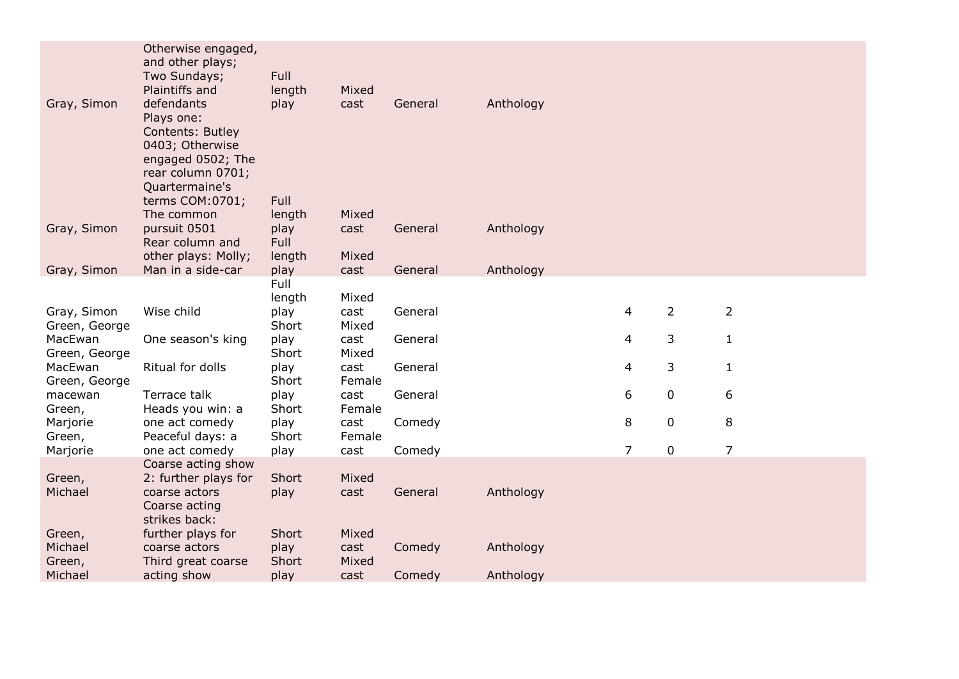| Gray, Simon<br>defendants<br>play<br>cast<br>General<br>Anthology<br>Plays one:<br>Contents: Butley<br>0403; Otherwise<br>engaged 0502; The<br>rear column 0701;<br>Quartermaine's<br>terms COM:0701;<br>Full<br>The common<br>Mixed<br>length<br>Gray, Simon<br>pursuit 0501<br>play<br>General<br>Anthology<br>cast<br>Full<br>Rear column and<br>other plays: Molly;<br>length<br>Mixed<br>Man in a side-car<br>Anthology<br>Gray, Simon<br>play<br>cast<br>General<br>Full<br>length<br>Mixed<br>$\overline{2}$<br>$\overline{2}$<br>$\overline{4}$<br>Wise child<br>General<br>Gray, Simon<br>play<br>cast<br>Green, George<br>Short<br>Mixed<br>$\overline{4}$<br>3<br>$\mathbf{1}$<br>MacEwan<br>play<br>One season's king<br>cast<br>General<br>Green, George<br>Short<br>Mixed<br>3<br>Ritual for dolls<br>4<br>$\mathbf{1}$<br>MacEwan<br>play<br>cast<br>General<br>Short<br>Green, George<br>Female<br>6<br>$\mathbf 0$<br>6<br>Terrace talk<br>play<br>cast<br>General<br>macewan<br>Short<br>Heads you win: a<br>Female<br>Green,<br>8<br>0<br>8<br>play<br>Comedy<br>Marjorie<br>one act comedy<br>cast<br>Peaceful days: a<br>Short<br>Female<br>Green,<br>$\overline{7}$<br>7<br>$\mathbf 0$<br>one act comedy<br>Comedy<br>Marjorie<br>play<br>cast<br>Coarse acting show<br>Short<br>Mixed<br>Green,<br>2: further plays for<br>Michael<br>Anthology<br>coarse actors<br>play<br>cast<br>General<br>Coarse acting<br>strikes back:<br>further plays for<br>Short<br>Mixed<br>Green,<br>Michael<br>play<br>Anthology<br>coarse actors<br>cast<br>Comedy<br>Short<br>Mixed<br>Green,<br>Third great coarse<br>Michael<br>acting show<br>Comedy<br>Anthology<br>play<br>cast | Otherwise engaged,<br>and other plays;<br>Two Sundays;<br>Plaintiffs and | Full<br>length | Mixed |  |  |  |
|----------------------------------------------------------------------------------------------------------------------------------------------------------------------------------------------------------------------------------------------------------------------------------------------------------------------------------------------------------------------------------------------------------------------------------------------------------------------------------------------------------------------------------------------------------------------------------------------------------------------------------------------------------------------------------------------------------------------------------------------------------------------------------------------------------------------------------------------------------------------------------------------------------------------------------------------------------------------------------------------------------------------------------------------------------------------------------------------------------------------------------------------------------------------------------------------------------------------------------------------------------------------------------------------------------------------------------------------------------------------------------------------------------------------------------------------------------------------------------------------------------------------------------------------------------------------------------------------------------------------------------------------------------------------------------------------|--------------------------------------------------------------------------|----------------|-------|--|--|--|
|                                                                                                                                                                                                                                                                                                                                                                                                                                                                                                                                                                                                                                                                                                                                                                                                                                                                                                                                                                                                                                                                                                                                                                                                                                                                                                                                                                                                                                                                                                                                                                                                                                                                                              |                                                                          |                |       |  |  |  |
|                                                                                                                                                                                                                                                                                                                                                                                                                                                                                                                                                                                                                                                                                                                                                                                                                                                                                                                                                                                                                                                                                                                                                                                                                                                                                                                                                                                                                                                                                                                                                                                                                                                                                              |                                                                          |                |       |  |  |  |
|                                                                                                                                                                                                                                                                                                                                                                                                                                                                                                                                                                                                                                                                                                                                                                                                                                                                                                                                                                                                                                                                                                                                                                                                                                                                                                                                                                                                                                                                                                                                                                                                                                                                                              |                                                                          |                |       |  |  |  |
|                                                                                                                                                                                                                                                                                                                                                                                                                                                                                                                                                                                                                                                                                                                                                                                                                                                                                                                                                                                                                                                                                                                                                                                                                                                                                                                                                                                                                                                                                                                                                                                                                                                                                              |                                                                          |                |       |  |  |  |
|                                                                                                                                                                                                                                                                                                                                                                                                                                                                                                                                                                                                                                                                                                                                                                                                                                                                                                                                                                                                                                                                                                                                                                                                                                                                                                                                                                                                                                                                                                                                                                                                                                                                                              |                                                                          |                |       |  |  |  |
|                                                                                                                                                                                                                                                                                                                                                                                                                                                                                                                                                                                                                                                                                                                                                                                                                                                                                                                                                                                                                                                                                                                                                                                                                                                                                                                                                                                                                                                                                                                                                                                                                                                                                              |                                                                          |                |       |  |  |  |
|                                                                                                                                                                                                                                                                                                                                                                                                                                                                                                                                                                                                                                                                                                                                                                                                                                                                                                                                                                                                                                                                                                                                                                                                                                                                                                                                                                                                                                                                                                                                                                                                                                                                                              |                                                                          |                |       |  |  |  |
|                                                                                                                                                                                                                                                                                                                                                                                                                                                                                                                                                                                                                                                                                                                                                                                                                                                                                                                                                                                                                                                                                                                                                                                                                                                                                                                                                                                                                                                                                                                                                                                                                                                                                              |                                                                          |                |       |  |  |  |
|                                                                                                                                                                                                                                                                                                                                                                                                                                                                                                                                                                                                                                                                                                                                                                                                                                                                                                                                                                                                                                                                                                                                                                                                                                                                                                                                                                                                                                                                                                                                                                                                                                                                                              |                                                                          |                |       |  |  |  |
|                                                                                                                                                                                                                                                                                                                                                                                                                                                                                                                                                                                                                                                                                                                                                                                                                                                                                                                                                                                                                                                                                                                                                                                                                                                                                                                                                                                                                                                                                                                                                                                                                                                                                              |                                                                          |                |       |  |  |  |
|                                                                                                                                                                                                                                                                                                                                                                                                                                                                                                                                                                                                                                                                                                                                                                                                                                                                                                                                                                                                                                                                                                                                                                                                                                                                                                                                                                                                                                                                                                                                                                                                                                                                                              |                                                                          |                |       |  |  |  |
|                                                                                                                                                                                                                                                                                                                                                                                                                                                                                                                                                                                                                                                                                                                                                                                                                                                                                                                                                                                                                                                                                                                                                                                                                                                                                                                                                                                                                                                                                                                                                                                                                                                                                              |                                                                          |                |       |  |  |  |
|                                                                                                                                                                                                                                                                                                                                                                                                                                                                                                                                                                                                                                                                                                                                                                                                                                                                                                                                                                                                                                                                                                                                                                                                                                                                                                                                                                                                                                                                                                                                                                                                                                                                                              |                                                                          |                |       |  |  |  |
|                                                                                                                                                                                                                                                                                                                                                                                                                                                                                                                                                                                                                                                                                                                                                                                                                                                                                                                                                                                                                                                                                                                                                                                                                                                                                                                                                                                                                                                                                                                                                                                                                                                                                              |                                                                          |                |       |  |  |  |
|                                                                                                                                                                                                                                                                                                                                                                                                                                                                                                                                                                                                                                                                                                                                                                                                                                                                                                                                                                                                                                                                                                                                                                                                                                                                                                                                                                                                                                                                                                                                                                                                                                                                                              |                                                                          |                |       |  |  |  |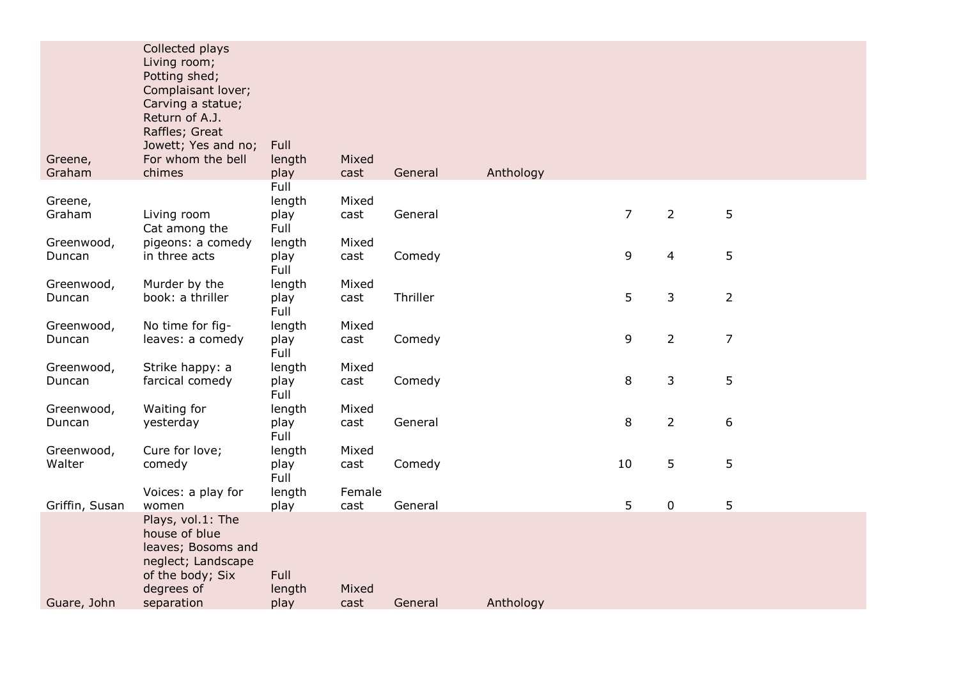|                      | Collected plays<br>Living room;<br>Potting shed;<br>Complaisant lover;<br>Carving a statue;<br>Return of A.J.<br>Raffles; Great<br>Jowett; Yes and no; | Full                           |                |          |           |                |                |                |
|----------------------|--------------------------------------------------------------------------------------------------------------------------------------------------------|--------------------------------|----------------|----------|-----------|----------------|----------------|----------------|
| Greene,<br>Graham    | For whom the bell<br>chimes                                                                                                                            | length<br>play                 | Mixed<br>cast  | General  | Anthology |                |                |                |
| Greene,<br>Graham    | Living room<br>Cat among the                                                                                                                           | Full<br>length<br>play<br>Full | Mixed<br>cast  | General  |           | $\overline{7}$ | $\overline{2}$ | 5              |
| Greenwood,<br>Duncan | pigeons: a comedy<br>in three acts                                                                                                                     | length<br>play<br>Full         | Mixed<br>cast  | Comedy   |           | 9              | 4              | 5              |
| Greenwood,<br>Duncan | Murder by the<br>book: a thriller                                                                                                                      | length<br>play<br>Full         | Mixed<br>cast  | Thriller |           | 5              | 3              | $\overline{2}$ |
| Greenwood,<br>Duncan | No time for fig-<br>leaves: a comedy                                                                                                                   | length<br>play<br>Full         | Mixed<br>cast  | Comedy   |           | 9              | $\overline{2}$ | $\overline{7}$ |
| Greenwood,<br>Duncan | Strike happy: a<br>farcical comedy                                                                                                                     | length<br>play<br>Full         | Mixed<br>cast  | Comedy   |           | 8              | 3              | 5              |
| Greenwood,<br>Duncan | Waiting for<br>yesterday                                                                                                                               | length<br>play<br>Full         | Mixed<br>cast  | General  |           | 8              | $\overline{2}$ | 6              |
| Greenwood,<br>Walter | Cure for love;<br>comedy                                                                                                                               | length<br>play<br>Full         | Mixed<br>cast  | Comedy   |           | 10             | 5              | 5              |
| Griffin, Susan       | Voices: a play for<br>women                                                                                                                            | length<br>play                 | Female<br>cast | General  |           | 5              | 0              | 5              |
| Guare, John          | Plays, vol.1: The<br>house of blue<br>leaves; Bosoms and<br>neglect; Landscape<br>of the body; Six<br>degrees of<br>separation                         | Full<br>length<br>play         | Mixed<br>cast  | General  | Anthology |                |                |                |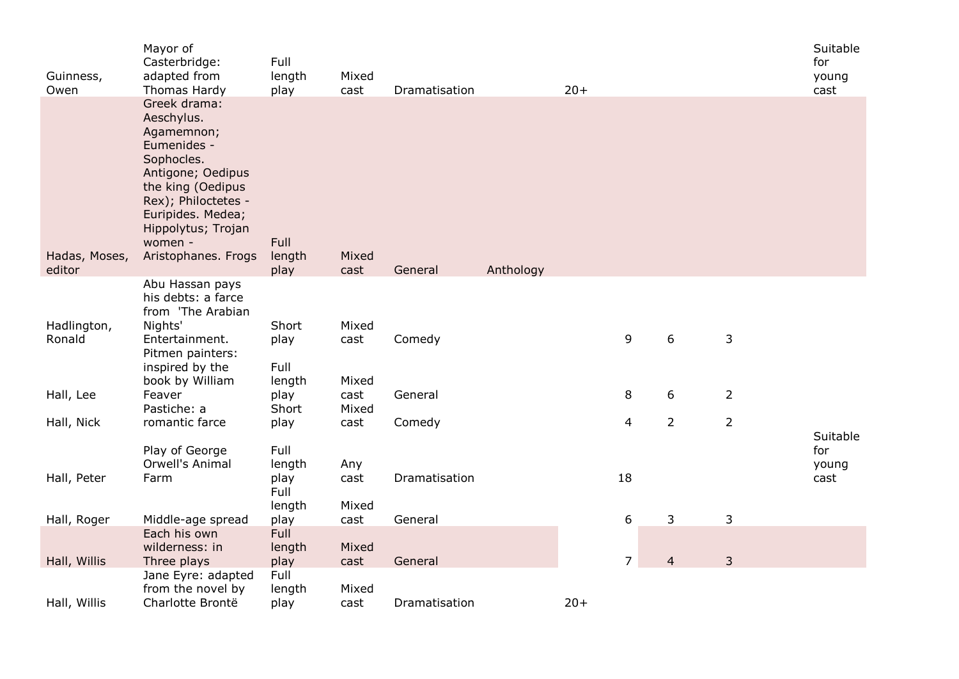| Guinness,<br>Owen | Mayor of<br>Casterbridge:<br>adapted from<br>Thomas Hardy                                                                                                                                                           | Full<br>length<br>play | Mixed<br>cast | Dramatisation |           | $20+$          |                |                | Suitable<br>for<br>young<br>cast |
|-------------------|---------------------------------------------------------------------------------------------------------------------------------------------------------------------------------------------------------------------|------------------------|---------------|---------------|-----------|----------------|----------------|----------------|----------------------------------|
| Hadas, Moses,     | Greek drama:<br>Aeschylus.<br>Agamemnon;<br>Eumenides -<br>Sophocles.<br>Antigone; Oedipus<br>the king (Oedipus<br>Rex); Philoctetes -<br>Euripides. Medea;<br>Hippolytus; Trojan<br>women -<br>Aristophanes. Frogs | <b>Full</b><br>length  | Mixed         |               |           |                |                |                |                                  |
| editor            |                                                                                                                                                                                                                     | play                   | cast          | General       | Anthology |                |                |                |                                  |
| Hadlington,       | Abu Hassan pays<br>his debts: a farce<br>from 'The Arabian<br>Nights'                                                                                                                                               | Short                  | Mixed         |               |           |                |                |                |                                  |
| Ronald            | Entertainment.<br>Pitmen painters:<br>inspired by the                                                                                                                                                               | play<br>Full           | cast          | Comedy        |           | 9              | 6              | $\mathsf{3}$   |                                  |
|                   | book by William                                                                                                                                                                                                     | length                 | Mixed         |               |           |                |                |                |                                  |
| Hall, Lee         | Feaver<br>Pastiche: a                                                                                                                                                                                               | play<br>Short          | cast<br>Mixed | General       |           | 8              | 6              | $\overline{2}$ |                                  |
| Hall, Nick        | romantic farce                                                                                                                                                                                                      | play                   | cast          | Comedy        |           | 4              | $\overline{2}$ | $\overline{2}$ |                                  |
|                   | Play of George<br>Orwell's Animal                                                                                                                                                                                   | Full<br>length         | Any           |               |           |                |                |                | Suitable<br>for<br>young         |
| Hall, Peter       | Farm                                                                                                                                                                                                                | play<br>Full           | cast          | Dramatisation |           | 18             |                |                | cast                             |
|                   |                                                                                                                                                                                                                     | length                 | Mixed         |               |           |                |                |                |                                  |
| Hall, Roger       | Middle-age spread                                                                                                                                                                                                   | play                   | cast          | General       |           | 6              | 3              | $\mathsf{3}$   |                                  |
|                   | Each his own<br>wilderness: in                                                                                                                                                                                      | <b>Full</b><br>length  | Mixed         |               |           |                |                |                |                                  |
| Hall, Willis      | Three plays                                                                                                                                                                                                         | play                   | cast          | General       |           | $\overline{7}$ | $\overline{4}$ | $\overline{3}$ |                                  |
|                   | Jane Eyre: adapted                                                                                                                                                                                                  | Full                   |               |               |           |                |                |                |                                  |
| Hall, Willis      | from the novel by<br>Charlotte Brontë                                                                                                                                                                               | length<br>play         | Mixed<br>cast | Dramatisation |           | $20+$          |                |                |                                  |
|                   |                                                                                                                                                                                                                     |                        |               |               |           |                |                |                |                                  |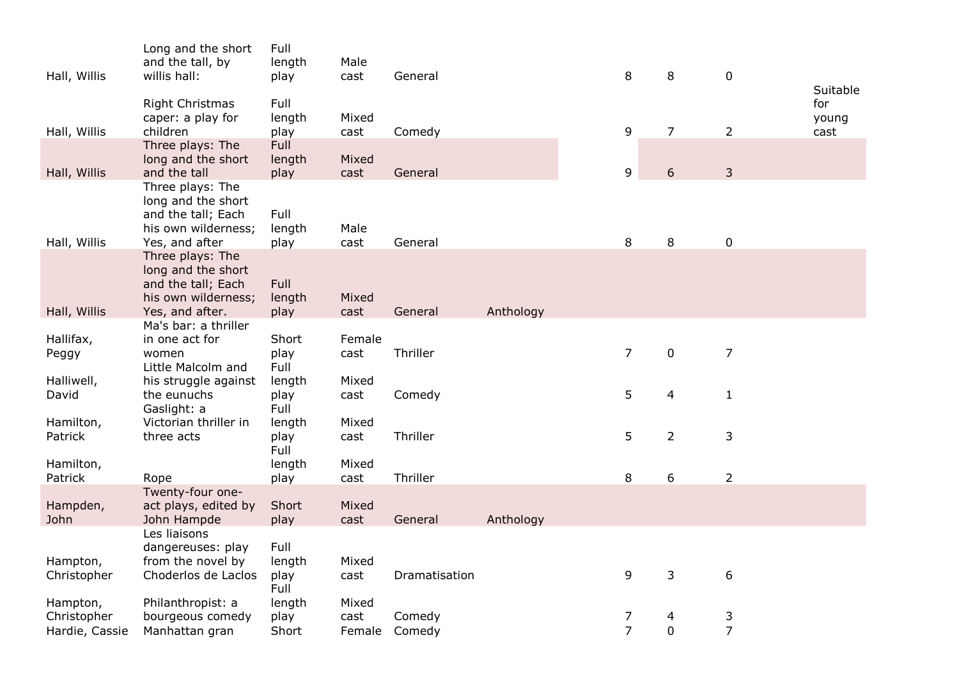| Hall, Willis                              | Long and the short<br>and the tall, by<br>willis hall:                                                 | Full<br>length<br>play         | Male<br>cast            | General          |           | 8                   | 8                | $\mathbf 0$         | Suitable             |
|-------------------------------------------|--------------------------------------------------------------------------------------------------------|--------------------------------|-------------------------|------------------|-----------|---------------------|------------------|---------------------|----------------------|
| Hall, Willis                              | <b>Right Christmas</b><br>caper: a play for<br>children                                                | Full<br>length<br>play         | Mixed<br>cast           | Comedy           |           | 9                   | $\overline{7}$   | $\overline{2}$      | for<br>young<br>cast |
| Hall, Willis                              | Three plays: The<br>long and the short<br>and the tall                                                 | <b>Full</b><br>length<br>play  | Mixed<br>cast           | General          |           | 9                   | 6                | 3                   |                      |
| Hall, Willis                              | Three plays: The<br>long and the short<br>and the tall; Each<br>his own wilderness;<br>Yes, and after  | Full<br>length<br>play         | Male<br>cast            | General          |           | 8                   | 8                | $\boldsymbol{0}$    |                      |
| Hall, Willis                              | Three plays: The<br>long and the short<br>and the tall; Each<br>his own wilderness;<br>Yes, and after. | <b>Full</b><br>length<br>play  | Mixed<br>cast           | General          | Anthology |                     |                  |                     |                      |
|                                           | Ma's bar: a thriller                                                                                   |                                |                         |                  |           |                     |                  |                     |                      |
| Hallifax,<br>Peggy                        | in one act for<br>women<br>Little Malcolm and                                                          | Short<br>play<br>Full          | Female<br>cast          | Thriller         |           | $\overline{7}$      | $\mathbf 0$      | $\overline{7}$      |                      |
| Halliwell,<br>David                       | his struggle against<br>the eunuchs<br>Gaslight: a                                                     | length<br>play<br>Full         | Mixed<br>cast           | Comedy           |           | 5                   | 4                | $\mathbf{1}$        |                      |
| Hamilton,<br>Patrick                      | Victorian thriller in<br>three acts                                                                    | length<br>play<br>Full         | Mixed<br>cast           | Thriller         |           | 5                   | $\overline{2}$   | 3                   |                      |
| Hamilton,<br>Patrick                      | Rope                                                                                                   | length<br>play                 | Mixed<br>cast           | Thriller         |           | 8                   | 6                | $\overline{2}$      |                      |
| Hampden,<br>John                          | Twenty-four one-<br>act plays, edited by<br>John Hampde<br>Les liaisons                                | Short<br>play                  | Mixed<br>cast           | General          | Anthology |                     |                  |                     |                      |
| Hampton,<br>Christopher                   | dangereuses: play<br>from the novel by<br>Choderlos de Laclos                                          | Full<br>length<br>play<br>Full | Mixed<br>cast           | Dramatisation    |           | 9                   | 3                | 6                   |                      |
| Hampton,<br>Christopher<br>Hardie, Cassie | Philanthropist: a<br>bourgeous comedy<br>Manhattan gran                                                | length<br>play<br>Short        | Mixed<br>cast<br>Female | Comedy<br>Comedy |           | 7<br>$\overline{7}$ | 4<br>$\mathbf 0$ | 3<br>$\overline{7}$ |                      |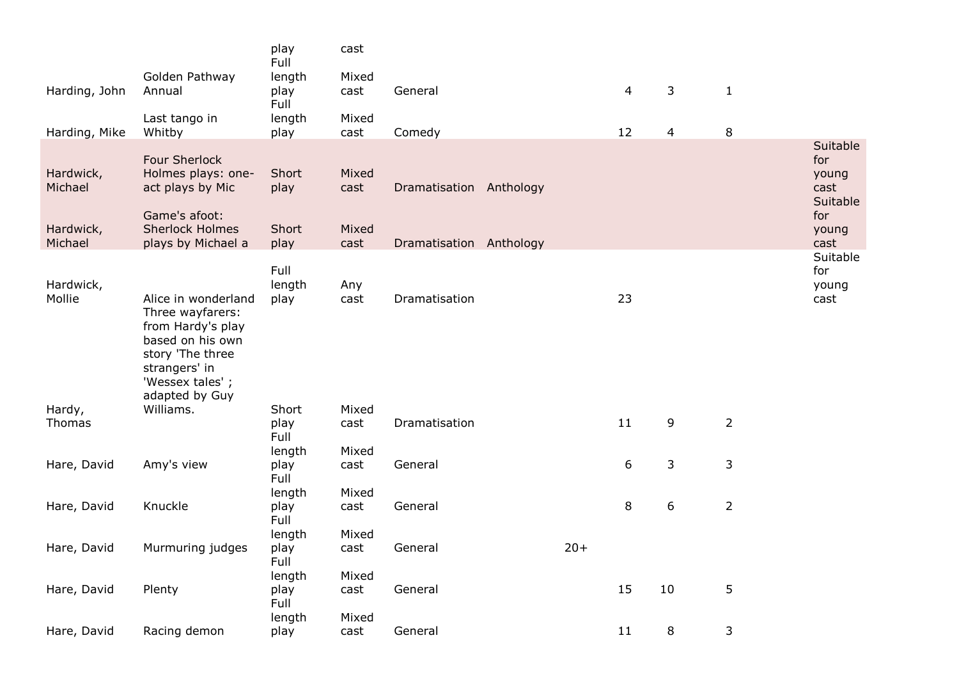|                                   |                                                                                                                                                            | play<br>Full           | cast                   |                         |       |    |    |                |                                                              |
|-----------------------------------|------------------------------------------------------------------------------------------------------------------------------------------------------------|------------------------|------------------------|-------------------------|-------|----|----|----------------|--------------------------------------------------------------|
| Harding, John                     | Golden Pathway<br>Annual                                                                                                                                   | length<br>play<br>Full | Mixed<br>cast          | General                 |       | 4  | 3  | $\mathbf{1}$   |                                                              |
| Harding, Mike                     | Last tango in<br>Whitby                                                                                                                                    | length<br>play         | Mixed<br>cast          | Comedy                  |       | 12 | 4  | 8              |                                                              |
| Hardwick,<br>Michael<br>Hardwick, | <b>Four Sherlock</b><br>Holmes plays: one-<br>act plays by Mic<br>Game's afoot:<br><b>Sherlock Holmes</b>                                                  | Short<br>play<br>Short | Mixed<br>cast<br>Mixed | Dramatisation Anthology |       |    |    |                | Suitable<br>for<br>young<br>cast<br>Suitable<br>for<br>young |
| Michael                           | plays by Michael a                                                                                                                                         | play                   | cast                   | Dramatisation Anthology |       |    |    |                | cast                                                         |
| Hardwick,<br>Mollie               | Alice in wonderland<br>Three wayfarers:<br>from Hardy's play<br>based on his own<br>story 'The three<br>strangers' in<br>'Wessex tales';<br>adapted by Guy | Full<br>length<br>play | Any<br>cast            | Dramatisation           |       | 23 |    |                | Suitable<br>for<br>young<br>cast                             |
| Hardy,<br>Thomas                  | Williams.                                                                                                                                                  | Short<br>play<br>Full  | Mixed<br>cast          | Dramatisation           |       | 11 | 9  | $\overline{2}$ |                                                              |
| Hare, David                       | Amy's view                                                                                                                                                 | length<br>play<br>Full | Mixed<br>cast          | General                 |       | 6  | 3  | 3              |                                                              |
| Hare, David                       | Knuckle                                                                                                                                                    | length<br>play<br>Full | Mixed<br>cast          | General                 |       | 8  | 6  | $\overline{2}$ |                                                              |
| Hare, David                       | Murmuring judges                                                                                                                                           | length<br>play<br>Full | Mixed<br>cast          | General                 | $20+$ |    |    |                |                                                              |
| Hare, David                       | Plenty                                                                                                                                                     | length<br>play<br>Full | Mixed<br>cast          | General                 |       | 15 | 10 | 5              |                                                              |
| Hare, David                       | Racing demon                                                                                                                                               | length<br>play         | Mixed<br>cast          | General                 |       | 11 | 8  | 3              |                                                              |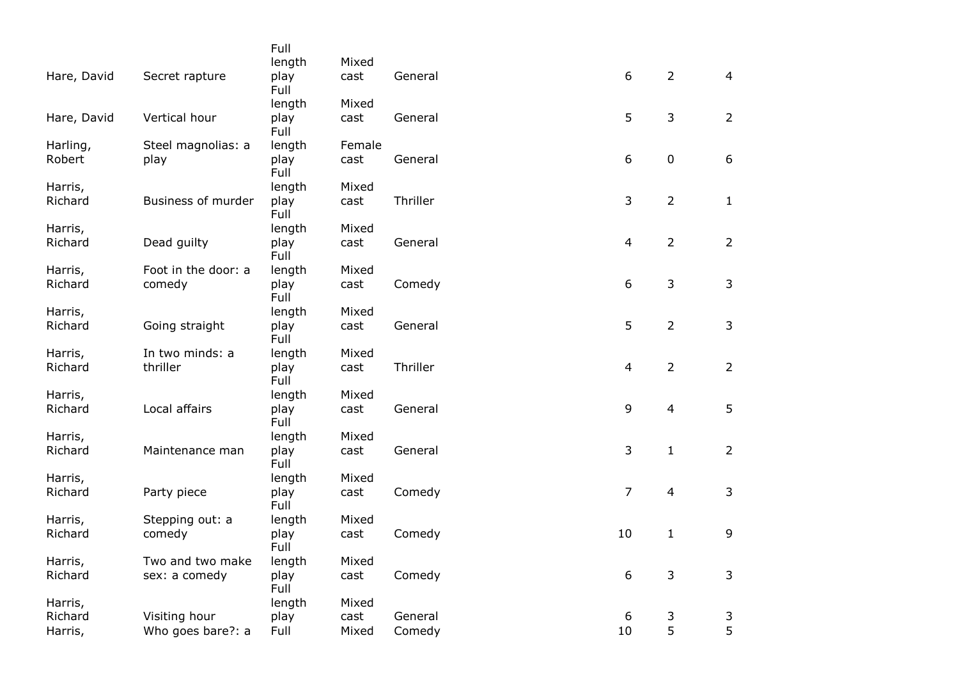|             |                     | Full         |        |          |                |                |                |
|-------------|---------------------|--------------|--------|----------|----------------|----------------|----------------|
|             |                     | length       | Mixed  |          |                |                |                |
| Hare, David | Secret rapture      | play<br>Full | cast   | General  | 6              | $\overline{2}$ | $\overline{4}$ |
|             |                     | length       | Mixed  |          |                |                |                |
| Hare, David | Vertical hour       | play<br>Full | cast   | General  | 5              | $\mathsf{3}$   | $\overline{2}$ |
| Harling,    | Steel magnolias: a  | length       | Female |          |                |                |                |
| Robert      | play                | play<br>Full | cast   | General  | 6              | $\pmb{0}$      | 6              |
| Harris,     |                     | length       | Mixed  |          |                |                |                |
| Richard     | Business of murder  | play<br>Full | cast   | Thriller | 3              | $\overline{2}$ | $\mathbf{1}$   |
| Harris,     |                     | length       | Mixed  |          |                |                |                |
| Richard     | Dead guilty         | play<br>Full | cast   | General  | 4              | $\overline{2}$ | $\overline{2}$ |
| Harris,     | Foot in the door: a | length       | Mixed  |          |                |                |                |
| Richard     | comedy              | play<br>Full | cast   | Comedy   | 6              | 3              | 3              |
| Harris,     |                     | length       | Mixed  |          |                |                |                |
| Richard     | Going straight      | play<br>Full | cast   | General  | 5              | $\overline{2}$ | $\mathsf{3}$   |
| Harris,     | In two minds: a     | length       | Mixed  |          |                |                |                |
| Richard     | thriller            | play<br>Full | cast   | Thriller | 4              | $\overline{2}$ | $\overline{2}$ |
| Harris,     |                     | length       | Mixed  |          |                |                |                |
| Richard     | Local affairs       | play<br>Full | cast   | General  | 9              | $\overline{4}$ | 5              |
| Harris,     |                     | length       | Mixed  |          |                |                |                |
| Richard     | Maintenance man     | play<br>Full | cast   | General  | 3              | $\mathbf 1$    | $\overline{2}$ |
| Harris,     |                     | length       | Mixed  |          |                |                |                |
| Richard     | Party piece         | play<br>Full | cast   | Comedy   | $\overline{7}$ | $\overline{4}$ | 3              |
| Harris,     | Stepping out: a     | length       | Mixed  |          |                |                |                |
| Richard     | comedy              | play<br>Full | cast   | Comedy   | 10             | $\mathbf{1}$   | 9              |
| Harris,     | Two and two make    | length       | Mixed  |          |                |                |                |
| Richard     | sex: a comedy       | play<br>Full | cast   | Comedy   | 6              | $\mathsf{3}$   | 3              |
| Harris,     |                     | length       | Mixed  |          |                |                |                |
| Richard     | Visiting hour       | play         | cast   | General  | 6              | 3              | 3              |
| Harris,     | Who goes bare?: a   | Full         | Mixed  | Comedy   | 10             | 5              | 5              |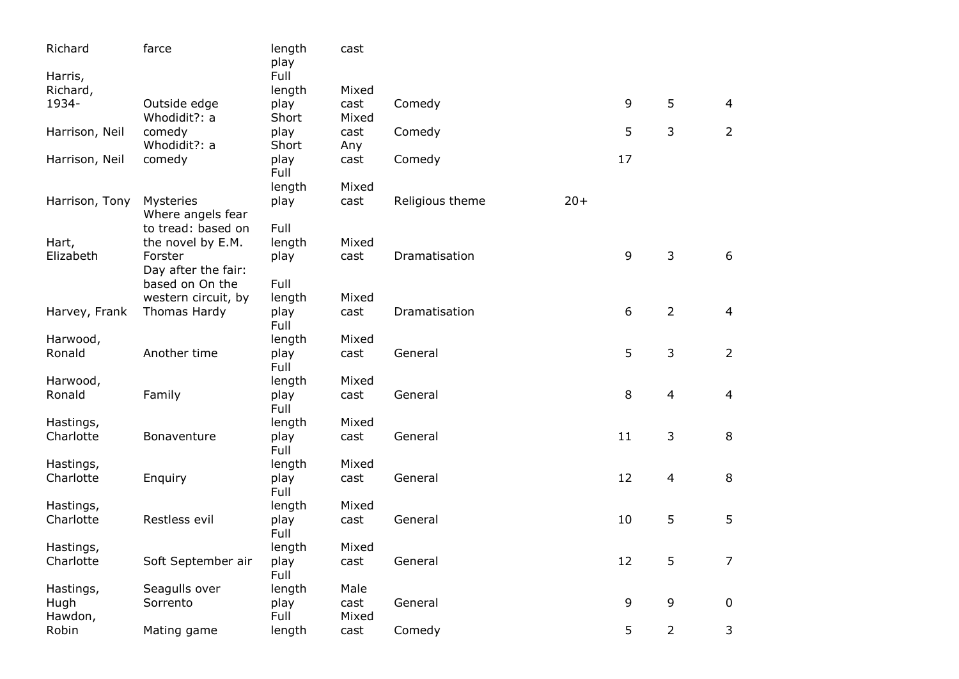| Richard        | farce                          | length<br>play | cast          |                 |       |    |                |                |
|----------------|--------------------------------|----------------|---------------|-----------------|-------|----|----------------|----------------|
| Harris,        |                                | Full           |               |                 |       |    |                |                |
| Richard,       |                                | length         | Mixed         |                 |       |    | 5              |                |
| 1934-          | Outside edge<br>Whodidit?: a   | play<br>Short  | cast<br>Mixed | Comedy          |       | 9  |                | 4              |
| Harrison, Neil | comedy<br>Whodidit?: a         | play<br>Short  | cast<br>Any   | Comedy          |       | 5  | $\mathfrak{Z}$ | $\overline{2}$ |
| Harrison, Neil | comedy                         | play<br>Full   | cast          | Comedy          |       | 17 |                |                |
|                |                                | length         | Mixed         |                 |       |    |                |                |
| Harrison, Tony | Mysteries<br>Where angels fear | play           | cast          | Religious theme | $20+$ |    |                |                |
|                | to tread: based on             | Full           |               |                 |       |    |                |                |
| Hart,          | the novel by E.M.              | length         | Mixed         |                 |       |    |                |                |
| Elizabeth      | Forster                        | play           | cast          | Dramatisation   |       | 9  | 3              | 6              |
|                | Day after the fair:            |                |               |                 |       |    |                |                |
|                | based on On the                | Full           |               |                 |       |    |                |                |
|                | western circuit, by            | length         | Mixed         |                 |       |    |                |                |
| Harvey, Frank  | Thomas Hardy                   | play<br>Full   | cast          | Dramatisation   |       | 6  | $\overline{2}$ | 4              |
| Harwood,       |                                | length         | Mixed         |                 |       |    |                |                |
| Ronald         | Another time                   | play<br>Full   | cast          | General         |       | 5  | 3              | $\overline{2}$ |
| Harwood,       |                                | length         | Mixed         |                 |       |    |                |                |
| Ronald         | Family                         | play<br>Full   | cast          | General         |       | 8  | 4              | $\overline{a}$ |
| Hastings,      |                                | length         | Mixed         |                 |       |    |                |                |
| Charlotte      | Bonaventure                    | play<br>Full   | cast          | General         |       | 11 | $\mathsf 3$    | $\,8\,$        |
| Hastings,      |                                | length         | Mixed         |                 |       |    |                |                |
| Charlotte      | Enquiry                        | play<br>Full   | cast          | General         |       | 12 | 4              | $\,8\,$        |
| Hastings,      |                                | length         | Mixed         |                 |       |    |                |                |
| Charlotte      | Restless evil                  | play<br>Full   | cast          | General         |       | 10 | 5              | 5              |
| Hastings,      |                                | length         | Mixed         |                 |       |    |                |                |
| Charlotte      | Soft September air             | play<br>Full   | cast          | General         |       | 12 | 5              | $\overline{7}$ |
| Hastings,      | Seagulls over                  | length         | Male          |                 |       |    |                |                |
| Hugh           | Sorrento                       | play           | cast          | General         |       | 9  | 9              | $\mathbf 0$    |
| Hawdon,        |                                | Full           | Mixed         |                 |       |    |                |                |
| Robin          | Mating game                    | length         | cast          | Comedy          |       | 5  | $\overline{2}$ | 3              |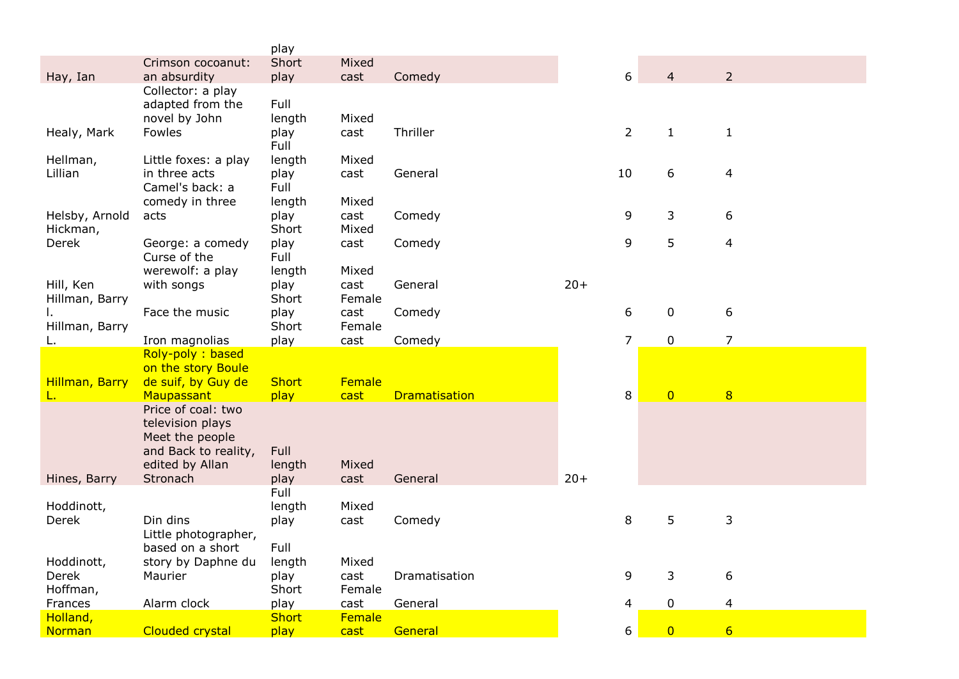|                |                        | play          |                |                      |       |                |                |                 |
|----------------|------------------------|---------------|----------------|----------------------|-------|----------------|----------------|-----------------|
|                | Crimson cocoanut:      | Short         | Mixed          |                      |       |                |                |                 |
| Hay, Ian       | an absurdity           | play          | cast           | Comedy               |       | 6              | $\overline{4}$ | $\overline{2}$  |
|                | Collector: a play      |               |                |                      |       |                |                |                 |
|                | adapted from the       | Full          |                |                      |       |                |                |                 |
|                | novel by John          | length        | Mixed          |                      |       |                |                |                 |
| Healy, Mark    | Fowles                 | play          | cast           | Thriller             |       | $\overline{2}$ | $\mathbf{1}$   | $\mathbf{1}$    |
|                |                        | Full          |                |                      |       |                |                |                 |
| Hellman,       | Little foxes: a play   | length        | Mixed          |                      |       |                |                |                 |
| Lillian        | in three acts          | play          | cast           | General              |       | 10             | 6              | 4               |
|                | Camel's back: a        | Full          |                |                      |       |                |                |                 |
|                | comedy in three        | length        | Mixed          |                      |       |                |                |                 |
| Helsby, Arnold | acts                   | play          | cast           | Comedy               |       | 9              | 3              | 6               |
| Hickman,       |                        | Short         | Mixed          |                      |       |                |                |                 |
| Derek          | George: a comedy       | play          | cast           | Comedy               |       | 9              | 5              | 4               |
|                | Curse of the           | Full          |                |                      |       |                |                |                 |
|                | werewolf: a play       | length        | Mixed          |                      | $20+$ |                |                |                 |
| Hill, Ken      | with songs             | play<br>Short | cast<br>Female | General              |       |                |                |                 |
| Hillman, Barry | Face the music         |               | cast           |                      |       | 6              | $\mathbf 0$    | 6               |
| Hillman, Barry |                        | play<br>Short | Female         | Comedy               |       |                |                |                 |
|                | Iron magnolias         | play          | cast           | Comedy               |       | $\overline{7}$ | $\mathbf 0$    | $\overline{7}$  |
|                | Roly-poly: based       |               |                |                      |       |                |                |                 |
|                | on the story Boule     |               |                |                      |       |                |                |                 |
| Hillman, Barry | de suif, by Guy de     | <b>Short</b>  | Female         |                      |       |                |                |                 |
| L.             | Maupassant             | play          | cast           | <b>Dramatisation</b> |       | 8              | $\overline{0}$ | 8               |
|                | Price of coal: two     |               |                |                      |       |                |                |                 |
|                | television plays       |               |                |                      |       |                |                |                 |
|                | Meet the people        |               |                |                      |       |                |                |                 |
|                | and Back to reality,   | Full          |                |                      |       |                |                |                 |
|                | edited by Allan        | length        | Mixed          |                      |       |                |                |                 |
| Hines, Barry   | Stronach               | play          | cast           | General              | $20+$ |                |                |                 |
|                |                        | Full          |                |                      |       |                |                |                 |
| Hoddinott,     |                        | length        | Mixed          |                      |       |                |                |                 |
| Derek          | Din dins               | play          | cast           | Comedy               |       | 8              | 5              | 3               |
|                | Little photographer,   |               |                |                      |       |                |                |                 |
|                | based on a short       | Full          |                |                      |       |                |                |                 |
| Hoddinott,     | story by Daphne du     | length        | Mixed          |                      |       |                |                |                 |
| Derek          | Maurier                | play          | cast           | Dramatisation        |       | 9              | 3              | 6               |
| Hoffman,       |                        | Short         | Female         |                      |       |                |                |                 |
| Frances        | Alarm clock            | play          | cast           | General              |       | 4              | $\pmb{0}$      | 4               |
| Holland,       |                        | <b>Short</b>  | Female         |                      |       |                |                |                 |
| <b>Norman</b>  | <b>Clouded crystal</b> | play          | cast           | General              |       | 6              | $\overline{0}$ | $6\overline{6}$ |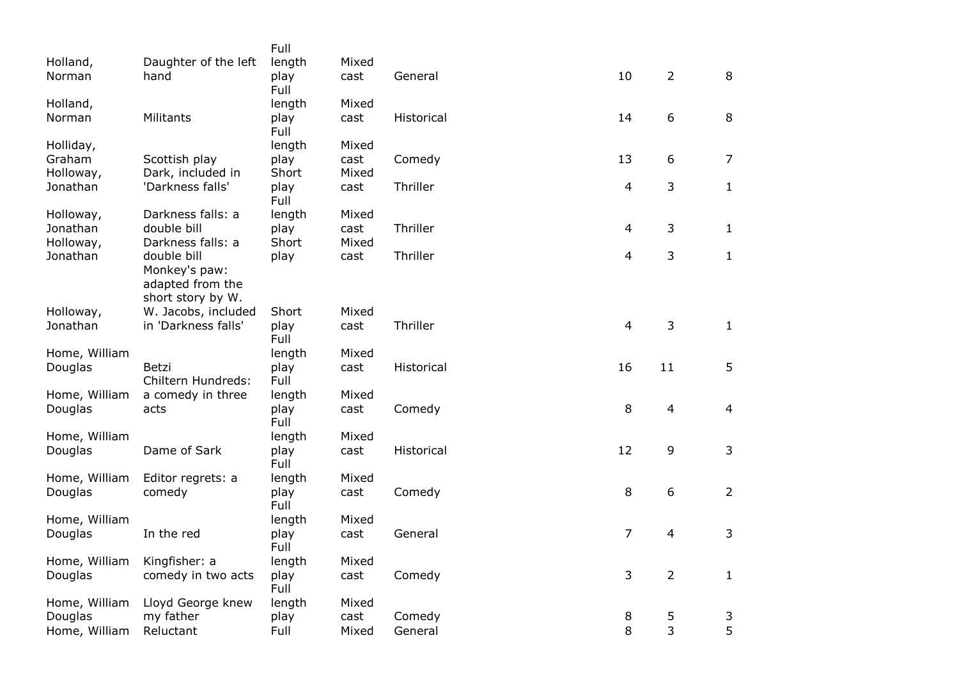|                          |                      | Full           |       |            |                |                |                |
|--------------------------|----------------------|----------------|-------|------------|----------------|----------------|----------------|
| Holland,                 | Daughter of the left | length         | Mixed |            |                |                |                |
| Norman                   | hand                 | play           | cast  | General    | 10             | $\overline{2}$ | 8              |
|                          |                      | Full           |       |            |                |                |                |
| Holland,                 |                      | length         | Mixed |            |                |                |                |
| Norman                   | Militants            | play           | cast  | Historical | 14             | 6              | 8              |
|                          |                      | Full<br>length | Mixed |            |                |                |                |
| Holliday,<br>Graham      | Scottish play        | play           | cast  | Comedy     | 13             | 6              | $\overline{7}$ |
| Holloway,                | Dark, included in    | Short          | Mixed |            |                |                |                |
| Jonathan                 | 'Darkness falls'     | play           | cast  | Thriller   | 4              | 3              | $\mathbf{1}$   |
|                          |                      | Full           |       |            |                |                |                |
| Holloway,                | Darkness falls: a    | length         | Mixed |            |                |                |                |
| Jonathan                 | double bill          | play           | cast  | Thriller   | 4              | 3              | $\mathbf{1}$   |
| Holloway,                | Darkness falls: a    | Short          | Mixed |            |                |                |                |
| Jonathan                 | double bill          | play           | cast  | Thriller   | 4              | 3              | $\mathbf{1}$   |
|                          | Monkey's paw:        |                |       |            |                |                |                |
|                          | adapted from the     |                |       |            |                |                |                |
|                          | short story by W.    |                |       |            |                |                |                |
| Holloway,                | W. Jacobs, included  | Short          | Mixed |            |                |                |                |
| Jonathan                 | in 'Darkness falls'  | play<br>Full   | cast  | Thriller   | 4              | 3              | $\mathbf{1}$   |
| Home, William            |                      | length         | Mixed |            |                |                |                |
| Douglas                  | Betzi                | play           | cast  | Historical | 16             | 11             | 5              |
|                          | Chiltern Hundreds:   | Full           |       |            |                |                |                |
| Home, William            | a comedy in three    | length         | Mixed |            |                |                |                |
| Douglas                  | acts                 | play           | cast  | Comedy     | 8              | $\overline{4}$ | $\overline{4}$ |
|                          |                      | Full           |       |            |                |                |                |
| Home, William            |                      | length         | Mixed |            |                |                |                |
| Douglas                  | Dame of Sark         | play           | cast  | Historical | 12             | 9              | $\mathsf{3}$   |
|                          |                      | Full           |       |            |                |                |                |
| Home, William            | Editor regrets: a    | length         | Mixed |            |                |                |                |
| Douglas                  | comedy               | play           | cast  | Comedy     | 8              | 6              | $\overline{2}$ |
|                          |                      | Full<br>length | Mixed |            |                |                |                |
| Home, William<br>Douglas | In the red           | play           | cast  | General    | $\overline{7}$ | $\overline{4}$ | 3              |
|                          |                      | Full           |       |            |                |                |                |
| Home, William            | Kingfisher: a        | length         | Mixed |            |                |                |                |
| Douglas                  | comedy in two acts   | play           | cast  | Comedy     | 3              | $\overline{2}$ | $\mathbf 1$    |
|                          |                      | Full           |       |            |                |                |                |
| Home, William            | Lloyd George knew    | length         | Mixed |            |                |                |                |
| Douglas                  | my father            | play           | cast  | Comedy     | 8              | 5              | 3              |
| Home, William            | Reluctant            | Full           | Mixed | General    | 8              | 3              | 5              |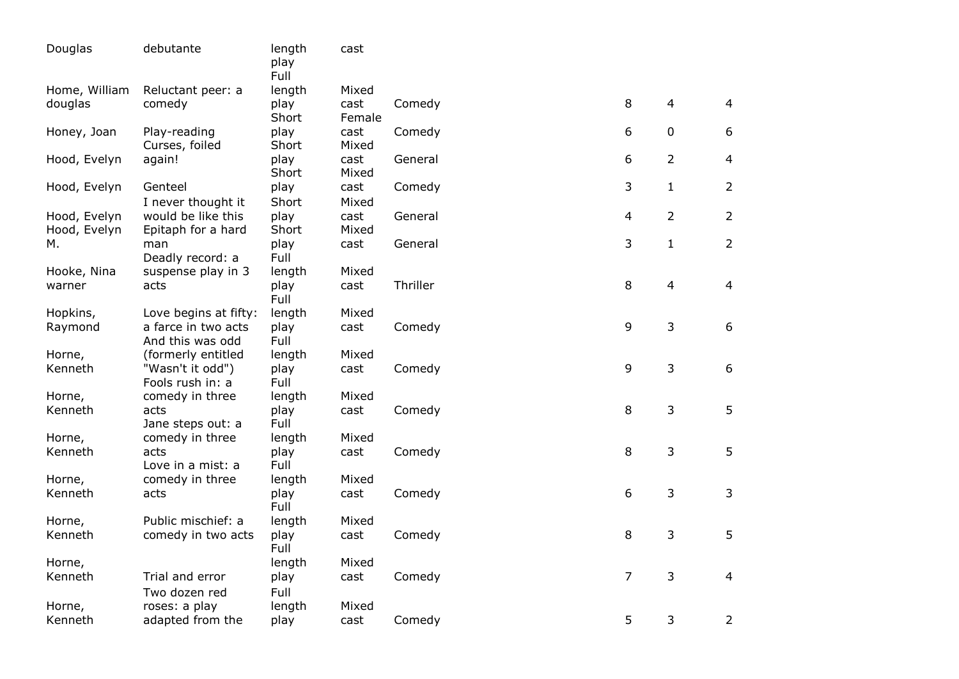| Douglas                      | debutante                                | length<br>play<br>Full | cast           |          |                  |                |                |
|------------------------------|------------------------------------------|------------------------|----------------|----------|------------------|----------------|----------------|
| Home, William                | Reluctant peer: a                        | length                 | Mixed          |          |                  |                |                |
| douglas                      | comedy                                   | play<br>Short          | cast<br>Female | Comedy   | 8                | $\overline{4}$ | $\overline{4}$ |
| Honey, Joan                  | Play-reading<br>Curses, foiled           | play<br>Short          | cast<br>Mixed  | Comedy   | 6                | $\mathbf 0$    | 6              |
| Hood, Evelyn                 | again!                                   | play<br>Short          | cast<br>Mixed  | General  | 6                | $\overline{2}$ | $\overline{4}$ |
| Hood, Evelyn                 | Genteel<br>I never thought it            | play<br>Short          | cast<br>Mixed  | Comedy   | 3                | $\mathbf{1}$   | 2              |
| Hood, Evelyn<br>Hood, Evelyn | would be like this<br>Epitaph for a hard | play<br>Short          | cast<br>Mixed  | General  | $\overline{4}$   | $\overline{2}$ | $\overline{2}$ |
| м.                           | man<br>Deadly record: a                  | play<br>Full           | cast           | General  | 3                | $\mathbf{1}$   | $\overline{2}$ |
| Hooke, Nina                  | suspense play in 3                       | length                 | Mixed          |          |                  |                |                |
| warner                       | acts                                     | play<br>Full           | cast           | Thriller | 8                | $\overline{4}$ | $\overline{4}$ |
| Hopkins,                     | Love begins at fifty:                    | length                 | Mixed          |          |                  |                |                |
| Raymond                      | a farce in two acts                      | play                   | cast           | Comedy   | 9                | 3              | 6              |
|                              | And this was odd                         | Full                   |                |          |                  |                |                |
| Horne,                       | (formerly entitled                       | length                 | Mixed          |          |                  |                |                |
| Kenneth                      | "Wasn't it odd")<br>Fools rush in: a     | play<br>Full           | cast           | Comedy   | 9                | 3              | 6              |
| Horne,                       | comedy in three                          | length                 | Mixed          |          |                  |                |                |
| Kenneth                      | acts<br>Jane steps out: a                | play<br>Full           | cast           | Comedy   | 8                | 3              | 5              |
| Horne,                       | comedy in three                          | length                 | Mixed          |          |                  |                |                |
| Kenneth                      | acts<br>Love in a mist: a                | play<br>Full           | cast           | Comedy   | 8                | 3              | 5              |
| Horne,                       | comedy in three                          | length                 | Mixed          |          |                  |                |                |
| Kenneth                      | acts                                     | play<br>Full           | cast           | Comedy   | $\boldsymbol{6}$ | 3              | 3              |
| Horne,                       | Public mischief: a                       | length                 | Mixed          |          |                  |                |                |
| Kenneth                      | comedy in two acts                       | play<br>Full           | cast           | Comedy   | 8                | 3              | 5              |
| Horne,                       |                                          | length                 | Mixed          |          |                  |                |                |
| Kenneth                      | Trial and error<br>Two dozen red         | play<br>Full           | cast           | Comedy   | $\overline{7}$   | 3              | $\overline{4}$ |
| Horne,                       | roses: a play                            | length                 | Mixed          |          |                  |                |                |
| Kenneth                      | adapted from the                         | play                   | cast           | Comedy   | 5                | 3              | $\overline{2}$ |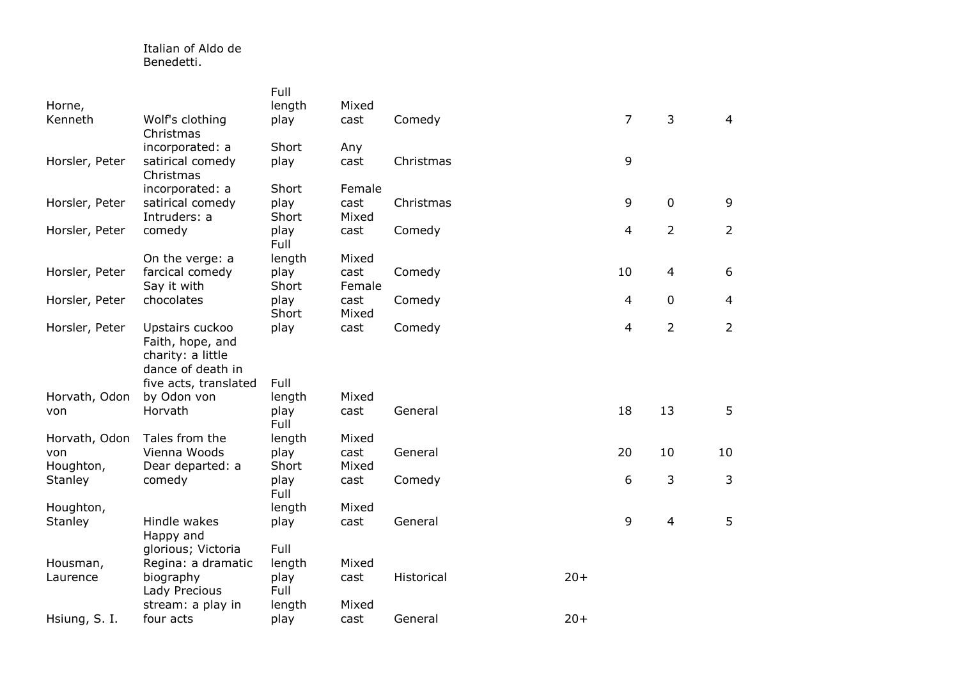## Italian of Aldo de Benedetti.

|                |                                        | Full          |               |            |       |                |                |                |
|----------------|----------------------------------------|---------------|---------------|------------|-------|----------------|----------------|----------------|
| Horne,         |                                        | length        | Mixed         |            |       |                |                |                |
| Kenneth        | Wolf's clothing<br>Christmas           | play          | cast          | Comedy     |       | $\overline{7}$ | 3              | $\overline{4}$ |
|                | incorporated: a                        | Short         | Any           |            |       |                |                |                |
| Horsler, Peter | satirical comedy<br>Christmas          | play          | cast          | Christmas  |       | 9              |                |                |
|                | incorporated: a                        | Short         | Female        |            |       |                |                |                |
| Horsler, Peter | satirical comedy<br>Intruders: a       | play<br>Short | cast<br>Mixed | Christmas  |       | 9              | $\mathbf 0$    | 9              |
| Horsler, Peter | comedy                                 | play<br>Full  | cast          | Comedy     |       | $\overline{4}$ | $\overline{2}$ | $\overline{2}$ |
|                | On the verge: a                        | length        | Mixed         |            |       |                |                |                |
| Horsler, Peter | farcical comedy                        | play          | cast          | Comedy     |       | 10             | $\overline{4}$ | 6              |
|                | Say it with                            | Short         | Female        |            |       |                |                |                |
| Horsler, Peter | chocolates                             | play          | cast          | Comedy     |       | 4              | $\mathbf 0$    | $\overline{4}$ |
|                |                                        | Short         | Mixed         |            |       |                |                |                |
| Horsler, Peter | Upstairs cuckoo<br>Faith, hope, and    | play          | cast          | Comedy     |       | 4              | $\overline{2}$ | $\overline{2}$ |
|                | charity: a little<br>dance of death in |               |               |            |       |                |                |                |
|                | five acts, translated                  | Full          |               |            |       |                |                |                |
| Horvath, Odon  | by Odon von                            | length        | Mixed         |            |       |                |                |                |
| von            | Horvath                                | play<br>Full  | cast          | General    |       | 18             | 13             | 5              |
| Horvath, Odon  | Tales from the                         | length        | Mixed         |            |       |                |                |                |
| von            | Vienna Woods                           | play          | cast          | General    |       | 20             | 10             | 10             |
| Houghton,      | Dear departed: a                       | Short         | Mixed         |            |       |                |                |                |
| Stanley        | comedy                                 | play<br>Full  | cast          | Comedy     |       | 6              | 3              | 3              |
| Houghton,      |                                        | length        | Mixed         |            |       |                |                |                |
| Stanley        | Hindle wakes<br>Happy and              | play          | cast          | General    |       | 9              | $\overline{4}$ | 5              |
|                | glorious; Victoria                     | Full          |               |            |       |                |                |                |
| Housman,       | Regina: a dramatic                     | length        | Mixed         |            |       |                |                |                |
| Laurence       | biography<br>Lady Precious             | play<br>Full  | cast          | Historical | $20+$ |                |                |                |
|                | stream: a play in                      | length        | Mixed         |            |       |                |                |                |
| Hsiung, S. I.  | four acts                              | play          | cast          | General    | $20+$ |                |                |                |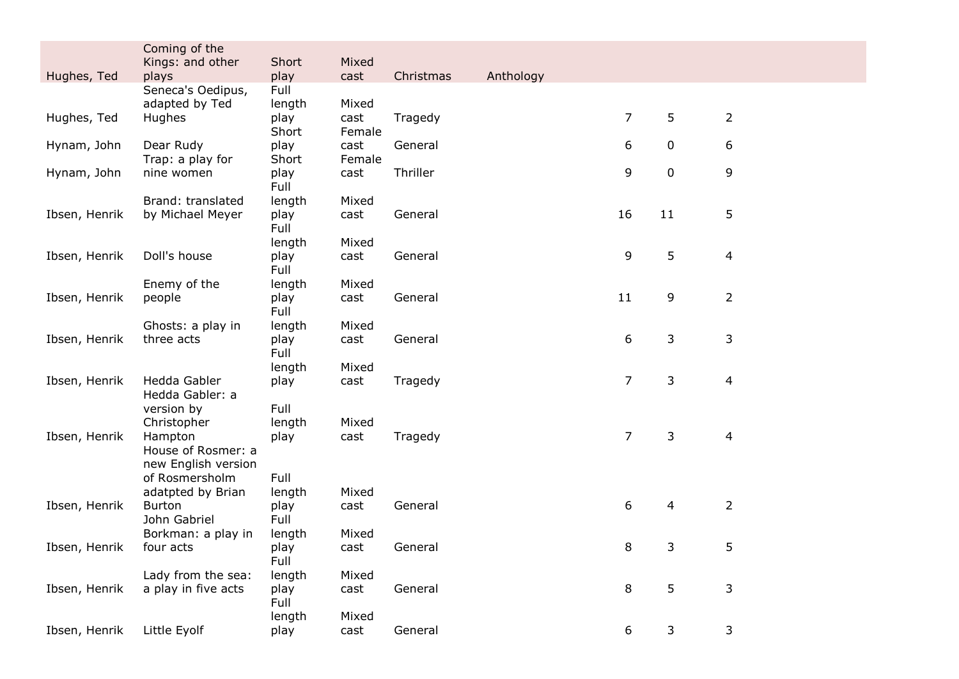|               | Coming of the                 |               |                |           |           |                |    |                |  |
|---------------|-------------------------------|---------------|----------------|-----------|-----------|----------------|----|----------------|--|
|               | Kings: and other              | Short         | Mixed          |           |           |                |    |                |  |
| Hughes, Ted   | plays                         | play          | cast           | Christmas | Anthology |                |    |                |  |
|               | Seneca's Oedipus,             | Full          |                |           |           |                |    |                |  |
| Hughes, Ted   | adapted by Ted                | length        | Mixed          |           |           | $\overline{7}$ | 5  |                |  |
|               | Hughes                        | play<br>Short | cast<br>Female | Tragedy   |           |                |    | $\overline{2}$ |  |
| Hynam, John   | Dear Rudy                     | play          | cast           | General   |           | 6              | 0  | 6              |  |
|               | Trap: a play for              | Short         | Female         |           |           |                |    |                |  |
| Hynam, John   | nine women                    | play          | cast           | Thriller  |           | 9              | 0  | 9              |  |
|               |                               | Full          |                |           |           |                |    |                |  |
|               | Brand: translated             | length        | Mixed          |           |           |                |    |                |  |
| Ibsen, Henrik | by Michael Meyer              | play          | cast           | General   |           | 16             | 11 | 5              |  |
|               |                               | Full          |                |           |           |                |    |                |  |
|               |                               | length        | Mixed          |           |           |                |    |                |  |
| Ibsen, Henrik | Doll's house                  | play<br>Full  | cast           | General   |           | 9              | 5  | $\overline{4}$ |  |
|               | Enemy of the                  | length        | Mixed          |           |           |                |    |                |  |
| Ibsen, Henrik | people                        | play          | cast           | General   |           | 11             | 9  | $\overline{2}$ |  |
|               |                               | Full          |                |           |           |                |    |                |  |
|               | Ghosts: a play in             | length        | Mixed          |           |           |                |    |                |  |
| Ibsen, Henrik | three acts                    | play          | cast           | General   |           | 6              | 3  | 3              |  |
|               |                               | Full          |                |           |           |                |    |                |  |
|               |                               | length        | Mixed          |           |           |                |    |                |  |
| Ibsen, Henrik | Hedda Gabler                  | play          | cast           | Tragedy   |           | $\overline{7}$ | 3  | $\overline{4}$ |  |
|               | Hedda Gabler: a               |               |                |           |           |                |    |                |  |
|               | version by                    | Full          |                |           |           |                |    |                |  |
|               | Christopher                   | length        | Mixed          |           |           |                |    |                |  |
| Ibsen, Henrik | Hampton<br>House of Rosmer: a | play          | cast           | Tragedy   |           | $\overline{7}$ | 3  | $\overline{4}$ |  |
|               | new English version           |               |                |           |           |                |    |                |  |
|               | of Rosmersholm                | Full          |                |           |           |                |    |                |  |
|               | adatpted by Brian             | length        | Mixed          |           |           |                |    |                |  |
| Ibsen, Henrik | <b>Burton</b>                 | play          | cast           | General   |           | 6              | 4  | $\overline{2}$ |  |
|               | John Gabriel                  | Full          |                |           |           |                |    |                |  |
|               | Borkman: a play in            | length        | Mixed          |           |           |                |    |                |  |
| Ibsen, Henrik | four acts                     | play          | cast           | General   |           | 8              | 3  | 5              |  |
|               |                               | Full          |                |           |           |                |    |                |  |
|               | Lady from the sea:            | length        | Mixed          |           |           |                |    |                |  |
| Ibsen, Henrik | a play in five acts           | play          | cast           | General   |           | 8              | 5  | 3              |  |
|               |                               | Full          |                |           |           |                |    |                |  |
|               |                               | length        | Mixed          |           |           |                |    |                |  |
| Ibsen, Henrik | Little Eyolf                  | play          | cast           | General   |           | 6              | 3  | 3              |  |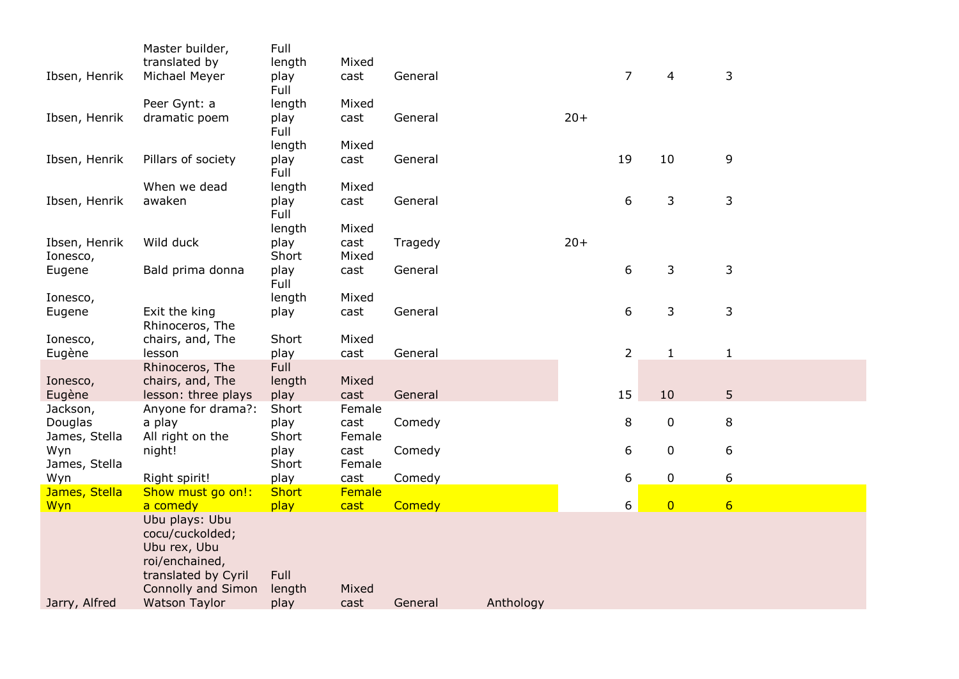|                           | Master builder,                         | Full           |                |         |           |       |                  |                |                  |  |
|---------------------------|-----------------------------------------|----------------|----------------|---------|-----------|-------|------------------|----------------|------------------|--|
| Ibsen, Henrik             | translated by<br>Michael Meyer          | length<br>play | Mixed<br>cast  | General |           |       | $\overline{7}$   | 4              | 3                |  |
|                           |                                         | Full           |                |         |           |       |                  |                |                  |  |
|                           | Peer Gynt: a                            | length         | Mixed          |         |           |       |                  |                |                  |  |
| Ibsen, Henrik             | dramatic poem                           | play<br>Full   | cast           | General |           | $20+$ |                  |                |                  |  |
|                           |                                         | length         | Mixed          |         |           |       |                  |                |                  |  |
| Ibsen, Henrik             | Pillars of society                      | play           | cast           | General |           |       | 19               | 10             | 9                |  |
|                           | When we dead                            | Full           | Mixed          |         |           |       |                  |                |                  |  |
| Ibsen, Henrik             | awaken                                  | length<br>play | cast           | General |           |       | 6                | 3              | $\mathsf 3$      |  |
|                           |                                         | Full           |                |         |           |       |                  |                |                  |  |
|                           |                                         | length         | Mixed          |         |           |       |                  |                |                  |  |
| Ibsen, Henrik<br>Ionesco, | Wild duck                               | play<br>Short  | cast<br>Mixed  | Tragedy |           | $20+$ |                  |                |                  |  |
| Eugene                    | Bald prima donna                        | play           | cast           | General |           |       | $\boldsymbol{6}$ | 3              | $\mathsf 3$      |  |
|                           |                                         | Full           |                |         |           |       |                  |                |                  |  |
| Ionesco,                  |                                         | length         | Mixed          |         |           |       |                  |                |                  |  |
| Eugene                    | Exit the king<br>Rhinoceros, The        | play           | cast           | General |           |       | $\boldsymbol{6}$ | 3              | 3                |  |
| Ionesco,                  | chairs, and, The                        | Short          | Mixed          |         |           |       |                  |                |                  |  |
| Eugène                    | lesson                                  | play           | cast           | General |           |       | $\overline{2}$   | $\mathbf 1$    | $\mathbf{1}$     |  |
|                           | Rhinoceros, The                         | Full           | Mixed          |         |           |       |                  |                |                  |  |
| Ionesco,<br>Eugène        | chairs, and, The<br>lesson: three plays | length<br>play | cast           | General |           |       | 15               | 10             | 5                |  |
| Jackson,                  | Anyone for drama?:                      | Short          | Female         |         |           |       |                  |                |                  |  |
| Douglas                   | a play                                  | play           | cast           | Comedy  |           |       | 8                | 0              | 8                |  |
| James, Stella<br>Wyn      | All right on the<br>night!              | Short<br>play  | Female<br>cast | Comedy  |           |       | 6                | 0              | 6                |  |
| James, Stella             |                                         | Short          | Female         |         |           |       |                  |                |                  |  |
| Wyn                       | Right spirit!                           | play           | cast           | Comedy  |           |       | 6                | 0              | $\boldsymbol{6}$ |  |
| James, Stella             | Show must go on!:                       | <b>Short</b>   | Female         |         |           |       |                  |                |                  |  |
| Wyn                       | a comedy<br>Ubu plays: Ubu              | play           | cast           | Comedy  |           |       | 6                | $\overline{0}$ | $6 \overline{}$  |  |
|                           | cocu/cuckolded;                         |                |                |         |           |       |                  |                |                  |  |
|                           | Ubu rex, Ubu                            |                |                |         |           |       |                  |                |                  |  |
|                           | roi/enchained,<br>translated by Cyril   | Full           |                |         |           |       |                  |                |                  |  |
|                           | <b>Connolly and Simon</b>               | length         | Mixed          |         |           |       |                  |                |                  |  |
| Jarry, Alfred             | <b>Watson Taylor</b>                    | play           | cast           | General | Anthology |       |                  |                |                  |  |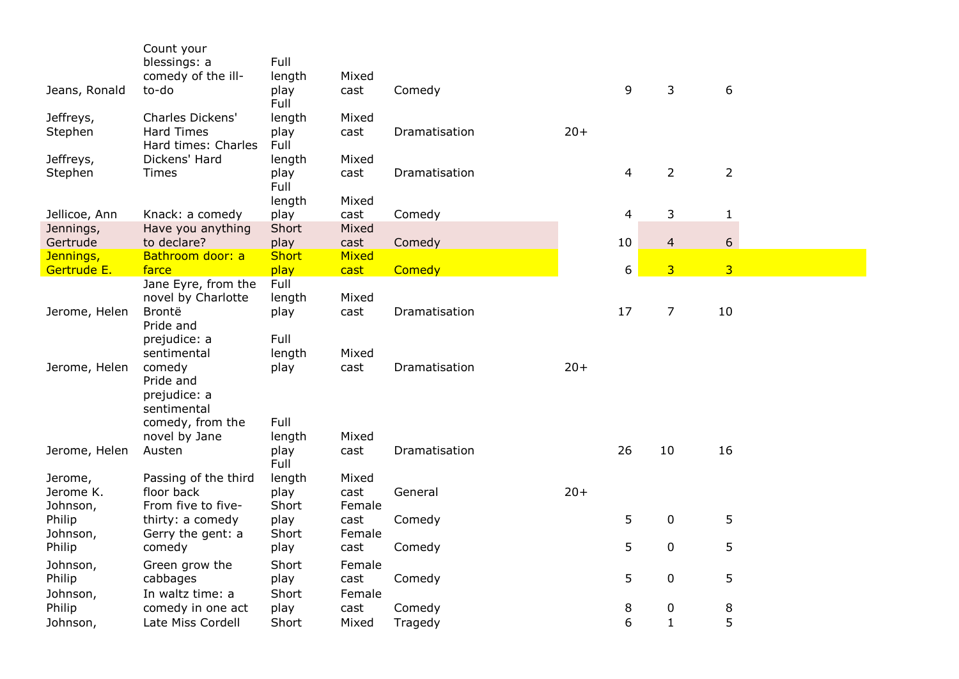|               | Count your                                |                |        |               |       |                          |                  |                |
|---------------|-------------------------------------------|----------------|--------|---------------|-------|--------------------------|------------------|----------------|
|               | blessings: a                              | Full           |        |               |       |                          |                  |                |
|               | comedy of the ill-                        | length         | Mixed  |               |       |                          |                  |                |
| Jeans, Ronald | to-do                                     | play<br>Full   | cast   | Comedy        |       | 9                        | 3                | 6              |
| Jeffreys,     | Charles Dickens'                          | length         | Mixed  |               |       |                          |                  |                |
| Stephen       | <b>Hard Times</b><br>Hard times: Charles  | play<br>Full   | cast   | Dramatisation | $20+$ |                          |                  |                |
| Jeffreys,     | Dickens' Hard                             | length         | Mixed  |               |       |                          |                  |                |
| Stephen       | <b>Times</b>                              | play<br>Full   | cast   | Dramatisation |       | $\overline{4}$           | $\overline{2}$   | $\overline{2}$ |
|               |                                           | length         | Mixed  |               |       |                          |                  |                |
| Jellicoe, Ann | Knack: a comedy                           | play           | cast   | Comedy        |       | $\overline{\mathcal{L}}$ | 3                | $\mathbf{1}$   |
| Jennings,     | Have you anything                         | Short          | Mixed  |               |       |                          |                  |                |
| Gertrude      | to declare?                               | play           | cast   | Comedy        |       | 10                       | $\overline{4}$   | 6              |
| Jennings,     | Bathroom door: a                          | <b>Short</b>   | Mixed  |               |       |                          |                  |                |
| Gertrude E.   | farce                                     | play           | cast   | Comedy        |       | 6                        | $\overline{3}$   | $\overline{3}$ |
|               | Jane Eyre, from the<br>novel by Charlotte | Full<br>length | Mixed  |               |       |                          |                  |                |
|               | Brontë                                    |                |        | Dramatisation |       | 17                       |                  | 10             |
| Jerome, Helen | Pride and                                 | play           | cast   |               |       |                          | 7                |                |
|               | prejudice: a                              | Full           |        |               |       |                          |                  |                |
|               | sentimental                               | length         | Mixed  |               |       |                          |                  |                |
| Jerome, Helen | comedy<br>Pride and                       | play           | cast   | Dramatisation | $20+$ |                          |                  |                |
|               | prejudice: a                              |                |        |               |       |                          |                  |                |
|               | sentimental                               |                |        |               |       |                          |                  |                |
|               | comedy, from the                          | Full           |        |               |       |                          |                  |                |
|               | novel by Jane                             | length         | Mixed  |               |       |                          |                  |                |
| Jerome, Helen | Austen                                    | play<br>Full   | cast   | Dramatisation |       | 26                       | 10               | 16             |
| Jerome,       | Passing of the third                      | length         | Mixed  |               |       |                          |                  |                |
| Jerome K.     | floor back                                | play           | cast   | General       | $20+$ |                          |                  |                |
| Johnson,      | From five to five-                        | Short          | Female |               |       |                          |                  |                |
| Philip        | thirty: a comedy                          | play           | cast   | Comedy        |       | 5                        | $\mathbf 0$      | 5              |
| Johnson,      | Gerry the gent: a                         | Short          | Female |               |       |                          |                  |                |
| Philip        | comedy                                    | play           | cast   | Comedy        |       | 5                        | $\mathbf 0$      | 5              |
| Johnson,      | Green grow the                            | Short          | Female |               |       |                          |                  |                |
| Philip        | cabbages                                  | play           | cast   | Comedy        |       | 5                        | $\mathbf 0$      | 5              |
| Johnson,      | In waltz time: a                          | Short          | Female |               |       |                          |                  |                |
| Philip        | comedy in one act                         | play           | cast   | Comedy        |       | 8                        | $\boldsymbol{0}$ | 8              |
| Johnson,      | Late Miss Cordell                         | Short          | Mixed  | Tragedy       |       | 6                        | $\mathbf{1}$     | 5              |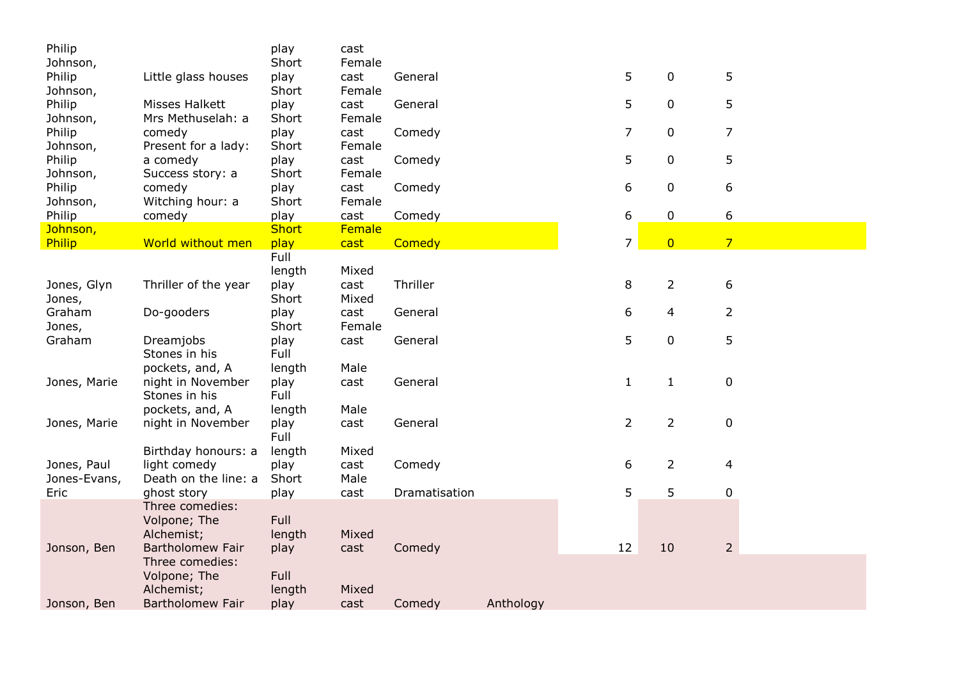| Philip       |                                       | play         | cast   |               |           |                |                |                |
|--------------|---------------------------------------|--------------|--------|---------------|-----------|----------------|----------------|----------------|
| Johnson,     |                                       | Short        | Female |               |           |                |                |                |
| Philip       | Little glass houses                   | play         | cast   | General       |           | 5              | 0              | 5              |
| Johnson,     |                                       | Short        | Female |               |           |                |                |                |
| Philip       | Misses Halkett                        | play         | cast   | General       |           | 5              | $\mathbf 0$    | 5              |
| Johnson,     | Mrs Methuselah: a                     | Short        | Female |               |           |                |                |                |
| Philip       | comedy                                | play         | cast   | Comedy        |           | $\overline{7}$ | $\pmb{0}$      | $\overline{7}$ |
| Johnson,     | Present for a lady:                   | Short        | Female |               |           |                |                |                |
| Philip       | a comedy                              | play         | cast   | Comedy        |           | 5              | $\pmb{0}$      | 5              |
| Johnson,     | Success story: a                      | Short        | Female |               |           |                |                |                |
| Philip       | comedy                                | play         | cast   | Comedy        |           | 6              | $\mathbf 0$    | 6              |
| Johnson,     | Witching hour: a                      | Short        | Female |               |           |                |                |                |
| Philip       | comedy                                | play         | cast   | Comedy        |           | 6              | $\pmb{0}$      | 6              |
| Johnson,     |                                       | <b>Short</b> | Female |               |           |                |                |                |
| Philip       | World without men                     | play         | cast   | Comedy        |           | $\overline{7}$ | $\overline{0}$ | $\overline{7}$ |
|              |                                       | Full         |        |               |           |                |                |                |
|              |                                       | length       | Mixed  |               |           |                |                |                |
| Jones, Glyn  | Thriller of the year                  | play         | cast   | Thriller      |           | 8              | 2              | 6              |
| Jones,       |                                       | Short        | Mixed  |               |           |                |                |                |
| Graham       | Do-gooders                            | play         | cast   | General       |           | 6              | 4              | $\overline{2}$ |
| Jones,       |                                       | Short        | Female |               |           |                |                |                |
| Graham       | Dreamjobs                             | play         | cast   | General       |           | 5              | $\mathbf 0$    | 5              |
|              | Stones in his                         | Full         |        |               |           |                |                |                |
|              | pockets, and, A                       | length       | Male   |               |           |                |                |                |
| Jones, Marie | night in November                     | play         | cast   | General       |           | $\mathbf{1}$   | $\mathbf{1}$   | 0              |
|              | Stones in his                         | Full         |        |               |           |                |                |                |
|              | pockets, and, A                       | length       | Male   |               |           |                |                |                |
| Jones, Marie | night in November                     | play         | cast   | General       |           | $\overline{2}$ | $\overline{2}$ | $\mathbf 0$    |
|              |                                       | Full         |        |               |           |                |                |                |
|              | Birthday honours: a                   | length       | Mixed  |               |           |                |                |                |
| Jones, Paul  | light comedy                          | play         | cast   | Comedy        |           | 6              | $\overline{2}$ | 4              |
| Jones-Evans, | Death on the line: a                  | Short        | Male   |               |           | 5              | 5              |                |
| Eric         | ghost story                           | play         | cast   | Dramatisation |           |                |                | 0              |
|              | Three comedies:                       | Full         |        |               |           |                |                |                |
|              | Volpone; The                          |              |        |               |           |                |                |                |
|              | Alchemist;<br><b>Bartholomew Fair</b> | length       | Mixed  |               |           | 12             | 10             | $\overline{2}$ |
| Jonson, Ben  | Three comedies:                       | play         | cast   | Comedy        |           |                |                |                |
|              | Volpone; The                          | Full         |        |               |           |                |                |                |
|              | Alchemist;                            | length       | Mixed  |               |           |                |                |                |
| Jonson, Ben  | <b>Bartholomew Fair</b>               | play         | cast   | Comedy        | Anthology |                |                |                |
|              |                                       |              |        |               |           |                |                |                |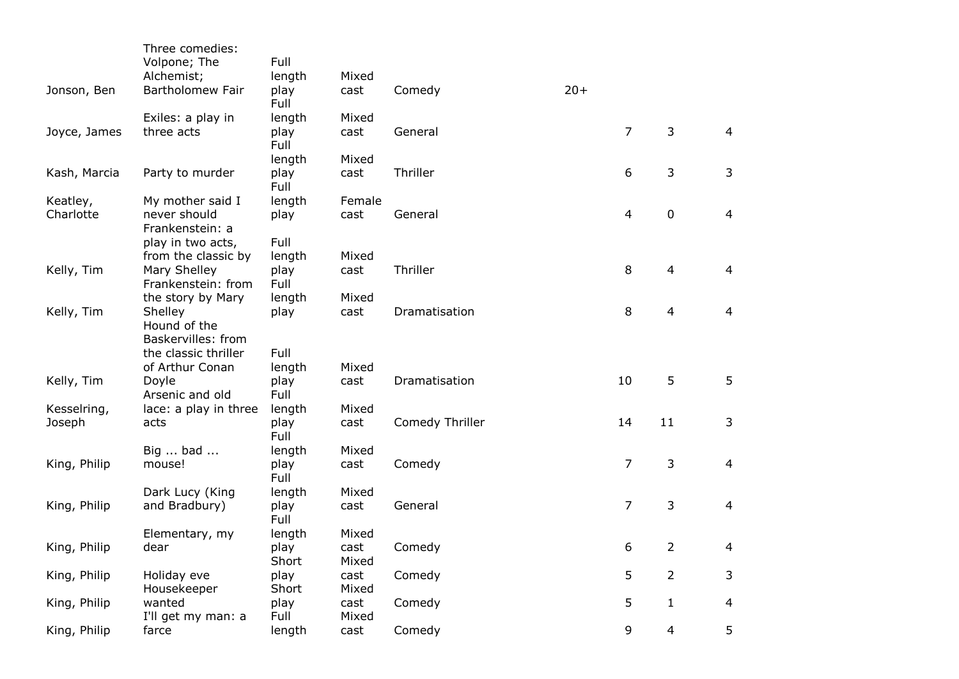|              | Three comedies:<br>Volpone; The            | Full         |               |                 |       |                |                |                |
|--------------|--------------------------------------------|--------------|---------------|-----------------|-------|----------------|----------------|----------------|
|              | Alchemist;                                 | length       | Mixed         |                 |       |                |                |                |
| Jonson, Ben  | <b>Bartholomew Fair</b>                    | play<br>Full | cast          | Comedy          | $20+$ |                |                |                |
|              | Exiles: a play in                          | length       | Mixed         |                 |       |                |                |                |
| Joyce, James | three acts                                 | play<br>Full | cast          | General         |       | $\overline{7}$ | 3              | $\overline{4}$ |
|              |                                            | length       | Mixed         |                 |       |                |                |                |
| Kash, Marcia | Party to murder                            | play<br>Full | cast          | Thriller        |       | 6              | 3              | 3              |
| Keatley,     | My mother said I                           | length       | Female        |                 |       |                |                |                |
| Charlotte    | never should<br>Frankenstein: a            | play         | cast          | General         |       | 4              | $\pmb{0}$      | $\overline{4}$ |
|              | play in two acts,                          | Full         |               |                 |       |                |                |                |
|              | from the classic by                        | length       | Mixed         |                 |       | 8              | 4              | 4              |
| Kelly, Tim   | Mary Shelley<br>Frankenstein: from         | play<br>Full | cast          | Thriller        |       |                |                |                |
|              | the story by Mary                          | length       | Mixed         |                 |       |                |                |                |
| Kelly, Tim   | Shelley                                    | play         | cast          | Dramatisation   |       | 8              | 4              | $\overline{4}$ |
|              | Hound of the                               |              |               |                 |       |                |                |                |
|              | Baskervilles: from<br>the classic thriller | Full         |               |                 |       |                |                |                |
|              | of Arthur Conan                            |              | Mixed         |                 |       |                |                |                |
| Kelly, Tim   | Doyle                                      | length       | cast          | Dramatisation   |       | 10             | 5              | 5              |
|              | Arsenic and old                            | play<br>Full |               |                 |       |                |                |                |
| Kesselring,  | lace: a play in three                      | length       | Mixed         |                 |       |                |                |                |
| Joseph       | acts                                       | play         | cast          | Comedy Thriller |       | 14             | 11             | 3              |
|              |                                            | Full         |               |                 |       |                |                |                |
|              | Big  bad                                   | length       | Mixed         |                 |       |                |                |                |
| King, Philip | mouse!                                     | play         | cast          | Comedy          |       | 7              | 3              | $\overline{4}$ |
|              |                                            | Full         |               |                 |       |                |                |                |
|              | Dark Lucy (King                            | length       | Mixed         |                 |       |                |                |                |
| King, Philip | and Bradbury)                              | play<br>Full | cast          | General         |       | 7              | 3              | $\overline{a}$ |
|              | Elementary, my                             | length       | Mixed         |                 |       |                |                |                |
| King, Philip | dear                                       | play         | cast          | Comedy          |       | 6              | $\overline{2}$ | 4              |
|              |                                            | Short        | Mixed         |                 |       |                |                |                |
| King, Philip | Holiday eve                                | play         | cast          | Comedy          |       | 5              | $\overline{2}$ | 3              |
|              | Housekeeper                                | Short        | Mixed         |                 |       |                |                |                |
| King, Philip | wanted<br>I'll get my man: a               | play<br>Full | cast<br>Mixed | Comedy          |       | 5              | $\mathbf{1}$   | 4              |
| King, Philip | farce                                      | length       | cast          | Comedy          |       | 9              | $\overline{4}$ | 5              |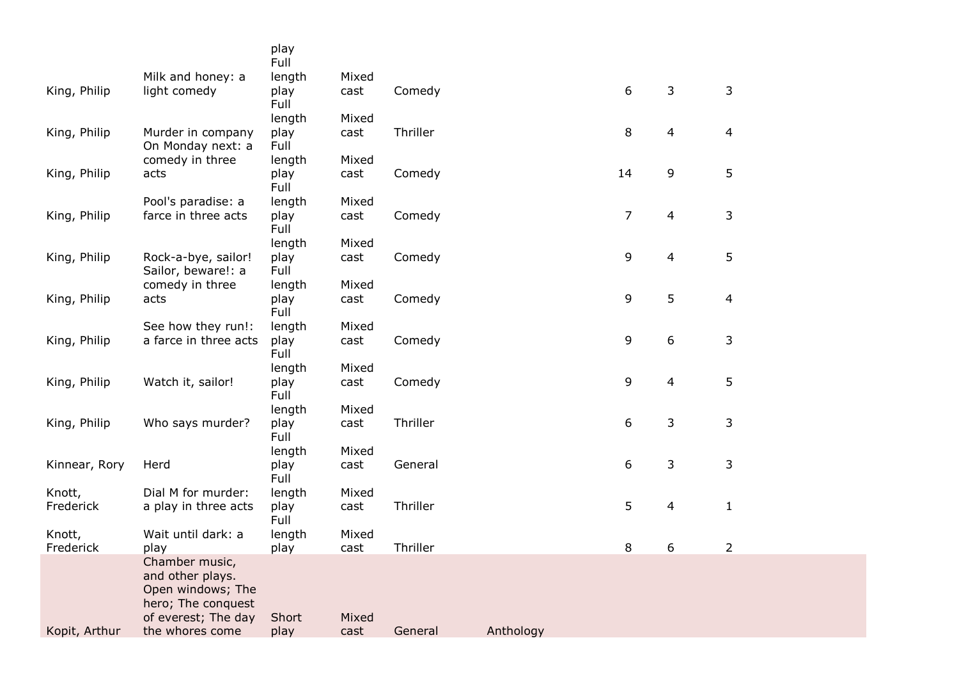|               |                                           | play<br>Full |       |          |           |    |              |                |
|---------------|-------------------------------------------|--------------|-------|----------|-----------|----|--------------|----------------|
|               | Milk and honey: a                         | length       | Mixed |          |           |    |              |                |
| King, Philip  | light comedy                              | play<br>Full | cast  | Comedy   |           | 6  | $\mathbf{3}$ | 3              |
|               |                                           | length       | Mixed |          |           |    |              |                |
| King, Philip  | Murder in company<br>On Monday next: a    | play<br>Full | cast  | Thriller |           | 8  | 4            | 4              |
|               | comedy in three                           | length       | Mixed |          |           |    |              |                |
| King, Philip  | acts                                      | play<br>Full | cast  | Comedy   |           | 14 | 9            | 5              |
|               | Pool's paradise: a                        | length       | Mixed |          |           |    |              |                |
| King, Philip  | farce in three acts                       | play<br>Full | cast  | Comedy   |           | 7  | 4            | 3              |
|               |                                           | length       | Mixed |          |           |    |              |                |
| King, Philip  | Rock-a-bye, sailor!<br>Sailor, beware!: a | play<br>Full | cast  | Comedy   |           | 9  | 4            | 5              |
|               | comedy in three                           | length       | Mixed |          |           |    |              |                |
| King, Philip  | acts                                      | play<br>Full | cast  | Comedy   |           | 9  | 5            | $\overline{4}$ |
|               | See how they run!:                        | length       | Mixed |          |           |    |              |                |
| King, Philip  | a farce in three acts                     | play<br>Full | cast  | Comedy   |           | 9  | 6            | 3              |
|               |                                           | length       | Mixed |          |           |    |              |                |
| King, Philip  | Watch it, sailor!                         | play<br>Full | cast  | Comedy   |           | 9  | 4            | 5              |
|               |                                           | length       | Mixed |          |           |    |              |                |
| King, Philip  | Who says murder?                          | play<br>Full | cast  | Thriller |           | 6  | 3            | 3              |
|               |                                           | length       | Mixed |          |           |    |              |                |
| Kinnear, Rory | Herd                                      | play<br>Full | cast  | General  |           | 6  | 3            | 3              |
| Knott,        | Dial M for murder:                        | length       | Mixed |          |           |    |              |                |
| Frederick     | a play in three acts                      | play<br>Full | cast  | Thriller |           | 5  | 4            | $\mathbf{1}$   |
| Knott,        | Wait until dark: a                        | length       | Mixed |          |           |    |              |                |
| Frederick     | play                                      | play         | cast  | Thriller |           | 8  | 6            | 2              |
|               | Chamber music,<br>and other plays.        |              |       |          |           |    |              |                |
|               | Open windows; The<br>hero; The conquest   |              |       |          |           |    |              |                |
|               | of everest; The day                       | Short        | Mixed |          |           |    |              |                |
| Kopit, Arthur | the whores come                           | play         | cast  | General  | Anthology |    |              |                |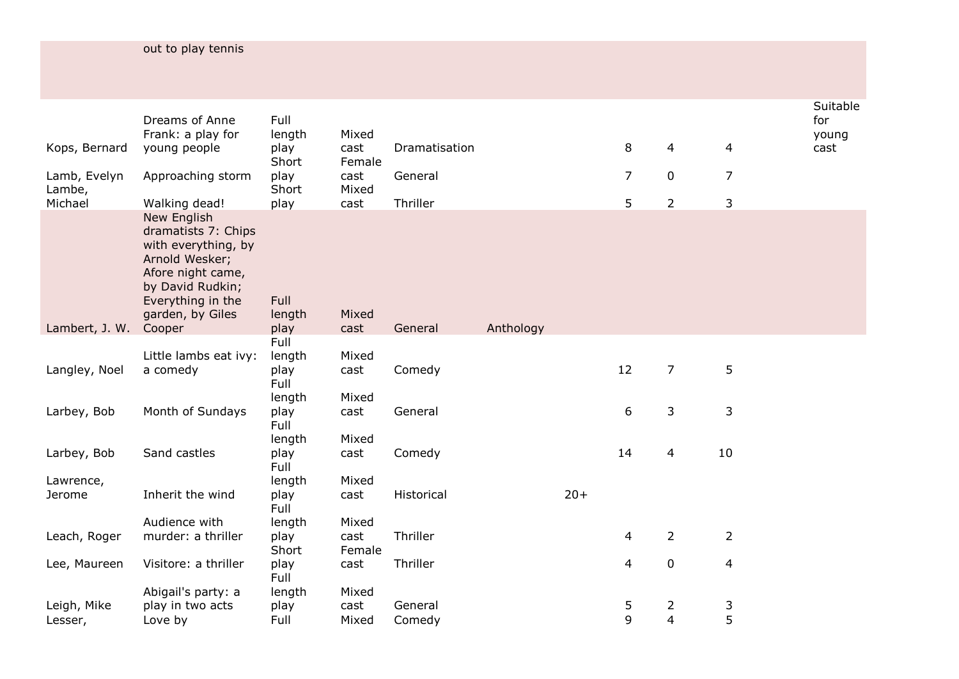| out to play tennis |  |  |  |  |  |
|--------------------|--|--|--|--|--|
|                    |  |  |  |  |  |

|                        | Dreams of Anne<br>Frank: a play for                                                                                                                           | Full<br>length         | Mixed          |               |           |       |                |                |                | Suitable<br>for<br>young |
|------------------------|---------------------------------------------------------------------------------------------------------------------------------------------------------------|------------------------|----------------|---------------|-----------|-------|----------------|----------------|----------------|--------------------------|
| Kops, Bernard          | young people                                                                                                                                                  | play<br>Short          | cast<br>Female | Dramatisation |           |       | 8              | $\overline{4}$ | $\overline{4}$ | cast                     |
| Lamb, Evelyn<br>Lambe, | Approaching storm                                                                                                                                             | play<br>Short          | cast<br>Mixed  | General       |           |       | $\overline{7}$ | $\pmb{0}$      | $\overline{7}$ |                          |
| Michael                | Walking dead!                                                                                                                                                 | play                   | cast           | Thriller      |           |       | 5              | $\overline{2}$ | $\mathsf{3}$   |                          |
|                        | New English<br>dramatists 7: Chips<br>with everything, by<br>Arnold Wesker;<br>Afore night came,<br>by David Rudkin;<br>Everything in the<br>garden, by Giles | Full<br>length         | Mixed          |               |           |       |                |                |                |                          |
| Lambert, J. W.         | Cooper                                                                                                                                                        | play                   | cast           | General       | Anthology |       |                |                |                |                          |
|                        | Little lambs eat ivy:                                                                                                                                         | Full<br>length         | Mixed          |               |           |       |                |                |                |                          |
| Langley, Noel          | a comedy                                                                                                                                                      | play<br>Full           | cast           | Comedy        |           |       | 12             | $\overline{7}$ | 5              |                          |
| Larbey, Bob            | Month of Sundays                                                                                                                                              | length<br>play<br>Full | Mixed<br>cast  | General       |           |       | 6              | 3              | $\mathsf{3}$   |                          |
|                        |                                                                                                                                                               | length                 | Mixed          |               |           |       |                |                |                |                          |
| Larbey, Bob            | Sand castles                                                                                                                                                  | play<br>Full           | cast           | Comedy        |           |       | 14             | 4              | 10             |                          |
| Lawrence,              |                                                                                                                                                               | length                 | Mixed          |               |           |       |                |                |                |                          |
| Jerome                 | Inherit the wind                                                                                                                                              | play<br>Full           | cast           | Historical    |           | $20+$ |                |                |                |                          |
|                        | Audience with                                                                                                                                                 | length                 | Mixed          |               |           |       |                |                |                |                          |
| Leach, Roger           | murder: a thriller                                                                                                                                            | play<br>Short          | cast<br>Female | Thriller      |           |       | $\overline{4}$ | $\overline{2}$ | $\overline{2}$ |                          |
| Lee, Maureen           | Visitore: a thriller                                                                                                                                          | play<br>Full           | cast           | Thriller      |           |       | $\overline{4}$ | $\pmb{0}$      | $\overline{4}$ |                          |
|                        | Abigail's party: a                                                                                                                                            | length                 | Mixed          |               |           |       |                |                |                |                          |
| Leigh, Mike            | play in two acts                                                                                                                                              | play                   | cast           | General       |           |       | 5              | 2              | 3              |                          |
| Lesser,                | Love by                                                                                                                                                       | Full                   | Mixed          | Comedy        |           |       | 9              | $\overline{4}$ | 5              |                          |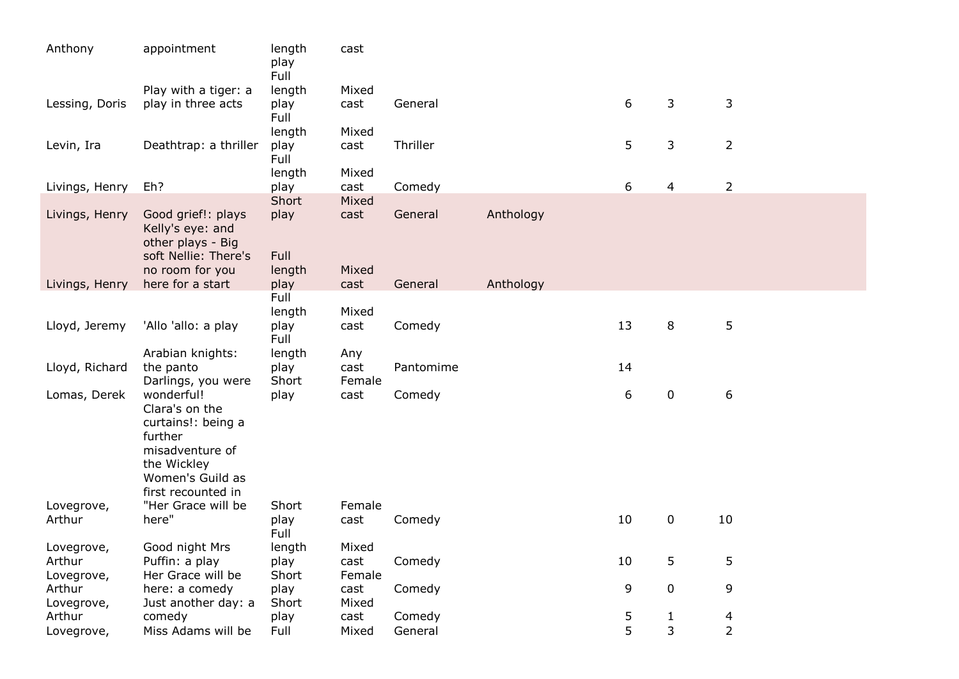| Anthony              | appointment                                                                                                                               | length<br>play<br>Full | cast           |           |           |    |                |                |
|----------------------|-------------------------------------------------------------------------------------------------------------------------------------------|------------------------|----------------|-----------|-----------|----|----------------|----------------|
|                      | Play with a tiger: a                                                                                                                      | length                 | Mixed          |           |           |    |                |                |
| Lessing, Doris       | play in three acts                                                                                                                        | play<br>Full           | cast           | General   |           | 6  | 3              | 3              |
|                      |                                                                                                                                           | length                 | Mixed          |           |           |    |                |                |
| Levin, Ira           | Deathtrap: a thriller                                                                                                                     | play<br>Full           | cast           | Thriller  |           | 5  | 3              | $\overline{2}$ |
|                      |                                                                                                                                           | length                 | Mixed          |           |           |    |                |                |
| Livings, Henry       | Eh?                                                                                                                                       | play                   | cast           | Comedy    |           | 6  | 4              | $\overline{2}$ |
| Livings, Henry       | Good grief!: plays<br>Kelly's eye: and<br>other plays - Big<br>soft Nellie: There's                                                       | Short<br>play<br>Full  | Mixed<br>cast  | General   | Anthology |    |                |                |
|                      | no room for you                                                                                                                           | length                 | Mixed          |           |           |    |                |                |
| Livings, Henry       | here for a start                                                                                                                          | play                   | cast           | General   | Anthology |    |                |                |
|                      |                                                                                                                                           | Full                   |                |           |           |    |                |                |
|                      |                                                                                                                                           | length                 | Mixed          |           |           |    |                |                |
| Lloyd, Jeremy        | 'Allo 'allo: a play                                                                                                                       | play<br>Full           | cast           | Comedy    |           | 13 | 8              | 5              |
|                      | Arabian knights:                                                                                                                          | length                 | Any            |           |           |    |                |                |
| Lloyd, Richard       | the panto                                                                                                                                 | play                   | cast           | Pantomime |           | 14 |                |                |
|                      | Darlings, you were                                                                                                                        | Short                  | Female         |           |           |    |                |                |
| Lomas, Derek         | wonderful!<br>Clara's on the<br>curtains!: being a<br>further<br>misadventure of<br>the Wickley<br>Women's Guild as<br>first recounted in | play                   | cast           | Comedy    |           | 6  | $\mathbf 0$    | 6              |
| Lovegrove,<br>Arthur | "Her Grace will be<br>here"                                                                                                               | Short<br>play          | Female         |           |           | 10 | $\mathbf 0$    | 10             |
|                      |                                                                                                                                           | Full                   | cast           | Comedy    |           |    |                |                |
| Lovegrove,           | Good night Mrs                                                                                                                            | length                 | Mixed          |           |           |    |                |                |
| Arthur<br>Lovegrove, | Puffin: a play<br>Her Grace will be                                                                                                       | play<br>Short          | cast<br>Female | Comedy    |           | 10 | 5              | 5              |
| Arthur               | here: a comedy                                                                                                                            | play                   | cast           | Comedy    |           | 9  | 0              | 9              |
| Lovegrove,           | Just another day: a                                                                                                                       | Short                  | Mixed          |           |           |    |                |                |
| Arthur               | comedy                                                                                                                                    | play                   | cast           | Comedy    |           | 5  | $\mathbf{1}$   | 4              |
| Lovegrove,           | Miss Adams will be                                                                                                                        | Full                   | Mixed          | General   |           | 5  | $\overline{3}$ | $\overline{2}$ |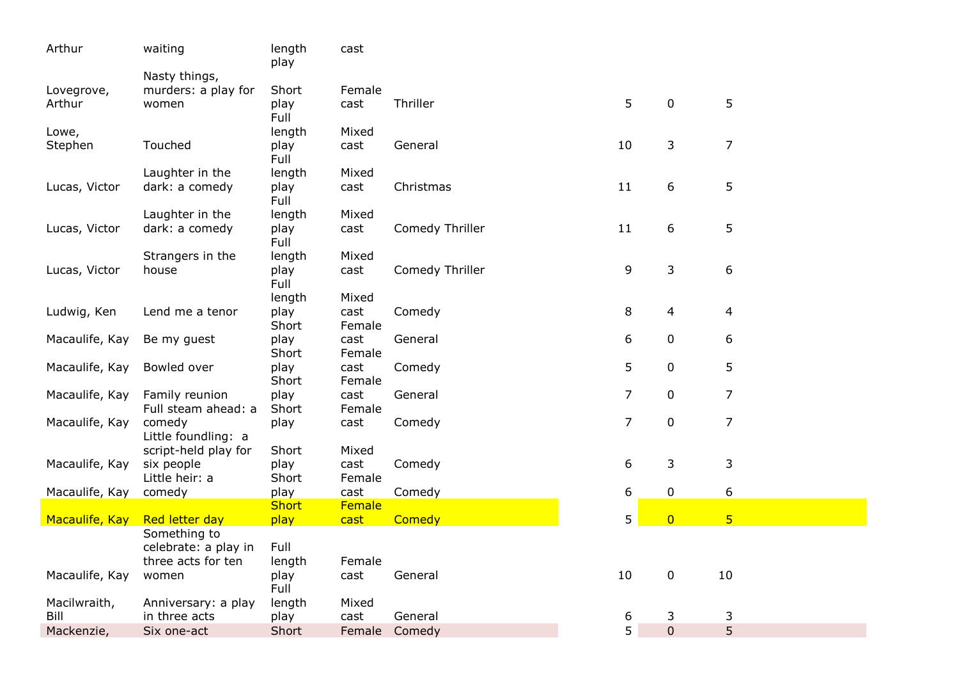| Nasty things,<br>Female<br>murders: a play for<br>Short<br>Lovegrove,<br>5<br>5<br>Thriller<br>$\mathbf 0$<br>play<br>cast<br>Arthur<br>women<br>Full<br>length<br>Mixed<br>Lowe,<br>3<br>7<br>10<br>Touched<br>General<br>Stephen<br>play<br>cast<br>Full<br>length<br>Mixed<br>Laughter in the<br>5<br>11<br>6<br>Lucas, Victor<br>dark: a comedy<br>Christmas<br>play<br>cast<br>Full<br>Laughter in the<br>length<br>Mixed<br>5<br>Comedy Thriller<br>11<br>6<br>Lucas, Victor<br>dark: a comedy | Arthur | waiting | length<br>play | cast |  |  |  |
|------------------------------------------------------------------------------------------------------------------------------------------------------------------------------------------------------------------------------------------------------------------------------------------------------------------------------------------------------------------------------------------------------------------------------------------------------------------------------------------------------|--------|---------|----------------|------|--|--|--|
|                                                                                                                                                                                                                                                                                                                                                                                                                                                                                                      |        |         |                |      |  |  |  |
|                                                                                                                                                                                                                                                                                                                                                                                                                                                                                                      |        |         |                |      |  |  |  |
|                                                                                                                                                                                                                                                                                                                                                                                                                                                                                                      |        |         |                |      |  |  |  |
|                                                                                                                                                                                                                                                                                                                                                                                                                                                                                                      |        |         |                |      |  |  |  |
|                                                                                                                                                                                                                                                                                                                                                                                                                                                                                                      |        |         |                |      |  |  |  |
|                                                                                                                                                                                                                                                                                                                                                                                                                                                                                                      |        |         |                |      |  |  |  |
|                                                                                                                                                                                                                                                                                                                                                                                                                                                                                                      |        |         |                |      |  |  |  |
|                                                                                                                                                                                                                                                                                                                                                                                                                                                                                                      |        |         |                |      |  |  |  |
|                                                                                                                                                                                                                                                                                                                                                                                                                                                                                                      |        |         |                |      |  |  |  |
|                                                                                                                                                                                                                                                                                                                                                                                                                                                                                                      |        |         |                |      |  |  |  |
|                                                                                                                                                                                                                                                                                                                                                                                                                                                                                                      |        |         |                |      |  |  |  |
| Full                                                                                                                                                                                                                                                                                                                                                                                                                                                                                                 |        |         | play           | cast |  |  |  |
| Strangers in the<br>length<br>Mixed                                                                                                                                                                                                                                                                                                                                                                                                                                                                  |        |         |                |      |  |  |  |
| 3<br>Comedy Thriller<br>9<br>6<br>Lucas, Victor<br>play<br>house<br>cast                                                                                                                                                                                                                                                                                                                                                                                                                             |        |         |                |      |  |  |  |
| Full                                                                                                                                                                                                                                                                                                                                                                                                                                                                                                 |        |         |                |      |  |  |  |
| length<br>Mixed                                                                                                                                                                                                                                                                                                                                                                                                                                                                                      |        |         |                |      |  |  |  |
| 8<br>4<br>Lend me a tenor<br>play<br>Comedy<br>4<br>Ludwig, Ken<br>cast                                                                                                                                                                                                                                                                                                                                                                                                                              |        |         |                |      |  |  |  |
| Short<br>Female                                                                                                                                                                                                                                                                                                                                                                                                                                                                                      |        |         |                |      |  |  |  |
| 6<br>6<br>play<br>General<br>$\boldsymbol{0}$<br>Macaulife, Kay<br>Be my guest<br>cast                                                                                                                                                                                                                                                                                                                                                                                                               |        |         |                |      |  |  |  |
| Short<br>Female                                                                                                                                                                                                                                                                                                                                                                                                                                                                                      |        |         |                |      |  |  |  |
| 5<br>5<br>$\mathbf 0$<br>Macaulife, Kay<br>Bowled over<br>play<br>cast<br>Comedy                                                                                                                                                                                                                                                                                                                                                                                                                     |        |         |                |      |  |  |  |
| Short<br>Female                                                                                                                                                                                                                                                                                                                                                                                                                                                                                      |        |         |                |      |  |  |  |
| $\overline{7}$<br>7<br>$\mathbf 0$<br>Macaulife, Kay<br>Family reunion<br>play<br>cast<br>General                                                                                                                                                                                                                                                                                                                                                                                                    |        |         |                |      |  |  |  |
| Full steam ahead: a<br>Short<br>Female<br>7<br>7<br>$\mathbf 0$<br>Comedy<br>Macaulife, Kay<br>comedy<br>cast                                                                                                                                                                                                                                                                                                                                                                                        |        |         |                |      |  |  |  |
| play<br>Little foundling: a                                                                                                                                                                                                                                                                                                                                                                                                                                                                          |        |         |                |      |  |  |  |
| Short<br>Mixed<br>script-held play for                                                                                                                                                                                                                                                                                                                                                                                                                                                               |        |         |                |      |  |  |  |
| 6<br>3<br>3<br>cast<br>Comedy<br>Macaulife, Kay<br>six people<br>play                                                                                                                                                                                                                                                                                                                                                                                                                                |        |         |                |      |  |  |  |
| Little heir: a<br>Short<br>Female                                                                                                                                                                                                                                                                                                                                                                                                                                                                    |        |         |                |      |  |  |  |
| 6<br>6<br>$\mathbf 0$<br>play<br>cast<br>Macaulife, Kay<br>comedy<br>Comedy                                                                                                                                                                                                                                                                                                                                                                                                                          |        |         |                |      |  |  |  |
| <b>Short</b><br>Female                                                                                                                                                                                                                                                                                                                                                                                                                                                                               |        |         |                |      |  |  |  |
| 5 <sup>5</sup><br>5<br>$\overline{0}$<br>Macaulife, Kay<br>Red letter day<br>play<br>cast<br>Comedy                                                                                                                                                                                                                                                                                                                                                                                                  |        |         |                |      |  |  |  |
| Something to                                                                                                                                                                                                                                                                                                                                                                                                                                                                                         |        |         |                |      |  |  |  |
| Full<br>celebrate: a play in                                                                                                                                                                                                                                                                                                                                                                                                                                                                         |        |         |                |      |  |  |  |
| three acts for ten<br>length<br>Female                                                                                                                                                                                                                                                                                                                                                                                                                                                               |        |         |                |      |  |  |  |
| 10<br>Macaulife, Kay<br>10<br>play<br>cast<br>General<br>$\mathbf 0$<br>women<br>Full                                                                                                                                                                                                                                                                                                                                                                                                                |        |         |                |      |  |  |  |
| Macilwraith,<br>length<br>Mixed<br>Anniversary: a play                                                                                                                                                                                                                                                                                                                                                                                                                                               |        |         |                |      |  |  |  |
| 3<br>Bill<br>in three acts<br>General<br>6<br>3<br>play<br>cast                                                                                                                                                                                                                                                                                                                                                                                                                                      |        |         |                |      |  |  |  |
| 5<br>5<br>$\mathbf 0$<br>Six one-act<br>Comedy<br>Mackenzie,<br>Short<br>Female                                                                                                                                                                                                                                                                                                                                                                                                                      |        |         |                |      |  |  |  |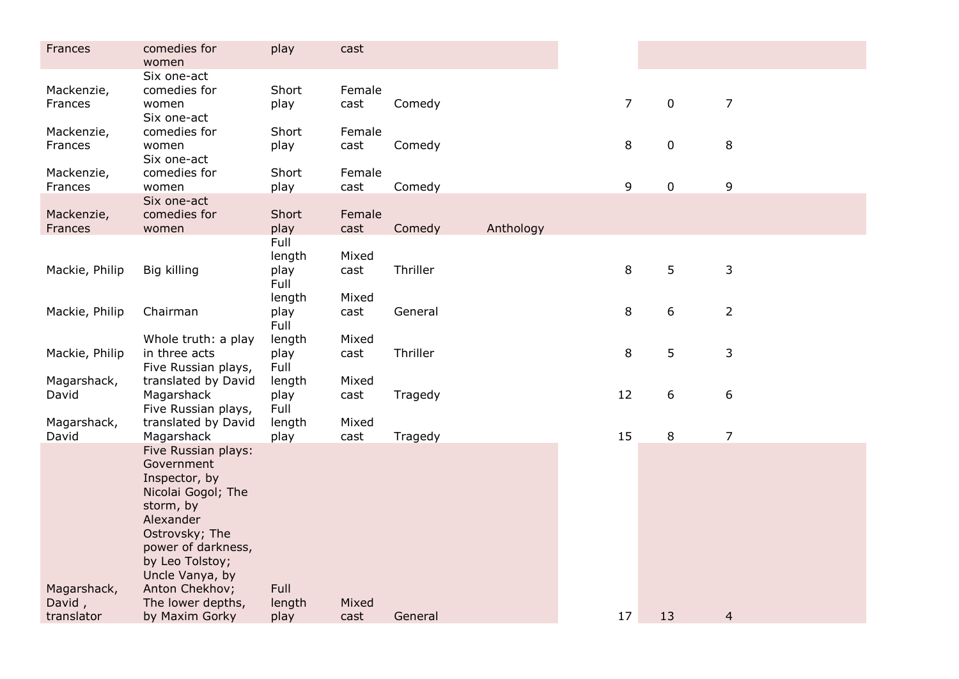| Frances                             | comedies for<br>women                                                                                                                                                                                                                     | play                           | cast           |          |           |                |             |                |  |
|-------------------------------------|-------------------------------------------------------------------------------------------------------------------------------------------------------------------------------------------------------------------------------------------|--------------------------------|----------------|----------|-----------|----------------|-------------|----------------|--|
| Mackenzie,<br>Frances               | Six one-act<br>comedies for<br>women<br>Six one-act                                                                                                                                                                                       | Short<br>play                  | Female<br>cast | Comedy   |           | $\overline{7}$ | $\mathbf 0$ | $\overline{7}$ |  |
| Mackenzie,<br>Frances               | comedies for<br>women<br>Six one-act                                                                                                                                                                                                      | Short<br>play                  | Female<br>cast | Comedy   |           | 8              | $\pmb{0}$   | 8              |  |
| Mackenzie,<br>Frances               | comedies for<br>women                                                                                                                                                                                                                     | Short<br>play                  | Female<br>cast | Comedy   |           | 9              | $\mathbf 0$ | 9              |  |
| Mackenzie,<br>Frances               | Six one-act<br>comedies for<br>women                                                                                                                                                                                                      | Short<br>play                  | Female<br>cast | Comedy   | Anthology |                |             |                |  |
| Mackie, Philip                      | Big killing                                                                                                                                                                                                                               | Full<br>length<br>play<br>Full | Mixed<br>cast  | Thriller |           | 8              | 5           | $\mathsf{3}$   |  |
| Mackie, Philip                      | Chairman                                                                                                                                                                                                                                  | length<br>play<br>Full         | Mixed<br>cast  | General  |           | 8              | 6           | $\overline{2}$ |  |
| Mackie, Philip                      | Whole truth: a play<br>in three acts<br>Five Russian plays,                                                                                                                                                                               | length<br>play<br>Full         | Mixed<br>cast  | Thriller |           | 8              | 5           | 3              |  |
| Magarshack,<br>David                | translated by David<br>Magarshack<br>Five Russian plays,                                                                                                                                                                                  | length<br>play<br>Full         | Mixed<br>cast  | Tragedy  |           | 12             | 6           | 6              |  |
| Magarshack,<br>David                | translated by David<br>Magarshack                                                                                                                                                                                                         | length<br>play                 | Mixed<br>cast  | Tragedy  |           | 15             | $\,8\,$     | $\overline{7}$ |  |
| Magarshack,<br>David,<br>translator | Five Russian plays:<br>Government<br>Inspector, by<br>Nicolai Gogol; The<br>storm, by<br>Alexander<br>Ostrovsky; The<br>power of darkness,<br>by Leo Tolstoy;<br>Uncle Vanya, by<br>Anton Chekhov;<br>The lower depths,<br>by Maxim Gorky | Full<br>length<br>play         | Mixed<br>cast  | General  |           | 17             | 13          | $\overline{4}$ |  |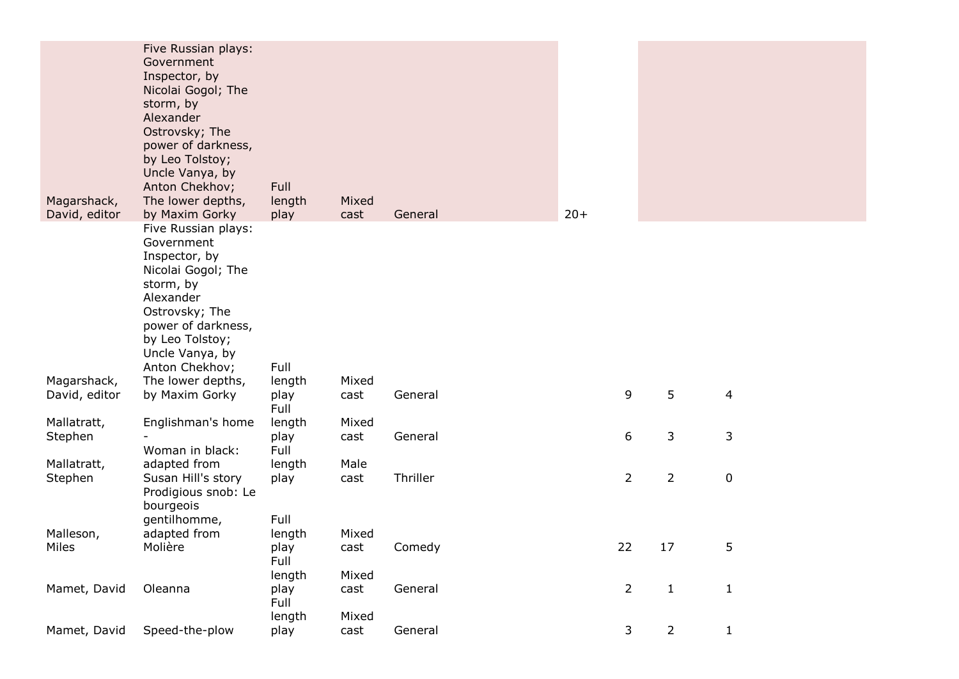| Five Russian plays:<br>Government<br>Inspector, by<br>Nicolai Gogol; The<br>storm, by<br>Alexander<br>Ostrovsky; The<br>power of darkness,<br>by Leo Tolstoy;<br>Uncle Vanya, by<br>Anton Chekhov;<br>Full<br>Magarshack,<br>The lower depths,<br>Mixed<br>length<br>5<br>9<br>David, editor<br>by Maxim Gorky<br>play<br>4<br>cast<br>General<br>Full<br>Englishman's home<br>Mallatratt,<br>length<br>Mixed<br>6<br>3<br>3<br>play<br>General<br>Stephen<br>cast<br>Woman in black:<br>Full<br>adapted from<br>Mallatratt,<br>length<br>Male<br>Thriller<br>$\overline{2}$<br>$\overline{2}$<br>$\pmb{0}$<br>Stephen<br>Susan Hill's story<br>play<br>cast<br>Prodigious snob: Le<br>bourgeois<br>Full<br>gentilhomme,<br>Malleson,<br>adapted from<br>Mixed<br>length<br>22<br>17<br>5<br>Miles<br>Molière<br>Comedy<br>play<br>cast<br>Full<br>Mixed<br>length<br>$\overline{2}$<br>$\mathbf{1}$<br>General<br>$\mathbf{1}$<br>Mamet, David<br>Oleanna<br>play<br>cast<br>Full<br>length<br>Mixed | Magarshack,<br>David, editor | Five Russian plays:<br>Government<br>Inspector, by<br>Nicolai Gogol; The<br>storm, by<br>Alexander<br>Ostrovsky; The<br>power of darkness,<br>by Leo Tolstoy;<br>Uncle Vanya, by<br>Anton Chekhov;<br>The lower depths,<br>by Maxim Gorky | Full<br>length<br>play | Mixed<br>cast | General | $20+$ |  |  |
|-------------------------------------------------------------------------------------------------------------------------------------------------------------------------------------------------------------------------------------------------------------------------------------------------------------------------------------------------------------------------------------------------------------------------------------------------------------------------------------------------------------------------------------------------------------------------------------------------------------------------------------------------------------------------------------------------------------------------------------------------------------------------------------------------------------------------------------------------------------------------------------------------------------------------------------------------------------------------------------------------------|------------------------------|-------------------------------------------------------------------------------------------------------------------------------------------------------------------------------------------------------------------------------------------|------------------------|---------------|---------|-------|--|--|
|                                                                                                                                                                                                                                                                                                                                                                                                                                                                                                                                                                                                                                                                                                                                                                                                                                                                                                                                                                                                       |                              |                                                                                                                                                                                                                                           |                        |               |         |       |  |  |
|                                                                                                                                                                                                                                                                                                                                                                                                                                                                                                                                                                                                                                                                                                                                                                                                                                                                                                                                                                                                       |                              |                                                                                                                                                                                                                                           |                        |               |         |       |  |  |
|                                                                                                                                                                                                                                                                                                                                                                                                                                                                                                                                                                                                                                                                                                                                                                                                                                                                                                                                                                                                       |                              |                                                                                                                                                                                                                                           |                        |               |         |       |  |  |
|                                                                                                                                                                                                                                                                                                                                                                                                                                                                                                                                                                                                                                                                                                                                                                                                                                                                                                                                                                                                       |                              |                                                                                                                                                                                                                                           |                        |               |         |       |  |  |
|                                                                                                                                                                                                                                                                                                                                                                                                                                                                                                                                                                                                                                                                                                                                                                                                                                                                                                                                                                                                       |                              |                                                                                                                                                                                                                                           |                        |               |         |       |  |  |
|                                                                                                                                                                                                                                                                                                                                                                                                                                                                                                                                                                                                                                                                                                                                                                                                                                                                                                                                                                                                       |                              |                                                                                                                                                                                                                                           |                        |               |         |       |  |  |
|                                                                                                                                                                                                                                                                                                                                                                                                                                                                                                                                                                                                                                                                                                                                                                                                                                                                                                                                                                                                       |                              |                                                                                                                                                                                                                                           |                        |               |         |       |  |  |
|                                                                                                                                                                                                                                                                                                                                                                                                                                                                                                                                                                                                                                                                                                                                                                                                                                                                                                                                                                                                       |                              |                                                                                                                                                                                                                                           |                        |               |         |       |  |  |
|                                                                                                                                                                                                                                                                                                                                                                                                                                                                                                                                                                                                                                                                                                                                                                                                                                                                                                                                                                                                       |                              |                                                                                                                                                                                                                                           |                        |               |         |       |  |  |
|                                                                                                                                                                                                                                                                                                                                                                                                                                                                                                                                                                                                                                                                                                                                                                                                                                                                                                                                                                                                       |                              |                                                                                                                                                                                                                                           |                        |               |         |       |  |  |
| 3<br>$\overline{2}$<br>$\mathbf{1}$<br>Mamet, David<br>Speed-the-plow<br>General<br>play<br>cast                                                                                                                                                                                                                                                                                                                                                                                                                                                                                                                                                                                                                                                                                                                                                                                                                                                                                                      |                              |                                                                                                                                                                                                                                           |                        |               |         |       |  |  |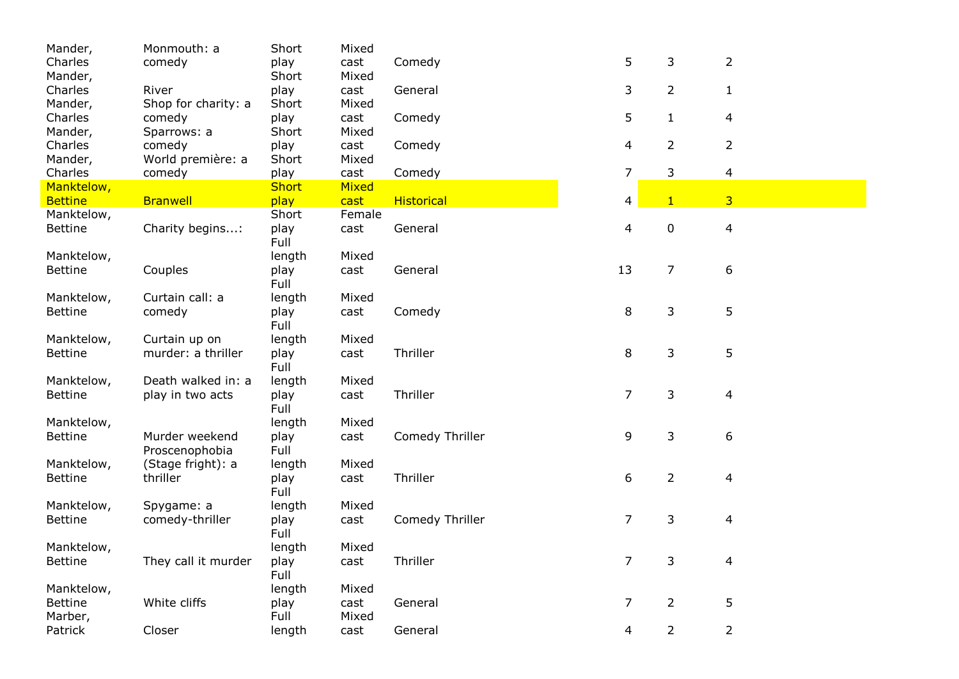| Mander,                      | Monmouth: a         | Short          | Mixed        |                   |    |                |                |
|------------------------------|---------------------|----------------|--------------|-------------------|----|----------------|----------------|
| Charles                      | comedy              | play           | cast         | Comedy            | 5  | 3              | $\overline{2}$ |
| Mander,                      |                     | Short          | Mixed        |                   |    |                |                |
| Charles                      | River               | play           | cast         | General           | 3  | $\overline{2}$ | $\mathbf{1}$   |
| Mander,                      | Shop for charity: a | Short          | Mixed        |                   |    |                |                |
| Charles                      | comedy              | play           | cast         | Comedy            | 5  | $\mathbf{1}$   | 4              |
| Mander,                      | Sparrows: a         | Short          | Mixed        |                   |    |                |                |
| Charles                      | comedy              | play           | cast         | Comedy            | 4  | $\overline{2}$ | $\overline{2}$ |
| Mander,                      | World première: a   | Short          | Mixed        |                   |    |                |                |
| Charles                      | comedy              | play           | cast         | Comedy            | 7  | 3              | $\overline{4}$ |
| Manktelow,                   |                     | <b>Short</b>   | <b>Mixed</b> |                   |    |                |                |
| <b>Bettine</b>               | <b>Branwell</b>     | play           | cast         | <b>Historical</b> | 4  | $\mathbf{1}$   | 3 <sup>1</sup> |
| Manktelow,                   |                     | Short          | Female       |                   |    |                |                |
| <b>Bettine</b>               | Charity begins:     | play<br>Full   | cast         | General           | 4  | $\pmb{0}$      | $\overline{4}$ |
| Manktelow,                   |                     | length         | Mixed        |                   |    |                |                |
| <b>Bettine</b>               | Couples             | play<br>Full   | cast         | General           | 13 | 7              | 6              |
|                              | Curtain call: a     |                | Mixed        |                   |    |                |                |
| Manktelow,<br><b>Bettine</b> | comedy              | length<br>play | cast         | Comedy            | 8  | 3              | 5              |
|                              |                     | Full           |              |                   |    |                |                |
| Manktelow,                   | Curtain up on       | length         | Mixed        |                   |    |                |                |
| <b>Bettine</b>               | murder: a thriller  | play           | cast         | Thriller          | 8  | 3              | 5              |
|                              |                     | Full           |              |                   |    |                |                |
| Manktelow,                   | Death walked in: a  | length         | Mixed        |                   |    |                |                |
| <b>Bettine</b>               | play in two acts    | play           | cast         | Thriller          | 7  | 3              | 4              |
|                              |                     | Full           |              |                   |    |                |                |
| Manktelow,                   |                     | length         | Mixed        |                   |    |                |                |
| <b>Bettine</b>               | Murder weekend      | play           | cast         | Comedy Thriller   | 9  | 3              | 6              |
|                              | Proscenophobia      | Full           |              |                   |    |                |                |
| Manktelow,                   | (Stage fright): a   | length         | Mixed        |                   |    |                |                |
| <b>Bettine</b>               | thriller            | play           | cast         | Thriller          | 6  | $\overline{2}$ | 4              |
|                              |                     | Full           |              |                   |    |                |                |
| Manktelow,                   | Spygame: a          | length         | Mixed        |                   |    |                |                |
| <b>Bettine</b>               | comedy-thriller     | play<br>Full   | cast         | Comedy Thriller   | 7  | 3              | 4              |
|                              |                     |                |              |                   |    |                |                |
| Manktelow,                   | They call it murder | length         | Mixed        | Thriller          | 7  | 3              | 4              |
| <b>Bettine</b>               |                     | play<br>Full   | cast         |                   |    |                |                |
| Manktelow,                   |                     | length         | Mixed        |                   |    |                |                |
| <b>Bettine</b>               | White cliffs        | play           | cast         | General           | 7  | 2              | 5              |
| Marber,                      |                     |                |              |                   |    |                |                |
|                              |                     | Full           | Mixed        |                   |    |                |                |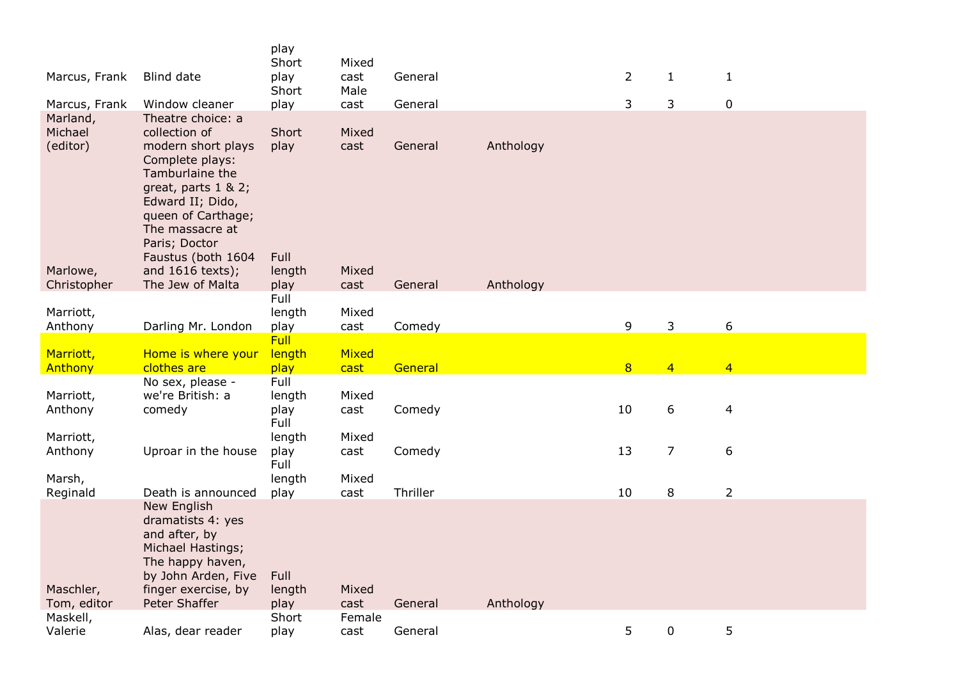|                                                  |                                                                                                                                                                                                                              | play<br>Short                           | Mixed                           |                     |           |                |                |                  |
|--------------------------------------------------|------------------------------------------------------------------------------------------------------------------------------------------------------------------------------------------------------------------------------|-----------------------------------------|---------------------------------|---------------------|-----------|----------------|----------------|------------------|
| Marcus, Frank                                    | Blind date                                                                                                                                                                                                                   | play<br>Short                           | cast<br>Male                    | General             |           | $\overline{2}$ | $\mathbf{1}$   | $\mathbf{1}$     |
| Marcus, Frank                                    | Window cleaner                                                                                                                                                                                                               | play                                    | cast                            | General             |           | 3              | 3              | 0                |
| Marland,<br>Michael<br>(editor)                  | Theatre choice: a<br>collection of<br>modern short plays<br>Complete plays:<br>Tamburlaine the<br>great, parts $1 & 2$ ;<br>Edward II; Dido,<br>queen of Carthage;<br>The massacre at<br>Paris; Doctor<br>Faustus (both 1604 | Short<br>play<br>Full                   | Mixed<br>cast                   | General             | Anthology |                |                |                  |
| Marlowe,<br>Christopher                          | and 1616 texts);<br>The Jew of Malta                                                                                                                                                                                         | length<br>play                          | Mixed<br>cast                   | General             | Anthology |                |                |                  |
|                                                  |                                                                                                                                                                                                                              | Full                                    |                                 |                     |           |                |                |                  |
| Marriott,                                        |                                                                                                                                                                                                                              | length                                  | Mixed                           |                     |           |                |                |                  |
| Anthony                                          | Darling Mr. London                                                                                                                                                                                                           | play<br>Full                            | cast                            | Comedy              |           | 9              | 3              | $\boldsymbol{6}$ |
|                                                  |                                                                                                                                                                                                                              |                                         |                                 |                     |           |                |                |                  |
| Marriott,                                        | Home is where your                                                                                                                                                                                                           | length                                  | Mixed                           |                     |           |                |                |                  |
| Anthony                                          | clothes are                                                                                                                                                                                                                  | play                                    | cast                            | General             |           | 8              | $\overline{4}$ | $\overline{4}$   |
| Marriott,<br>Anthony                             | No sex, please -<br>we're British: a<br>comedy                                                                                                                                                                               | Full<br>length<br>play                  | Mixed<br>cast                   | Comedy              |           | 10             | 6              | $\overline{4}$   |
| Marriott,<br>Anthony                             | Uproar in the house                                                                                                                                                                                                          | Full<br>length<br>play<br>Full          | Mixed<br>cast                   | Comedy              |           | 13             | $\overline{7}$ | $\boldsymbol{6}$ |
| Marsh,                                           |                                                                                                                                                                                                                              | length                                  | Mixed                           |                     |           |                |                |                  |
| Reginald<br>Maschler,<br>Tom, editor<br>Maskell, | Death is announced<br>New English<br>dramatists 4: yes<br>and after, by<br>Michael Hastings;<br>The happy haven,<br>by John Arden, Five<br>finger exercise, by<br>Peter Shaffer                                              | play<br>Full<br>length<br>play<br>Short | cast<br>Mixed<br>cast<br>Female | Thriller<br>General | Anthology | 10             | 8              | $\overline{2}$   |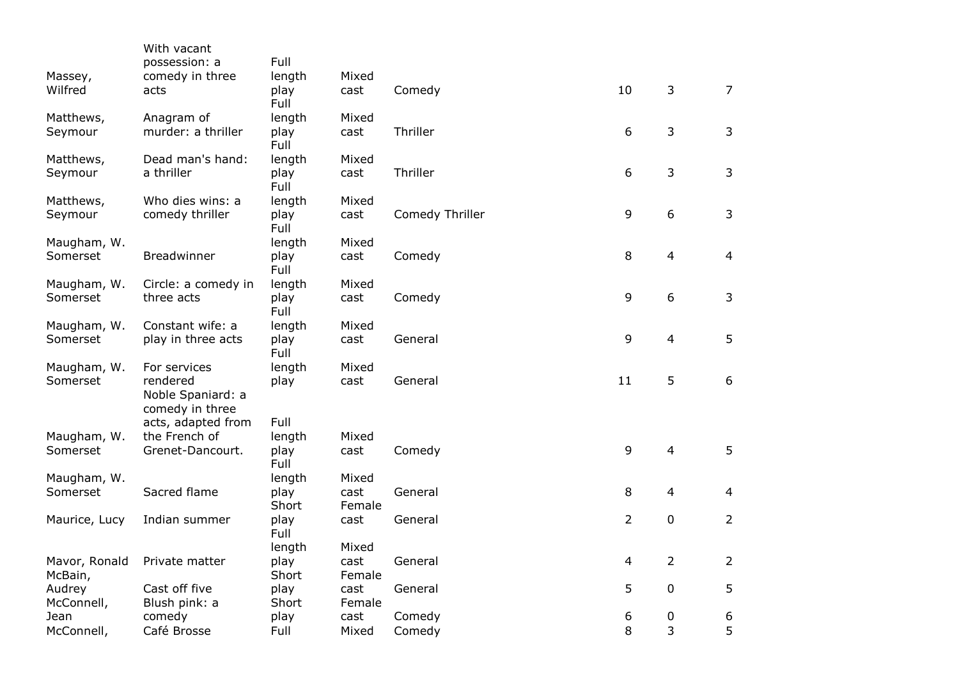|                          | With vacant<br>possession: a                     | Full          |                |                 |                |                |                |
|--------------------------|--------------------------------------------------|---------------|----------------|-----------------|----------------|----------------|----------------|
| Massey,                  | comedy in three                                  | length        | Mixed          |                 |                |                |                |
| Wilfred                  | acts                                             | play<br>Full  | cast           | Comedy          | 10             | 3              | $\overline{7}$ |
| Matthews,                | Anagram of                                       | length        | Mixed          |                 |                |                |                |
| Seymour                  | murder: a thriller                               | play<br>Full  | cast           | Thriller        | 6              | 3              | 3              |
| Matthews,                | Dead man's hand:                                 | length        | Mixed          |                 |                |                |                |
| Seymour                  | a thriller                                       | play<br>Full  | cast           | Thriller        | 6              | 3              | 3              |
| Matthews,                | Who dies wins: a                                 | length        | Mixed          |                 |                |                |                |
| Seymour                  | comedy thriller                                  | play<br>Full  | cast           | Comedy Thriller | $\mathsf 9$    | 6              | 3              |
| Maugham, W.              |                                                  | length        | Mixed          |                 |                |                |                |
| Somerset                 | Breadwinner                                      | play<br>Full  | cast           | Comedy          | 8              | 4              | $\overline{4}$ |
| Maugham, W.              | Circle: a comedy in                              | length        | Mixed          |                 |                |                |                |
| Somerset                 | three acts                                       | play<br>Full  | cast           | Comedy          | 9              | 6              | 3              |
| Maugham, W.              | Constant wife: a                                 | length        | Mixed          |                 |                |                |                |
| Somerset                 | play in three acts                               | play<br>Full  | cast           | General         | 9              | 4              | 5              |
| Maugham, W.              | For services                                     | length        | Mixed          |                 |                |                |                |
| Somerset                 | rendered<br>Noble Spaniard: a<br>comedy in three | play          | cast           | General         | 11             | 5              | 6              |
|                          | acts, adapted from                               | Full          |                |                 |                |                |                |
| Maugham, W.<br>Somerset  | the French of<br>Grenet-Dancourt.                | length        | Mixed          |                 | 9              | $\overline{4}$ | 5              |
|                          |                                                  | play<br>Full  | cast           | Comedy          |                |                |                |
| Maugham, W.              |                                                  | length        | Mixed          |                 |                |                |                |
| Somerset                 | Sacred flame                                     | play          | cast           | General         | 8              | $\overline{4}$ | 4              |
|                          |                                                  | Short         | Female         |                 |                |                |                |
| Maurice, Lucy            | Indian summer                                    | play<br>Full  | cast           | General         | $\overline{2}$ | 0              | $\overline{2}$ |
|                          |                                                  | length        | Mixed          |                 |                |                |                |
| Mavor, Ronald<br>McBain, | Private matter                                   | play<br>Short | cast<br>Female | General         | 4              | $\overline{2}$ | $\overline{2}$ |
| Audrey                   | Cast off five                                    | play          | cast           | General         | 5              | 0              | 5              |
| McConnell,               | Blush pink: a                                    | Short         | Female         |                 |                |                |                |
| Jean                     | comedy                                           | play          | cast           | Comedy          | 6              | 0              | 6              |
| McConnell,               | Café Brosse                                      | Full          | Mixed          | Comedy          | 8              | 3              | 5              |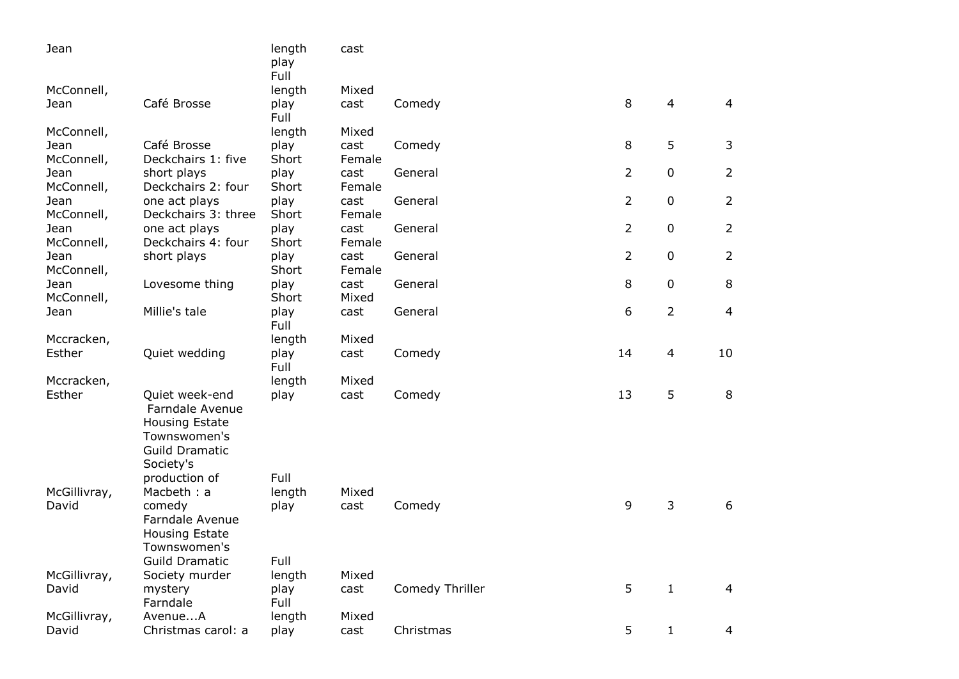| Jean         |                                                                                                                  | length<br>play<br>Full | cast   |                 |                |                |                |
|--------------|------------------------------------------------------------------------------------------------------------------|------------------------|--------|-----------------|----------------|----------------|----------------|
| McConnell,   |                                                                                                                  | length                 | Mixed  |                 |                |                |                |
| Jean         | Café Brosse                                                                                                      | play<br>Full           | cast   | Comedy          | 8              | $\overline{4}$ | $\overline{4}$ |
| McConnell,   |                                                                                                                  | length                 | Mixed  |                 |                |                |                |
| Jean         | Café Brosse                                                                                                      | play                   | cast   | Comedy          | 8              | 5              | 3              |
| McConnell,   | Deckchairs 1: five                                                                                               | Short                  | Female |                 |                |                |                |
| Jean         | short plays                                                                                                      | play                   | cast   | General         | $\overline{2}$ | $\mathbf 0$    | $\overline{2}$ |
| McConnell,   | Deckchairs 2: four                                                                                               | Short                  | Female |                 |                |                |                |
| Jean         | one act plays                                                                                                    | play                   | cast   | General         | $\overline{2}$ | $\mathbf 0$    | $\overline{2}$ |
| McConnell,   | Deckchairs 3: three                                                                                              | Short                  | Female |                 |                |                |                |
| Jean         | one act plays                                                                                                    | play                   | cast   | General         | $\overline{2}$ | $\mathbf 0$    | $\overline{2}$ |
| McConnell,   | Deckchairs 4: four                                                                                               | Short                  | Female |                 |                |                |                |
| Jean         | short plays                                                                                                      | play                   | cast   | General         | $\overline{2}$ | $\mathbf 0$    | $\overline{2}$ |
| McConnell,   |                                                                                                                  | Short                  | Female |                 |                |                |                |
| Jean         | Lovesome thing                                                                                                   | play                   | cast   | General         | 8              | 0              | 8              |
| McConnell,   |                                                                                                                  | Short                  | Mixed  |                 |                |                |                |
| Jean         | Millie's tale                                                                                                    | play<br>Full           | cast   | General         | 6              | 2              | $\overline{4}$ |
| Mccracken,   |                                                                                                                  | length                 | Mixed  |                 |                |                |                |
| Esther       | Quiet wedding                                                                                                    | play<br>Full           | cast   | Comedy          | 14             | $\overline{4}$ | 10             |
| Mccracken,   |                                                                                                                  | length                 | Mixed  |                 |                |                |                |
| Esther       | Quiet week-end<br>Farndale Avenue<br><b>Housing Estate</b><br>Townswomen's<br><b>Guild Dramatic</b><br>Society's | play                   | cast   | Comedy          | 13             | 5              | 8              |
|              | production of                                                                                                    | Full                   |        |                 |                |                |                |
| McGillivray, | Macbeth: a                                                                                                       | length                 | Mixed  |                 |                |                |                |
| David        | comedy                                                                                                           | play                   | cast   | Comedy          | 9              | 3              | 6              |
|              | Farndale Avenue                                                                                                  |                        |        |                 |                |                |                |
|              | <b>Housing Estate</b>                                                                                            |                        |        |                 |                |                |                |
|              | Townswomen's                                                                                                     |                        |        |                 |                |                |                |
|              | <b>Guild Dramatic</b>                                                                                            | Full                   |        |                 |                |                |                |
| McGillivray, | Society murder                                                                                                   | length                 | Mixed  |                 |                |                |                |
| David        | mystery                                                                                                          | play                   | cast   | Comedy Thriller | 5              | $\mathbf{1}$   | 4              |
|              | Farndale                                                                                                         | Full                   |        |                 |                |                |                |
| McGillivray, | AvenueA                                                                                                          | length                 | Mixed  |                 |                |                |                |
| David        | Christmas carol: a                                                                                               | play                   | cast   | Christmas       | 5              | $\mathbf{1}$   | $\overline{4}$ |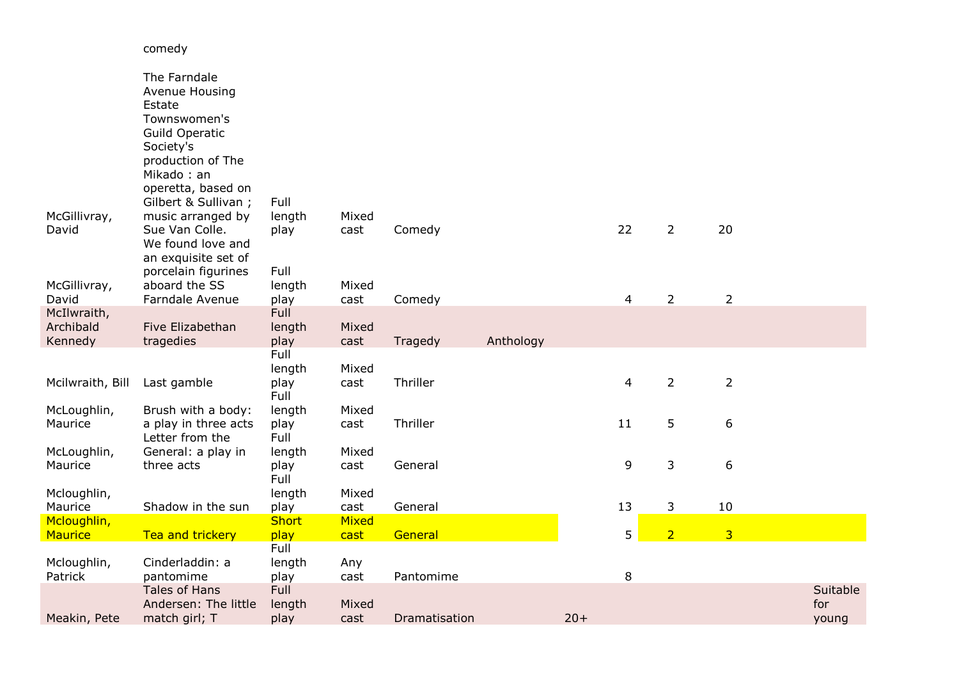## McGillivray, David The Farndale Avenue Housing Estate Townswomen's Guild Operatic Society's production of The Mikado : an<br>operetta, based on Gilbert & Sullivan ; music arranged by Sue Van Colle. Full length play Mixed cast Comedy 22 2 20 McGillivray, David We found love and an exquisite set of porcelain figurines aboard the SS Farndale Avenue Full length play Mixed cast Comedy 4 2 2 McIlwraith, Archibald Kennedy Five Elizabethan tragedies Full length play Mixed cast Tragedy Anthology Mcilwraith, Bill Last gamble Full length play Mixed cast Thriller 4 2 2 McLoughlin, Maurice Brush with a body: a play in three acts Full length play Mixed cast Thriller 11 5 6 McLoughlin, Maurice Letter from the General: a play in three acts Full length play Mixed cast General 9 3 6 Mcloughlin, Maurice Shadow in the sun **Full** length play Mixed cast General 13 3 10 Mcloughlin, Maurice **Tea and trickery Short** play **Mixed** cast General 5  $\overline{2}$ 3 Mcloughlin, Patrick Cinderladdin: a pantomime Full lenath play Any cast Pantomime 8 Meakin, Pete Tales of Hans Andersen: The little match girl; T Full length play Mixed cast Dramatisation 20+ Suitable for young

comedy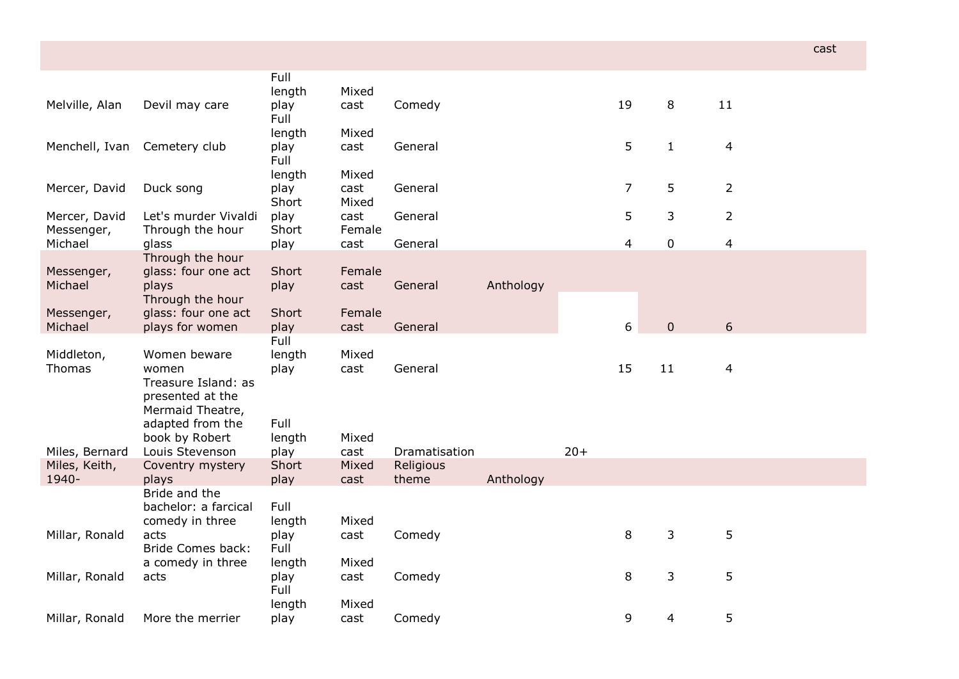|                                                                                                          |                                                                                                                                                                  |                                                                |                                               |                              |        |                |                               |                            | cast                                       |
|----------------------------------------------------------------------------------------------------------|------------------------------------------------------------------------------------------------------------------------------------------------------------------|----------------------------------------------------------------|-----------------------------------------------|------------------------------|--------|----------------|-------------------------------|----------------------------|--------------------------------------------|
| Devil may care                                                                                           | Full<br>length<br>play                                                                                                                                           | Mixed<br>cast                                                  | Comedy                                        |                              |        | 19             | 8                             | 11                         |                                            |
| Cemetery club                                                                                            | length<br>play<br>Full                                                                                                                                           | Mixed<br>cast                                                  | General                                       |                              |        | 5              | $\mathbf{1}$                  | $\overline{4}$             |                                            |
| Duck song                                                                                                | length<br>play<br>Short                                                                                                                                          | Mixed<br>cast<br>Mixed                                         | General                                       |                              |        | $\overline{7}$ | 5                             | $\overline{2}$             |                                            |
| Through the hour                                                                                         | Short                                                                                                                                                            | Female                                                         |                                               |                              |        |                |                               |                            |                                            |
|                                                                                                          |                                                                                                                                                                  |                                                                |                                               |                              |        |                |                               |                            |                                            |
| glass: four one act<br>plays                                                                             | Short<br>play                                                                                                                                                    | Female<br>cast                                                 | General                                       | Anthology                    |        |                |                               |                            |                                            |
| glass: four one act<br>plays for women                                                                   | Short<br>play                                                                                                                                                    | Female<br>cast                                                 | General                                       |                              |        | 6              | $\mathbf{0}$                  | 6                          |                                            |
| Women beware<br>women<br>Treasure Island: as<br>presented at the<br>Mermaid Theatre,<br>adapted from the | Full<br>length<br>play<br>Full                                                                                                                                   | Mixed<br>cast                                                  | General                                       |                              |        | 15             | 11                            | $\overline{4}$             |                                            |
| Louis Stevenson                                                                                          |                                                                                                                                                                  |                                                                | Dramatisation                                 |                              | $20+$  |                |                               |                            |                                            |
| Coventry mystery<br>plays                                                                                | Short<br>play                                                                                                                                                    | Mixed<br>cast                                                  | Religious<br>theme                            | Anthology                    |        |                |                               |                            |                                            |
| bachelor: a farcical<br>comedy in three<br>acts                                                          | Full<br>length<br>play                                                                                                                                           | Mixed<br>cast                                                  | Comedy                                        |                              |        | 8              | 3                             | 5                          |                                            |
| a comedy in three                                                                                        | length                                                                                                                                                           | Mixed                                                          |                                               |                              |        |                |                               |                            |                                            |
|                                                                                                          | Full<br>length                                                                                                                                                   | Mixed                                                          |                                               |                              |        |                |                               |                            |                                            |
|                                                                                                          | Let's murder Vivaldi<br>glass<br>Through the hour<br>Through the hour<br>book by Robert<br>Bride and the<br><b>Bride Comes back:</b><br>acts<br>More the merrier | Full<br>play<br>play<br>length<br>play<br>Full<br>play<br>play | cast<br>cast<br>Mixed<br>cast<br>cast<br>cast | General<br>General<br>Comedy | Comedy |                | 5<br>$\overline{4}$<br>8<br>9 | 3<br>$\mathbf 0$<br>3<br>4 | $\overline{2}$<br>$\overline{4}$<br>5<br>5 |

**Contract Contract**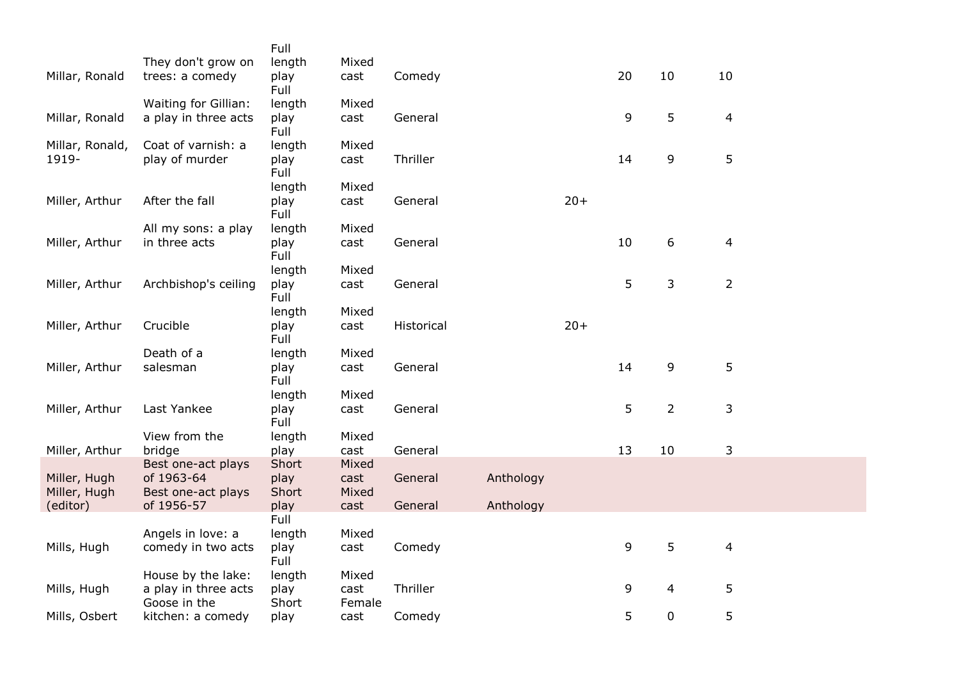|                 |                                         | Full           |               |            |           |       |    |                  |                         |
|-----------------|-----------------------------------------|----------------|---------------|------------|-----------|-------|----|------------------|-------------------------|
|                 | They don't grow on                      | length         | Mixed         |            |           |       |    |                  |                         |
| Millar, Ronald  | trees: a comedy                         | play<br>Full   | cast          | Comedy     |           |       | 20 | 10               | 10                      |
|                 | Waiting for Gillian:                    | length         | Mixed         |            |           |       |    |                  |                         |
| Millar, Ronald  | a play in three acts                    | play           | cast          | General    |           |       | 9  | 5                | 4                       |
|                 |                                         | Full           |               |            |           |       |    |                  |                         |
| Millar, Ronald, | Coat of varnish: a                      | length         | Mixed         |            |           |       |    |                  |                         |
| 1919-           | play of murder                          | play<br>Full   | cast          | Thriller   |           |       | 14 | 9                | 5                       |
|                 |                                         | length         | Mixed         |            |           |       |    |                  |                         |
| Miller, Arthur  | After the fall                          | play           | cast          | General    |           | $20+$ |    |                  |                         |
|                 |                                         | Full           |               |            |           |       |    |                  |                         |
|                 | All my sons: a play                     | length         | Mixed         |            |           |       |    |                  |                         |
| Miller, Arthur  | in three acts                           | play<br>Full   | cast          | General    |           |       | 10 | $\boldsymbol{6}$ | 4                       |
|                 |                                         | length         | Mixed         |            |           |       |    |                  |                         |
| Miller, Arthur  | Archbishop's ceiling                    | play           | cast          | General    |           |       | 5  | 3                | $\overline{2}$          |
|                 |                                         | Full           |               |            |           |       |    |                  |                         |
|                 | Crucible                                | length         | Mixed         |            |           | $20+$ |    |                  |                         |
| Miller, Arthur  |                                         | play<br>Full   | cast          | Historical |           |       |    |                  |                         |
|                 | Death of a                              | length         | Mixed         |            |           |       |    |                  |                         |
| Miller, Arthur  | salesman                                | play           | cast          | General    |           |       | 14 | 9                | 5                       |
|                 |                                         | Full           |               |            |           |       |    |                  |                         |
|                 |                                         | length         | Mixed         |            |           |       |    |                  |                         |
| Miller, Arthur  | Last Yankee                             | play           | cast          | General    |           |       | 5  | $\overline{2}$   | 3                       |
|                 | View from the                           | Full<br>length | Mixed         |            |           |       |    |                  |                         |
| Miller, Arthur  | bridge                                  | play           | cast          | General    |           |       | 13 | 10               | 3                       |
|                 | Best one-act plays                      | Short          | Mixed         |            |           |       |    |                  |                         |
| Miller, Hugh    | of 1963-64                              | play           | cast          | General    | Anthology |       |    |                  |                         |
| Miller, Hugh    | Best one-act plays                      | Short          | Mixed         |            |           |       |    |                  |                         |
| (editor)        | of 1956-57                              | play           | cast          | General    | Anthology |       |    |                  |                         |
|                 |                                         | Full           |               |            |           |       |    |                  |                         |
| Mills, Hugh     | Angels in love: a<br>comedy in two acts | length<br>play | Mixed<br>cast | Comedy     |           |       | 9  | 5                | $\overline{\mathbf{4}}$ |
|                 |                                         | Full           |               |            |           |       |    |                  |                         |
|                 | House by the lake:                      | length         | Mixed         |            |           |       |    |                  |                         |
| Mills, Hugh     | a play in three acts                    | play           | cast          | Thriller   |           |       | 9  | 4                | 5                       |
|                 | Goose in the                            | Short          | Female        |            |           |       |    |                  |                         |
| Mills, Osbert   | kitchen: a comedy                       | play           | cast          | Comedy     |           |       | 5  | $\mathbf 0$      | 5                       |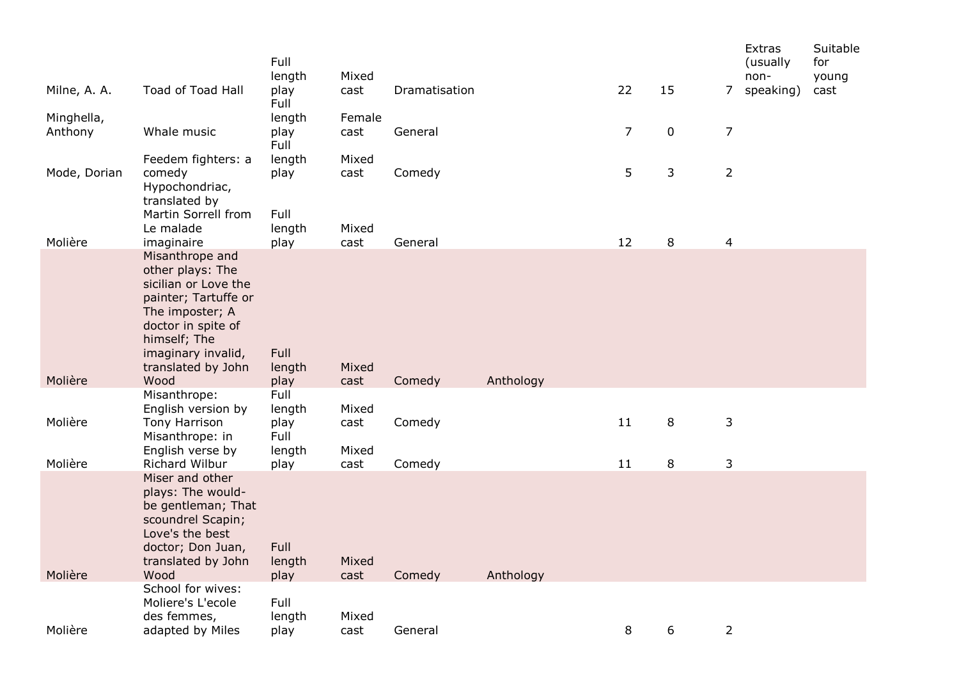|                       |                                                                                                                                                                                          | Full<br>length                           | Mixed                  |               |           |                |             |                | Extras<br>(usually<br>non- | Suitable<br>for<br>young |
|-----------------------|------------------------------------------------------------------------------------------------------------------------------------------------------------------------------------------|------------------------------------------|------------------------|---------------|-----------|----------------|-------------|----------------|----------------------------|--------------------------|
| Milne, A. A.          | Toad of Toad Hall                                                                                                                                                                        | play<br>Full                             | cast                   | Dramatisation |           | 22             | 15          | 7              | speaking)                  | cast                     |
| Minghella,<br>Anthony | Whale music                                                                                                                                                                              | length<br>play<br>Full                   | Female<br>cast         | General       |           | $\overline{7}$ | $\mathbf 0$ | $\overline{7}$ |                            |                          |
| Mode, Dorian          | Feedem fighters: a<br>comedy<br>Hypochondriac,<br>translated by                                                                                                                          | length<br>play                           | Mixed<br>cast          | Comedy        |           | 5              | 3           | $\overline{2}$ |                            |                          |
| Molière               | Martin Sorrell from<br>Le malade<br>imaginaire                                                                                                                                           | Full<br>length<br>play                   | Mixed<br>cast          | General       |           | 12             | 8           | $\overline{4}$ |                            |                          |
|                       | Misanthrope and<br>other plays: The<br>sicilian or Love the<br>painter; Tartuffe or<br>The imposter; A<br>doctor in spite of<br>himself; The<br>imaginary invalid,<br>translated by John | Full<br>length                           | Mixed                  |               |           |                |             |                |                            |                          |
| Molière               | Wood                                                                                                                                                                                     | play                                     | cast                   | Comedy        | Anthology |                |             |                |                            |                          |
| Molière               | Misanthrope:<br>English version by<br>Tony Harrison<br>Misanthrope: in<br>English verse by                                                                                               | Full<br>length<br>play<br>Full<br>length | Mixed<br>cast<br>Mixed | Comedy        |           | 11             | $\,8\,$     | 3              |                            |                          |
| Molière               | Richard Wilbur                                                                                                                                                                           | play                                     | cast                   | Comedy        |           | 11             | 8           | $\mathsf{3}$   |                            |                          |
| Molière               | Miser and other<br>plays: The would-<br>be gentleman; That<br>scoundrel Scapin;<br>Love's the best<br>doctor; Don Juan,<br>translated by John<br>Wood                                    | Full<br>length<br>play                   | Mixed<br>cast          | Comedy        | Anthology |                |             |                |                            |                          |
|                       | School for wives:<br>Moliere's L'ecole<br>des femmes,                                                                                                                                    | Full<br>length                           | Mixed                  |               |           |                |             |                |                            |                          |
| Molière               | adapted by Miles                                                                                                                                                                         | play                                     | cast                   | General       |           | 8              | 6           | $\overline{2}$ |                            |                          |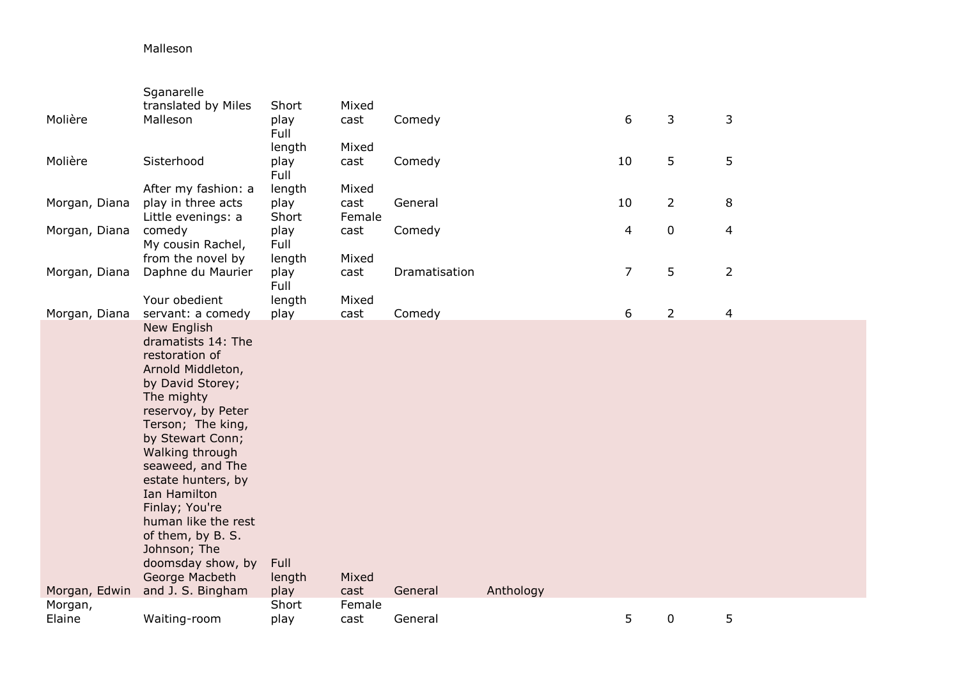## Malleson

|               | Sganarelle                              |              |        |               |           |                         |                |                          |
|---------------|-----------------------------------------|--------------|--------|---------------|-----------|-------------------------|----------------|--------------------------|
|               | translated by Miles                     | Short        | Mixed  |               |           |                         |                |                          |
| Molière       | Malleson                                | play         | cast   | Comedy        |           | 6                       | 3              | 3                        |
|               |                                         | Full         |        |               |           |                         |                |                          |
|               |                                         | length       | Mixed  |               |           |                         |                |                          |
| Molière       | Sisterhood                              | play         | cast   | Comedy        |           | 10                      | 5              | 5                        |
|               |                                         | Full         |        |               |           |                         |                |                          |
|               | After my fashion: a                     | length       | Mixed  |               |           |                         |                |                          |
| Morgan, Diana | play in three acts                      | play         | cast   | General       |           | 10                      | $\overline{2}$ | 8                        |
|               | Little evenings: a                      | Short        | Female |               |           | $\overline{\mathbf{4}}$ | $\pmb{0}$      | $\overline{\mathcal{A}}$ |
| Morgan, Diana | comedy<br>My cousin Rachel,             | play<br>Full | cast   | Comedy        |           |                         |                |                          |
|               | from the novel by                       | length       | Mixed  |               |           |                         |                |                          |
| Morgan, Diana | Daphne du Maurier                       | play         | cast   | Dramatisation |           | $\overline{7}$          | 5              | $\overline{2}$           |
|               |                                         | Full         |        |               |           |                         |                |                          |
|               | Your obedient                           | length       | Mixed  |               |           |                         |                |                          |
| Morgan, Diana | servant: a comedy                       | play         | cast   | Comedy        |           | 6                       | $\overline{2}$ | $\overline{\mathbf{4}}$  |
|               | New English                             |              |        |               |           |                         |                |                          |
|               | dramatists 14: The                      |              |        |               |           |                         |                |                          |
|               | restoration of                          |              |        |               |           |                         |                |                          |
|               | Arnold Middleton,                       |              |        |               |           |                         |                |                          |
|               | by David Storey;                        |              |        |               |           |                         |                |                          |
|               | The mighty                              |              |        |               |           |                         |                |                          |
|               | reservoy, by Peter<br>Terson; The king, |              |        |               |           |                         |                |                          |
|               | by Stewart Conn;                        |              |        |               |           |                         |                |                          |
|               | Walking through                         |              |        |               |           |                         |                |                          |
|               | seaweed, and The                        |              |        |               |           |                         |                |                          |
|               | estate hunters, by                      |              |        |               |           |                         |                |                          |
|               | Ian Hamilton                            |              |        |               |           |                         |                |                          |
|               | Finlay; You're                          |              |        |               |           |                         |                |                          |
|               | human like the rest                     |              |        |               |           |                         |                |                          |
|               | of them, by B. S.                       |              |        |               |           |                         |                |                          |
|               | Johnson; The                            |              |        |               |           |                         |                |                          |
|               | doomsday show, by                       | Full         |        |               |           |                         |                |                          |
|               | George Macbeth                          | length       | Mixed  |               |           |                         |                |                          |
| Morgan, Edwin | and J. S. Bingham                       | play         | cast   | General       | Anthology |                         |                |                          |
| Morgan,       |                                         | Short        | Female |               |           | 5                       |                | 5                        |
| Elaine        | Waiting-room                            | play         | cast   | General       |           |                         | $\mathbf 0$    |                          |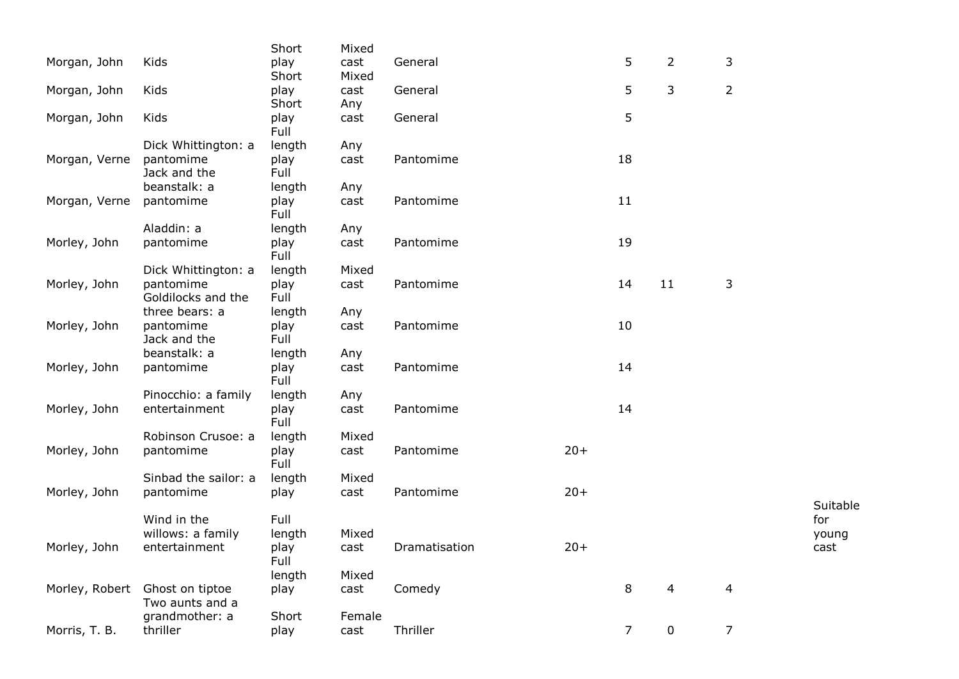|               |                                | Short        | Mixed  |               |       |                |                |                |          |
|---------------|--------------------------------|--------------|--------|---------------|-------|----------------|----------------|----------------|----------|
| Morgan, John  | Kids                           | play         | cast   | General       |       | 5              | $\overline{2}$ | 3              |          |
|               |                                | Short        | Mixed  |               |       |                |                |                |          |
| Morgan, John  | Kids                           | play         | cast   | General       |       | 5              | 3              | $\overline{2}$ |          |
|               |                                | Short        | Any    |               |       |                |                |                |          |
| Morgan, John  | Kids                           | play<br>Full | cast   | General       |       | 5              |                |                |          |
|               | Dick Whittington: a            | length       | Any    |               |       |                |                |                |          |
| Morgan, Verne | pantomime                      | play         | cast   | Pantomime     |       | 18             |                |                |          |
|               | Jack and the                   | Full         |        |               |       |                |                |                |          |
|               | beanstalk: a                   | length       | Any    |               |       |                |                |                |          |
| Morgan, Verne | pantomime                      | play<br>Full | cast   | Pantomime     |       | 11             |                |                |          |
|               | Aladdin: a                     | length       | Any    |               |       |                |                |                |          |
| Morley, John  | pantomime                      | play         | cast   | Pantomime     |       | 19             |                |                |          |
|               |                                | Full         |        |               |       |                |                |                |          |
|               | Dick Whittington: a            | length       | Mixed  |               |       |                |                |                |          |
| Morley, John  | pantomime                      | play         | cast   | Pantomime     |       | 14             | 11             | 3              |          |
|               | Goldilocks and the             | Full         |        |               |       |                |                |                |          |
|               | three bears: a                 | length       | Any    |               |       |                |                |                |          |
| Morley, John  | pantomime                      | play         | cast   | Pantomime     |       | 10             |                |                |          |
|               | Jack and the                   | Full         |        |               |       |                |                |                |          |
|               | beanstalk: a                   | length       | Any    |               |       |                |                |                |          |
| Morley, John  | pantomime                      | play<br>Full | cast   | Pantomime     |       | 14             |                |                |          |
|               | Pinocchio: a family            | length       | Any    |               |       |                |                |                |          |
| Morley, John  | entertainment                  | play<br>Full | cast   | Pantomime     |       | 14             |                |                |          |
|               | Robinson Crusoe: a             | length       | Mixed  |               |       |                |                |                |          |
| Morley, John  | pantomime                      | play<br>Full | cast   | Pantomime     | $20+$ |                |                |                |          |
|               | Sinbad the sailor: a           | length       | Mixed  |               |       |                |                |                |          |
| Morley, John  | pantomime                      | play         | cast   | Pantomime     | $20+$ |                |                |                |          |
|               |                                |              |        |               |       |                |                |                | Suitable |
|               | Wind in the                    | Full         |        |               |       |                |                |                | for      |
|               | willows: a family              | length       | Mixed  |               |       |                |                |                | young    |
| Morley, John  | entertainment                  | play         | cast   | Dramatisation | $20+$ |                |                |                | cast     |
|               |                                | Full         |        |               |       |                |                |                |          |
|               |                                | length       | Mixed  |               |       |                |                |                |          |
|               | Morley, Robert Ghost on tiptoe | play         | cast   | Comedy        |       | 8              | 4              | $\overline{4}$ |          |
|               | Two aunts and a                |              |        |               |       |                |                |                |          |
|               | grandmother: a                 | Short        | Female |               |       |                |                |                |          |
| Morris, T. B. | thriller                       | play         | cast   | Thriller      |       | $\overline{7}$ | 0              | $\overline{7}$ |          |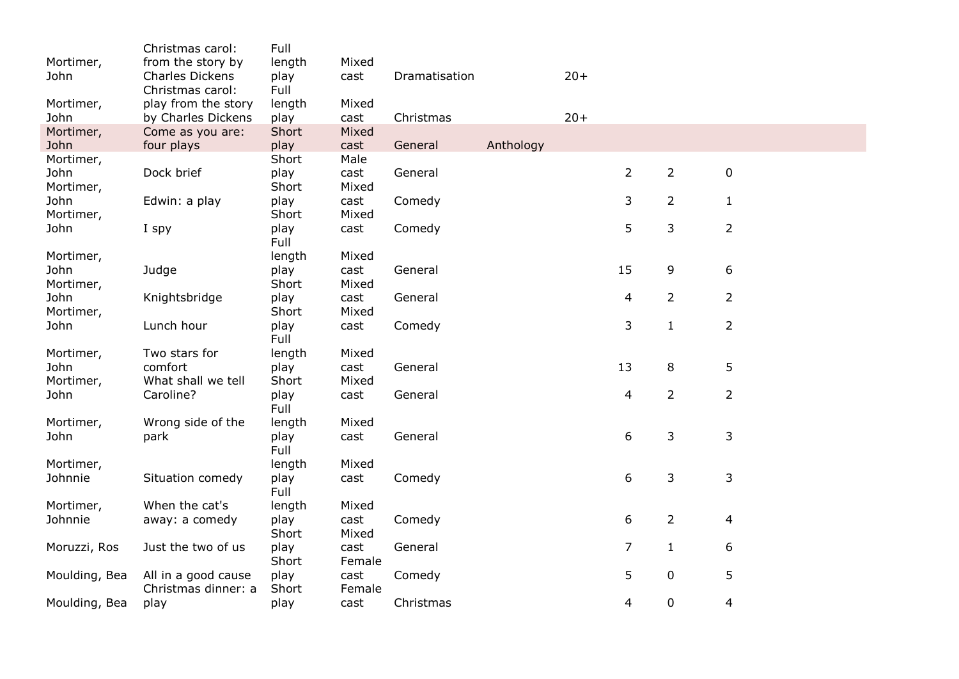|                   | Christmas carol:                           | Full           |                |               |           |       |                |                |                  |
|-------------------|--------------------------------------------|----------------|----------------|---------------|-----------|-------|----------------|----------------|------------------|
| Mortimer,<br>John | from the story by<br>Charles Dickens       | length<br>play | Mixed<br>cast  | Dramatisation |           | $20+$ |                |                |                  |
|                   | Christmas carol:                           | Full           |                |               |           |       |                |                |                  |
| Mortimer,         | play from the story                        | length         | Mixed          |               |           |       |                |                |                  |
| John              | by Charles Dickens                         | play           | cast           | Christmas     |           | $20+$ |                |                |                  |
| Mortimer,         | Come as you are:                           | Short          | Mixed          |               |           |       |                |                |                  |
| John              | four plays                                 | play           | cast           | General       | Anthology |       |                |                |                  |
| Mortimer,         |                                            | Short          | Male           |               |           |       |                |                |                  |
| John              | Dock brief                                 | play           | cast           | General       |           |       | $\overline{2}$ | $\overline{2}$ | $\pmb{0}$        |
| Mortimer,         |                                            | Short          | Mixed          |               |           |       |                |                |                  |
| John              | Edwin: a play                              | play           | cast           | Comedy        |           |       | 3              | $\overline{2}$ | $\mathbf{1}$     |
| Mortimer,         |                                            | Short          | Mixed          |               |           |       |                |                |                  |
| John              | I spy                                      | play<br>Full   | cast           | Comedy        |           |       | 5              | 3              | $\overline{2}$   |
| Mortimer,         |                                            | length         | Mixed          |               |           |       |                |                |                  |
| John              | Judge                                      | play           | cast           | General       |           |       | 15             | 9              | $\boldsymbol{6}$ |
| Mortimer,         |                                            | Short          | Mixed          |               |           |       |                |                |                  |
| John              | Knightsbridge                              | play           | cast           | General       |           |       | 4              | $\overline{2}$ | $\overline{2}$   |
| Mortimer,         |                                            | Short          | Mixed          |               |           |       |                |                |                  |
| John              | Lunch hour                                 | play           | cast           | Comedy        |           |       | 3              | $\mathbf{1}$   | $\overline{2}$   |
|                   |                                            | Full           |                |               |           |       |                |                |                  |
| Mortimer,         | Two stars for                              | length         | Mixed          |               |           |       |                |                |                  |
| John              | comfort                                    | play           | cast           | General       |           |       | 13             | 8              | 5                |
| Mortimer,         | What shall we tell                         | Short          | Mixed          |               |           |       |                |                |                  |
| John              | Caroline?                                  | play           | cast           | General       |           |       | 4              | $\overline{2}$ | $\overline{2}$   |
|                   |                                            | Full           |                |               |           |       |                |                |                  |
| Mortimer,         | Wrong side of the                          | length         | Mixed          |               |           |       |                |                |                  |
| John              | park                                       | play           | cast           | General       |           |       | 6              | 3              | $\mathsf{3}$     |
|                   |                                            | Full           |                |               |           |       |                |                |                  |
| Mortimer,         |                                            | length         | Mixed          |               |           |       |                |                |                  |
| Johnnie           | Situation comedy                           | play           | cast           | Comedy        |           |       | 6              | 3              | 3                |
|                   |                                            | <b>Full</b>    |                |               |           |       |                |                |                  |
| Mortimer,         | When the cat's                             | length         | Mixed          |               |           |       |                |                |                  |
| Johnnie           | away: a comedy                             | play           | cast           | Comedy        |           |       | 6              | $\overline{2}$ | $\overline{4}$   |
|                   |                                            | Short          | Mixed          |               |           |       |                |                |                  |
| Moruzzi, Ros      | Just the two of us                         | play           | cast           | General       |           |       | $\overline{7}$ | $\mathbf{1}$   | 6                |
|                   |                                            | Short          | Female         |               |           |       | 5              | 0              |                  |
| Moulding, Bea     | All in a good cause<br>Christmas dinner: a | play<br>Short  | cast<br>Female | Comedy        |           |       |                |                | 5                |
| Moulding, Bea     | play                                       | play           | cast           | Christmas     |           |       | 4              | 0              | $\overline{4}$   |
|                   |                                            |                |                |               |           |       |                |                |                  |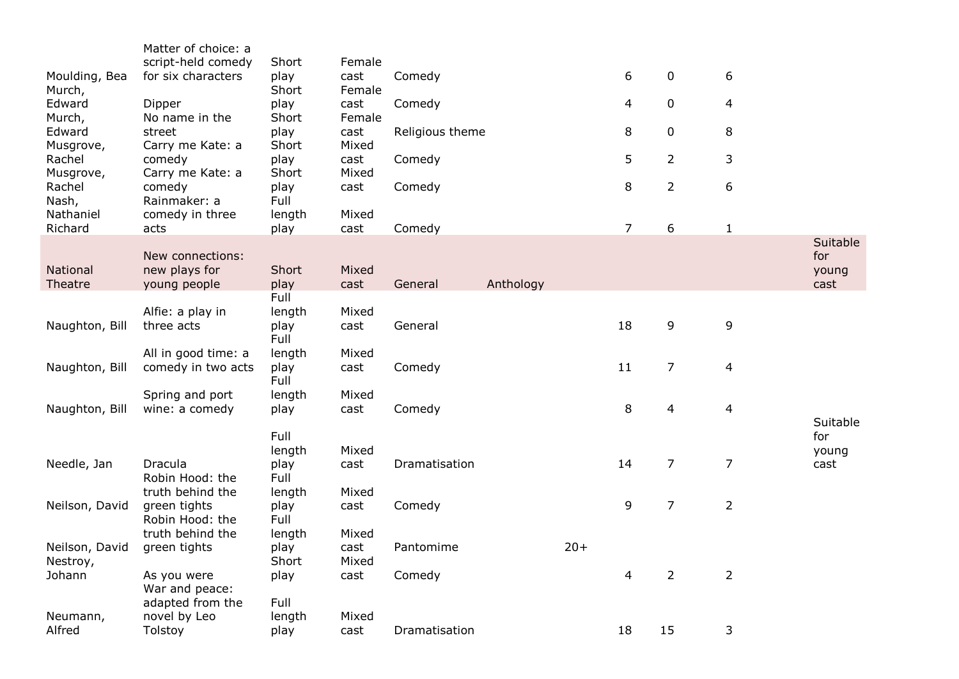|                              | Matter of choice: a<br>script-held comedy           | Short                  | Female         |                 |           |       |                |                |                |                 |
|------------------------------|-----------------------------------------------------|------------------------|----------------|-----------------|-----------|-------|----------------|----------------|----------------|-----------------|
| Moulding, Bea<br>Murch,      | for six characters                                  | play<br>Short          | cast<br>Female | Comedy          |           |       | 6              | 0              | 6              |                 |
| Edward<br>Murch,             | Dipper<br>No name in the                            | play<br>Short          | cast<br>Female | Comedy          |           |       | $\overline{4}$ | 0              | $\overline{4}$ |                 |
| Edward                       | street                                              | play                   | cast           | Religious theme |           |       | 8              | 0              | 8              |                 |
| Musgrove,<br>Rachel          | Carry me Kate: a<br>comedy                          | Short<br>play          | Mixed<br>cast  | Comedy          |           |       | 5              | $\overline{2}$ | 3              |                 |
| Musgrove,<br>Rachel<br>Nash, | Carry me Kate: a<br>comedy<br>Rainmaker: a          | Short<br>play<br>Full  | Mixed<br>cast  | Comedy          |           |       | $\,8\,$        | $\overline{2}$ | 6              |                 |
| Nathaniel<br>Richard         | comedy in three<br>acts                             | length<br>play         | Mixed<br>cast  | Comedy          |           |       | $\overline{7}$ | 6              | $\mathbf{1}$   |                 |
|                              | New connections:                                    |                        |                |                 |           |       |                |                |                | Suitable<br>for |
| National<br>Theatre          | new plays for<br>young people                       | Short<br>play          | Mixed<br>cast  | General         | Anthology |       |                |                |                | young<br>cast   |
|                              |                                                     | Full                   |                |                 |           |       |                |                |                |                 |
| Naughton, Bill               | Alfie: a play in<br>three acts                      | length<br>play<br>Full | Mixed<br>cast  | General         |           |       | 18             | 9              | 9              |                 |
| Naughton, Bill               | All in good time: a<br>comedy in two acts           | length<br>play         | Mixed<br>cast  | Comedy          |           |       | 11             | $\overline{7}$ | $\overline{4}$ |                 |
|                              |                                                     | Full                   |                |                 |           |       |                |                |                |                 |
| Naughton, Bill               | Spring and port<br>wine: a comedy                   | length<br>play         | Mixed<br>cast  | Comedy          |           |       | $\,8\,$        | 4              | $\overline{4}$ |                 |
|                              |                                                     | Full                   |                |                 |           |       |                |                |                | Suitable<br>for |
| Needle, Jan                  | Dracula                                             | length<br>play         | Mixed<br>cast  | Dramatisation   |           |       | 14             | 7              | $\overline{7}$ | young<br>cast   |
|                              | Robin Hood: the                                     | Full                   |                |                 |           |       |                |                |                |                 |
| Neilson, David               | truth behind the<br>green tights<br>Robin Hood: the | length<br>play<br>Full | Mixed<br>cast  | Comedy          |           |       | 9              | $\overline{7}$ | $\overline{2}$ |                 |
|                              | truth behind the                                    | length                 | Mixed          |                 |           |       |                |                |                |                 |
| Neilson, David<br>Nestroy,   | green tights                                        | play<br>Short          | cast<br>Mixed  | Pantomime       |           | $20+$ |                |                |                |                 |
| Johann                       | As you were                                         | play                   | cast           | Comedy          |           |       | 4              | $\overline{2}$ | $\overline{2}$ |                 |
|                              | War and peace:<br>adapted from the                  | Full                   |                |                 |           |       |                |                |                |                 |
| Neumann,                     | novel by Leo                                        | length                 | Mixed          |                 |           |       |                |                |                |                 |
| Alfred                       | Tolstoy                                             | play                   | cast           | Dramatisation   |           |       | 18             | 15             | 3              |                 |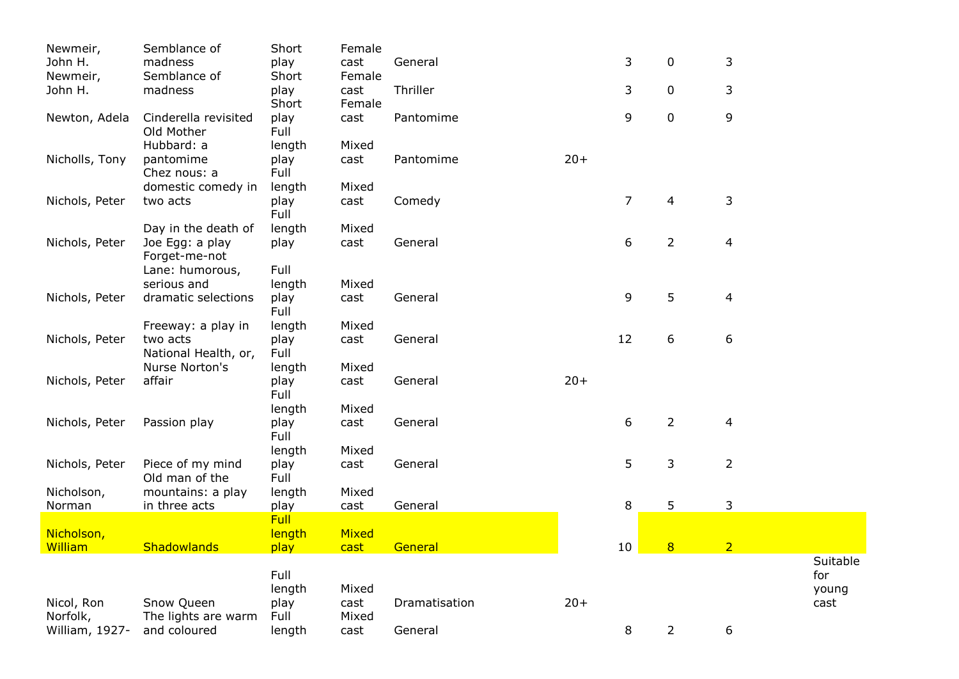| Newmeir,       | Semblance of         | Short       | Female |               |       |                |                |                |          |
|----------------|----------------------|-------------|--------|---------------|-------|----------------|----------------|----------------|----------|
| John H.        | madness              | play        | cast   | General       |       | 3              | $\mathbf 0$    | 3              |          |
| Newmeir,       | Semblance of         | Short       | Female |               |       |                |                |                |          |
| John H.        | madness              | play        | cast   | Thriller      |       | 3              | $\mathbf 0$    | 3              |          |
|                |                      | Short       | Female |               |       |                |                |                |          |
| Newton, Adela  | Cinderella revisited | play        | cast   | Pantomime     |       | 9              | $\mathbf 0$    | 9              |          |
|                | Old Mother           | Full        |        |               |       |                |                |                |          |
|                | Hubbard: a           | length      | Mixed  |               |       |                |                |                |          |
| Nicholls, Tony | pantomime            | play        | cast   | Pantomime     | $20+$ |                |                |                |          |
|                | Chez nous: a         | Full        |        |               |       |                |                |                |          |
|                | domestic comedy in   | length      | Mixed  |               |       |                |                |                |          |
| Nichols, Peter | two acts             | play        | cast   | Comedy        |       | $\overline{7}$ | 4              | 3              |          |
|                |                      | Full        |        |               |       |                |                |                |          |
|                | Day in the death of  | length      | Mixed  |               |       |                |                |                |          |
| Nichols, Peter | Joe Egg: a play      | play        | cast   | General       |       | 6              | $\overline{2}$ | 4              |          |
|                | Forget-me-not        |             |        |               |       |                |                |                |          |
|                | Lane: humorous,      | Full        |        |               |       |                |                |                |          |
|                | serious and          | length      | Mixed  |               |       |                |                |                |          |
| Nichols, Peter | dramatic selections  | play        | cast   | General       |       | 9              | 5              | 4              |          |
|                |                      | Full        |        |               |       |                |                |                |          |
|                | Freeway: a play in   | length      | Mixed  |               |       |                |                |                |          |
| Nichols, Peter | two acts             | play        | cast   | General       |       | 12             | 6              | 6              |          |
|                | National Health, or, | Full        |        |               |       |                |                |                |          |
|                | Nurse Norton's       | length      | Mixed  |               |       |                |                |                |          |
| Nichols, Peter | affair               | play        | cast   | General       | $20+$ |                |                |                |          |
|                |                      | Full        |        |               |       |                |                |                |          |
|                |                      | length      | Mixed  |               |       |                |                |                |          |
| Nichols, Peter | Passion play         | play        | cast   | General       |       | 6              | $\overline{2}$ | 4              |          |
|                |                      | Full        |        |               |       |                |                |                |          |
|                |                      | length      | Mixed  |               |       |                |                |                |          |
| Nichols, Peter | Piece of my mind     | play        | cast   | General       |       | 5              | 3              | $\overline{2}$ |          |
|                | Old man of the       | Full        |        |               |       |                |                |                |          |
| Nicholson,     | mountains: a play    | length      | Mixed  |               |       |                |                |                |          |
| Norman         | in three acts        | play        | cast   | General       |       | 8              | 5              | 3              |          |
|                |                      | <b>Full</b> |        |               |       |                |                |                |          |
| Nicholson,     |                      | length      | Mixed  |               |       |                |                |                |          |
| William        | <b>Shadowlands</b>   | play        | cast   | General       |       | 10             | 8              | $\overline{2}$ |          |
|                |                      |             |        |               |       |                |                |                | Suitable |
|                |                      | Full        |        |               |       |                |                |                | for      |
|                |                      | length      | Mixed  |               |       |                |                |                | young    |
| Nicol, Ron     | Snow Queen           | play        | cast   | Dramatisation | $20+$ |                |                |                | cast     |
| Norfolk,       | The lights are warm  | Full        | Mixed  |               |       |                |                |                |          |
| William, 1927- | and coloured         | length      | cast   | General       |       | 8              | $2^{\circ}$    | 6              |          |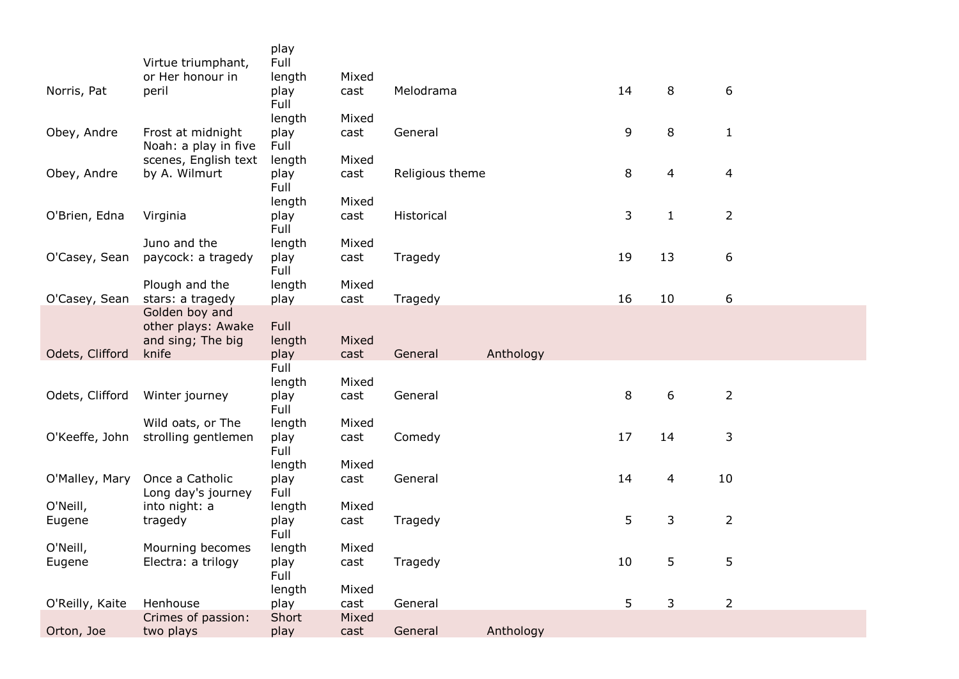|                 |                                           | play<br>Full |       |                 |           |    |                |                |
|-----------------|-------------------------------------------|--------------|-------|-----------------|-----------|----|----------------|----------------|
|                 | Virtue triumphant,<br>or Her honour in    | length       | Mixed |                 |           |    |                |                |
| Norris, Pat     | peril                                     | play<br>Full | cast  | Melodrama       |           | 14 | 8              | 6              |
|                 |                                           | length       | Mixed |                 |           |    |                |                |
| Obey, Andre     | Frost at midnight<br>Noah: a play in five | play<br>Full | cast  | General         |           | 9  | 8              | $\mathbf{1}$   |
|                 | scenes, English text                      | length       | Mixed |                 |           |    |                |                |
| Obey, Andre     | by A. Wilmurt                             | play<br>Full | cast  | Religious theme |           | 8  | $\overline{4}$ | 4              |
|                 |                                           | length       | Mixed |                 |           |    |                |                |
| O'Brien, Edna   | Virginia                                  | play<br>Full | cast  | Historical      |           | 3  | $\mathbf{1}$   | $\overline{2}$ |
|                 | Juno and the                              | length       | Mixed |                 |           |    |                |                |
| O'Casey, Sean   | paycock: a tragedy                        | play<br>Full | cast  | Tragedy         |           | 19 | 13             | 6              |
|                 | Plough and the                            | length       | Mixed |                 |           |    |                |                |
| O'Casey, Sean   | stars: a tragedy                          | play         | cast  | Tragedy         |           | 16 | 10             | 6              |
|                 | Golden boy and<br>other plays: Awake      | Full         |       |                 |           |    |                |                |
|                 | and sing; The big<br>knife                | length       | Mixed |                 | Anthology |    |                |                |
| Odets, Clifford |                                           | play<br>Full | cast  | General         |           |    |                |                |
|                 |                                           | length       | Mixed |                 |           |    |                |                |
| Odets, Clifford | Winter journey                            | play         | cast  | General         |           | 8  | 6              | $\overline{2}$ |
|                 |                                           | Full         |       |                 |           |    |                |                |
|                 | Wild oats, or The                         | length       | Mixed |                 |           |    |                |                |
| O'Keeffe, John  | strolling gentlemen                       | play<br>Full | cast  | Comedy          |           | 17 | 14             | 3              |
|                 |                                           | length       | Mixed |                 |           |    |                |                |
| O'Malley, Mary  | Once a Catholic<br>Long day's journey     | play<br>Full | cast  | General         |           | 14 | 4              | 10             |
| O'Neill,        | into night: a                             | length       | Mixed |                 |           |    |                |                |
| Eugene          | tragedy                                   | play<br>Full | cast  | Tragedy         |           | 5  | 3              | $\overline{2}$ |
| O'Neill,        | Mourning becomes                          | length       | Mixed |                 |           |    |                |                |
| Eugene          | Electra: a trilogy                        | play<br>Full | cast  | Tragedy         |           | 10 | 5              | 5              |
|                 |                                           | length       | Mixed |                 |           |    |                |                |
| O'Reilly, Kaite | Henhouse                                  | play         | cast  | General         |           | 5  | 3              | $\overline{2}$ |
|                 | Crimes of passion:                        | Short        | Mixed |                 |           |    |                |                |
| Orton, Joe      | two plays                                 | play         | cast  | General         | Anthology |    |                |                |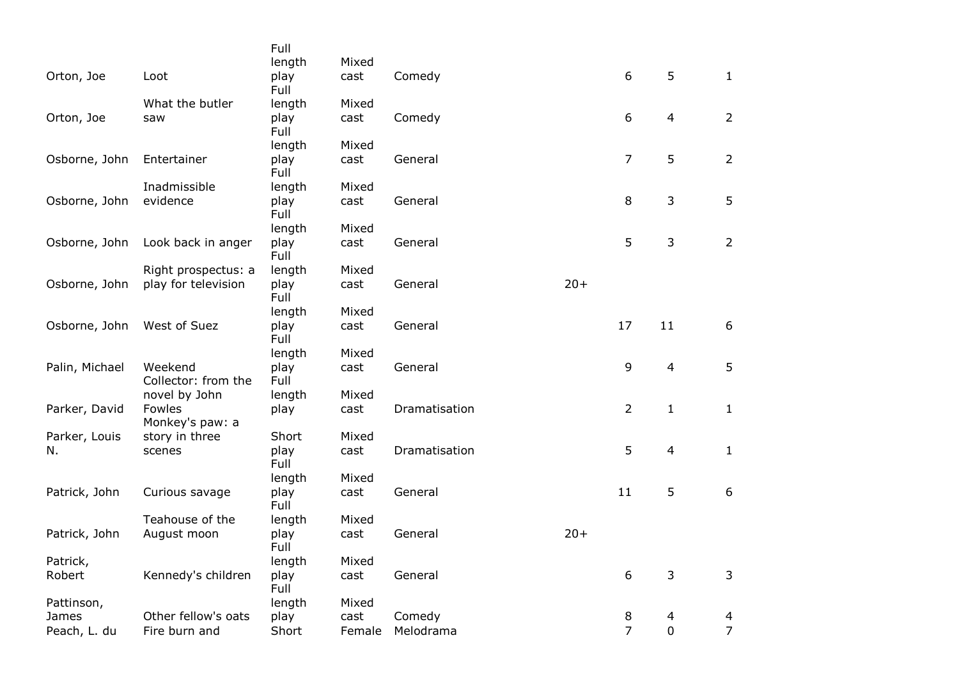|                |                                | Full         |        |               |       |                |                |                |
|----------------|--------------------------------|--------------|--------|---------------|-------|----------------|----------------|----------------|
|                |                                | length       | Mixed  |               |       |                |                |                |
| Orton, Joe     | Loot                           | play<br>Full | cast   | Comedy        |       | 6              | 5              | $\mathbf{1}$   |
|                | What the butler                | length       | Mixed  |               |       |                |                |                |
| Orton, Joe     | saw                            | play<br>Full | cast   | Comedy        |       | 6              | 4              | $\overline{2}$ |
|                |                                | length       | Mixed  |               |       |                |                |                |
| Osborne, John  | Entertainer                    | play<br>Full | cast   | General       |       | $\overline{7}$ | 5              | $\overline{2}$ |
|                | Inadmissible                   | length       | Mixed  |               |       |                |                |                |
| Osborne, John  | evidence                       | play<br>Full | cast   | General       |       | 8              | 3              | 5              |
|                |                                | length       | Mixed  |               |       |                |                |                |
| Osborne, John  | Look back in anger             | play<br>Full | cast   | General       |       | 5              | $\mathsf{3}$   | $\overline{2}$ |
|                | Right prospectus: a            | length       | Mixed  |               |       |                |                |                |
| Osborne, John  | play for television            | play<br>Full | cast   | General       | $20+$ |                |                |                |
|                |                                | length       | Mixed  |               |       |                |                |                |
| Osborne, John  | West of Suez                   | play<br>Full | cast   | General       |       | 17             | 11             | 6              |
|                |                                | length       | Mixed  |               |       |                |                |                |
| Palin, Michael | Weekend<br>Collector: from the | play<br>Full | cast   | General       |       | 9              | $\overline{4}$ | 5              |
|                | novel by John                  | length       | Mixed  |               |       |                |                |                |
| Parker, David  | Fowles<br>Monkey's paw: a      | play         | cast   | Dramatisation |       | $\overline{2}$ | $\mathbf{1}$   | $\mathbf{1}$   |
| Parker, Louis  | story in three                 | Short        | Mixed  |               |       |                |                |                |
| N.             | scenes                         | play<br>Full | cast   | Dramatisation |       | 5              | $\overline{4}$ | $\mathbf{1}$   |
|                |                                | length       | Mixed  |               |       |                |                |                |
| Patrick, John  | Curious savage                 | play<br>Full | cast   | General       |       | 11             | 5              | 6              |
|                | Teahouse of the                | length       | Mixed  |               |       |                |                |                |
| Patrick, John  | August moon                    | play<br>Full | cast   | General       | $20+$ |                |                |                |
| Patrick,       |                                | length       | Mixed  |               |       |                |                |                |
| Robert         | Kennedy's children             | play<br>Full | cast   | General       |       | 6              | 3              | 3              |
| Pattinson,     |                                | length       | Mixed  |               |       |                |                |                |
| James          | Other fellow's oats            | play         | cast   | Comedy        |       | 8              | 4              | 4              |
| Peach, L. du   | Fire burn and                  | Short        | Female | Melodrama     |       | $\overline{7}$ | $\overline{0}$ | $\overline{7}$ |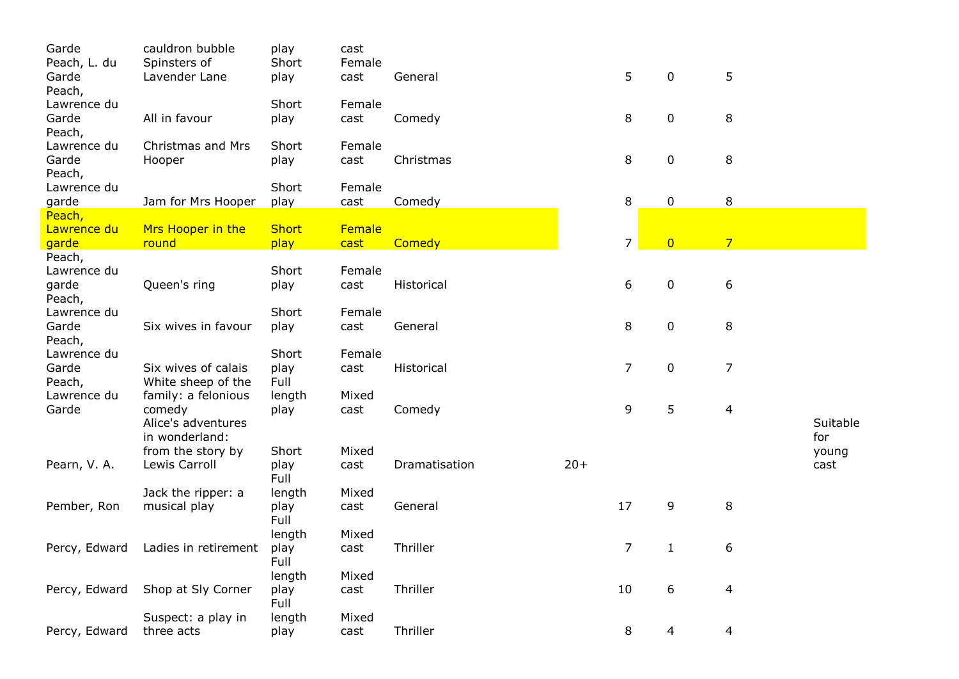| Garde                | cauldron bubble      | play         | cast   |               |       |                |                |                |          |
|----------------------|----------------------|--------------|--------|---------------|-------|----------------|----------------|----------------|----------|
| Peach, L. du         | Spinsters of         | Short        | Female |               |       |                |                |                |          |
| Garde                | Lavender Lane        | play         | cast   | General       |       | 5              | $\mathbf 0$    | 5              |          |
| Peach,               |                      |              |        |               |       |                |                |                |          |
| Lawrence du          |                      | Short        | Female |               |       |                |                |                |          |
| Garde                | All in favour        | play         | cast   | Comedy        |       | 8              | $\mathbf 0$    | 8              |          |
| Peach,               |                      |              |        |               |       |                |                |                |          |
| Lawrence du          | Christmas and Mrs    | Short        | Female |               |       |                |                |                |          |
| Garde                | Hooper               | play         | cast   | Christmas     |       | 8              | 0              | 8              |          |
| Peach,               |                      |              |        |               |       |                |                |                |          |
| Lawrence du          |                      | Short        | Female |               |       |                |                |                |          |
| garde                | Jam for Mrs Hooper   | play         | cast   | Comedy        |       | 8              | $\mathbf 0$    | 8              |          |
| Peach,               |                      |              |        |               |       |                |                |                |          |
| Lawrence du          | Mrs Hooper in the    | <b>Short</b> | Female |               |       |                |                |                |          |
| garde                | round                | play         | cast   | Comedy        |       | $\overline{7}$ | $\overline{0}$ | $\overline{7}$ |          |
| Peach,               |                      | Short        |        |               |       |                |                |                |          |
| Lawrence du          |                      |              | Female |               |       |                |                |                |          |
| garde                | Queen's ring         | play         | cast   | Historical    |       | 6              | $\mathbf 0$    | 6              |          |
| Peach,               |                      |              |        |               |       |                |                |                |          |
| Lawrence du<br>Garde |                      | Short        | Female |               |       | 8              | $\mathbf 0$    | 8              |          |
| Peach,               | Six wives in favour  | play         | cast   | General       |       |                |                |                |          |
| Lawrence du          |                      | Short        | Female |               |       |                |                |                |          |
| Garde                | Six wives of calais  | play         | cast   | Historical    |       | $\overline{7}$ | $\mathbf 0$    | $\overline{7}$ |          |
| Peach,               | White sheep of the   | Full         |        |               |       |                |                |                |          |
| Lawrence du          | family: a felonious  | length       | Mixed  |               |       |                |                |                |          |
| Garde                | comedy               | play         | cast   | Comedy        |       | 9              | 5              | 4              |          |
|                      | Alice's adventures   |              |        |               |       |                |                |                | Suitable |
|                      | in wonderland:       |              |        |               |       |                |                |                | for      |
|                      | from the story by    | Short        | Mixed  |               |       |                |                |                | young    |
| Pearn, V. A.         | Lewis Carroll        | play         | cast   | Dramatisation | $20+$ |                |                |                | cast     |
|                      |                      | Full         |        |               |       |                |                |                |          |
|                      | Jack the ripper: a   | length       | Mixed  |               |       |                |                |                |          |
| Pember, Ron          | musical play         | play         | cast   | General       |       | 17             | 9              | 8              |          |
|                      |                      | Full         |        |               |       |                |                |                |          |
|                      |                      | length       | Mixed  |               |       |                |                |                |          |
| Percy, Edward        | Ladies in retirement | play         | cast   | Thriller      |       | 7              | $\mathbf{1}$   | 6              |          |
|                      |                      | Full         |        |               |       |                |                |                |          |
|                      |                      | length       | Mixed  |               |       |                |                |                |          |
| Percy, Edward        | Shop at Sly Corner   | play         | cast   | Thriller      |       | 10             | 6              | 4              |          |
|                      |                      | Full         |        |               |       |                |                |                |          |
|                      | Suspect: a play in   | length       | Mixed  |               |       |                |                |                |          |
| Percy, Edward        | three acts           | play         | cast   | Thriller      |       | 8              | 4              | 4              |          |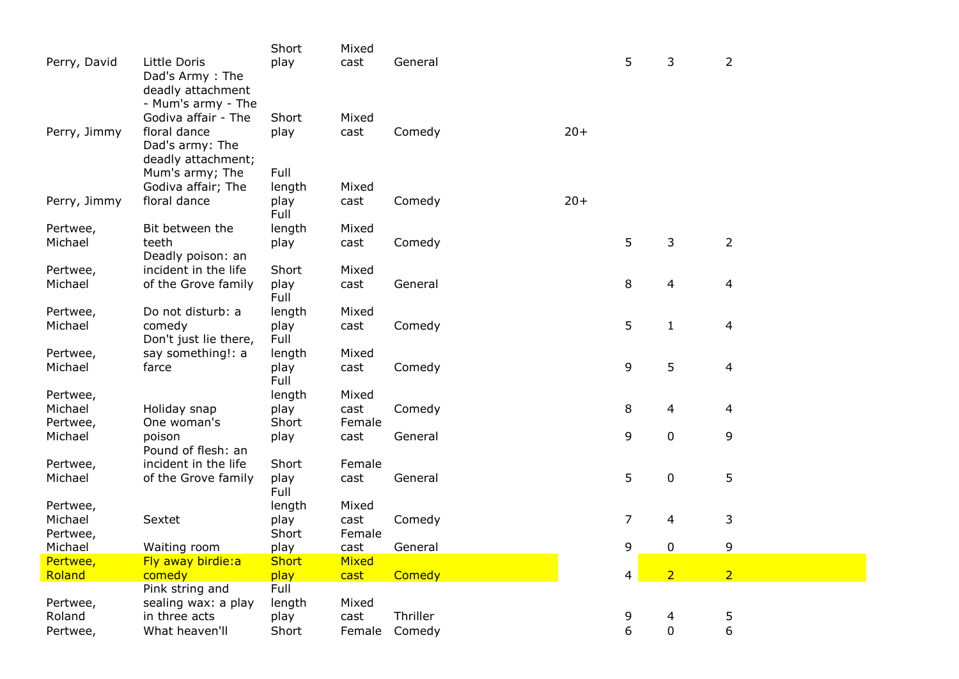|              |                       | Short        | Mixed  |          |       |                |                |                |
|--------------|-----------------------|--------------|--------|----------|-------|----------------|----------------|----------------|
| Perry, David | Little Doris          | play         | cast   | General  |       | 5              | 3              | $\overline{2}$ |
|              | Dad's Army: The       |              |        |          |       |                |                |                |
|              | deadly attachment     |              |        |          |       |                |                |                |
|              | - Mum's army - The    |              |        |          |       |                |                |                |
|              | Godiva affair - The   | Short        | Mixed  |          |       |                |                |                |
| Perry, Jimmy | floral dance          | play         | cast   | Comedy   | $20+$ |                |                |                |
|              | Dad's army: The       |              |        |          |       |                |                |                |
|              | deadly attachment;    |              |        |          |       |                |                |                |
|              | Mum's army; The       | Full         |        |          |       |                |                |                |
|              | Godiva affair; The    | length       | Mixed  |          |       |                |                |                |
| Perry, Jimmy | floral dance          | play         | cast   | Comedy   | $20+$ |                |                |                |
|              |                       | Full         |        |          |       |                |                |                |
| Pertwee,     | Bit between the       | length       | Mixed  |          |       |                |                |                |
| Michael      | teeth                 | play         | cast   | Comedy   |       | 5              | 3              | $\overline{2}$ |
|              | Deadly poison: an     |              |        |          |       |                |                |                |
| Pertwee,     | incident in the life  | Short        | Mixed  |          |       |                |                |                |
| Michael      | of the Grove family   | play         | cast   | General  |       | 8              | 4              | 4              |
|              |                       | Full         |        |          |       |                |                |                |
| Pertwee,     | Do not disturb: a     | length       | Mixed  |          |       |                |                |                |
| Michael      | comedy                | play         | cast   | Comedy   |       | 5              | $\mathbf{1}$   | 4              |
|              | Don't just lie there, | Full         |        |          |       |                |                |                |
| Pertwee,     | say something!: a     | length       | Mixed  |          |       | 9              | 5              |                |
| Michael      | farce                 | play<br>Full | cast   | Comedy   |       |                |                | 4              |
| Pertwee,     |                       | length       | Mixed  |          |       |                |                |                |
| Michael      | Holiday snap          | play         | cast   | Comedy   |       | 8              | 4              | 4              |
| Pertwee,     | One woman's           | Short        | Female |          |       |                |                |                |
| Michael      | poison                | play         | cast   | General  |       | 9              | $\mathbf 0$    | 9              |
|              | Pound of flesh: an    |              |        |          |       |                |                |                |
| Pertwee,     | incident in the life  | Short        | Female |          |       |                |                |                |
| Michael      | of the Grove family   | play         | cast   | General  |       | 5              | $\mathbf 0$    | 5              |
|              |                       | Full         |        |          |       |                |                |                |
| Pertwee,     |                       | length       | Mixed  |          |       |                |                |                |
| Michael      | Sextet                | play         | cast   | Comedy   |       | $\overline{7}$ | 4              | 3              |
| Pertwee,     |                       | Short        | Female |          |       |                |                |                |
| Michael      | Waiting room          | play         | cast   | General  |       | 9              | $\mathbf 0$    | 9              |
| Pertwee,     | Fly away birdie:a     | <b>Short</b> | Mixed  |          |       |                |                |                |
| Roland       | comedy                | play         | cast   | Comedy   |       | 4              | $\overline{2}$ | $\overline{2}$ |
|              | Pink string and       | Full         |        |          |       |                |                |                |
| Pertwee,     | sealing wax: a play   | length       | Mixed  |          |       |                |                |                |
| Roland       | in three acts         | play         | cast   | Thriller |       | 9              | 4              | 5              |
| Pertwee,     | What heaven'll        | Short        | Female | Comedy   |       | 6              | $\mathbf 0$    | 6              |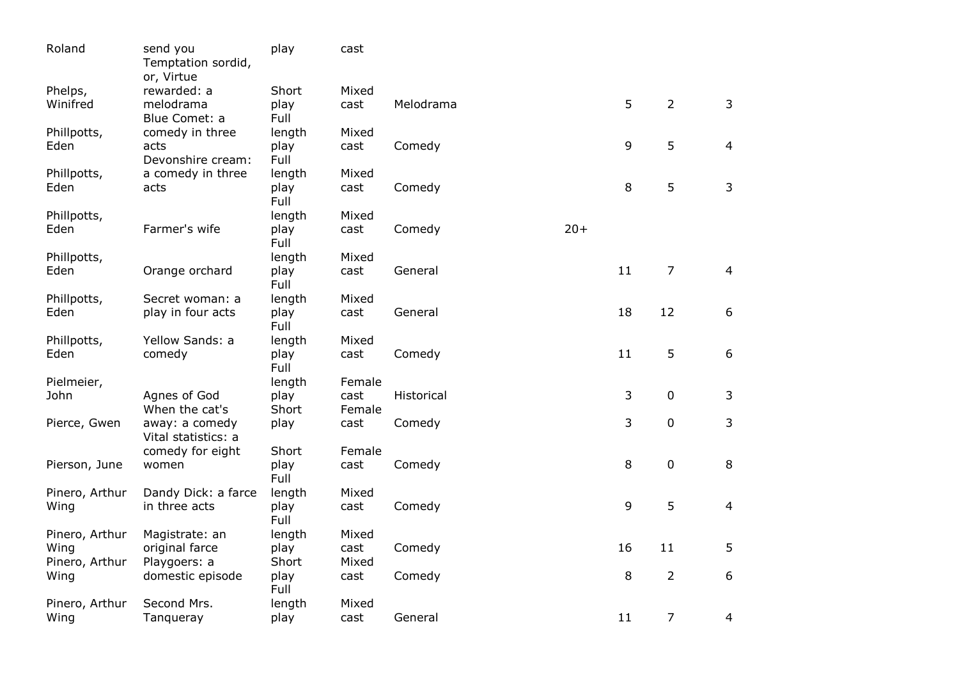| Roland         | send you<br>Temptation sordid,<br>or, Virtue | play         | cast   |            |       |                |                |                |
|----------------|----------------------------------------------|--------------|--------|------------|-------|----------------|----------------|----------------|
| Phelps,        | rewarded: a                                  | Short        | Mixed  |            |       |                |                |                |
| Winifred       | melodrama<br>Blue Comet: a                   | play<br>Full | cast   | Melodrama  |       | 5              | $\overline{2}$ | 3              |
| Phillpotts,    | comedy in three                              | length       | Mixed  |            |       |                |                |                |
| Eden           | acts<br>Devonshire cream:                    | play<br>Full | cast   | Comedy     |       | $\overline{9}$ | 5              | 4              |
| Phillpotts,    | a comedy in three                            | length       | Mixed  |            |       |                |                |                |
| Eden           | acts                                         | play<br>Full | cast   | Comedy     |       | 8              | 5              | 3              |
| Phillpotts,    |                                              | length       | Mixed  |            |       |                |                |                |
| Eden           | Farmer's wife                                | play<br>Full | cast   | Comedy     | $20+$ |                |                |                |
| Phillpotts,    |                                              | length       | Mixed  |            |       |                |                |                |
| Eden           | Orange orchard                               | play<br>Full | cast   | General    |       | 11             | $\overline{7}$ | 4              |
| Phillpotts,    | Secret woman: a                              | length       | Mixed  |            |       |                |                |                |
| Eden           | play in four acts                            | play<br>Full | cast   | General    |       | 18             | 12             | 6              |
| Phillpotts,    | Yellow Sands: a                              | length       | Mixed  |            |       |                |                |                |
| Eden           | comedy                                       | play<br>Full | cast   | Comedy     |       | 11             | 5              | 6              |
| Pielmeier,     |                                              | length       | Female |            |       |                |                |                |
| John           | Agnes of God                                 | play         | cast   | Historical |       | 3              | $\mathbf 0$    | 3              |
|                | When the cat's                               | Short        | Female |            |       |                |                |                |
| Pierce, Gwen   | away: a comedy<br>Vital statistics: a        | play         | cast   | Comedy     |       | $\overline{3}$ | $\mathbf 0$    | 3              |
|                | comedy for eight                             | Short        | Female |            |       |                |                |                |
| Pierson, June  | women                                        | play<br>Full | cast   | Comedy     |       | 8              | $\mathbf 0$    | 8              |
| Pinero, Arthur | Dandy Dick: a farce                          | length       | Mixed  |            |       |                |                |                |
| Wing           | in three acts                                | play<br>Full | cast   | Comedy     |       | 9              | 5              | $\overline{4}$ |
| Pinero, Arthur | Magistrate: an                               | length       | Mixed  |            |       |                |                |                |
| Wing           | original farce                               | play         | cast   | Comedy     |       | 16             | 11             | 5              |
| Pinero, Arthur | Playgoers: a                                 | Short        | Mixed  |            |       |                |                |                |
| Wing           | domestic episode                             | play<br>Full | cast   | Comedy     |       | 8              | $\overline{2}$ | 6              |
| Pinero, Arthur | Second Mrs.                                  | length       | Mixed  |            |       |                |                |                |
| Wing           | Tanqueray                                    | play         | cast   | General    |       | 11             | $\overline{7}$ | 4              |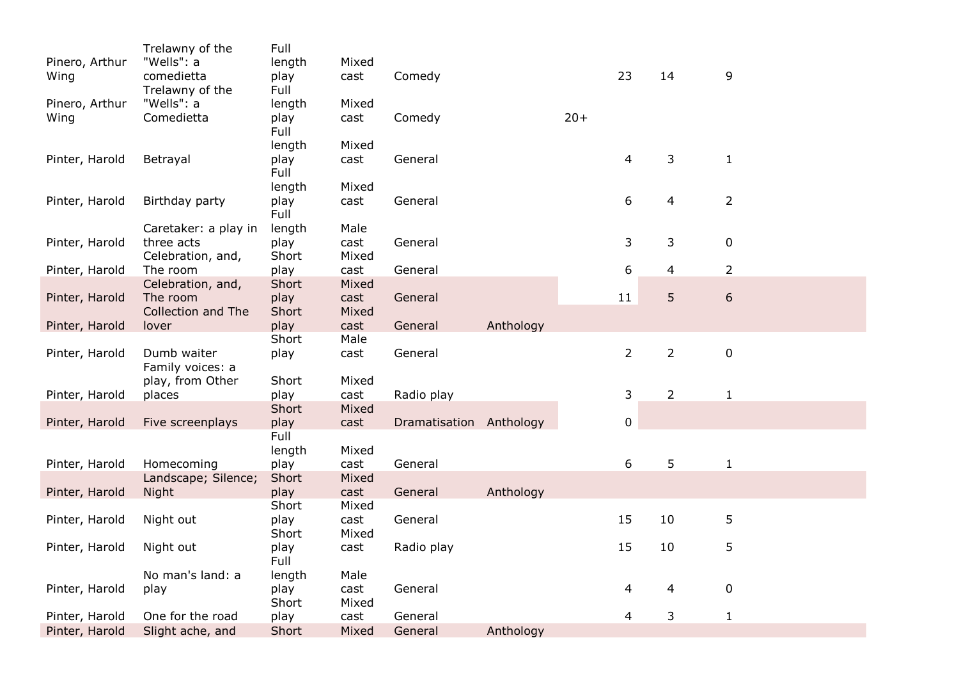|                | Trelawny of the                    | Full          |               |                         |           |       |             |                |                  |  |
|----------------|------------------------------------|---------------|---------------|-------------------------|-----------|-------|-------------|----------------|------------------|--|
| Pinero, Arthur | "Wells": a                         | length        | Mixed         |                         |           |       |             |                |                  |  |
| Wing           | comedietta                         | play          | cast          | Comedy                  |           |       | 23          | 14             | 9                |  |
|                | Trelawny of the                    | Full          |               |                         |           |       |             |                |                  |  |
| Pinero, Arthur | "Wells": a                         | length        | Mixed         |                         |           |       |             |                |                  |  |
| Wing           | Comedietta                         | play          | cast          | Comedy                  |           | $20+$ |             |                |                  |  |
|                |                                    | Full          |               |                         |           |       |             |                |                  |  |
|                |                                    | length        | Mixed         |                         |           |       |             |                |                  |  |
| Pinter, Harold | Betrayal                           | play          | cast          | General                 |           |       | 4           | 3              | $\mathbf{1}$     |  |
|                |                                    | Full          |               |                         |           |       |             |                |                  |  |
|                |                                    | length        | Mixed         |                         |           |       |             |                |                  |  |
| Pinter, Harold | Birthday party                     | play<br>Full  | cast          | General                 |           |       | 6           | 4              | $\overline{2}$   |  |
|                |                                    |               |               |                         |           |       |             |                |                  |  |
| Pinter, Harold | Caretaker: a play in<br>three acts | length        | Male          | General                 |           |       | 3           | 3              | $\mathbf 0$      |  |
|                |                                    | play<br>Short | cast<br>Mixed |                         |           |       |             |                |                  |  |
|                | Celebration, and,<br>The room      | play          | cast          | General                 |           |       | 6           | $\overline{4}$ | $\overline{2}$   |  |
| Pinter, Harold | Celebration, and,                  | Short         | Mixed         |                         |           |       |             |                |                  |  |
| Pinter, Harold | The room                           |               | cast          | General                 |           |       | $11\,$      | 5              | $\boldsymbol{6}$ |  |
|                | Collection and The                 | play<br>Short | Mixed         |                         |           |       |             |                |                  |  |
| Pinter, Harold | lover                              | play          | cast          | General                 | Anthology |       |             |                |                  |  |
|                |                                    | Short         | Male          |                         |           |       |             |                |                  |  |
| Pinter, Harold | Dumb waiter                        | play          | cast          | General                 |           |       | $2^{\circ}$ | $\overline{2}$ | $\mathbf 0$      |  |
|                | Family voices: a                   |               |               |                         |           |       |             |                |                  |  |
|                | play, from Other                   | Short         | Mixed         |                         |           |       |             |                |                  |  |
| Pinter, Harold | places                             | play          | cast          | Radio play              |           |       | 3           | $\overline{2}$ | $\mathbf{1}$     |  |
|                |                                    | Short         | Mixed         |                         |           |       |             |                |                  |  |
| Pinter, Harold | Five screenplays                   | play          | cast          | Dramatisation Anthology |           |       | 0           |                |                  |  |
|                |                                    | Full          |               |                         |           |       |             |                |                  |  |
|                |                                    | length        | Mixed         |                         |           |       |             |                |                  |  |
| Pinter, Harold | Homecoming                         | play          | cast          | General                 |           |       | 6           | 5              | $\mathbf 1$      |  |
|                | Landscape; Silence;                | Short         | Mixed         |                         |           |       |             |                |                  |  |
| Pinter, Harold | Night                              | play          | cast          | General                 | Anthology |       |             |                |                  |  |
|                |                                    | Short         | Mixed         |                         |           |       |             |                |                  |  |
| Pinter, Harold | Night out                          | play          | cast          | General                 |           |       | 15          | 10             | 5                |  |
|                |                                    | Short         | Mixed         |                         |           |       |             |                |                  |  |
| Pinter, Harold | Night out                          | play          | cast          | Radio play              |           |       | 15          | 10             | 5                |  |
|                |                                    | Full          |               |                         |           |       |             |                |                  |  |
|                | No man's land: a                   | length        | Male          |                         |           |       |             |                |                  |  |
| Pinter, Harold | play                               | play          | cast          | General                 |           |       | 4           | 4              | 0                |  |
|                |                                    | Short         | Mixed         |                         |           |       |             |                |                  |  |
| Pinter, Harold | One for the road                   | play          | cast          | General                 |           |       | 4           | 3              | $\mathbf{1}$     |  |
| Pinter, Harold | Slight ache, and                   | Short         | Mixed         | General                 | Anthology |       |             |                |                  |  |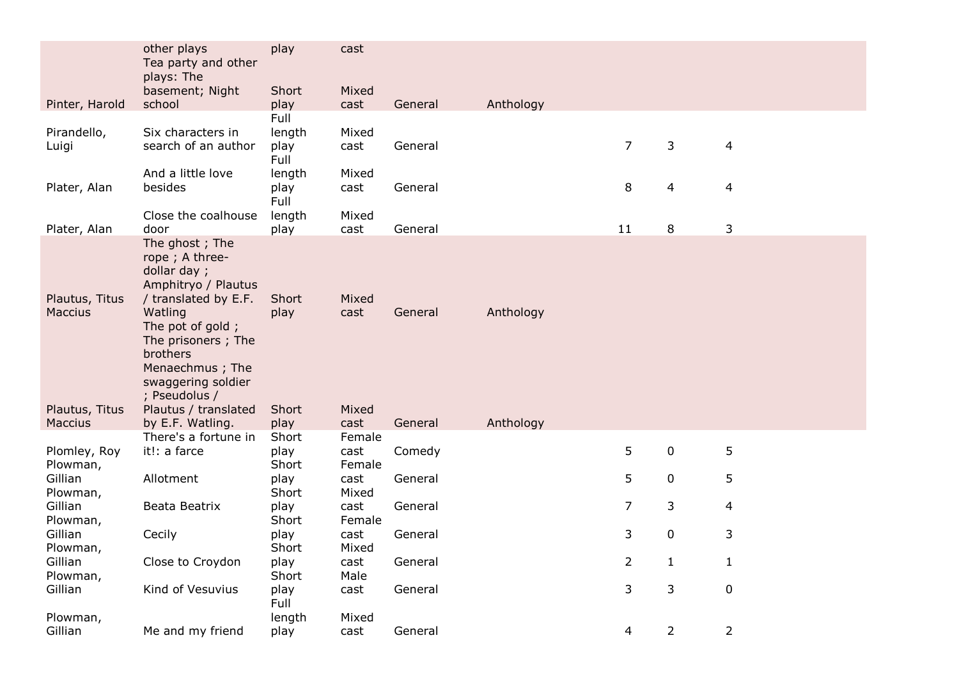|                           | other plays<br>Tea party and other                                                                                                                                                                                        | play          | cast           |         |           |    |                |                |
|---------------------------|---------------------------------------------------------------------------------------------------------------------------------------------------------------------------------------------------------------------------|---------------|----------------|---------|-----------|----|----------------|----------------|
|                           | plays: The                                                                                                                                                                                                                |               |                |         |           |    |                |                |
| Pinter, Harold            | basement; Night<br>school                                                                                                                                                                                                 | Short<br>play | Mixed<br>cast  | General | Anthology |    |                |                |
|                           |                                                                                                                                                                                                                           | Full          |                |         |           |    |                |                |
| Pirandello,               | Six characters in                                                                                                                                                                                                         | length        | Mixed          |         |           |    |                |                |
| Luigi                     | search of an author                                                                                                                                                                                                       | play<br>Full  | cast           | General |           | 7  | 3              | 4              |
|                           | And a little love                                                                                                                                                                                                         | length        | Mixed          |         |           |    |                |                |
| Plater, Alan              | besides                                                                                                                                                                                                                   | play<br>Full  | cast           | General |           | 8  | 4              | 4              |
|                           | Close the coalhouse                                                                                                                                                                                                       | length        | Mixed          |         |           |    |                |                |
| Plater, Alan              | door                                                                                                                                                                                                                      | play          | cast           | General |           | 11 | 8              | 3              |
| Plautus, Titus<br>Maccius | The ghost; The<br>rope; A three-<br>dollar day;<br>Amphitryo / Plautus<br>/ translated by E.F.<br>Watling<br>The pot of gold;<br>The prisoners; The<br>brothers<br>Menaechmus; The<br>swaggering soldier<br>; Pseudolus / | Short<br>play | Mixed<br>cast  | General | Anthology |    |                |                |
| Plautus, Titus<br>Maccius | Plautus / translated<br>by E.F. Watling.                                                                                                                                                                                  | Short<br>play | Mixed<br>cast  | General | Anthology |    |                |                |
|                           | There's a fortune in                                                                                                                                                                                                      | Short         | Female         |         |           |    |                |                |
| Plomley, Roy<br>Plowman,  | it!: a farce                                                                                                                                                                                                              | play<br>Short | cast<br>Female | Comedy  |           | 5  | 0              | 5              |
| Gillian<br>Plowman,       | Allotment                                                                                                                                                                                                                 | play<br>Short | cast<br>Mixed  | General |           | 5  | 0              | 5              |
| Gillian<br>Plowman,       | Beata Beatrix                                                                                                                                                                                                             | play<br>Short | cast<br>Female | General |           | 7  | 3              | 4              |
| Gillian<br>Plowman,       | Cecily                                                                                                                                                                                                                    | play<br>Short | cast<br>Mixed  | General |           | 3  | 0              | 3              |
| Gillian<br>Plowman,       | Close to Croydon                                                                                                                                                                                                          | play<br>Short | cast<br>Male   | General |           | 2  | 1              | 1              |
| Gillian                   | Kind of Vesuvius                                                                                                                                                                                                          | play<br>Full  | cast           | General |           | 3  | 3              | $\pmb{0}$      |
| Plowman,                  |                                                                                                                                                                                                                           | length        | Mixed          |         |           |    |                |                |
| Gillian                   | Me and my friend                                                                                                                                                                                                          | play          | cast           | General |           | 4  | $\overline{2}$ | $\overline{2}$ |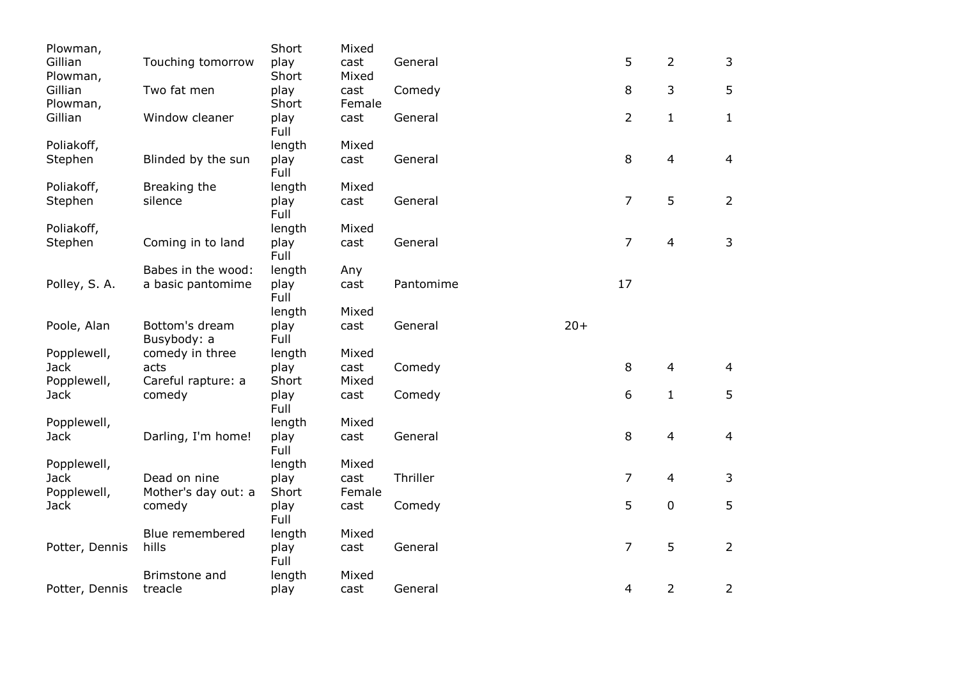| Plowman,       |                               | Short        | Mixed  |           |       |                |                |                |
|----------------|-------------------------------|--------------|--------|-----------|-------|----------------|----------------|----------------|
| Gillian        | Touching tomorrow             | play         | cast   | General   |       | 5              | 2              | 3              |
| Plowman,       |                               | Short        | Mixed  |           |       |                |                |                |
| Gillian        | Two fat men                   | play         | cast   | Comedy    |       | 8              | 3              | 5              |
| Plowman,       |                               | Short        | Female |           |       |                |                |                |
| Gillian        | Window cleaner                | play<br>Full | cast   | General   |       | $\overline{2}$ | $\mathbf{1}$   | $\mathbf{1}$   |
| Poliakoff,     |                               | length       | Mixed  |           |       |                |                |                |
| Stephen        | Blinded by the sun            | play<br>Full | cast   | General   |       | $\,8\,$        | $\overline{4}$ | $\overline{4}$ |
| Poliakoff,     | Breaking the                  | length       | Mixed  |           |       |                |                |                |
| Stephen        | silence                       | play<br>Full | cast   | General   |       | $\overline{7}$ | 5              | $\overline{2}$ |
| Poliakoff,     |                               | length       | Mixed  |           |       |                |                |                |
| Stephen        | Coming in to land             | play<br>Full | cast   | General   |       | $\overline{7}$ | $\overline{4}$ | 3              |
|                | Babes in the wood:            | length       | Any    |           |       |                |                |                |
| Polley, S. A.  | a basic pantomime             | play<br>Full | cast   | Pantomime |       | 17             |                |                |
|                |                               | length       | Mixed  |           |       |                |                |                |
| Poole, Alan    | Bottom's dream<br>Busybody: a | play<br>Full | cast   | General   | $20+$ |                |                |                |
| Popplewell,    | comedy in three               | length       | Mixed  |           |       |                |                |                |
| <b>Jack</b>    | acts                          | play         | cast   | Comedy    |       | 8              | $\overline{4}$ | $\overline{4}$ |
| Popplewell,    | Careful rapture: a            | Short        | Mixed  |           |       |                |                |                |
| <b>Jack</b>    | comedy                        | play<br>Full | cast   | Comedy    |       | 6              | $\mathbf{1}$   | 5              |
| Popplewell,    |                               | length       | Mixed  |           |       |                |                |                |
| <b>Jack</b>    | Darling, I'm home!            | play<br>Full | cast   | General   |       | 8              | 4              | $\overline{4}$ |
| Popplewell,    |                               | length       | Mixed  |           |       |                |                |                |
| <b>Jack</b>    | Dead on nine                  | play         | cast   | Thriller  |       | $\overline{7}$ | $\overline{4}$ | 3              |
| Popplewell,    | Mother's day out: a           | Short        | Female |           |       |                |                |                |
| <b>Jack</b>    | comedy                        | play<br>Full | cast   | Comedy    |       | 5              | 0              | 5              |
|                | Blue remembered               | length       | Mixed  |           |       |                |                |                |
| Potter, Dennis | hills                         | play<br>Full | cast   | General   |       | 7              | 5              | $\overline{2}$ |
|                | Brimstone and                 | length       | Mixed  |           |       |                |                |                |
| Potter, Dennis | treacle                       | play         | cast   | General   |       | 4              | 2              | $\overline{2}$ |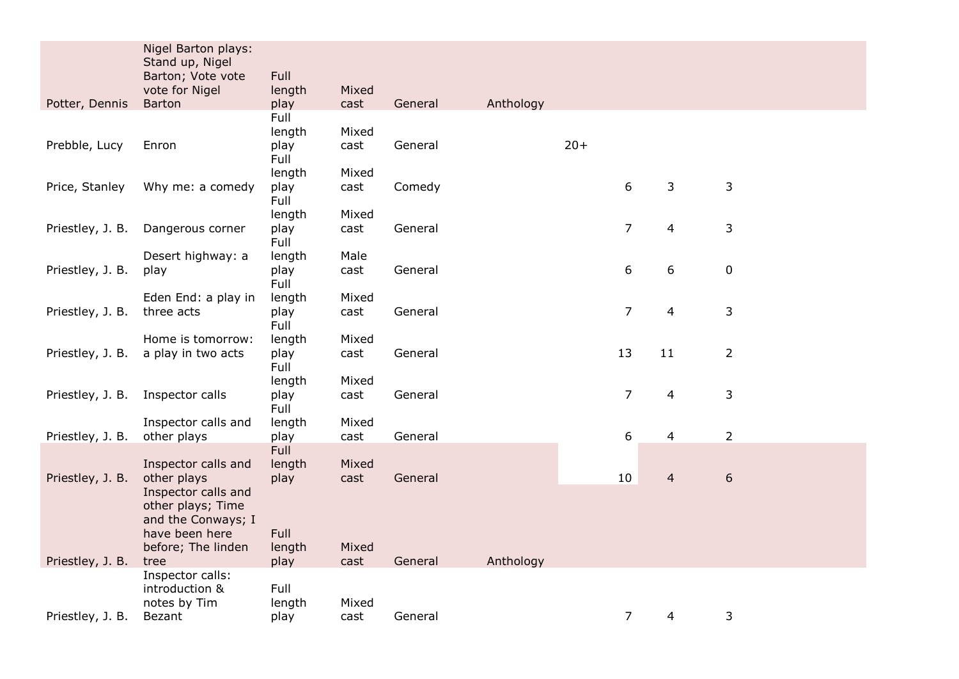|                  | Nigel Barton plays:                  |                |               |         |           |       |                |                |                |
|------------------|--------------------------------------|----------------|---------------|---------|-----------|-------|----------------|----------------|----------------|
|                  | Stand up, Nigel<br>Barton; Vote vote | Full           |               |         |           |       |                |                |                |
|                  | vote for Nigel                       | length         | Mixed         |         |           |       |                |                |                |
| Potter, Dennis   | <b>Barton</b>                        | play           | cast          | General | Anthology |       |                |                |                |
|                  |                                      | Full           |               |         |           |       |                |                |                |
|                  |                                      | length         | Mixed         |         |           |       |                |                |                |
| Prebble, Lucy    | Enron                                | play<br>Full   | cast          | General |           | $20+$ |                |                |                |
|                  |                                      | length         | Mixed         |         |           |       |                |                |                |
| Price, Stanley   | Why me: a comedy                     | play<br>Full   | cast          | Comedy  |           |       | 6              | 3              | 3              |
|                  |                                      | length         | Mixed         |         |           |       |                |                |                |
| Priestley, J. B. | Dangerous corner                     | play<br>Full   | cast          | General |           |       | $\overline{7}$ | 4              | 3              |
|                  | Desert highway: a                    | length         | Male          |         |           |       |                |                |                |
| Priestley, J. B. | play                                 | play<br>Full   | cast          | General |           |       | 6              | 6              | $\pmb{0}$      |
|                  | Eden End: a play in                  | length         | Mixed         |         |           |       |                |                |                |
| Priestley, J. B. | three acts                           | play<br>Full   | cast          | General |           |       | $\overline{7}$ | 4              | 3              |
|                  | Home is tomorrow:                    | length         | Mixed         |         |           |       |                |                |                |
| Priestley, J. B. | a play in two acts                   | play<br>Full   | cast          | General |           |       | 13             | 11             | $\overline{2}$ |
|                  |                                      | length         | Mixed         |         |           |       |                |                |                |
| Priestley, J. B. | Inspector calls                      | play<br>Full   | cast          | General |           |       | $\overline{7}$ | 4              | 3              |
|                  | Inspector calls and                  | length         | Mixed         |         |           |       |                |                |                |
| Priestley, J. B. | other plays                          | play           | cast          | General |           |       | 6              | 4              | $\overline{2}$ |
|                  |                                      | Full           |               |         |           |       |                |                |                |
| Priestley, J. B. | Inspector calls and<br>other plays   | length<br>play | Mixed<br>cast | General |           |       | 10             | $\overline{4}$ | 6              |
|                  | Inspector calls and                  |                |               |         |           |       |                |                |                |
|                  | other plays; Time                    |                |               |         |           |       |                |                |                |
|                  | and the Conways; I                   |                |               |         |           |       |                |                |                |
|                  | have been here                       | Full           |               |         |           |       |                |                |                |
|                  | before; The linden                   | length         | Mixed         |         |           |       |                |                |                |
| Priestley, J. B. | tree<br>Inspector calls:             | play           | cast          | General | Anthology |       |                |                |                |
|                  | introduction &                       | Full           |               |         |           |       |                |                |                |
|                  | notes by Tim                         | length         | Mixed         |         |           |       |                |                |                |
| Priestley, J. B. | Bezant                               | play           | cast          | General |           |       | $\overline{7}$ | 4              | 3              |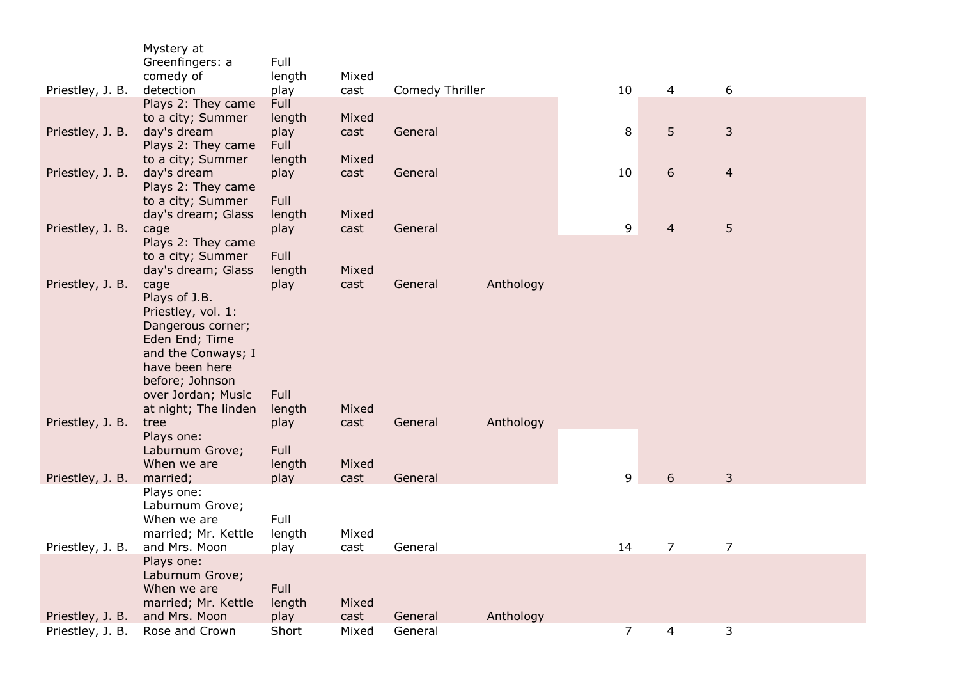|                  | Mystery at                                 |                |               |                 |           |                |                |                |  |
|------------------|--------------------------------------------|----------------|---------------|-----------------|-----------|----------------|----------------|----------------|--|
|                  | Greenfingers: a<br>comedy of               | Full<br>length | Mixed         |                 |           |                |                |                |  |
| Priestley, J. B. | detection                                  | play           | cast          | Comedy Thriller |           | 10             | $\overline{4}$ | 6              |  |
|                  | Plays 2: They came                         | Full           |               |                 |           |                |                |                |  |
|                  | to a city; Summer                          | length         | Mixed         |                 |           |                |                |                |  |
| Priestley, J. B. | day's dream                                | play           | cast          | General         |           | 8              | 5              | 3              |  |
|                  | Plays 2: They came<br>to a city; Summer    | Full<br>length | Mixed         |                 |           |                |                |                |  |
| Priestley, J. B. | day's dream                                | play           | cast          | General         |           | 10             | 6              | $\overline{4}$ |  |
|                  | Plays 2: They came                         |                |               |                 |           |                |                |                |  |
|                  | to a city; Summer                          | Full           |               |                 |           |                |                |                |  |
|                  | day's dream; Glass                         | length         | Mixed         |                 |           |                |                |                |  |
| Priestley, J. B. | cage<br>Plays 2: They came                 | play           | cast          | General         |           | 9              | $\overline{4}$ | 5              |  |
|                  | to a city; Summer                          | Full           |               |                 |           |                |                |                |  |
|                  | day's dream; Glass                         | length         | Mixed         |                 |           |                |                |                |  |
| Priestley, J. B. | cage                                       | play           | cast          | General         | Anthology |                |                |                |  |
|                  | Plays of J.B.                              |                |               |                 |           |                |                |                |  |
|                  | Priestley, vol. 1:<br>Dangerous corner;    |                |               |                 |           |                |                |                |  |
|                  | Eden End; Time                             |                |               |                 |           |                |                |                |  |
|                  | and the Conways; I                         |                |               |                 |           |                |                |                |  |
|                  | have been here                             |                |               |                 |           |                |                |                |  |
|                  | before; Johnson                            | Full           |               |                 |           |                |                |                |  |
|                  | over Jordan; Music<br>at night; The linden | length         | Mixed         |                 |           |                |                |                |  |
| Priestley, J. B. | tree                                       | play           | cast          | General         | Anthology |                |                |                |  |
|                  | Plays one:                                 |                |               |                 |           |                |                |                |  |
|                  | Laburnum Grove;                            | Full           |               |                 |           |                |                |                |  |
| Priestley, J. B. | When we are<br>married;                    | length<br>play | Mixed<br>cast | General         |           | 9              | 6              | 3              |  |
|                  | Plays one:                                 |                |               |                 |           |                |                |                |  |
|                  | Laburnum Grove;                            |                |               |                 |           |                |                |                |  |
|                  | When we are                                | Full           |               |                 |           |                |                |                |  |
|                  | married; Mr. Kettle                        | length         | Mixed         |                 |           |                |                |                |  |
| Priestley, J. B. | and Mrs. Moon<br>Plays one:                | play           | cast          | General         |           | 14             | $\overline{7}$ | $\overline{7}$ |  |
|                  | Laburnum Grove;                            |                |               |                 |           |                |                |                |  |
|                  | When we are                                | Full           |               |                 |           |                |                |                |  |
|                  | married; Mr. Kettle                        | length         | Mixed         |                 |           |                |                |                |  |
| Priestley, J. B. | and Mrs. Moon                              | play           | cast          | General         | Anthology |                |                |                |  |
| Priestley, J. B. | Rose and Crown                             | Short          | Mixed         | General         |           | $\overline{7}$ | 4              | 3              |  |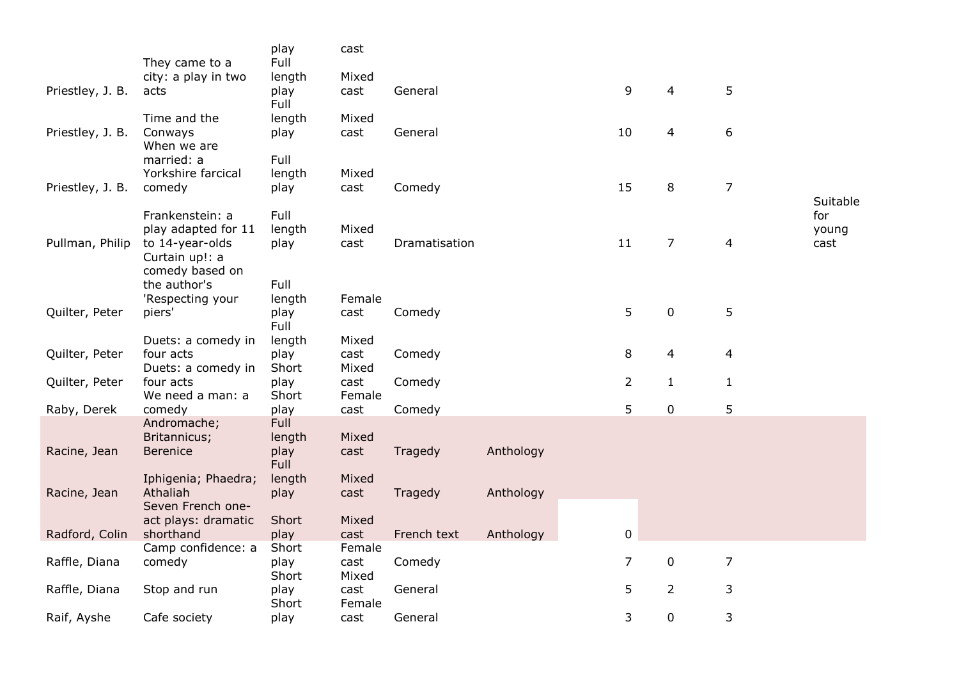|                  | They came to a                   | play<br>Full | cast   |               |           |                |                |                |          |
|------------------|----------------------------------|--------------|--------|---------------|-----------|----------------|----------------|----------------|----------|
|                  | city: a play in two              | length       | Mixed  |               |           |                |                |                |          |
| Priestley, J. B. | acts                             | play<br>Full | cast   | General       |           | 9              | 4              | 5              |          |
|                  | Time and the                     | length       | Mixed  |               |           |                |                |                |          |
| Priestley, J. B. | Conways                          | play         | cast   | General       |           | 10             | 4              | 6              |          |
|                  | When we are                      |              |        |               |           |                |                |                |          |
|                  | married: a                       | Full         |        |               |           |                |                |                |          |
|                  | Yorkshire farcical               | length       | Mixed  |               |           |                |                |                |          |
| Priestley, J. B. | comedy                           | play         | cast   | Comedy        |           | 15             | 8              | $\overline{7}$ |          |
|                  |                                  |              |        |               |           |                |                |                | Suitable |
|                  | Frankenstein: a                  | Full         |        |               |           |                |                |                | for      |
|                  | play adapted for 11              | length       | Mixed  |               |           |                |                |                | young    |
| Pullman, Philip  | to 14-year-olds                  | play         | cast   | Dramatisation |           | 11             | $\overline{7}$ | $\overline{a}$ | cast     |
|                  | Curtain up!: a                   |              |        |               |           |                |                |                |          |
|                  | comedy based on<br>the author's  | Full         |        |               |           |                |                |                |          |
|                  | 'Respecting your                 | length       | Female |               |           |                |                |                |          |
| Quilter, Peter   | piers'                           | play         | cast   | Comedy        |           | 5              | $\mathbf 0$    | 5              |          |
|                  |                                  | Full         |        |               |           |                |                |                |          |
|                  | Duets: a comedy in               | length       | Mixed  |               |           |                |                |                |          |
| Quilter, Peter   | four acts                        | play         | cast   | Comedy        |           | 8              | 4              | 4              |          |
|                  | Duets: a comedy in               | Short        | Mixed  |               |           |                |                |                |          |
| Quilter, Peter   | four acts                        | play         | cast   | Comedy        |           | $\overline{2}$ | $\mathbf{1}$   | $\mathbf{1}$   |          |
|                  | We need a man: a                 | Short        | Female |               |           |                |                |                |          |
| Raby, Derek      | comedy                           | play         | cast   | Comedy        |           | 5              | $\mathbf 0$    | 5              |          |
|                  | Andromache;                      | Full         |        |               |           |                |                |                |          |
|                  | Britannicus;                     | length       | Mixed  |               |           |                |                |                |          |
| Racine, Jean     | <b>Berenice</b>                  | play         | cast   | Tragedy       | Anthology |                |                |                |          |
|                  |                                  | <b>Full</b>  |        |               |           |                |                |                |          |
|                  | Iphigenia; Phaedra;              | length       | Mixed  |               |           |                |                |                |          |
| Racine, Jean     | Athaliah                         | play         | cast   | Tragedy       | Anthology |                |                |                |          |
|                  | Seven French one-                | Short        | Mixed  |               |           |                |                |                |          |
| Radford, Colin   | act plays: dramatic<br>shorthand | play         | cast   | French text   | Anthology | $\mathbf 0$    |                |                |          |
|                  | Camp confidence: a               | Short        | Female |               |           |                |                |                |          |
| Raffle, Diana    | comedy                           | play         | cast   | Comedy        |           | $\overline{7}$ | $\mathbf 0$    | $\overline{7}$ |          |
|                  |                                  | Short        | Mixed  |               |           |                |                |                |          |
| Raffle, Diana    | Stop and run                     | play         | cast   | General       |           | 5              | $\overline{2}$ | 3              |          |
|                  |                                  | Short        | Female |               |           |                |                |                |          |
| Raif, Ayshe      | Cafe society                     | play         | cast   | General       |           | 3              | $\mathbf 0$    | 3              |          |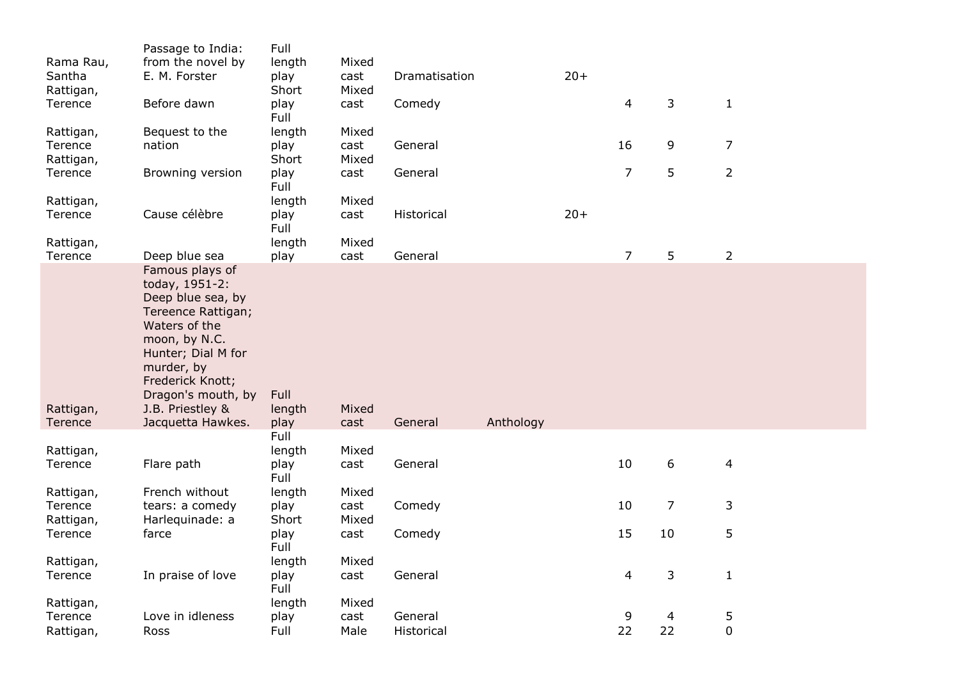|           | Passage to India:  | Full         |       |               |           |       |                |                |                |
|-----------|--------------------|--------------|-------|---------------|-----------|-------|----------------|----------------|----------------|
| Rama Rau, | from the novel by  | length       | Mixed |               |           |       |                |                |                |
| Santha    | E. M. Forster      | play         | cast  | Dramatisation |           | $20+$ |                |                |                |
| Rattigan, |                    | Short        | Mixed |               |           |       |                |                |                |
| Terence   | Before dawn        | play         | cast  | Comedy        |           |       | $\overline{4}$ | 3              | $\mathbf{1}$   |
|           |                    | Full         |       |               |           |       |                |                |                |
| Rattigan, | Bequest to the     | length       | Mixed |               |           |       |                |                |                |
| Terence   | nation             | play         | cast  | General       |           |       | 16             | 9              | $\overline{7}$ |
| Rattigan, |                    | Short        | Mixed |               |           |       |                |                |                |
| Terence   | Browning version   | play<br>Full | cast  | General       |           |       | $\overline{7}$ | 5              | $\overline{2}$ |
| Rattigan, |                    | length       | Mixed |               |           |       |                |                |                |
| Terence   | Cause célèbre      | play<br>Full | cast  | Historical    |           | $20+$ |                |                |                |
| Rattigan, |                    | length       | Mixed |               |           |       |                |                |                |
| Terence   | Deep blue sea      | play         | cast  | General       |           |       | $\overline{7}$ | 5              | $\overline{2}$ |
|           | Famous plays of    |              |       |               |           |       |                |                |                |
|           | today, 1951-2:     |              |       |               |           |       |                |                |                |
|           | Deep blue sea, by  |              |       |               |           |       |                |                |                |
|           | Tereence Rattigan; |              |       |               |           |       |                |                |                |
|           | Waters of the      |              |       |               |           |       |                |                |                |
|           | moon, by N.C.      |              |       |               |           |       |                |                |                |
|           | Hunter; Dial M for |              |       |               |           |       |                |                |                |
|           | murder, by         |              |       |               |           |       |                |                |                |
|           | Frederick Knott;   |              |       |               |           |       |                |                |                |
|           | Dragon's mouth, by | Full         |       |               |           |       |                |                |                |
| Rattigan, | J.B. Priestley &   | length       | Mixed |               |           |       |                |                |                |
| Terence   | Jacquetta Hawkes.  | play         | cast  | General       | Anthology |       |                |                |                |
|           |                    | Full         |       |               |           |       |                |                |                |
| Rattigan, |                    | length       | Mixed |               |           |       | 10             | 6              |                |
| Terence   | Flare path         | play<br>Full | cast  | General       |           |       |                |                | $\overline{4}$ |
| Rattigan, | French without     | length       | Mixed |               |           |       |                |                |                |
| Terence   | tears: a comedy    | play         | cast  | Comedy        |           |       | 10             | $\overline{7}$ | 3              |
| Rattigan, | Harlequinade: a    | Short        | Mixed |               |           |       |                |                |                |
| Terence   | farce              | play         | cast  | Comedy        |           |       | 15             | 10             | 5              |
|           |                    | Full         |       |               |           |       |                |                |                |
| Rattigan, |                    | length       | Mixed |               |           |       |                |                |                |
| Terence   | In praise of love  | play         | cast  | General       |           |       | $\overline{4}$ | 3              | $\mathbf 1$    |
|           |                    | Full         |       |               |           |       |                |                |                |
| Rattigan, |                    | length       | Mixed |               |           |       |                |                |                |
| Terence   | Love in idleness   | play         | cast  | General       |           |       | 9              | 4              | 5              |
| Rattigan, | Ross               | Full         | Male  | Historical    |           |       | 22             | 22             | $\pmb{0}$      |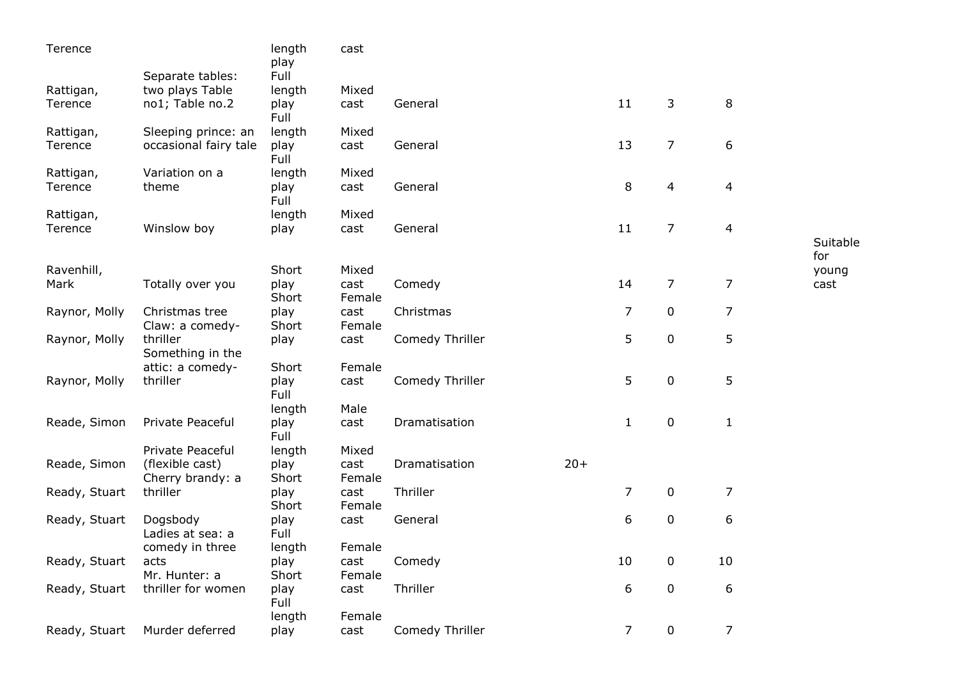| Terence       |                                     | length<br>play | cast           |                 |       |                |                |                |              |
|---------------|-------------------------------------|----------------|----------------|-----------------|-------|----------------|----------------|----------------|--------------|
|               | Separate tables:                    | Full           |                |                 |       |                |                |                |              |
| Rattigan,     | two plays Table                     | length         | Mixed          |                 |       |                |                |                |              |
| Terence       | no1; Table no.2                     | play<br>Full   | cast           | General         |       | 11             | 3              | 8              |              |
| Rattigan,     | Sleeping prince: an                 | length         | Mixed          |                 |       |                |                |                |              |
| Terence       | occasional fairy tale               | play<br>Full   | cast           | General         |       | 13             | $\overline{7}$ | 6              |              |
| Rattigan,     | Variation on a                      | length         | Mixed          |                 |       |                |                |                |              |
| Terence       | theme                               | play<br>Full   | cast           | General         |       | 8              | 4              | $\overline{4}$ |              |
| Rattigan,     |                                     | length         | Mixed          |                 |       |                |                |                |              |
| Terence       | Winslow boy                         | play           | cast           | General         |       | 11             | 7              | $\overline{4}$ |              |
|               |                                     |                |                |                 |       |                |                |                | Suitable     |
| Ravenhill,    |                                     | Short          | Mixed          |                 |       |                |                |                | for<br>young |
| Mark          | Totally over you                    | play           | cast           | Comedy          |       | 14             | $\overline{7}$ | $\overline{7}$ | cast         |
|               |                                     | Short          | Female         |                 |       |                |                |                |              |
| Raynor, Molly | Christmas tree                      | play           | cast           | Christmas       |       | $\overline{7}$ | 0              | $\overline{7}$ |              |
|               | Claw: a comedy-                     | Short          | Female         |                 |       |                |                |                |              |
| Raynor, Molly | thriller<br>Something in the        | play           | cast           | Comedy Thriller |       | 5              | $\mathbf 0$    | 5              |              |
|               | attic: a comedy-                    | Short          | Female         |                 |       |                |                |                |              |
| Raynor, Molly | thriller                            | play<br>Full   | cast           | Comedy Thriller |       | 5              | $\mathbf 0$    | 5              |              |
|               |                                     | length         | Male           |                 |       |                |                |                |              |
| Reade, Simon  | Private Peaceful                    | play<br>Full   | cast           | Dramatisation   |       | $\mathbf{1}$   | $\mathbf 0$    | $\mathbf{1}$   |              |
|               | Private Peaceful                    | length         | Mixed          |                 |       |                |                |                |              |
| Reade, Simon  | (flexible cast)<br>Cherry brandy: a | play<br>Short  | cast<br>Female | Dramatisation   | $20+$ |                |                |                |              |
| Ready, Stuart | thriller                            | play           | cast           | Thriller        |       | $\overline{7}$ | $\mathbf 0$    | $\overline{7}$ |              |
|               |                                     | Short          | Female         |                 |       |                |                |                |              |
| Ready, Stuart | Dogsbody                            | play           | cast           | General         |       | 6              | 0              | 6              |              |
|               | Ladies at sea: a                    | Full           |                |                 |       |                |                |                |              |
|               | comedy in three                     | length         | Female         |                 |       |                |                |                |              |
| Ready, Stuart | acts<br>Mr. Hunter: a               | play<br>Short  | cast<br>Female | Comedy          |       | 10             | 0              | 10             |              |
| Ready, Stuart | thriller for women                  | play           | cast           | Thriller        |       | 6              | $\mathbf 0$    | 6              |              |
|               |                                     | Full           |                |                 |       |                |                |                |              |
| Ready, Stuart | Murder deferred                     | length<br>play | Female<br>cast | Comedy Thriller |       | 7              | $\mathbf 0$    | $\overline{7}$ |              |
|               |                                     |                |                |                 |       |                |                |                |              |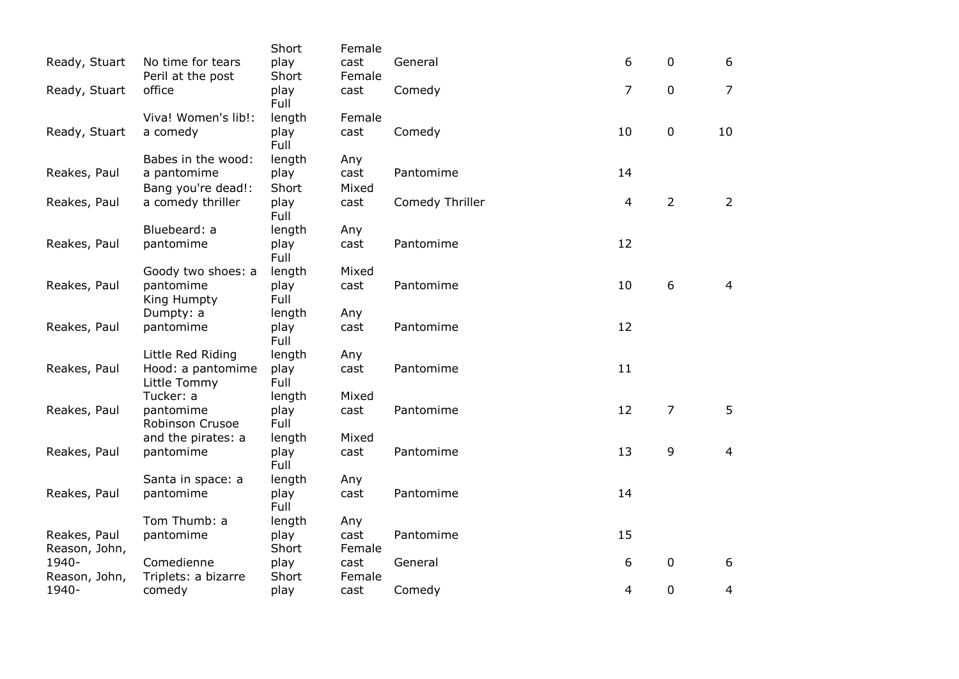|                               |                                   | Short         | Female         |                 |                |                |                |
|-------------------------------|-----------------------------------|---------------|----------------|-----------------|----------------|----------------|----------------|
| Ready, Stuart                 | No time for tears                 | play          | cast           | General         | 6              | $\mathbf 0$    | 6              |
|                               | Peril at the post                 | Short         | Female         |                 |                |                |                |
| Ready, Stuart                 | office                            | play<br>Full  | cast           | Comedy          | $\overline{7}$ | $\mathbf 0$    | $\overline{7}$ |
|                               | Viva! Women's lib!:               | length        | Female         |                 |                |                |                |
| Ready, Stuart                 | a comedy                          | play<br>Full  | cast           | Comedy          | 10             | $\mathbf 0$    | 10             |
|                               | Babes in the wood:                | length        | Any            |                 |                |                |                |
| Reakes, Paul                  | a pantomime                       | play          | cast           | Pantomime       | 14             |                |                |
|                               | Bang you're dead!:                | Short         | Mixed          |                 |                |                |                |
| Reakes, Paul                  | a comedy thriller                 | play<br>Full  | cast           | Comedy Thriller | 4              | $\overline{2}$ | $\overline{2}$ |
|                               | Bluebeard: a                      | length        | Any            |                 |                |                |                |
| Reakes, Paul                  | pantomime                         | play<br>Full  | cast           | Pantomime       | 12             |                |                |
|                               | Goody two shoes: a                | length        | Mixed          |                 |                |                |                |
| Reakes, Paul                  | pantomime<br>King Humpty          | play<br>Full  | cast           | Pantomime       | 10             | 6              | $\overline{4}$ |
|                               | Dumpty: a                         | length        | Any            |                 |                |                |                |
| Reakes, Paul                  | pantomime                         | play<br>Full  | cast           | Pantomime       | 12             |                |                |
|                               | Little Red Riding                 | length        | Any            |                 |                |                |                |
| Reakes, Paul                  | Hood: a pantomime<br>Little Tommy | play<br>Full  | cast           | Pantomime       | 11             |                |                |
|                               | Tucker: a                         | length        | Mixed          |                 |                |                |                |
| Reakes, Paul                  | pantomime<br>Robinson Crusoe      | play<br>Full  | cast           | Pantomime       | 12             | 7              | 5              |
|                               | and the pirates: a                | length        | Mixed          |                 |                |                |                |
| Reakes, Paul                  | pantomime                         | play<br>Full  | cast           | Pantomime       | 13             | 9              | $\overline{4}$ |
|                               | Santa in space: a                 | length        | Any            |                 |                |                |                |
| Reakes, Paul                  | pantomime                         | play<br>Full  | cast           | Pantomime       | 14             |                |                |
|                               | Tom Thumb: a                      | length        | Any            |                 |                |                |                |
| Reakes, Paul<br>Reason, John, | pantomime                         | play<br>Short | cast<br>Female | Pantomime       | 15             |                |                |
| 1940-                         | Comedienne                        | play          | cast           | General         | 6              | $\pmb{0}$      | 6              |
| Reason, John,                 | Triplets: a bizarre               | Short         | Female         |                 |                |                |                |
| 1940-                         | comedy                            | play          | cast           | Comedy          | $\overline{4}$ | $\mathbf 0$    | $\overline{4}$ |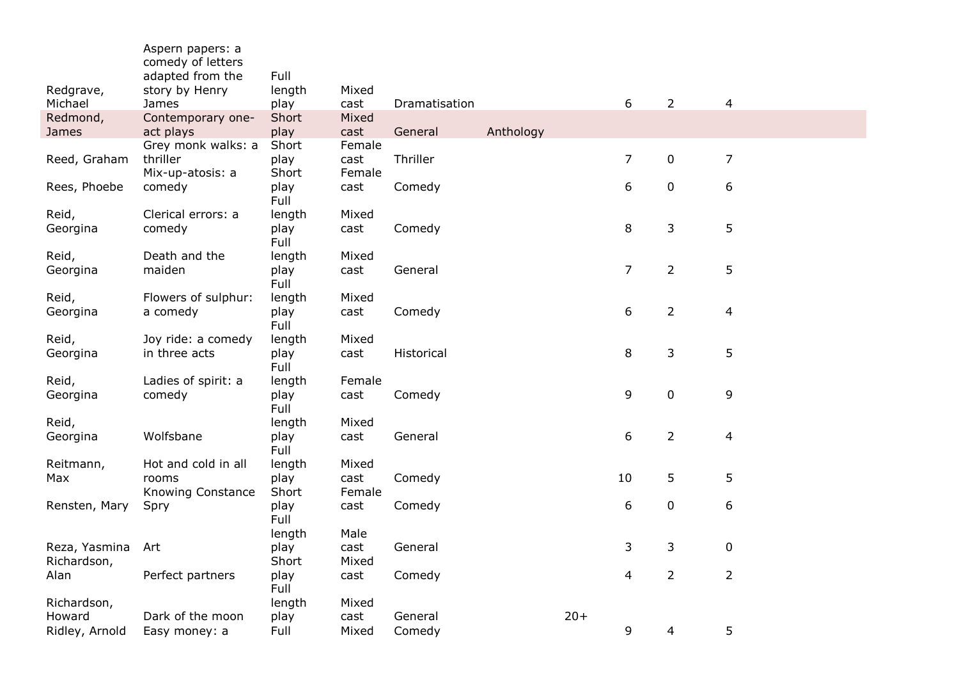|                              | Aspern papers: a<br>comedy of letters<br>adapted from the | Full          |                |               |           |       |                  |                |                         |
|------------------------------|-----------------------------------------------------------|---------------|----------------|---------------|-----------|-------|------------------|----------------|-------------------------|
| Redgrave,                    | story by Henry                                            | length        | Mixed          |               |           |       |                  |                |                         |
| Michael                      | James                                                     | play          | cast           | Dramatisation |           |       | 6                | $\overline{2}$ | $\overline{4}$          |
| Redmond,                     | Contemporary one-                                         | Short         | Mixed          |               |           |       |                  |                |                         |
| James                        | act plays                                                 | play          | cast           | General       | Anthology |       |                  |                |                         |
|                              | Grey monk walks: a                                        | Short         | Female         |               |           |       |                  |                |                         |
| Reed, Graham                 | thriller                                                  | play<br>Short | cast           | Thriller      |           |       | $\overline{7}$   | 0              | $\overline{7}$          |
| Rees, Phoebe                 | Mix-up-atosis: a<br>comedy                                | play          | Female<br>cast | Comedy        |           |       | $\boldsymbol{6}$ | $\pmb{0}$      | 6                       |
|                              |                                                           | Full          |                |               |           |       |                  |                |                         |
| Reid,                        | Clerical errors: a                                        | length        | Mixed          |               |           |       |                  |                |                         |
| Georgina                     | comedy                                                    | play          | cast           | Comedy        |           |       | 8                | 3              | 5                       |
|                              |                                                           | Full          |                |               |           |       |                  |                |                         |
| Reid,                        | Death and the                                             | length        | Mixed          |               |           |       |                  |                |                         |
| Georgina                     | maiden                                                    | play          | cast           | General       |           |       | $\overline{7}$   | $\overline{2}$ | 5                       |
|                              |                                                           | Full          |                |               |           |       |                  |                |                         |
| Reid,                        | Flowers of sulphur:                                       | length        | Mixed          |               |           |       |                  |                |                         |
| Georgina                     | a comedy                                                  | play          | cast           | Comedy        |           |       | 6                | $\overline{2}$ | $\overline{\mathbf{4}}$ |
|                              |                                                           | Full          |                |               |           |       |                  |                |                         |
| Reid,                        | Joy ride: a comedy                                        | length        | Mixed          |               |           |       |                  |                |                         |
| Georgina                     | in three acts                                             | play<br>Full  | cast           | Historical    |           |       | 8                | 3              | 5                       |
| Reid,                        | Ladies of spirit: a                                       | length        | Female         |               |           |       |                  |                |                         |
| Georgina                     | comedy                                                    | play          | cast           | Comedy        |           |       | 9                | $\pmb{0}$      | 9                       |
|                              |                                                           | Full          |                |               |           |       |                  |                |                         |
| Reid,                        |                                                           | length        | Mixed          |               |           |       |                  |                |                         |
| Georgina                     | Wolfsbane                                                 | play          | cast           | General       |           |       | 6                | $\overline{2}$ | 4                       |
|                              |                                                           | Full          |                |               |           |       |                  |                |                         |
| Reitmann,                    | Hot and cold in all                                       | length        | Mixed          |               |           |       |                  |                |                         |
| Max                          | rooms                                                     | play          | cast           | Comedy        |           |       | 10               | 5              | 5                       |
|                              | <b>Knowing Constance</b>                                  | Short         | Female         |               |           |       |                  |                |                         |
| Rensten, Mary                | Spry                                                      | play          | cast           | Comedy        |           |       | $\boldsymbol{6}$ | $\pmb{0}$      | 6                       |
|                              |                                                           | Full          |                |               |           |       |                  |                |                         |
|                              |                                                           | length        | Male           |               |           |       |                  |                |                         |
| Reza, Yasmina<br>Richardson, | Art                                                       | play<br>Short | cast<br>Mixed  | General       |           |       | 3                | 3              | $\mathbf 0$             |
| Alan                         | Perfect partners                                          | play          | cast           | Comedy        |           |       | 4                | $\overline{2}$ | $\overline{2}$          |
|                              |                                                           | Full          |                |               |           |       |                  |                |                         |
| Richardson,                  |                                                           | length        | Mixed          |               |           |       |                  |                |                         |
| Howard                       | Dark of the moon                                          | play          | cast           | General       |           | $20+$ |                  |                |                         |
| Ridley, Arnold               | Easy money: a                                             | Full          | Mixed          | Comedy        |           |       | 9                | 4              | 5                       |
|                              |                                                           |               |                |               |           |       |                  |                |                         |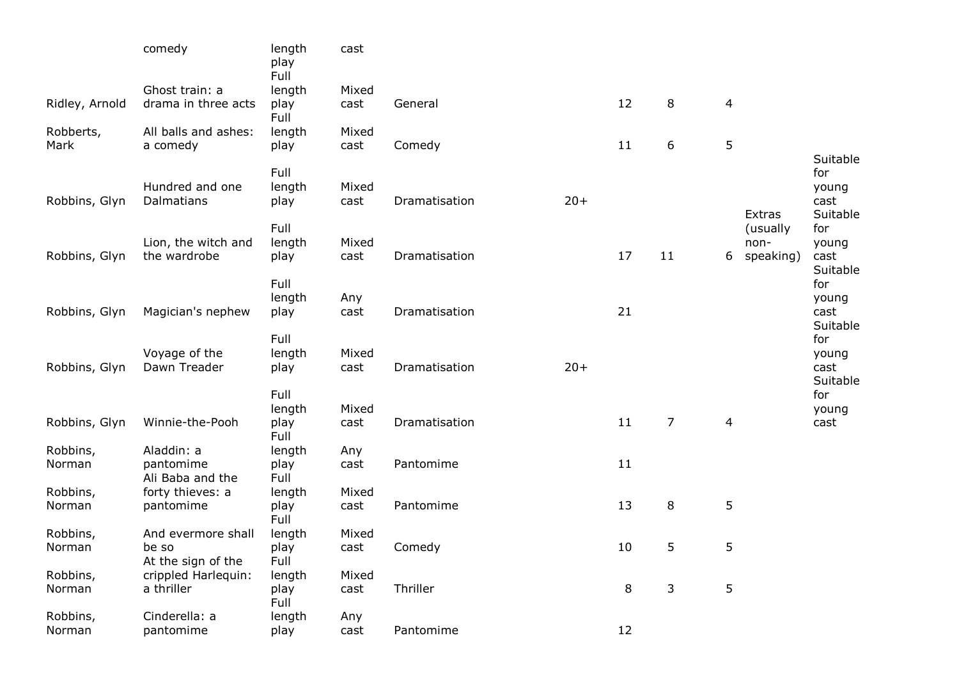|                | comedy                               | length<br>play<br>Full | cast        |               |       |    |                |                |               |                 |
|----------------|--------------------------------------|------------------------|-------------|---------------|-------|----|----------------|----------------|---------------|-----------------|
|                | Ghost train: a                       | length                 | Mixed       |               |       |    |                |                |               |                 |
| Ridley, Arnold | drama in three acts                  | play                   | cast        | General       |       | 12 | 8              | $\overline{4}$ |               |                 |
|                |                                      | Full                   |             |               |       |    |                |                |               |                 |
| Robberts,      | All balls and ashes:                 | length                 | Mixed       |               |       |    |                |                |               |                 |
| Mark           | a comedy                             | play                   | cast        | Comedy        |       | 11 | 6              | 5              |               |                 |
|                |                                      |                        |             |               |       |    |                |                |               | Suitable        |
|                |                                      | Full                   |             |               |       |    |                |                |               | for             |
|                | Hundred and one                      | length                 | Mixed       |               |       |    |                |                |               | young           |
| Robbins, Glyn  | Dalmatians                           | play                   | cast        | Dramatisation | $20+$ |    |                |                |               | cast            |
|                |                                      |                        |             |               |       |    |                |                | <b>Extras</b> | Suitable        |
|                |                                      | Full                   |             |               |       |    |                |                | (usually      | for             |
|                | Lion, the witch and                  | length                 | Mixed       |               |       |    |                |                | non-          | young           |
| Robbins, Glyn  | the wardrobe                         | play                   | cast        | Dramatisation |       | 17 | 11             | 6              | speaking)     | cast            |
|                |                                      | Full                   |             |               |       |    |                |                |               | Suitable<br>for |
|                |                                      | length                 |             |               |       |    |                |                |               |                 |
| Robbins, Glyn  | Magician's nephew                    | play                   | Any<br>cast | Dramatisation |       | 21 |                |                |               | young<br>cast   |
|                |                                      |                        |             |               |       |    |                |                |               | Suitable        |
|                |                                      | Full                   |             |               |       |    |                |                |               | for             |
|                | Voyage of the                        | length                 | Mixed       |               |       |    |                |                |               | young           |
| Robbins, Glyn  | Dawn Treader                         | play                   | cast        | Dramatisation | $20+$ |    |                |                |               | cast            |
|                |                                      |                        |             |               |       |    |                |                |               | Suitable        |
|                |                                      | Full                   |             |               |       |    |                |                |               | for             |
|                |                                      | length                 | Mixed       |               |       |    |                |                |               | young           |
| Robbins, Glyn  | Winnie-the-Pooh                      | play                   | cast        | Dramatisation |       | 11 | $\overline{7}$ | 4              |               | cast            |
|                |                                      | Full                   |             |               |       |    |                |                |               |                 |
| Robbins,       | Aladdin: a                           | length                 | Any         |               |       |    |                |                |               |                 |
| Norman         | pantomime                            | play<br>Full           | cast        | Pantomime     |       | 11 |                |                |               |                 |
| Robbins,       | Ali Baba and the<br>forty thieves: a |                        | Mixed       |               |       |    |                |                |               |                 |
| Norman         | pantomime                            | length<br>play         | cast        | Pantomime     |       | 13 | 8              | 5              |               |                 |
|                |                                      | Full                   |             |               |       |    |                |                |               |                 |
| Robbins,       | And evermore shall                   | length                 | Mixed       |               |       |    |                |                |               |                 |
| Norman         | be so                                | play                   | cast        | Comedy        |       | 10 | 5              | 5              |               |                 |
|                | At the sign of the                   | Full                   |             |               |       |    |                |                |               |                 |
| Robbins,       | crippled Harlequin:                  | length                 | Mixed       |               |       |    |                |                |               |                 |
| Norman         | a thriller                           | play                   | cast        | Thriller      |       | 8  | 3              | 5              |               |                 |
|                |                                      | Full                   |             |               |       |    |                |                |               |                 |
| Robbins,       | Cinderella: a                        | length                 | Any         |               |       |    |                |                |               |                 |
| Norman         | pantomime                            | play                   | cast        | Pantomime     |       | 12 |                |                |               |                 |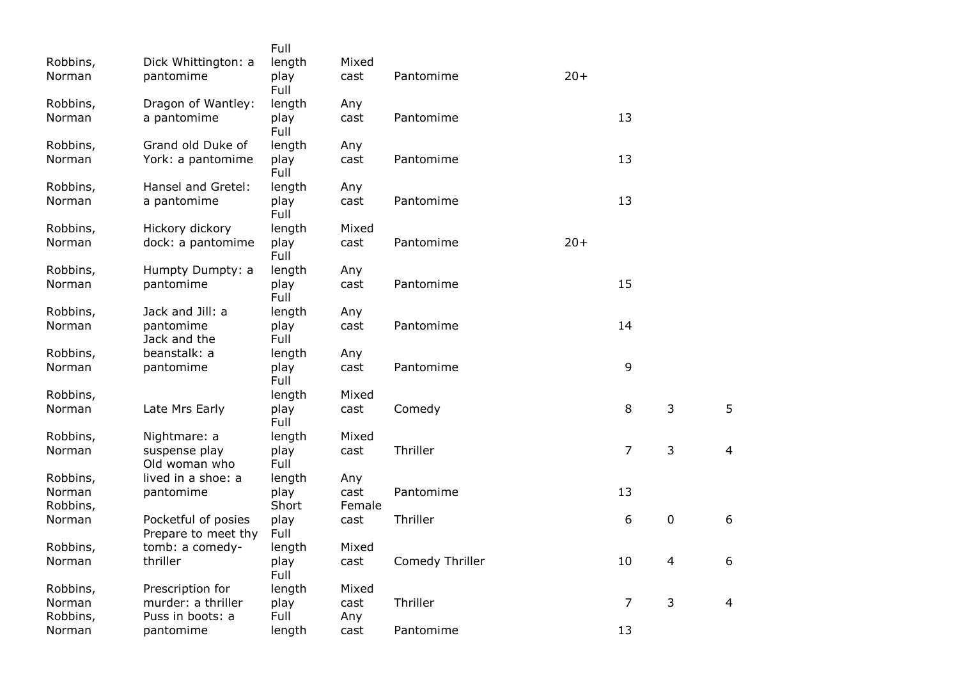|                    |                                            | Full                   | Mixed  |                 |       |    |             |
|--------------------|--------------------------------------------|------------------------|--------|-----------------|-------|----|-------------|
| Robbins,<br>Norman | Dick Whittington: a<br>pantomime           | length<br>play<br>Full | cast   | Pantomime       | $20+$ |    |             |
| Robbins,           | Dragon of Wantley:                         | length                 | Any    |                 |       |    |             |
| Norman             | a pantomime                                | play<br>Full           | cast   | Pantomime       |       | 13 |             |
| Robbins,           | Grand old Duke of                          | length                 | Any    |                 |       |    |             |
| Norman             | York: a pantomime                          | play<br>Full           | cast   | Pantomime       |       | 13 |             |
| Robbins,           | Hansel and Gretel:                         | length                 | Any    |                 |       |    |             |
| Norman             | a pantomime                                | play<br>Full           | cast   | Pantomime       |       | 13 |             |
| Robbins,           | Hickory dickory                            | length                 | Mixed  |                 |       |    |             |
| Norman             | dock: a pantomime                          | play<br>Full           | cast   | Pantomime       | $20+$ |    |             |
| Robbins,           | Humpty Dumpty: a                           | length                 | Any    |                 |       |    |             |
| Norman             | pantomime                                  | play<br>Full           | cast   | Pantomime       |       | 15 |             |
| Robbins,           | Jack and Jill: a                           | length                 | Any    |                 |       |    |             |
| Norman             | pantomime<br>Jack and the                  | play<br>Full           | cast   | Pantomime       |       | 14 |             |
| Robbins,           | beanstalk: a                               | length                 | Any    |                 |       |    |             |
| Norman             | pantomime                                  | play<br>Full           | cast   | Pantomime       |       | 9  |             |
| Robbins,           |                                            | length                 | Mixed  |                 |       |    |             |
| Norman             | Late Mrs Early                             | play<br>Full           | cast   | Comedy          |       | 8  | 3           |
| Robbins,           | Nightmare: a                               | length                 | Mixed  |                 |       |    |             |
| Norman             | suspense play<br>Old woman who             | play<br>Full           | cast   | Thriller        |       | 7  | 3           |
| Robbins,           | lived in a shoe: a                         | length                 | Any    |                 |       |    |             |
| Norman             | pantomime                                  | play                   | cast   | Pantomime       |       | 13 |             |
| Robbins,           |                                            | Short                  | Female |                 |       |    |             |
| Norman             | Pocketful of posies<br>Prepare to meet thy | play<br>Full           | cast   | Thriller        |       | 6  | $\mathbf 0$ |
| Robbins,           | tomb: a comedy-                            | length                 | Mixed  |                 |       |    |             |
| Norman             | thriller                                   | play<br>Full           | cast   | Comedy Thriller |       | 10 | 4           |
| Robbins,           | Prescription for                           | length                 | Mixed  |                 |       |    |             |
| Norman             | murder: a thriller                         | play                   | cast   | Thriller        |       | 7  | 3           |
| Robbins,           | Puss in boots: a                           | Full                   | Any    |                 |       |    |             |
| Norman             | pantomime                                  | length                 | cast   | Pantomime       |       | 13 |             |

5

4

6

6

4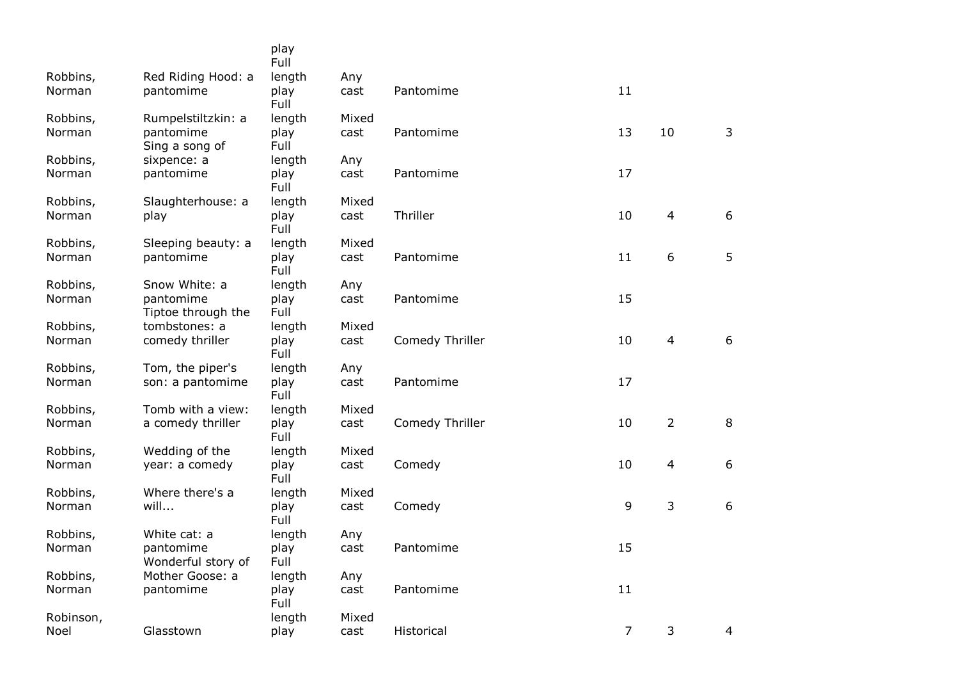|                   |                                 | play<br>Full   |               |                 |                |                |   |
|-------------------|---------------------------------|----------------|---------------|-----------------|----------------|----------------|---|
| Robbins,          | Red Riding Hood: a              | length         | Any           |                 |                |                |   |
| Norman            | pantomime                       | play<br>Full   | cast          | Pantomime       | 11             |                |   |
| Robbins,          | Rumpelstiltzkin: a              | length         | Mixed         |                 |                |                |   |
| Norman            | pantomime<br>Sing a song of     | play<br>Full   | cast          | Pantomime       | 13             | 10             | 3 |
| Robbins,          | sixpence: a                     | length         | Any           |                 |                |                |   |
| Norman            | pantomime                       | play<br>Full   | cast          | Pantomime       | 17             |                |   |
| Robbins,          | Slaughterhouse: a               | length         | Mixed         |                 |                |                |   |
| Norman            | play                            | play<br>Full   | cast          | Thriller        | 10             | 4              | 6 |
| Robbins,          | Sleeping beauty: a              | length         | Mixed         |                 |                |                |   |
| Norman            | pantomime                       | play<br>Full   | cast          | Pantomime       | 11             | 6              | 5 |
| Robbins,          | Snow White: a                   | length         | Any           |                 |                |                |   |
| Norman            | pantomime<br>Tiptoe through the | play<br>Full   | cast          | Pantomime       | 15             |                |   |
| Robbins,          | tombstones: a                   | length         | Mixed         |                 |                |                |   |
| Norman            | comedy thriller                 | play<br>Full   | cast          | Comedy Thriller | 10             | $\overline{4}$ | 6 |
| Robbins,          | Tom, the piper's                | length         | Any           |                 |                |                |   |
| Norman            | son: a pantomime                | play<br>Full   | cast          | Pantomime       | 17             |                |   |
| Robbins,          | Tomb with a view:               | length         | Mixed         |                 |                |                |   |
| Norman            | a comedy thriller               | play<br>Full   | cast          | Comedy Thriller | 10             | $\overline{2}$ | 8 |
| Robbins,          | Wedding of the                  | length         | Mixed         |                 |                |                |   |
| Norman            | year: a comedy                  | play<br>Full   | cast          | Comedy          | 10             | $\overline{4}$ | 6 |
| Robbins,          | Where there's a                 | length         | Mixed         |                 |                |                |   |
| Norman            | will                            | play<br>Full   | cast          | Comedy          | 9              | 3              | 6 |
| Robbins,          | White cat: a                    | length         | Any           |                 |                |                |   |
| Norman            | pantomime<br>Wonderful story of | play<br>Full   | cast          | Pantomime       | 15             |                |   |
| Robbins,          | Mother Goose: a                 | length         | Any           |                 |                |                |   |
| Norman            | pantomime                       | play<br>Full   | cast          | Pantomime       | 11             |                |   |
| Robinson,<br>Noel | Glasstown                       | length<br>play | Mixed<br>cast | Historical      | $\overline{7}$ | 3              | 4 |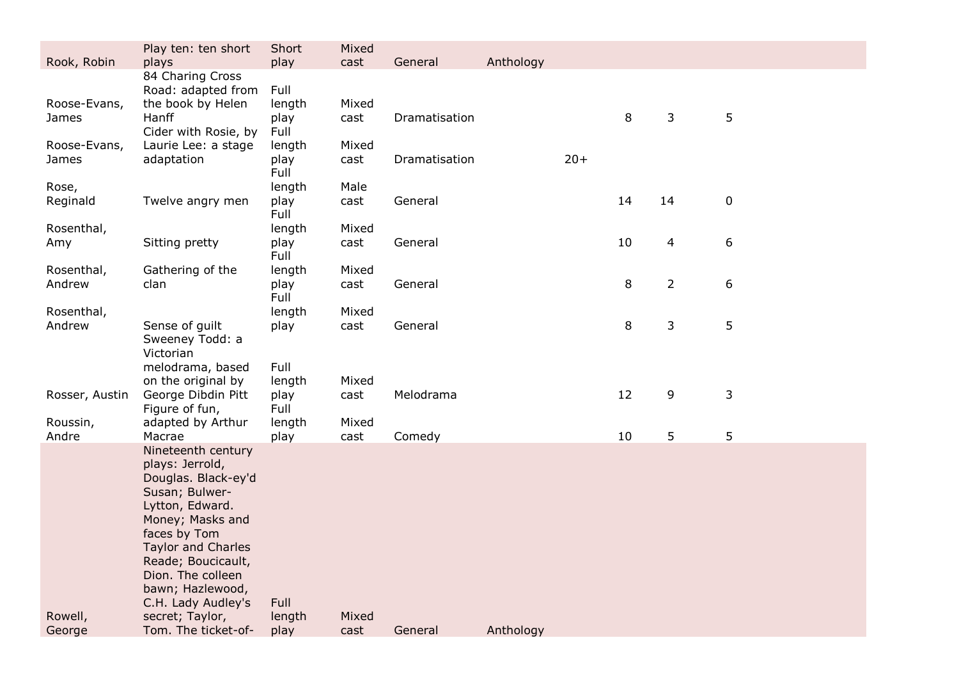| Rook, Robin           | Play ten: ten short<br>plays                                                                                                                                                                                                                            | Short<br>play          | Mixed<br>cast | General       | Anthology |       |    |                |                  |
|-----------------------|---------------------------------------------------------------------------------------------------------------------------------------------------------------------------------------------------------------------------------------------------------|------------------------|---------------|---------------|-----------|-------|----|----------------|------------------|
|                       | 84 Charing Cross<br>Road: adapted from                                                                                                                                                                                                                  | Full                   |               |               |           |       |    |                |                  |
| Roose-Evans,<br>James | the book by Helen<br>Hanff                                                                                                                                                                                                                              | length<br>play<br>Full | Mixed<br>cast | Dramatisation |           |       | 8  | 3              | 5                |
| Roose-Evans,<br>James | Cider with Rosie, by<br>Laurie Lee: a stage<br>adaptation                                                                                                                                                                                               | length<br>play         | Mixed<br>cast | Dramatisation |           | $20+$ |    |                |                  |
| Rose,                 |                                                                                                                                                                                                                                                         | Full<br>length         | Male          |               |           |       |    |                |                  |
| Reginald              | Twelve angry men                                                                                                                                                                                                                                        | play<br>Full           | cast          | General       |           |       | 14 | 14             | $\boldsymbol{0}$ |
| Rosenthal,<br>Amy     | Sitting pretty                                                                                                                                                                                                                                          | length<br>play<br>Full | Mixed<br>cast | General       |           |       | 10 | $\overline{4}$ | 6                |
| Rosenthal,<br>Andrew  | Gathering of the<br>clan                                                                                                                                                                                                                                | length<br>play<br>Full | Mixed<br>cast | General       |           |       | 8  | $\overline{2}$ | 6                |
| Rosenthal,            |                                                                                                                                                                                                                                                         | length                 | Mixed         |               |           |       |    |                |                  |
| Andrew                | Sense of guilt<br>Sweeney Todd: a<br>Victorian                                                                                                                                                                                                          | play                   | cast          | General       |           |       | 8  | 3              | 5                |
|                       | melodrama, based<br>on the original by                                                                                                                                                                                                                  | Full<br>length         | Mixed         |               |           |       |    |                |                  |
| Rosser, Austin        | George Dibdin Pitt<br>Figure of fun,                                                                                                                                                                                                                    | play<br>Full           | cast          | Melodrama     |           |       | 12 | 9              | $\mathsf{3}$     |
| Roussin,<br>Andre     | adapted by Arthur<br>Macrae                                                                                                                                                                                                                             | length<br>play         | Mixed<br>cast | Comedy        |           |       | 10 | 5              | 5                |
|                       | Nineteenth century<br>plays: Jerrold,<br>Douglas. Black-ey'd<br>Susan; Bulwer-<br>Lytton, Edward.<br>Money; Masks and<br>faces by Tom<br><b>Taylor and Charles</b><br>Reade; Boucicault,<br>Dion. The colleen<br>bawn; Hazlewood,<br>C.H. Lady Audley's | Full                   |               |               |           |       |    |                |                  |
| Rowell,<br>George     | secret; Taylor,<br>Tom. The ticket-of-                                                                                                                                                                                                                  | length<br>play         | Mixed<br>cast | General       | Anthology |       |    |                |                  |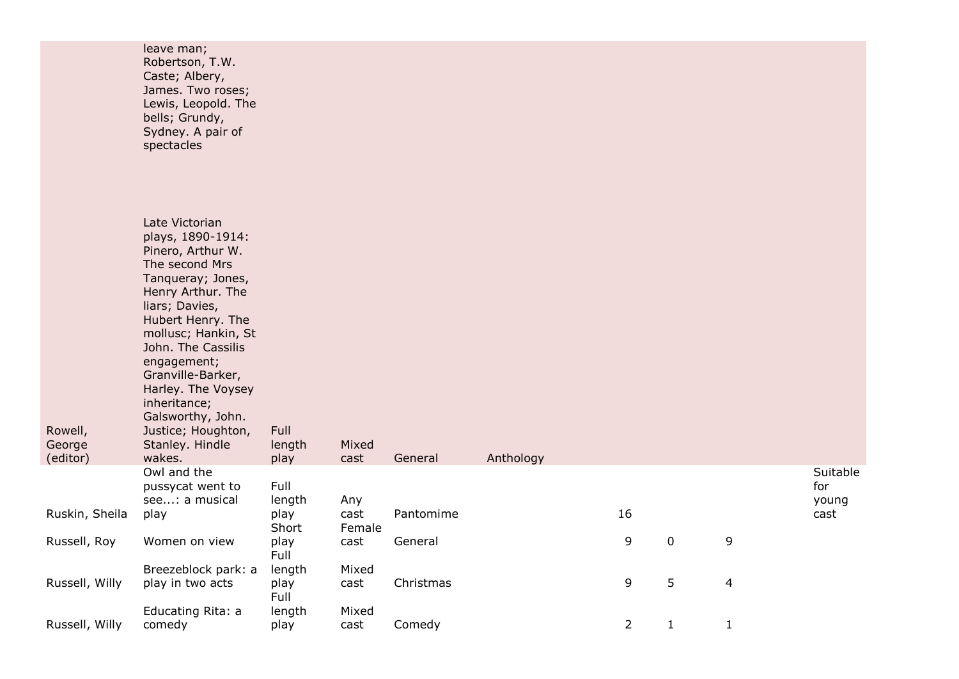|                               | leave man;<br>Robertson, T.W.<br>Caste; Albery,<br>James. Two roses;<br>Lewis, Leopold. The<br>bells; Grundy,<br>Sydney. A pair of<br>spectacles                                                                                                                                                                                                           |                        |                |           |           |                |              |              |                          |
|-------------------------------|------------------------------------------------------------------------------------------------------------------------------------------------------------------------------------------------------------------------------------------------------------------------------------------------------------------------------------------------------------|------------------------|----------------|-----------|-----------|----------------|--------------|--------------|--------------------------|
| Rowell,<br>George<br>(editor) | Late Victorian<br>plays, 1890-1914:<br>Pinero, Arthur W.<br>The second Mrs<br>Tanqueray; Jones,<br>Henry Arthur. The<br>liars; Davies,<br>Hubert Henry. The<br>mollusc; Hankin, St<br>John. The Cassilis<br>engagement;<br>Granville-Barker,<br>Harley. The Voysey<br>inheritance;<br>Galsworthy, John.<br>Justice; Houghton,<br>Stanley. Hindle<br>wakes. | Full<br>length<br>play | Mixed<br>cast  | General   | Anthology |                |              |              |                          |
|                               | Owl and the<br>pussycat went to<br>see: a musical                                                                                                                                                                                                                                                                                                          | Full<br>length         | Any            |           |           |                |              |              | Suitable<br>for<br>young |
| Ruskin, Sheila                | play                                                                                                                                                                                                                                                                                                                                                       | play<br>Short          | cast<br>Female | Pantomime |           | 16             |              |              | cast                     |
| Russell, Roy                  | Women on view                                                                                                                                                                                                                                                                                                                                              | play<br>Full           | cast           | General   |           | 9              | $\mathbf 0$  | 9            |                          |
| Russell, Willy                | Breezeblock park: a<br>play in two acts                                                                                                                                                                                                                                                                                                                    | length<br>play<br>Full | Mixed<br>cast  | Christmas |           | 9              | 5            | 4            |                          |
| Russell, Willy                | Educating Rita: a<br>comedy                                                                                                                                                                                                                                                                                                                                | length<br>play         | Mixed<br>cast  | Comedy    |           | $\overline{2}$ | $\mathbf{1}$ | $\mathbf{1}$ |                          |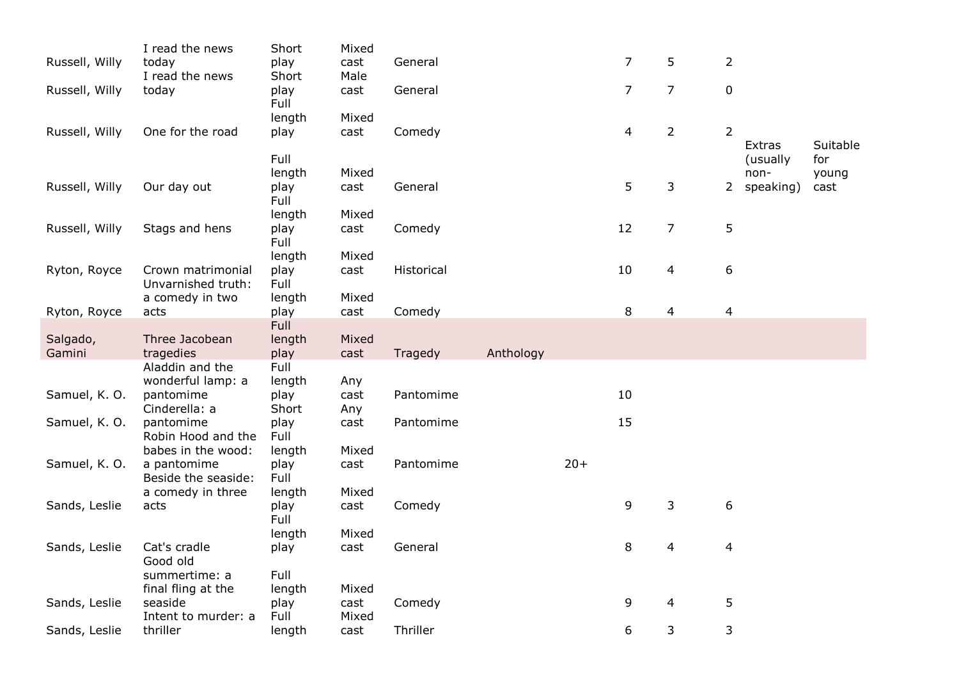| Russell, Willy | I read the news<br>today              | Short<br>play  | Mixed<br>cast | General    |           |       | $\overline{7}$ | 5              | $\overline{2}$   |                    |                 |
|----------------|---------------------------------------|----------------|---------------|------------|-----------|-------|----------------|----------------|------------------|--------------------|-----------------|
|                | I read the news                       | Short          | Male          |            |           |       |                |                |                  |                    |                 |
| Russell, Willy | today                                 | play<br>Full   | cast          | General    |           |       | $\overline{7}$ | $\overline{7}$ | $\boldsymbol{0}$ |                    |                 |
|                |                                       | length         | Mixed         |            |           |       |                |                |                  |                    |                 |
| Russell, Willy | One for the road                      | play           | cast          | Comedy     |           |       | $\overline{4}$ | $\overline{2}$ | $\overline{2}$   |                    |                 |
|                |                                       | Full           |               |            |           |       |                |                |                  | Extras<br>(usually | Suitable<br>for |
|                |                                       | length         | Mixed         |            |           |       |                |                |                  | non-               | young           |
| Russell, Willy | Our day out                           | play           | cast          | General    |           |       | 5              | 3              | 2                | speaking)          | cast            |
|                |                                       | Full           |               |            |           |       |                |                |                  |                    |                 |
|                |                                       | length         | Mixed         |            |           |       |                |                |                  |                    |                 |
| Russell, Willy | Stags and hens                        | play           | cast          | Comedy     |           |       | 12             | 7              | 5                |                    |                 |
|                |                                       | Full           |               |            |           |       |                |                |                  |                    |                 |
|                |                                       | length         | Mixed         |            |           |       |                |                |                  |                    |                 |
| Ryton, Royce   | Crown matrimonial                     | play           | cast          | Historical |           |       | 10             | 4              | 6                |                    |                 |
|                | Unvarnished truth:<br>a comedy in two | Full<br>length | Mixed         |            |           |       |                |                |                  |                    |                 |
| Ryton, Royce   | acts                                  | play           | cast          | Comedy     |           |       | 8              | 4              | 4                |                    |                 |
|                |                                       | <b>Full</b>    |               |            |           |       |                |                |                  |                    |                 |
| Salgado,       | Three Jacobean                        | length         | Mixed         |            |           |       |                |                |                  |                    |                 |
| Gamini         | tragedies                             | play           | cast          | Tragedy    | Anthology |       |                |                |                  |                    |                 |
|                | Aladdin and the                       | Full           |               |            |           |       |                |                |                  |                    |                 |
|                | wonderful lamp: a                     | length         | Any           |            |           |       |                |                |                  |                    |                 |
| Samuel, K. O.  | pantomime                             | play           | cast          | Pantomime  |           |       | 10             |                |                  |                    |                 |
|                | Cinderella: a                         | Short          | Any           |            |           |       | 15             |                |                  |                    |                 |
| Samuel, K. O.  | pantomime<br>Robin Hood and the       | play<br>Full   | cast          | Pantomime  |           |       |                |                |                  |                    |                 |
|                | babes in the wood:                    | length         | Mixed         |            |           |       |                |                |                  |                    |                 |
| Samuel, K. O.  | a pantomime                           | play           | cast          | Pantomime  |           | $20+$ |                |                |                  |                    |                 |
|                | Beside the seaside:                   | Full           |               |            |           |       |                |                |                  |                    |                 |
|                | a comedy in three                     | length         | Mixed         |            |           |       |                |                |                  |                    |                 |
| Sands, Leslie  | acts                                  | play           | cast          | Comedy     |           |       | 9              | 3              | $\boldsymbol{6}$ |                    |                 |
|                |                                       | Full           |               |            |           |       |                |                |                  |                    |                 |
|                |                                       | length         | Mixed         |            |           |       |                |                |                  |                    |                 |
| Sands, Leslie  | Cat's cradle<br>Good old              | play           | cast          | General    |           |       | 8              | 4              | 4                |                    |                 |
|                | summertime: a                         | Full           |               |            |           |       |                |                |                  |                    |                 |
|                | final fling at the                    | length         | Mixed         |            |           |       |                |                |                  |                    |                 |
| Sands, Leslie  | seaside                               | play           | cast          | Comedy     |           |       | 9              | $\overline{4}$ | 5                |                    |                 |
|                | Intent to murder: a                   | Full           | Mixed         |            |           |       |                |                |                  |                    |                 |
|                |                                       |                |               | Thriller   |           |       |                |                |                  |                    |                 |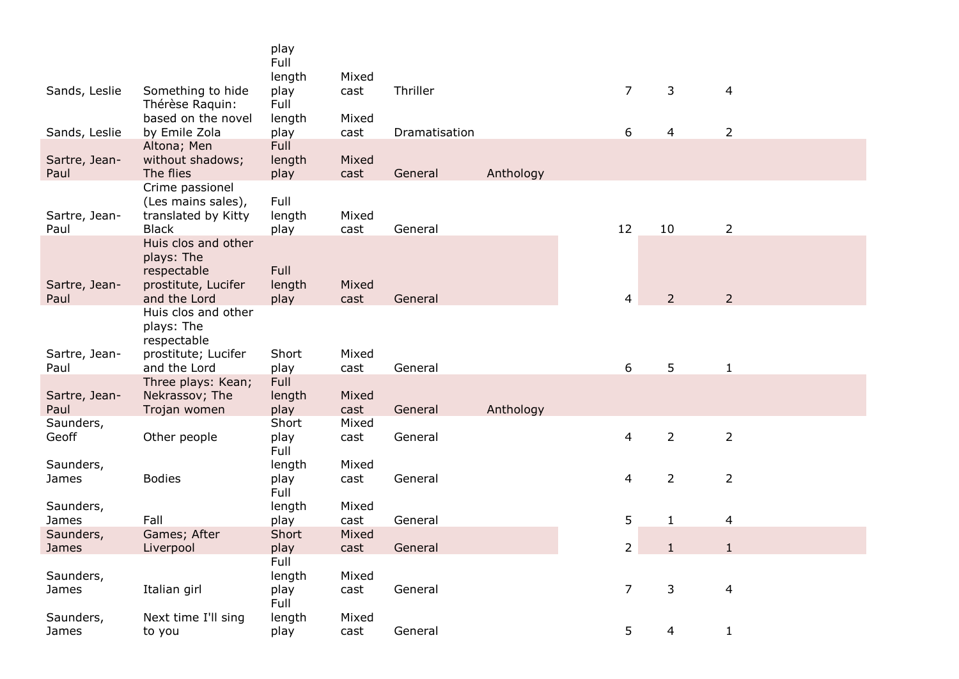|                           |                                                                              | play<br>Full<br>length         | Mixed         |               |           |                |                |                |
|---------------------------|------------------------------------------------------------------------------|--------------------------------|---------------|---------------|-----------|----------------|----------------|----------------|
| Sands, Leslie             | Something to hide<br>Thérèse Raquin:                                         | play<br>Full                   | cast          | Thriller      |           | $\overline{7}$ | 3              | 4              |
| Sands, Leslie             | based on the novel<br>by Emile Zola                                          | length<br>play                 | Mixed<br>cast | Dramatisation |           | 6              | 4              | 2              |
| Sartre, Jean-<br>Paul     | Altona; Men<br>without shadows;<br>The flies                                 | <b>Full</b><br>length<br>play  | Mixed<br>cast | General       | Anthology |                |                |                |
| Sartre, Jean-<br>Paul     | Crime passionel<br>(Les mains sales),<br>translated by Kitty<br><b>Black</b> | Full<br>length<br>play         | Mixed<br>cast | General       |           | 12             | 10             | $\overline{2}$ |
| Sartre, Jean-             | Huis clos and other<br>plays: The<br>respectable<br>prostitute, Lucifer      | Full<br>length                 | Mixed         |               |           |                |                |                |
| Paul                      | and the Lord<br>Huis clos and other                                          | play                           | cast          | General       |           | 4              | $\overline{2}$ | $\overline{2}$ |
|                           | plays: The<br>respectable                                                    |                                |               |               |           |                |                |                |
| Sartre, Jean-<br>Paul     | prostitute; Lucifer<br>and the Lord                                          | Short<br>play                  | Mixed<br>cast | General       |           | 6              | 5              | $\mathbf{1}$   |
| Sartre, Jean-<br>Paul     | Three plays: Kean;<br>Nekrassov; The<br>Trojan women                         | <b>Full</b><br>length<br>play  | Mixed<br>cast | General       | Anthology |                |                |                |
| Saunders,<br>Geoff        | Other people                                                                 | Short<br>play<br>Full          | Mixed<br>cast | General       |           | $\overline{4}$ | $\overline{2}$ | $\overline{2}$ |
| Saunders,<br>James        | <b>Bodies</b>                                                                | length<br>play<br><b>Full</b>  | Mixed<br>cast | General       |           | 4              | $\overline{2}$ | $\overline{2}$ |
| Saunders,<br>James        | Fall                                                                         | length<br>play                 | Mixed<br>cast | General       |           | 5              | $\mathbf{1}$   | 4              |
| Saunders,<br><b>James</b> | Games; After<br>Liverpool                                                    | Short<br>play                  | Mixed<br>cast | General       |           | $\overline{2}$ | 1              |                |
| Saunders,<br>James        | Italian girl                                                                 | Full<br>length<br>play<br>Full | Mixed<br>cast | General       |           | 7              | 3              | 4              |
| Saunders,<br>James        | Next time I'll sing<br>to you                                                | length<br>play                 | Mixed<br>cast | General       |           | 5              | 4              | 1              |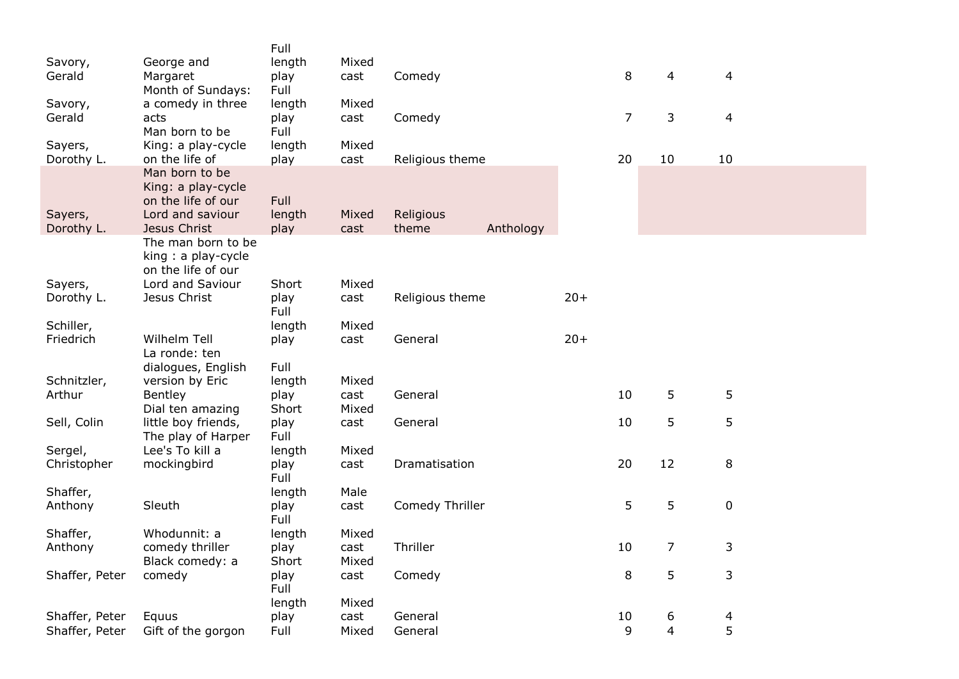|                |                     | Full   |       |                 |           |       |                |                |    |
|----------------|---------------------|--------|-------|-----------------|-----------|-------|----------------|----------------|----|
| Savory,        | George and          | length | Mixed |                 |           |       |                |                |    |
| Gerald         | Margaret            | play   | cast  | Comedy          |           |       | 8              | 4              | 4  |
|                | Month of Sundays:   | Full   |       |                 |           |       |                |                |    |
| Savory,        | a comedy in three   | length | Mixed |                 |           |       |                |                |    |
| Gerald         | acts                | play   | cast  | Comedy          |           |       | $\overline{7}$ | $\mathsf{3}$   | 4  |
|                | Man born to be      | Full   |       |                 |           |       |                |                |    |
| Sayers,        | King: a play-cycle  | length | Mixed |                 |           |       |                |                |    |
| Dorothy L.     | on the life of      | play   | cast  | Religious theme |           |       | 20             | 10             | 10 |
|                | Man born to be      |        |       |                 |           |       |                |                |    |
|                | King: a play-cycle  |        |       |                 |           |       |                |                |    |
|                | on the life of our  | Full   |       |                 |           |       |                |                |    |
| Sayers,        | Lord and saviour    | length | Mixed | Religious       |           |       |                |                |    |
| Dorothy L.     | Jesus Christ        | play   | cast  | theme           | Anthology |       |                |                |    |
|                | The man born to be  |        |       |                 |           |       |                |                |    |
|                | king: a play-cycle  |        |       |                 |           |       |                |                |    |
|                | on the life of our  |        |       |                 |           |       |                |                |    |
| Sayers,        | Lord and Saviour    | Short  | Mixed |                 |           |       |                |                |    |
| Dorothy L.     | Jesus Christ        | play   | cast  | Religious theme |           | $20+$ |                |                |    |
|                |                     | Full   |       |                 |           |       |                |                |    |
| Schiller,      |                     | length | Mixed |                 |           |       |                |                |    |
| Friedrich      | Wilhelm Tell        | play   | cast  | General         |           | $20+$ |                |                |    |
|                | La ronde: ten       |        |       |                 |           |       |                |                |    |
|                | dialogues, English  | Full   |       |                 |           |       |                |                |    |
| Schnitzler,    | version by Eric     | length | Mixed |                 |           |       |                |                |    |
| Arthur         | Bentley             | play   | cast  | General         |           |       | 10             | 5              | 5  |
|                | Dial ten amazing    | Short  | Mixed |                 |           |       |                |                |    |
| Sell, Colin    | little boy friends, | play   | cast  | General         |           |       | 10             | 5              | 5  |
|                | The play of Harper  | Full   |       |                 |           |       |                |                |    |
| Sergel,        | Lee's To kill a     | length | Mixed |                 |           |       |                |                |    |
| Christopher    | mockingbird         | play   | cast  | Dramatisation   |           |       | 20             | 12             | 8  |
|                |                     | Full   |       |                 |           |       |                |                |    |
| Shaffer,       |                     | length | Male  |                 |           |       |                |                |    |
| Anthony        | Sleuth              | play   | cast  | Comedy Thriller |           |       | 5              | 5              | 0  |
|                |                     | Full   |       |                 |           |       |                |                |    |
| Shaffer,       | Whodunnit: a        | length | Mixed |                 |           |       |                |                |    |
| Anthony        | comedy thriller     | play   | cast  | Thriller        |           |       | 10             | $\overline{7}$ | 3  |
|                | Black comedy: a     | Short  | Mixed |                 |           |       |                |                |    |
| Shaffer, Peter | comedy              | play   | cast  | Comedy          |           |       | $\,8\,$        | 5              | 3  |
|                |                     | Full   |       |                 |           |       |                |                |    |
|                |                     | length | Mixed |                 |           |       |                |                |    |
| Shaffer, Peter | Equus               | play   | cast  | General         |           |       | 10             | 6              | 4  |
| Shaffer, Peter | Gift of the gorgon  | Full   | Mixed | General         |           |       | 9              | $\overline{4}$ | 5  |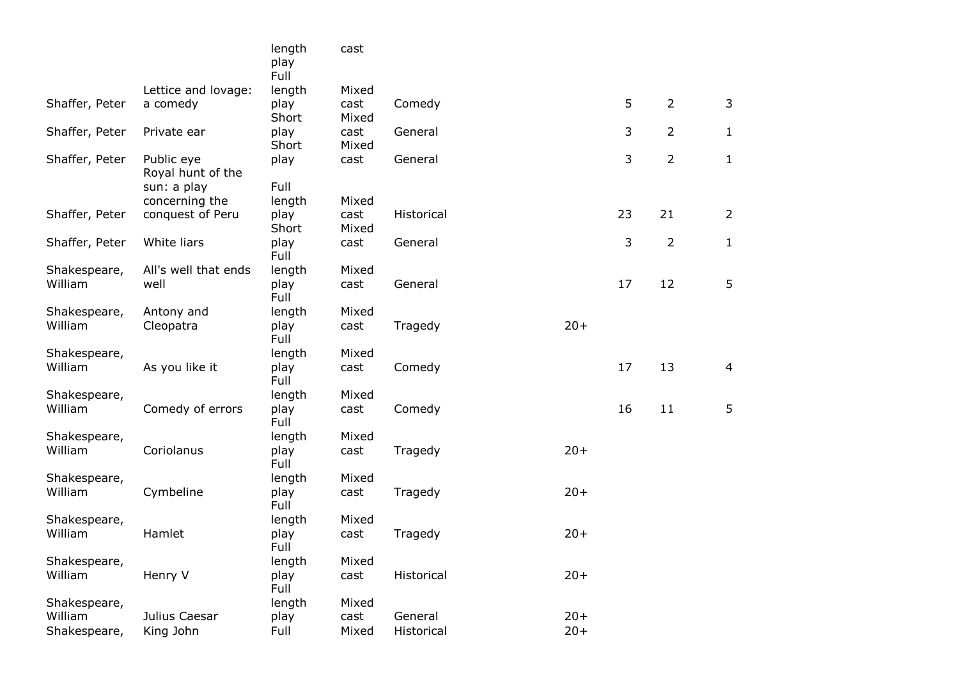|                |                                 | length<br>play<br>Full | cast          |            |        |    |                |                |
|----------------|---------------------------------|------------------------|---------------|------------|--------|----|----------------|----------------|
|                | Lettice and lovage:             | length                 | Mixed         |            |        |    |                |                |
| Shaffer, Peter | a comedy                        | play<br>Short          | cast<br>Mixed | Comedy     |        | 5  | $\overline{2}$ | $\mathsf 3$    |
| Shaffer, Peter | Private ear                     | play<br>Short          | cast<br>Mixed | General    |        | 3  | $\overline{2}$ | $\mathbf{1}$   |
| Shaffer, Peter | Public eye<br>Royal hunt of the | play<br>Full           | cast          | General    |        | 3  | $\overline{2}$ | $\mathbf{1}$   |
|                | sun: a play<br>concerning the   | length                 | Mixed         |            |        |    |                |                |
| Shaffer, Peter | conquest of Peru                | play<br>Short          | cast<br>Mixed | Historical |        | 23 | 21             | $\overline{2}$ |
| Shaffer, Peter | White liars                     | play<br>Full           | cast          | General    |        | 3  | $\overline{2}$ | $\mathbf{1}$   |
| Shakespeare,   | All's well that ends            | length                 | Mixed         |            |        |    |                |                |
| William        | well                            | play<br>Full           | cast          | General    |        | 17 | 12             | 5              |
| Shakespeare,   | Antony and                      | length                 | Mixed         |            |        |    |                |                |
| William        | Cleopatra                       | play<br>Full           | cast          | Tragedy    | $20+$  |    |                |                |
| Shakespeare,   |                                 | length                 | Mixed         |            |        |    |                |                |
| William        | As you like it                  | play<br>Full           | cast          | Comedy     |        | 17 | 13             | $\overline{4}$ |
| Shakespeare,   |                                 | length                 | Mixed         |            |        |    |                |                |
| William        | Comedy of errors                | play<br>Full           | cast          | Comedy     |        | 16 | 11             | 5              |
| Shakespeare,   |                                 | length                 | Mixed         |            |        |    |                |                |
| William        | Coriolanus                      | play<br>Full           | cast          | Tragedy    | $20+$  |    |                |                |
| Shakespeare,   |                                 | length                 | Mixed         |            |        |    |                |                |
| William        | Cymbeline                       | play<br>Full           | cast          | Tragedy    | $20+$  |    |                |                |
| Shakespeare,   |                                 | length                 | Mixed         |            |        |    |                |                |
| William        | Hamlet                          | play<br>Full           | cast          | Tragedy    | $20+$  |    |                |                |
| Shakespeare,   |                                 | length                 | Mixed         |            |        |    |                |                |
| William        | Henry V                         | play<br>Full           | cast          | Historical | $20+$  |    |                |                |
| Shakespeare,   |                                 | length                 | Mixed         |            |        |    |                |                |
| William        | Julius Caesar                   | play                   | cast          | General    | $20+$  |    |                |                |
| Shakespeare,   | King John                       | Full                   | Mixed         | Historical | $20 +$ |    |                |                |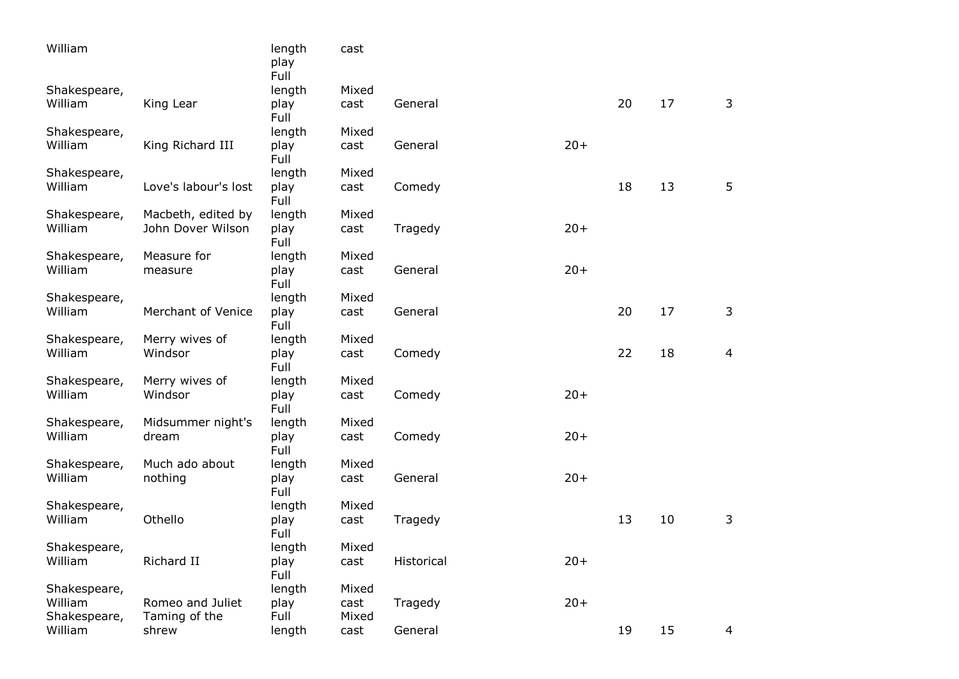| William                 |                                   | length<br>play<br>Full | cast          |            |       |    |    |   |
|-------------------------|-----------------------------------|------------------------|---------------|------------|-------|----|----|---|
| Shakespeare,            |                                   | length                 | Mixed         |            |       |    |    |   |
| William                 | King Lear                         | play<br>Full           | cast          | General    |       | 20 | 17 | 3 |
| Shakespeare,            |                                   | length                 | Mixed         |            |       |    |    |   |
| William                 | King Richard III                  | play<br>Full           | cast          | General    | $20+$ |    |    |   |
| Shakespeare,            |                                   | length                 | Mixed         |            |       |    |    |   |
| William                 | Love's labour's lost              | play<br>Full           | cast          | Comedy     |       | 18 | 13 | 5 |
| Shakespeare,            | Macbeth, edited by                | length                 | Mixed         |            |       |    |    |   |
| William                 | John Dover Wilson                 | play<br>Full           | cast          | Tragedy    | $20+$ |    |    |   |
| Shakespeare,            | Measure for                       | length                 | Mixed         |            |       |    |    |   |
| William                 | measure                           | play<br>Full           | cast          | General    | $20+$ |    |    |   |
| Shakespeare,            |                                   | length                 | Mixed         |            |       |    |    |   |
| William                 | Merchant of Venice                | play<br>Full           | cast          | General    |       | 20 | 17 | 3 |
| Shakespeare,            | Merry wives of                    | length                 | Mixed         |            |       |    |    |   |
| William                 | Windsor                           | play<br>Full           | cast          | Comedy     |       | 22 | 18 | 4 |
| Shakespeare,            | Merry wives of                    | length                 | Mixed         |            |       |    |    |   |
| William                 | Windsor                           | play<br>Full           | cast          | Comedy     | $20+$ |    |    |   |
| Shakespeare,            | Midsummer night's                 | length                 | Mixed         |            |       |    |    |   |
| William                 | dream                             | play<br>Full           | cast          | Comedy     | $20+$ |    |    |   |
| Shakespeare,            | Much ado about                    | length                 | Mixed         |            |       |    |    |   |
| William                 | nothing                           | play<br>Full           | cast          | General    | $20+$ |    |    |   |
| Shakespeare,            |                                   | length                 | Mixed         |            |       |    |    |   |
| William                 | Othello                           | play<br>Full           | cast          | Tragedy    |       | 13 | 10 | 3 |
| Shakespeare,            |                                   | length                 | Mixed         |            |       |    |    |   |
| William                 | Richard II                        | play<br>Full           | cast          | Historical | $20+$ |    |    |   |
| Shakespeare,            |                                   | length                 | Mixed         |            |       |    |    |   |
| William<br>Shakespeare, | Romeo and Juliet<br>Taming of the | play<br>Full           | cast<br>Mixed | Tragedy    | $20+$ |    |    |   |
| William                 | shrew                             | length                 | cast          | General    |       | 19 | 15 | 4 |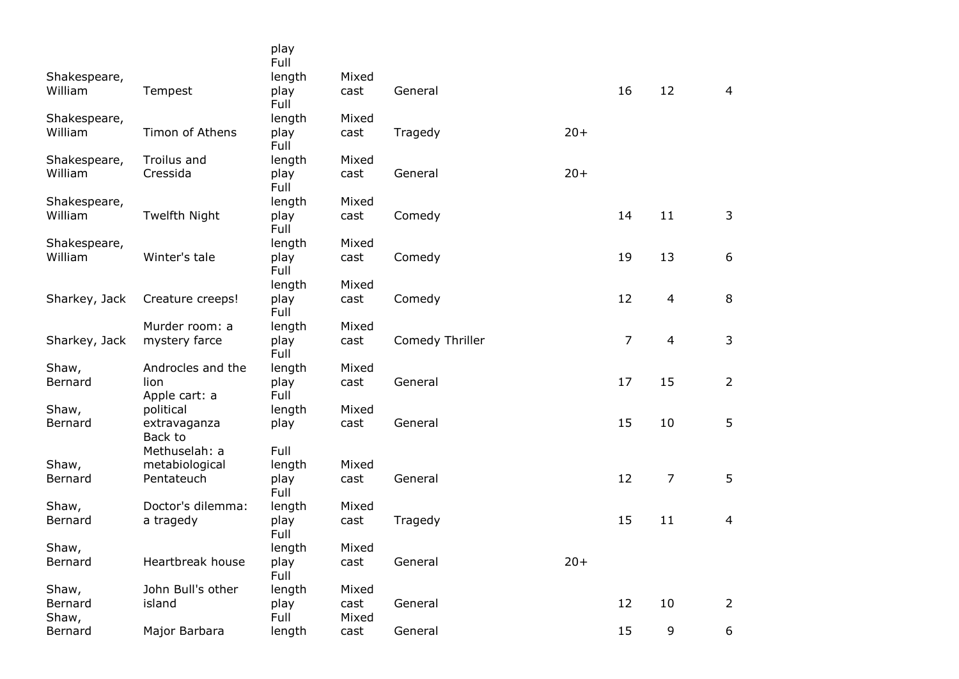|                  |                         | play<br>Full |               |                 |       |                |                |                |
|------------------|-------------------------|--------------|---------------|-----------------|-------|----------------|----------------|----------------|
| Shakespeare,     |                         | length       | Mixed         |                 |       |                |                |                |
| William          | Tempest                 | play<br>Full | cast          | General         |       | 16             | 12             | $\overline{4}$ |
| Shakespeare,     |                         | length       | Mixed         |                 |       |                |                |                |
| William          | Timon of Athens         | play<br>Full | cast          | Tragedy         | $20+$ |                |                |                |
| Shakespeare,     | Troilus and             | length       | Mixed         |                 |       |                |                |                |
| William          | Cressida                | play<br>Full | cast          | General         | $20+$ |                |                |                |
| Shakespeare,     |                         | length       | Mixed         |                 |       |                |                |                |
| William          | Twelfth Night           | play<br>Full | cast          | Comedy          |       | 14             | 11             | 3              |
| Shakespeare,     |                         | length       | Mixed         |                 |       |                |                |                |
| William          | Winter's tale           | play<br>Full | cast          | Comedy          |       | 19             | 13             | 6              |
|                  |                         | length       | Mixed         |                 |       |                |                |                |
| Sharkey, Jack    | Creature creeps!        | play<br>Full | cast          | Comedy          |       | 12             | $\overline{4}$ | 8              |
|                  | Murder room: a          | length       | Mixed         |                 |       |                |                |                |
| Sharkey, Jack    | mystery farce           | play<br>Full | cast          | Comedy Thriller |       | $\overline{7}$ | $\overline{4}$ | 3              |
| Shaw,            | Androcles and the       | length       | Mixed         |                 |       |                |                |                |
| Bernard          | lion                    | play         | cast          | General         |       | 17             | 15             | $\overline{2}$ |
|                  | Apple cart: a           | Full         |               |                 |       |                |                |                |
| Shaw,            | political               | length       | Mixed         |                 |       |                |                |                |
| Bernard          | extravaganza<br>Back to | play         | cast          | General         |       | 15             | 10             | 5              |
|                  | Methuselah: a           | Full         |               |                 |       |                |                |                |
| Shaw,            | metabiological          | length       | Mixed         |                 |       |                |                |                |
| Bernard          | Pentateuch              | play<br>Full | cast          | General         |       | 12             | 7              | 5              |
| Shaw,            | Doctor's dilemma:       | length       | Mixed         |                 |       |                |                |                |
| Bernard          | a tragedy               | play<br>Full | cast          | Tragedy         |       | 15             | 11             | $\overline{4}$ |
| Shaw,            |                         | length       | Mixed         |                 |       |                |                |                |
| Bernard          | Heartbreak house        | play<br>Full | cast          | General         | $20+$ |                |                |                |
| Shaw,            | John Bull's other       | length       | Mixed         |                 |       |                |                |                |
| Bernard<br>Shaw, | island                  | play<br>Full | cast<br>Mixed | General         |       | 12             | 10             | 2              |
| Bernard          | Major Barbara           | length       | cast          | General         |       | 15             | 9              | 6              |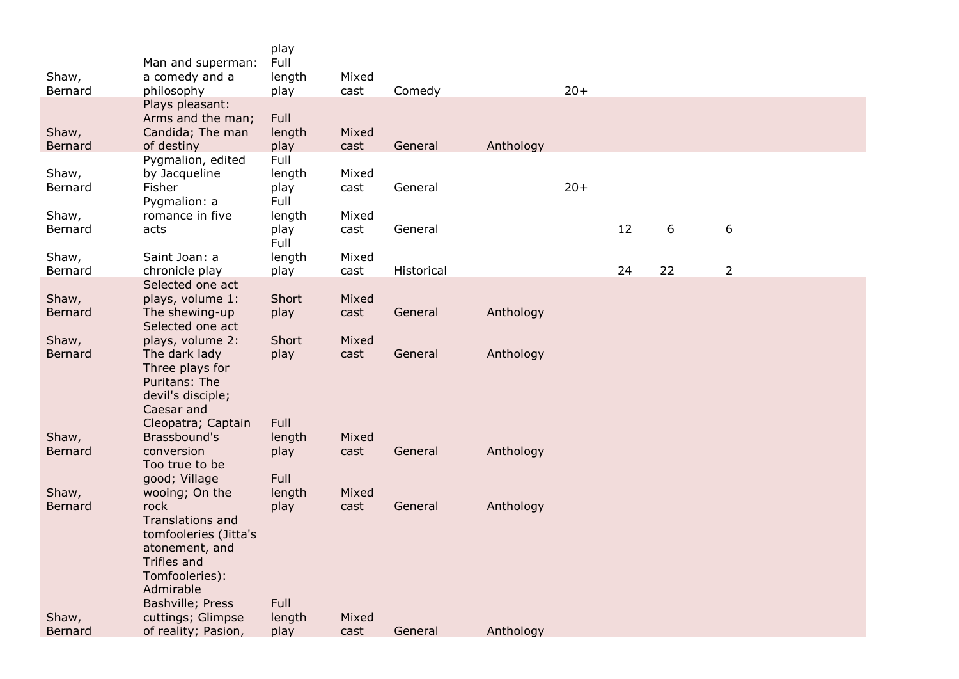| Shaw,<br>Bernard | Man and superman:<br>a comedy and a<br>philosophy                                                                                            | play<br>Full<br>length<br>play | Mixed<br>cast | Comedy     |           | $20+$ |    |    |                |
|------------------|----------------------------------------------------------------------------------------------------------------------------------------------|--------------------------------|---------------|------------|-----------|-------|----|----|----------------|
| Shaw,            | Plays pleasant:<br>Arms and the man;<br>Candida; The man                                                                                     | Full<br>length                 | Mixed         |            |           |       |    |    |                |
| Bernard          | of destiny                                                                                                                                   | play                           | cast          | General    | Anthology |       |    |    |                |
| Shaw,<br>Bernard | Pygmalion, edited<br>by Jacqueline<br>Fisher<br>Pygmalion: a                                                                                 | Full<br>length<br>play<br>Full | Mixed<br>cast | General    |           | $20+$ |    |    |                |
| Shaw,<br>Bernard | romance in five<br>acts                                                                                                                      | length<br>play<br>Full         | Mixed<br>cast | General    |           |       | 12 | 6  | 6              |
| Shaw,<br>Bernard | Saint Joan: a<br>chronicle play                                                                                                              | length<br>play                 | Mixed<br>cast | Historical |           |       | 24 | 22 | $\overline{2}$ |
|                  | Selected one act                                                                                                                             |                                |               |            |           |       |    |    |                |
| Shaw,            | plays, volume 1:                                                                                                                             | Short                          | Mixed         |            |           |       |    |    |                |
| Bernard          | The shewing-up<br>Selected one act                                                                                                           | play                           | cast          | General    | Anthology |       |    |    |                |
| Shaw,            | plays, volume 2:                                                                                                                             | Short                          | Mixed         |            |           |       |    |    |                |
| <b>Bernard</b>   | The dark lady<br>Three plays for<br>Puritans: The<br>devil's disciple;<br>Caesar and<br>Cleopatra; Captain                                   | play<br>Full                   | cast          | General    | Anthology |       |    |    |                |
| Shaw,            | Brassbound's                                                                                                                                 | length                         | Mixed         |            |           |       |    |    |                |
| Bernard          | conversion<br>Too true to be<br>good; Village                                                                                                | play<br>Full                   | cast          | General    | Anthology |       |    |    |                |
| Shaw,            | wooing; On the                                                                                                                               | length                         | Mixed         |            |           |       |    |    |                |
| Bernard          | rock<br><b>Translations and</b><br>tomfooleries (Jitta's<br>atonement, and<br>Trifles and<br>Tomfooleries):<br>Admirable<br>Bashville; Press | play<br>Full                   | cast          | General    | Anthology |       |    |    |                |
| Shaw,            | cuttings; Glimpse                                                                                                                            | length                         | Mixed         |            |           |       |    |    |                |
| Bernard          | of reality; Pasion,                                                                                                                          | play                           | cast          | General    | Anthology |       |    |    |                |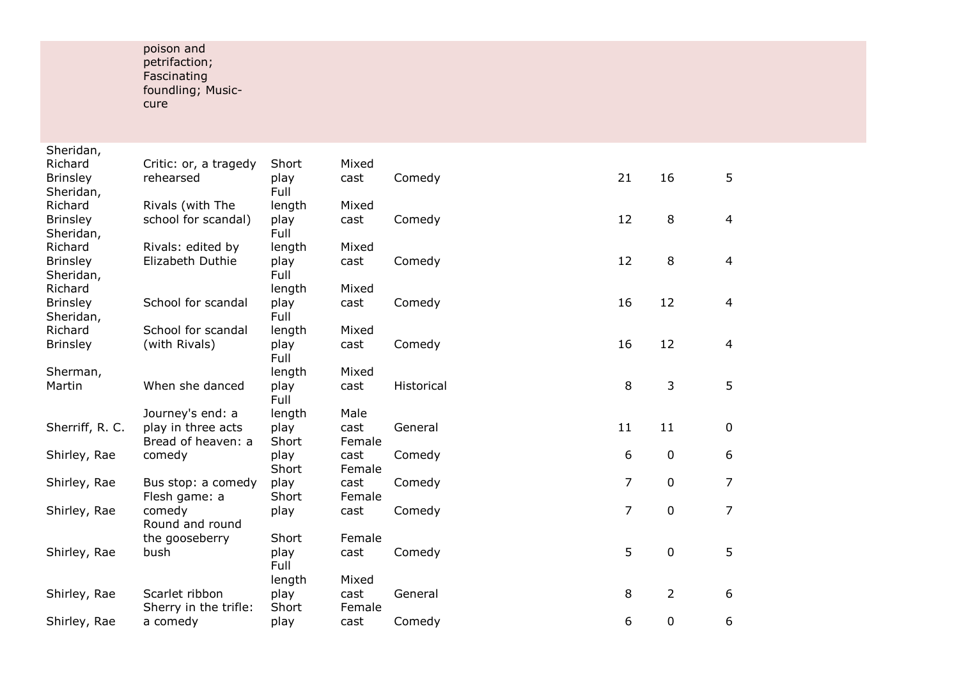## poison and petrifaction; Fascinating foundling; Music cure

| Sheridan,       |                           |        |        |            |    |             |                |
|-----------------|---------------------------|--------|--------|------------|----|-------------|----------------|
| Richard         | Critic: or, a tragedy     | Short  | Mixed  |            |    |             |                |
| <b>Brinsley</b> | rehearsed                 | play   | cast   | Comedy     | 21 | 16          | 5              |
| Sheridan,       |                           | Full   |        |            |    |             |                |
| Richard         | Rivals (with The          | length | Mixed  |            |    |             |                |
| <b>Brinsley</b> | school for scandal)       | play   | cast   | Comedy     | 12 | 8           | $\overline{4}$ |
| Sheridan,       |                           | Full   |        |            |    |             |                |
| Richard         | Rivals: edited by         | length | Mixed  |            |    |             |                |
| <b>Brinsley</b> | Elizabeth Duthie          | play   | cast   | Comedy     | 12 | $\,8\,$     | 4              |
| Sheridan,       |                           | Full   |        |            |    |             |                |
| Richard         |                           | length | Mixed  |            |    |             |                |
| <b>Brinsley</b> | School for scandal        | play   | cast   | Comedy     | 16 | 12          | 4              |
| Sheridan,       |                           | Full   |        |            |    |             |                |
| Richard         | School for scandal        | length | Mixed  |            |    |             |                |
| <b>Brinsley</b> | (with Rivals)             | play   | cast   | Comedy     | 16 | 12          | 4              |
|                 |                           | Full   |        |            |    |             |                |
| Sherman,        |                           | length | Mixed  |            |    |             |                |
| Martin          | When she danced           | play   | cast   | Historical | 8  | 3           | 5              |
|                 |                           | Full   |        |            |    |             |                |
|                 | Journey's end: a          | length | Male   |            |    |             |                |
| Sherriff, R. C. | play in three acts        | play   | cast   | General    | 11 | 11          | 0              |
|                 | Bread of heaven: a        | Short  | Female |            |    |             |                |
| Shirley, Rae    | comedy                    | play   | cast   | Comedy     | 6  | $\mathbf 0$ | 6              |
|                 |                           | Short  | Female |            | 7  |             |                |
| Shirley, Rae    | Bus stop: a comedy        | play   | cast   | Comedy     |    | 0           | 7              |
|                 | Flesh game: a             | Short  | Female |            | 7  | $\mathbf 0$ | $\overline{7}$ |
| Shirley, Rae    | comedy<br>Round and round | play   | cast   | Comedy     |    |             |                |
|                 | the gooseberry            | Short  | Female |            |    |             |                |
| Shirley, Rae    | bush                      | play   | cast   | Comedy     | 5  | $\mathbf 0$ | 5              |
|                 |                           | Full   |        |            |    |             |                |
|                 |                           | length | Mixed  |            |    |             |                |
| Shirley, Rae    | Scarlet ribbon            | play   | cast   | General    | 8  | 2           | 6              |
|                 | Sherry in the trifle:     | Short  | Female |            |    |             |                |
| Shirley, Rae    | a comedy                  | play   | cast   | Comedy     | 6  | 0           | 6              |
|                 |                           |        |        |            |    |             |                |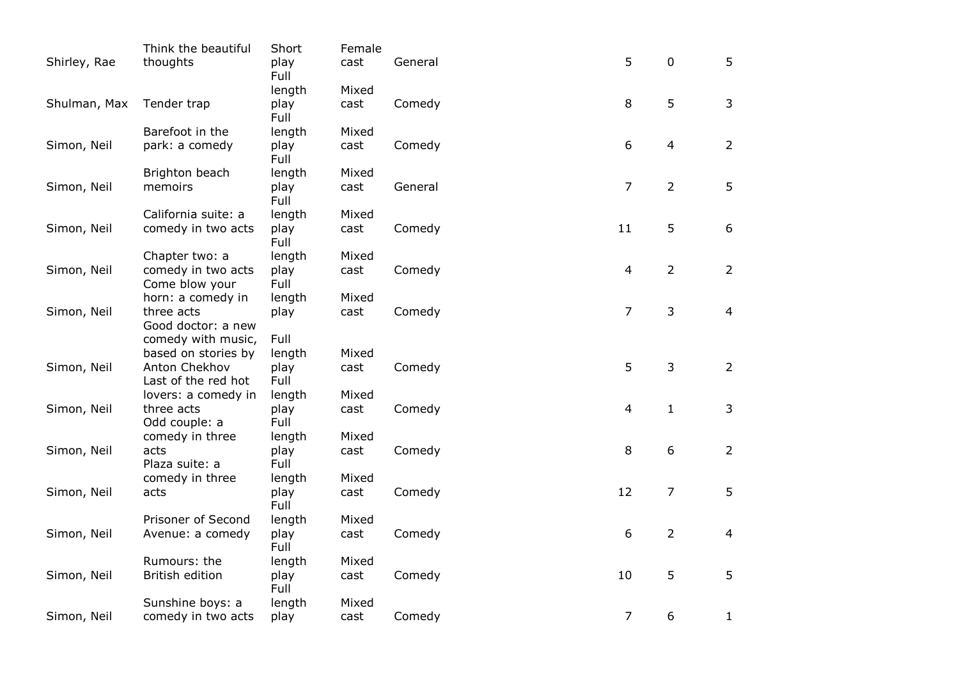| Shirley, Rae | Think the beautiful<br>thoughts                        | Short<br>play | Female<br>cast | General | 5              | $\mathbf 0$    | 5              |
|--------------|--------------------------------------------------------|---------------|----------------|---------|----------------|----------------|----------------|
|              |                                                        | Full          |                |         |                |                |                |
|              |                                                        | length        | Mixed          |         |                |                |                |
| Shulman, Max | Tender trap                                            | play<br>Full  | cast           | Comedy  | 8              | 5              | 3              |
|              | Barefoot in the                                        | length        | Mixed          |         |                |                |                |
| Simon, Neil  | park: a comedy                                         | play<br>Full  | cast           | Comedy  | 6              | $\overline{4}$ | $\overline{2}$ |
|              | Brighton beach                                         | length        | Mixed          |         |                |                |                |
| Simon, Neil  | memoirs                                                | play<br>Full  | cast           | General | $\overline{7}$ | $\overline{2}$ | 5              |
|              | California suite: a                                    | length        | Mixed          |         |                |                |                |
| Simon, Neil  | comedy in two acts                                     | play<br>Full  | cast           | Comedy  | 11             | 5              | 6              |
|              | Chapter two: a                                         | length        | Mixed          |         |                |                |                |
| Simon, Neil  | comedy in two acts<br>Come blow your                   | play<br>Full  | cast           | Comedy  | $\overline{4}$ | $\overline{2}$ | $\overline{2}$ |
|              | horn: a comedy in                                      | length        | Mixed          |         |                |                |                |
| Simon, Neil  | three acts<br>Good doctor: a new<br>comedy with music, | play<br>Full  | cast           | Comedy  | $\overline{7}$ | $\mathsf{3}$   | $\overline{4}$ |
|              | based on stories by                                    | length        | Mixed          |         |                |                |                |
| Simon, Neil  | Anton Chekhov                                          | play          | cast           | Comedy  | 5              | $\overline{3}$ | $\overline{2}$ |
|              | Last of the red hot                                    | Full          |                |         |                |                |                |
|              | lovers: a comedy in                                    | length        | Mixed          |         |                |                |                |
| Simon, Neil  | three acts<br>Odd couple: a                            | play<br>Full  | cast           | Comedy  | 4              | $\mathbf{1}$   | 3              |
|              | comedy in three                                        | length        | Mixed          |         |                |                |                |
| Simon, Neil  | acts<br>Plaza suite: a                                 | play<br>Full  | cast           | Comedy  | 8              | 6              | $\overline{2}$ |
|              | comedy in three                                        | length        | Mixed          |         |                |                |                |
| Simon, Neil  | acts                                                   | play<br>Full  | cast           | Comedy  | 12             | $\overline{7}$ | 5              |
|              | Prisoner of Second                                     | length        | Mixed          |         |                |                |                |
| Simon, Neil  | Avenue: a comedy                                       | play<br>Full  | cast           | Comedy  | 6              | $\overline{2}$ | 4              |
|              | Rumours: the                                           | length        | Mixed          |         |                |                |                |
| Simon, Neil  | British edition                                        | play<br>Full  | cast           | Comedy  | 10             | 5              | 5              |
|              | Sunshine boys: a                                       | length        | Mixed          |         |                |                |                |
| Simon, Neil  | comedy in two acts                                     | play          | cast           | Comedy  | $\overline{7}$ | 6              | $\mathbf{1}$   |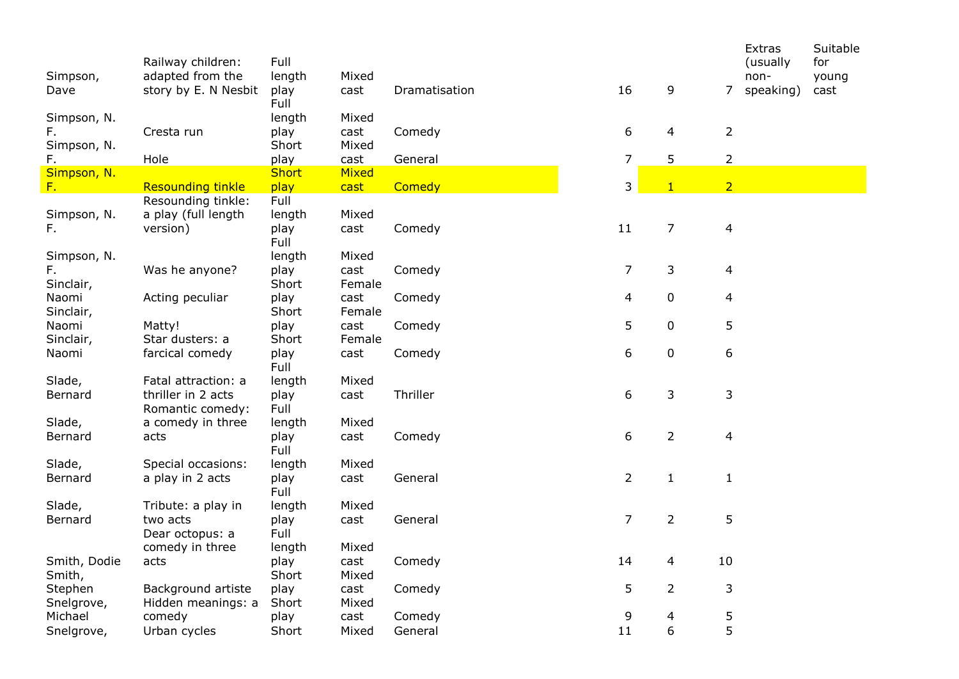| Simpson,<br>Dave                 | Railway children:<br>adapted from the<br>story by E. N Nesbit | Full<br>length<br>play<br>Full | Mixed<br>cast           | Dramatisation | 16             | 9              | $\overline{7}$   | Extras<br>(usually)<br>non-<br>speaking) | Suitable<br>for<br>young<br>cast |
|----------------------------------|---------------------------------------------------------------|--------------------------------|-------------------------|---------------|----------------|----------------|------------------|------------------------------------------|----------------------------------|
| Simpson, N.<br>F.<br>Simpson, N. | Cresta run                                                    | length<br>play<br>Short        | Mixed<br>cast<br>Mixed  | Comedy        | 6              | 4              | $\overline{2}$   |                                          |                                  |
| F.                               | Hole                                                          | play                           | cast                    | General       | 7              | 5              | $\overline{2}$   |                                          |                                  |
| Simpson, N.<br>F.                | <b>Resounding tinkle</b>                                      | <b>Short</b><br>play           | Mixed<br>cast           | Comedy        | 3              | $\mathbf{1}$   | $\overline{2}$   |                                          |                                  |
| Simpson, N.<br>F.                | Resounding tinkle:<br>a play (full length<br>version)         | Full<br>length<br>play<br>Full | Mixed<br>cast           | Comedy        | 11             | $\overline{7}$ | $\overline{4}$   |                                          |                                  |
| Simpson, N.<br>F.<br>Sinclair,   | Was he anyone?                                                | length<br>play<br>Short        | Mixed<br>cast<br>Female | Comedy        | 7              | 3              | 4                |                                          |                                  |
| Naomi<br>Sinclair,               | Acting peculiar                                               | play<br>Short                  | cast<br>Female          | Comedy        | 4              | $\pmb{0}$      | 4                |                                          |                                  |
| Naomi<br>Sinclair,               | Matty!<br>Star dusters: a                                     | play<br>Short                  | cast<br>Female          | Comedy        | 5              | 0              | 5                |                                          |                                  |
| Naomi                            | farcical comedy                                               | play<br>Full                   | cast                    | Comedy        | 6              | $\pmb{0}$      | $\boldsymbol{6}$ |                                          |                                  |
| Slade,<br>Bernard                | Fatal attraction: a<br>thriller in 2 acts<br>Romantic comedy: | length<br>play<br>Full         | Mixed<br>cast           | Thriller      | 6              | 3              | 3                |                                          |                                  |
| Slade,<br>Bernard                | a comedy in three<br>acts                                     | length<br>play<br>Full         | Mixed<br>cast           | Comedy        | 6              | $\overline{2}$ | $\overline{4}$   |                                          |                                  |
| Slade,<br>Bernard                | Special occasions:<br>a play in 2 acts                        | length<br>play<br>Full         | Mixed<br>cast           | General       | $\overline{2}$ | $\mathbf{1}$   | $\mathbf{1}$     |                                          |                                  |
| Slade,<br>Bernard                | Tribute: a play in<br>two acts<br>Dear octopus: a             | length<br>play<br>Full         | Mixed<br>cast<br>Mixed  | General       | $\overline{7}$ | $\overline{2}$ | 5                |                                          |                                  |
| Smith, Dodie<br>Smith,           | comedy in three<br>acts                                       | length<br>play<br>Short        | cast<br>Mixed           | Comedy        | 14             | 4              | 10               |                                          |                                  |
| Stephen<br>Snelgrove,            | Background artiste<br>Hidden meanings: a                      | play<br>Short                  | cast<br>Mixed           | Comedy        | 5              | $\overline{2}$ | 3                |                                          |                                  |
| Michael                          | comedy                                                        | play                           | cast                    | Comedy        | 9              | 4              | 5                |                                          |                                  |
| Snelgrove,                       | Urban cycles                                                  | Short                          | Mixed                   | General       | 11             | 6              | 5                |                                          |                                  |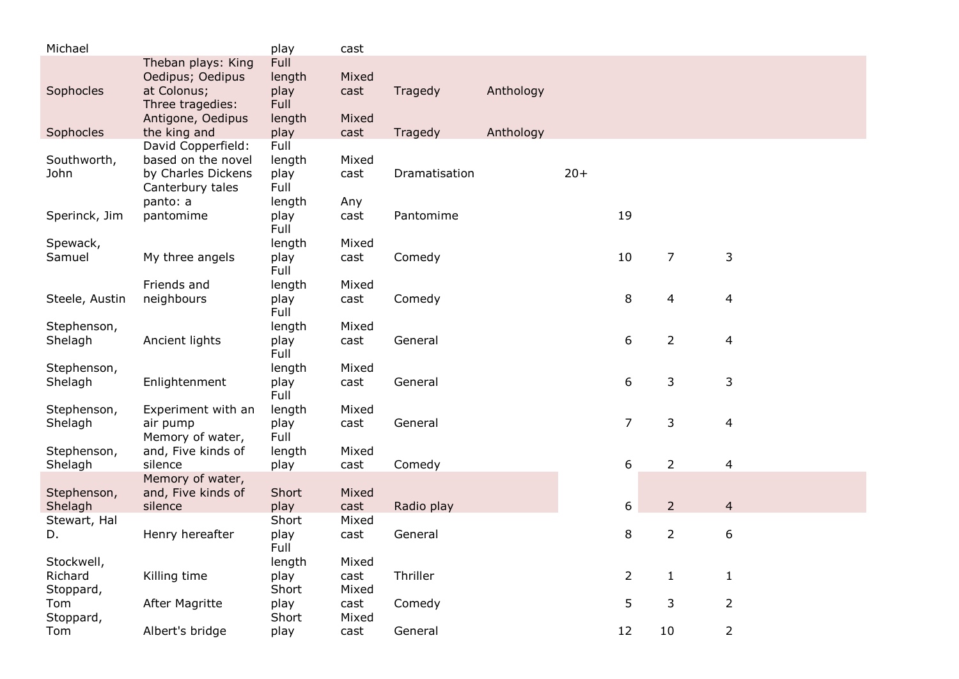| Michael                            |                                                                                                | play                                     | cast                   |               |           |       |                |                |                |
|------------------------------------|------------------------------------------------------------------------------------------------|------------------------------------------|------------------------|---------------|-----------|-------|----------------|----------------|----------------|
| Sophocles                          | Theban plays: King<br>Oedipus; Oedipus<br>at Colonus;<br>Three tragedies:<br>Antigone, Oedipus | Full<br>length<br>play<br>Full<br>length | Mixed<br>cast<br>Mixed | Tragedy       | Anthology |       |                |                |                |
| Sophocles                          | the king and                                                                                   | play                                     | cast                   | Tragedy       | Anthology |       |                |                |                |
| Southworth,<br>John                | David Copperfield:<br>based on the novel<br>by Charles Dickens<br>Canterbury tales<br>panto: a | Full<br>length<br>play<br>Full<br>length | Mixed<br>cast<br>Any   | Dramatisation |           | $20+$ |                |                |                |
| Sperinck, Jim                      | pantomime                                                                                      | play<br>Full                             | cast                   | Pantomime     |           |       | 19             |                |                |
| Spewack,<br>Samuel                 | My three angels                                                                                | length<br>play<br>Full                   | Mixed<br>cast          | Comedy        |           |       | 10             | $\overline{7}$ | 3              |
| Steele, Austin                     | Friends and<br>neighbours                                                                      | length<br>play<br>Full                   | Mixed<br>cast          | Comedy        |           |       | 8              | 4              | $\overline{4}$ |
| Stephenson,<br>Shelagh             | Ancient lights                                                                                 | length<br>play<br>Full                   | Mixed<br>cast          | General       |           |       | 6              | $\overline{2}$ | $\overline{4}$ |
| Stephenson,<br>Shelagh             | Enlightenment                                                                                  | length<br>play<br>Full                   | Mixed<br>cast          | General       |           |       | 6              | 3              | 3              |
| Stephenson,<br>Shelagh             | Experiment with an<br>air pump<br>Memory of water,                                             | length<br>play<br>Full                   | Mixed<br>cast          | General       |           |       | $\overline{7}$ | 3              | 4              |
| Stephenson,<br>Shelagh             | and, Five kinds of<br>silence                                                                  | length<br>play                           | Mixed<br>cast          | Comedy        |           |       | 6              | $\overline{2}$ | 4              |
| Stephenson,<br>Shelagh             | Memory of water,<br>and, Five kinds of<br>silence                                              | Short<br>play                            | Mixed<br>cast          | Radio play    |           |       | 6              | $\overline{2}$ | $\overline{4}$ |
| Stewart, Hal<br>D.                 | Henry hereafter                                                                                | Short<br>play<br>Full                    | Mixed<br>cast          | General       |           |       | 8              | $\overline{2}$ | 6              |
| Stockwell,<br>Richard<br>Stoppard, | Killing time                                                                                   | length<br>play<br>Short                  | Mixed<br>cast<br>Mixed | Thriller      |           |       | 2              | $\mathbf{1}$   | $\mathbf{1}$   |
| Tom<br>Stoppard,                   | After Magritte                                                                                 | play<br>Short                            | cast<br>Mixed          | Comedy        |           |       | 5              | 3              | $\overline{2}$ |
| Tom                                | Albert's bridge                                                                                | play                                     | cast                   | General       |           |       | 12             | 10             | $\overline{2}$ |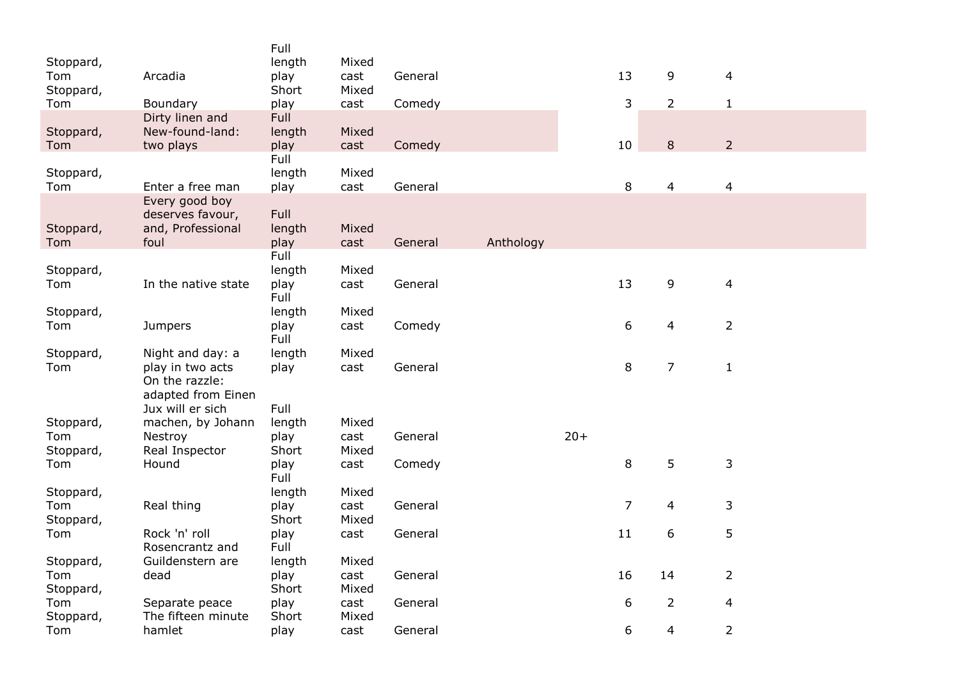| 13<br>9<br>$\overline{4}$<br>Tom<br>Arcadia<br>play<br>cast<br>General<br>Stoppard,<br>Short<br>Mixed<br>3<br>$\overline{2}$<br>$\mathbf 1$<br>Boundary<br>play<br>cast<br>Comedy<br><b>Full</b><br>Dirty linen and<br>New-found-land:<br>length<br>Mixed<br>$\overline{2}$<br>8<br>10<br>two plays<br>play<br>Comedy<br>cast<br>Full<br>Stoppard,<br>length<br>Mixed<br>8<br>4<br>$\overline{4}$<br>Tom<br>Enter a free man<br>play<br>General<br>cast<br>Every good boy<br>deserves favour,<br>Full<br>and, Professional<br>length<br>Mixed<br>Stoppard,<br>foul<br>play<br>Anthology<br>cast<br>General<br>Full<br>length<br>Mixed<br>9<br>In the native state<br>13<br>$\overline{4}$<br>play<br>General<br>cast<br>Full<br>length<br>Mixed<br>6<br>$\overline{2}$<br>$\overline{4}$<br>play<br>Comedy<br><b>Jumpers</b><br>cast<br>Full<br>Stoppard,<br>length<br>Mixed<br>Night and day: a<br>8<br>$\overline{7}$<br>$\mathbf{1}$<br>Tom<br>General<br>play in two acts<br>play<br>cast<br>On the razzle:<br>adapted from Einen<br>Full<br>Jux will er sich<br>machen, by Johann<br>length<br>Mixed<br>$20+$<br>Nestroy<br>play<br>cast<br>General<br>Mixed<br>Real Inspector<br>Short<br>5<br>8<br>$\mathbf{3}$<br>Hound<br>play<br>cast<br>Comedy<br>Full<br>length<br>Mixed<br>$\overline{7}$<br>$\mathbf{3}$<br>Real thing<br>play<br>4<br>cast<br>General<br>Short<br>Stoppard,<br>Mixed<br>5<br>11<br>6<br>Tom<br>Rock 'n' roll<br>play<br>cast<br>General<br>Full<br>Rosencrantz and<br>Guildenstern are<br>Mixed<br>Stoppard,<br>length<br>$\overline{2}$<br>16<br>14<br>Tom<br>dead<br>play<br>cast<br>General<br>Short<br>Stoppard,<br>Mixed<br>$\overline{2}$<br>6<br>Separate peace<br>play<br>cast<br>General<br>4<br>The fifteen minute<br>Short<br>Mixed<br>6<br>$\overline{2}$<br>hamlet<br>4<br>play<br>cast<br>General |           | Full   |       |  |  |  |
|------------------------------------------------------------------------------------------------------------------------------------------------------------------------------------------------------------------------------------------------------------------------------------------------------------------------------------------------------------------------------------------------------------------------------------------------------------------------------------------------------------------------------------------------------------------------------------------------------------------------------------------------------------------------------------------------------------------------------------------------------------------------------------------------------------------------------------------------------------------------------------------------------------------------------------------------------------------------------------------------------------------------------------------------------------------------------------------------------------------------------------------------------------------------------------------------------------------------------------------------------------------------------------------------------------------------------------------------------------------------------------------------------------------------------------------------------------------------------------------------------------------------------------------------------------------------------------------------------------------------------------------------------------------------------------------------------------------------------------------------------------------------------------------------------------------------------------------------|-----------|--------|-------|--|--|--|
|                                                                                                                                                                                                                                                                                                                                                                                                                                                                                                                                                                                                                                                                                                                                                                                                                                                                                                                                                                                                                                                                                                                                                                                                                                                                                                                                                                                                                                                                                                                                                                                                                                                                                                                                                                                                                                                | Stoppard, | length | Mixed |  |  |  |
|                                                                                                                                                                                                                                                                                                                                                                                                                                                                                                                                                                                                                                                                                                                                                                                                                                                                                                                                                                                                                                                                                                                                                                                                                                                                                                                                                                                                                                                                                                                                                                                                                                                                                                                                                                                                                                                |           |        |       |  |  |  |
|                                                                                                                                                                                                                                                                                                                                                                                                                                                                                                                                                                                                                                                                                                                                                                                                                                                                                                                                                                                                                                                                                                                                                                                                                                                                                                                                                                                                                                                                                                                                                                                                                                                                                                                                                                                                                                                | Tom       |        |       |  |  |  |
|                                                                                                                                                                                                                                                                                                                                                                                                                                                                                                                                                                                                                                                                                                                                                                                                                                                                                                                                                                                                                                                                                                                                                                                                                                                                                                                                                                                                                                                                                                                                                                                                                                                                                                                                                                                                                                                |           |        |       |  |  |  |
|                                                                                                                                                                                                                                                                                                                                                                                                                                                                                                                                                                                                                                                                                                                                                                                                                                                                                                                                                                                                                                                                                                                                                                                                                                                                                                                                                                                                                                                                                                                                                                                                                                                                                                                                                                                                                                                | Stoppard, |        |       |  |  |  |
|                                                                                                                                                                                                                                                                                                                                                                                                                                                                                                                                                                                                                                                                                                                                                                                                                                                                                                                                                                                                                                                                                                                                                                                                                                                                                                                                                                                                                                                                                                                                                                                                                                                                                                                                                                                                                                                | Tom       |        |       |  |  |  |
|                                                                                                                                                                                                                                                                                                                                                                                                                                                                                                                                                                                                                                                                                                                                                                                                                                                                                                                                                                                                                                                                                                                                                                                                                                                                                                                                                                                                                                                                                                                                                                                                                                                                                                                                                                                                                                                |           |        |       |  |  |  |
|                                                                                                                                                                                                                                                                                                                                                                                                                                                                                                                                                                                                                                                                                                                                                                                                                                                                                                                                                                                                                                                                                                                                                                                                                                                                                                                                                                                                                                                                                                                                                                                                                                                                                                                                                                                                                                                |           |        |       |  |  |  |
|                                                                                                                                                                                                                                                                                                                                                                                                                                                                                                                                                                                                                                                                                                                                                                                                                                                                                                                                                                                                                                                                                                                                                                                                                                                                                                                                                                                                                                                                                                                                                                                                                                                                                                                                                                                                                                                |           |        |       |  |  |  |
|                                                                                                                                                                                                                                                                                                                                                                                                                                                                                                                                                                                                                                                                                                                                                                                                                                                                                                                                                                                                                                                                                                                                                                                                                                                                                                                                                                                                                                                                                                                                                                                                                                                                                                                                                                                                                                                |           |        |       |  |  |  |
|                                                                                                                                                                                                                                                                                                                                                                                                                                                                                                                                                                                                                                                                                                                                                                                                                                                                                                                                                                                                                                                                                                                                                                                                                                                                                                                                                                                                                                                                                                                                                                                                                                                                                                                                                                                                                                                |           |        |       |  |  |  |
|                                                                                                                                                                                                                                                                                                                                                                                                                                                                                                                                                                                                                                                                                                                                                                                                                                                                                                                                                                                                                                                                                                                                                                                                                                                                                                                                                                                                                                                                                                                                                                                                                                                                                                                                                                                                                                                | Tom       |        |       |  |  |  |
|                                                                                                                                                                                                                                                                                                                                                                                                                                                                                                                                                                                                                                                                                                                                                                                                                                                                                                                                                                                                                                                                                                                                                                                                                                                                                                                                                                                                                                                                                                                                                                                                                                                                                                                                                                                                                                                |           |        |       |  |  |  |
|                                                                                                                                                                                                                                                                                                                                                                                                                                                                                                                                                                                                                                                                                                                                                                                                                                                                                                                                                                                                                                                                                                                                                                                                                                                                                                                                                                                                                                                                                                                                                                                                                                                                                                                                                                                                                                                | Stoppard, |        |       |  |  |  |
|                                                                                                                                                                                                                                                                                                                                                                                                                                                                                                                                                                                                                                                                                                                                                                                                                                                                                                                                                                                                                                                                                                                                                                                                                                                                                                                                                                                                                                                                                                                                                                                                                                                                                                                                                                                                                                                | Tom       |        |       |  |  |  |
|                                                                                                                                                                                                                                                                                                                                                                                                                                                                                                                                                                                                                                                                                                                                                                                                                                                                                                                                                                                                                                                                                                                                                                                                                                                                                                                                                                                                                                                                                                                                                                                                                                                                                                                                                                                                                                                |           |        |       |  |  |  |
|                                                                                                                                                                                                                                                                                                                                                                                                                                                                                                                                                                                                                                                                                                                                                                                                                                                                                                                                                                                                                                                                                                                                                                                                                                                                                                                                                                                                                                                                                                                                                                                                                                                                                                                                                                                                                                                | Stoppard, |        |       |  |  |  |
|                                                                                                                                                                                                                                                                                                                                                                                                                                                                                                                                                                                                                                                                                                                                                                                                                                                                                                                                                                                                                                                                                                                                                                                                                                                                                                                                                                                                                                                                                                                                                                                                                                                                                                                                                                                                                                                | Tom       |        |       |  |  |  |
|                                                                                                                                                                                                                                                                                                                                                                                                                                                                                                                                                                                                                                                                                                                                                                                                                                                                                                                                                                                                                                                                                                                                                                                                                                                                                                                                                                                                                                                                                                                                                                                                                                                                                                                                                                                                                                                |           |        |       |  |  |  |
|                                                                                                                                                                                                                                                                                                                                                                                                                                                                                                                                                                                                                                                                                                                                                                                                                                                                                                                                                                                                                                                                                                                                                                                                                                                                                                                                                                                                                                                                                                                                                                                                                                                                                                                                                                                                                                                |           |        |       |  |  |  |
|                                                                                                                                                                                                                                                                                                                                                                                                                                                                                                                                                                                                                                                                                                                                                                                                                                                                                                                                                                                                                                                                                                                                                                                                                                                                                                                                                                                                                                                                                                                                                                                                                                                                                                                                                                                                                                                |           |        |       |  |  |  |
|                                                                                                                                                                                                                                                                                                                                                                                                                                                                                                                                                                                                                                                                                                                                                                                                                                                                                                                                                                                                                                                                                                                                                                                                                                                                                                                                                                                                                                                                                                                                                                                                                                                                                                                                                                                                                                                |           |        |       |  |  |  |
|                                                                                                                                                                                                                                                                                                                                                                                                                                                                                                                                                                                                                                                                                                                                                                                                                                                                                                                                                                                                                                                                                                                                                                                                                                                                                                                                                                                                                                                                                                                                                                                                                                                                                                                                                                                                                                                |           |        |       |  |  |  |
|                                                                                                                                                                                                                                                                                                                                                                                                                                                                                                                                                                                                                                                                                                                                                                                                                                                                                                                                                                                                                                                                                                                                                                                                                                                                                                                                                                                                                                                                                                                                                                                                                                                                                                                                                                                                                                                | Stoppard, |        |       |  |  |  |
|                                                                                                                                                                                                                                                                                                                                                                                                                                                                                                                                                                                                                                                                                                                                                                                                                                                                                                                                                                                                                                                                                                                                                                                                                                                                                                                                                                                                                                                                                                                                                                                                                                                                                                                                                                                                                                                | Tom       |        |       |  |  |  |
|                                                                                                                                                                                                                                                                                                                                                                                                                                                                                                                                                                                                                                                                                                                                                                                                                                                                                                                                                                                                                                                                                                                                                                                                                                                                                                                                                                                                                                                                                                                                                                                                                                                                                                                                                                                                                                                | Stoppard, |        |       |  |  |  |
|                                                                                                                                                                                                                                                                                                                                                                                                                                                                                                                                                                                                                                                                                                                                                                                                                                                                                                                                                                                                                                                                                                                                                                                                                                                                                                                                                                                                                                                                                                                                                                                                                                                                                                                                                                                                                                                | Tom       |        |       |  |  |  |
|                                                                                                                                                                                                                                                                                                                                                                                                                                                                                                                                                                                                                                                                                                                                                                                                                                                                                                                                                                                                                                                                                                                                                                                                                                                                                                                                                                                                                                                                                                                                                                                                                                                                                                                                                                                                                                                |           |        |       |  |  |  |
|                                                                                                                                                                                                                                                                                                                                                                                                                                                                                                                                                                                                                                                                                                                                                                                                                                                                                                                                                                                                                                                                                                                                                                                                                                                                                                                                                                                                                                                                                                                                                                                                                                                                                                                                                                                                                                                | Stoppard, |        |       |  |  |  |
|                                                                                                                                                                                                                                                                                                                                                                                                                                                                                                                                                                                                                                                                                                                                                                                                                                                                                                                                                                                                                                                                                                                                                                                                                                                                                                                                                                                                                                                                                                                                                                                                                                                                                                                                                                                                                                                | Tom       |        |       |  |  |  |
|                                                                                                                                                                                                                                                                                                                                                                                                                                                                                                                                                                                                                                                                                                                                                                                                                                                                                                                                                                                                                                                                                                                                                                                                                                                                                                                                                                                                                                                                                                                                                                                                                                                                                                                                                                                                                                                |           |        |       |  |  |  |
|                                                                                                                                                                                                                                                                                                                                                                                                                                                                                                                                                                                                                                                                                                                                                                                                                                                                                                                                                                                                                                                                                                                                                                                                                                                                                                                                                                                                                                                                                                                                                                                                                                                                                                                                                                                                                                                |           |        |       |  |  |  |
|                                                                                                                                                                                                                                                                                                                                                                                                                                                                                                                                                                                                                                                                                                                                                                                                                                                                                                                                                                                                                                                                                                                                                                                                                                                                                                                                                                                                                                                                                                                                                                                                                                                                                                                                                                                                                                                |           |        |       |  |  |  |
|                                                                                                                                                                                                                                                                                                                                                                                                                                                                                                                                                                                                                                                                                                                                                                                                                                                                                                                                                                                                                                                                                                                                                                                                                                                                                                                                                                                                                                                                                                                                                                                                                                                                                                                                                                                                                                                |           |        |       |  |  |  |
|                                                                                                                                                                                                                                                                                                                                                                                                                                                                                                                                                                                                                                                                                                                                                                                                                                                                                                                                                                                                                                                                                                                                                                                                                                                                                                                                                                                                                                                                                                                                                                                                                                                                                                                                                                                                                                                |           |        |       |  |  |  |
|                                                                                                                                                                                                                                                                                                                                                                                                                                                                                                                                                                                                                                                                                                                                                                                                                                                                                                                                                                                                                                                                                                                                                                                                                                                                                                                                                                                                                                                                                                                                                                                                                                                                                                                                                                                                                                                | Tom       |        |       |  |  |  |
|                                                                                                                                                                                                                                                                                                                                                                                                                                                                                                                                                                                                                                                                                                                                                                                                                                                                                                                                                                                                                                                                                                                                                                                                                                                                                                                                                                                                                                                                                                                                                                                                                                                                                                                                                                                                                                                | Stoppard, |        |       |  |  |  |
|                                                                                                                                                                                                                                                                                                                                                                                                                                                                                                                                                                                                                                                                                                                                                                                                                                                                                                                                                                                                                                                                                                                                                                                                                                                                                                                                                                                                                                                                                                                                                                                                                                                                                                                                                                                                                                                | Tom       |        |       |  |  |  |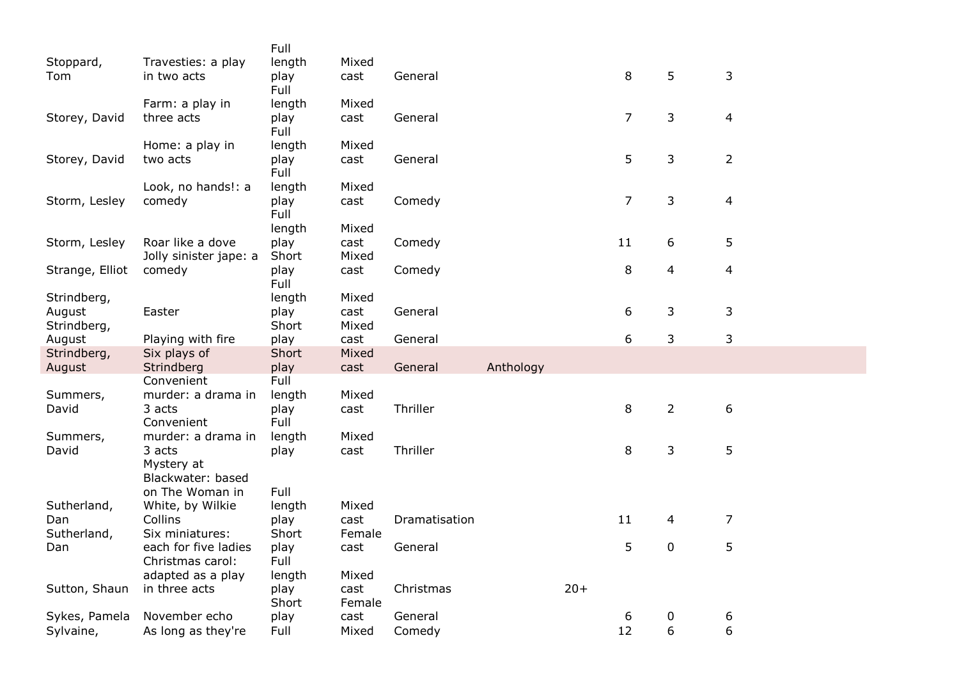|                 |                                  | Full           |                |               |           |       |                |                |                |
|-----------------|----------------------------------|----------------|----------------|---------------|-----------|-------|----------------|----------------|----------------|
| Stoppard,       | Travesties: a play               | length         | Mixed          |               |           |       |                |                |                |
| Tom             | in two acts                      | play           | cast           | General       |           |       | 8              | 5              | 3              |
|                 |                                  | Full           |                |               |           |       |                |                |                |
|                 | Farm: a play in                  | length         | Mixed          |               |           |       |                |                |                |
| Storey, David   | three acts                       | play           | cast           | General       |           |       | $\overline{7}$ | 3              | 4              |
|                 |                                  | Full           |                |               |           |       |                |                |                |
|                 | Home: a play in                  | length         | Mixed          |               |           |       |                |                |                |
| Storey, David   | two acts                         | play           | cast           | General       |           |       | 5              | 3              | $\overline{2}$ |
|                 |                                  | Full           |                |               |           |       |                |                |                |
|                 | Look, no hands!: a               | length         | Mixed          |               |           |       |                |                |                |
| Storm, Lesley   | comedy                           | play           | cast           | Comedy        |           |       | $\overline{7}$ | 3              | 4              |
|                 |                                  | Full<br>length | Mixed          |               |           |       |                |                |                |
| Storm, Lesley   | Roar like a dove                 | play           | cast           | Comedy        |           |       | 11             | 6              | 5              |
|                 | Jolly sinister jape: a           | Short          | Mixed          |               |           |       |                |                |                |
| Strange, Elliot | comedy                           | play           | cast           | Comedy        |           |       | 8              | 4              | $\overline{4}$ |
|                 |                                  | Full           |                |               |           |       |                |                |                |
| Strindberg,     |                                  | length         | Mixed          |               |           |       |                |                |                |
| August          | Easter                           | play           | cast           | General       |           |       | 6              | 3              | 3              |
| Strindberg,     |                                  | Short          | Mixed          |               |           |       |                |                |                |
| August          | Playing with fire                | play           | cast           | General       |           |       | 6              | 3              | 3              |
| Strindberg,     | Six plays of                     | Short          | Mixed          |               |           |       |                |                |                |
| August          | Strindberg                       | play           | cast           | General       | Anthology |       |                |                |                |
|                 | Convenient                       | Full           |                |               |           |       |                |                |                |
| Summers,        | murder: a drama in               | length         | Mixed          |               |           |       |                |                |                |
| David           | 3 acts                           | play<br>Full   | cast           | Thriller      |           |       | 8              | $\overline{2}$ | 6              |
| Summers,        | Convenient<br>murder: a drama in | length         | Mixed          |               |           |       |                |                |                |
| David           | 3 acts                           | play           | cast           | Thriller      |           |       | 8              | 3              | 5              |
|                 | Mystery at                       |                |                |               |           |       |                |                |                |
|                 | Blackwater: based                |                |                |               |           |       |                |                |                |
|                 | on The Woman in                  | Full           |                |               |           |       |                |                |                |
| Sutherland,     | White, by Wilkie                 | length         | Mixed          |               |           |       |                |                |                |
| Dan             | Collins                          | play           | cast           | Dramatisation |           |       | 11             | 4              | 7              |
| Sutherland,     | Six miniatures:                  | Short          | Female         |               |           |       |                |                |                |
| Dan             | each for five ladies             | play           | cast           | General       |           |       | 5              | 0              | 5              |
|                 | Christmas carol:                 | Full           |                |               |           |       |                |                |                |
|                 | adapted as a play                | length         | Mixed          |               |           |       |                |                |                |
| Sutton, Shaun   | in three acts                    | play           | cast           | Christmas     |           | $20+$ |                |                |                |
| Sykes, Pamela   | November echo                    | Short<br>play  | Female<br>cast | General       |           |       | 6              | 0              | 6              |
| Sylvaine,       | As long as they're               | Full           | Mixed          | Comedy        |           |       | 12             | 6              | 6              |
|                 |                                  |                |                |               |           |       |                |                |                |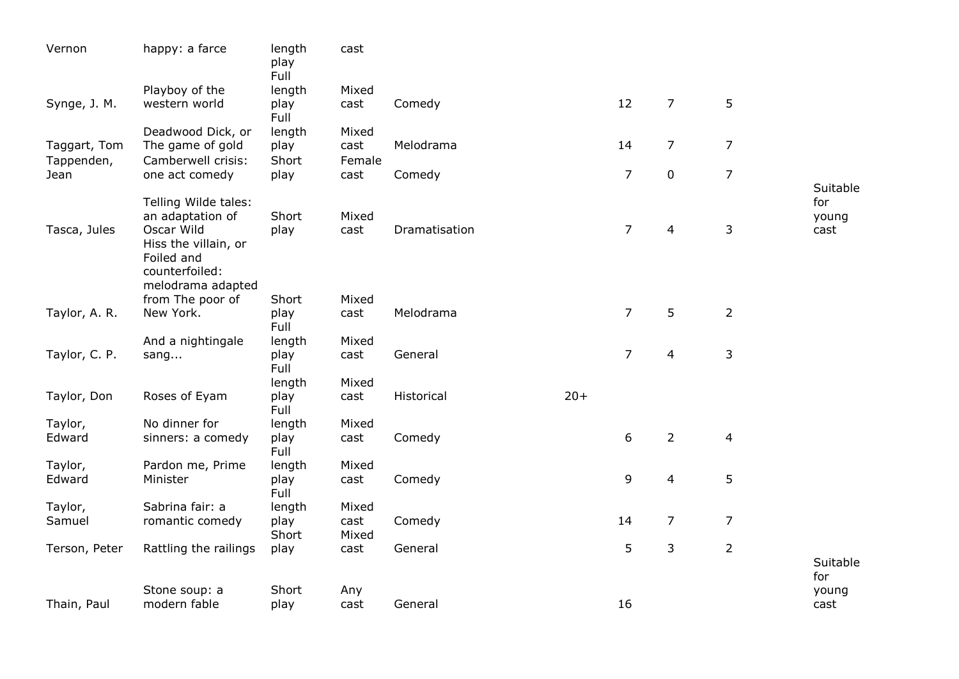| Vernon        | happy: a farce                                                            | length<br>play<br>Full | cast          |               |       |                |                |                |                      |
|---------------|---------------------------------------------------------------------------|------------------------|---------------|---------------|-------|----------------|----------------|----------------|----------------------|
|               | Playboy of the                                                            | length                 | Mixed         |               |       |                |                |                |                      |
| Synge, J. M.  | western world                                                             | play<br>Full           | cast          | Comedy        |       | 12             | $\overline{7}$ | 5              |                      |
| Taggart, Tom  | Deadwood Dick, or<br>The game of gold                                     | length<br>play         | Mixed<br>cast | Melodrama     |       | 14             | $\overline{7}$ | $\overline{7}$ |                      |
| Tappenden,    | Camberwell crisis:                                                        | Short                  | Female        |               |       |                |                |                |                      |
| Jean          | one act comedy                                                            | play                   | cast          | Comedy        |       | $\overline{7}$ | $\pmb{0}$      | $\overline{7}$ | Suitable             |
| Tasca, Jules  | Telling Wilde tales:<br>an adaptation of<br>Oscar Wild                    | Short<br>play          | Mixed<br>cast | Dramatisation |       | $\overline{7}$ | 4              | $\mathsf 3$    | for<br>young<br>cast |
|               | Hiss the villain, or<br>Foiled and<br>counterfoiled:<br>melodrama adapted |                        |               |               |       |                |                |                |                      |
|               | from The poor of                                                          | Short                  | Mixed         |               |       |                |                |                |                      |
| Taylor, A. R. | New York.                                                                 | play<br>Full           | cast          | Melodrama     |       | $\overline{7}$ | 5              | $\overline{2}$ |                      |
|               | And a nightingale                                                         | length                 | Mixed         |               |       |                |                |                |                      |
| Taylor, C. P. | sang                                                                      | play<br>Full           | cast          | General       |       | $\overline{7}$ | 4              | $\mathsf{3}$   |                      |
|               |                                                                           | length                 | Mixed         |               |       |                |                |                |                      |
| Taylor, Don   | Roses of Eyam                                                             | play<br>Full           | cast          | Historical    | $20+$ |                |                |                |                      |
| Taylor,       | No dinner for                                                             | length                 | Mixed         |               |       |                |                |                |                      |
| Edward        | sinners: a comedy                                                         | play<br>Full           | cast          | Comedy        |       | 6              | $\overline{2}$ | 4              |                      |
| Taylor,       | Pardon me, Prime                                                          | length                 | Mixed         |               |       |                |                |                |                      |
| Edward        | Minister                                                                  | play<br>Full           | cast          | Comedy        |       | 9              | 4              | 5              |                      |
| Taylor,       | Sabrina fair: a                                                           | length                 | Mixed         |               |       |                |                |                |                      |
| Samuel        | romantic comedy                                                           | play<br>Short          | cast<br>Mixed | Comedy        |       | 14             | $\overline{7}$ | $\overline{7}$ |                      |
| Terson, Peter | Rattling the railings                                                     | play                   | cast          | General       |       | 5              | 3              | $\overline{2}$ |                      |
|               |                                                                           |                        |               |               |       |                |                |                | Suitable<br>for      |
|               | Stone soup: a                                                             | Short                  | Any           |               |       |                |                |                | young                |
| Thain, Paul   | modern fable                                                              | play                   | cast          | General       |       | 16             |                |                | cast                 |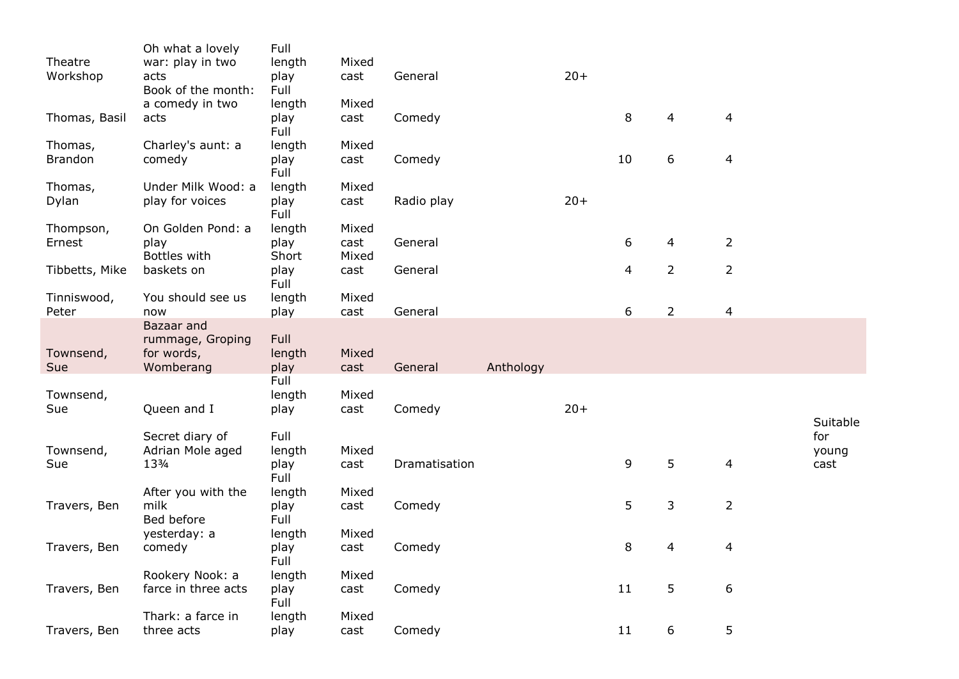|                     | Oh what a lovely                | Full           |               |               |           |       |    |                |                |          |
|---------------------|---------------------------------|----------------|---------------|---------------|-----------|-------|----|----------------|----------------|----------|
| Theatre<br>Workshop | war: play in two<br>acts        | length<br>play | Mixed<br>cast | General       |           | $20+$ |    |                |                |          |
|                     | Book of the month:              | Full           |               |               |           |       |    |                |                |          |
|                     | a comedy in two                 | length         | Mixed         |               |           |       |    |                |                |          |
| Thomas, Basil       | acts                            | play           | cast          | Comedy        |           |       | 8  | 4              | 4              |          |
|                     |                                 | Full           |               |               |           |       |    |                |                |          |
| Thomas,             | Charley's aunt: a               | length         | Mixed         |               |           |       |    |                |                |          |
| <b>Brandon</b>      | comedy                          | play<br>Full   | cast          | Comedy        |           |       | 10 | 6              | $\overline{4}$ |          |
| Thomas,             | Under Milk Wood: a              | length         | Mixed         |               |           |       |    |                |                |          |
| Dylan               | play for voices                 | play           | cast          | Radio play    |           | $20+$ |    |                |                |          |
|                     |                                 | Full           |               |               |           |       |    |                |                |          |
| Thompson,           | On Golden Pond: a               | length         | Mixed         |               |           |       |    |                |                |          |
| Ernest              | play                            | play           | cast          | General       |           |       | 6  | 4              | $\overline{2}$ |          |
|                     | Bottles with                    | Short          | Mixed         |               |           |       |    |                |                |          |
| Tibbetts, Mike      | baskets on                      | play<br>Full   | cast          | General       |           |       | 4  | $\overline{2}$ | 2              |          |
| Tinniswood,         | You should see us               | length         | Mixed         |               |           |       |    |                |                |          |
| Peter               | now                             | play           | cast          | General       |           |       | 6  | $\overline{2}$ | 4              |          |
|                     | Bazaar and                      |                |               |               |           |       |    |                |                |          |
|                     | rummage, Groping                | Full           |               |               |           |       |    |                |                |          |
| Townsend,           | for words,                      | length         | Mixed         |               |           |       |    |                |                |          |
| Sue                 | Womberang                       | play           | cast          | General       | Anthology |       |    |                |                |          |
|                     |                                 | Full           |               |               |           |       |    |                |                |          |
| Townsend,<br>Sue    | Queen and I                     | length<br>play | Mixed<br>cast | Comedy        |           | $20+$ |    |                |                |          |
|                     |                                 |                |               |               |           |       |    |                |                | Suitable |
|                     | Secret diary of                 | Full           |               |               |           |       |    |                |                | for      |
| Townsend,           | Adrian Mole aged                | length         | Mixed         |               |           |       |    |                |                | young    |
| Sue                 | 133/4                           | play           | cast          | Dramatisation |           |       | 9  | 5              | 4              | cast     |
|                     |                                 | Full           |               |               |           |       |    |                |                |          |
|                     | After you with the<br>milk      | length         | Mixed         |               |           |       |    |                |                |          |
| Travers, Ben        | Bed before                      | play<br>Full   | cast          | Comedy        |           |       | 5  | 3              | $\overline{2}$ |          |
|                     | yesterday: a                    | length         | Mixed         |               |           |       |    |                |                |          |
| Travers, Ben        | comedy                          | play           | cast          | Comedy        |           |       | 8  | 4              | 4              |          |
|                     |                                 | Full           |               |               |           |       |    |                |                |          |
|                     | Rookery Nook: a                 | length         | Mixed         |               |           |       |    |                |                |          |
| Travers, Ben        | farce in three acts             | play           | cast          | Comedy        |           |       | 11 | 5              | 6              |          |
|                     |                                 | Full           |               |               |           |       |    |                |                |          |
| Travers, Ben        | Thark: a farce in<br>three acts | length<br>play | Mixed<br>cast | Comedy        |           |       | 11 | 6              | 5              |          |
|                     |                                 |                |               |               |           |       |    |                |                |          |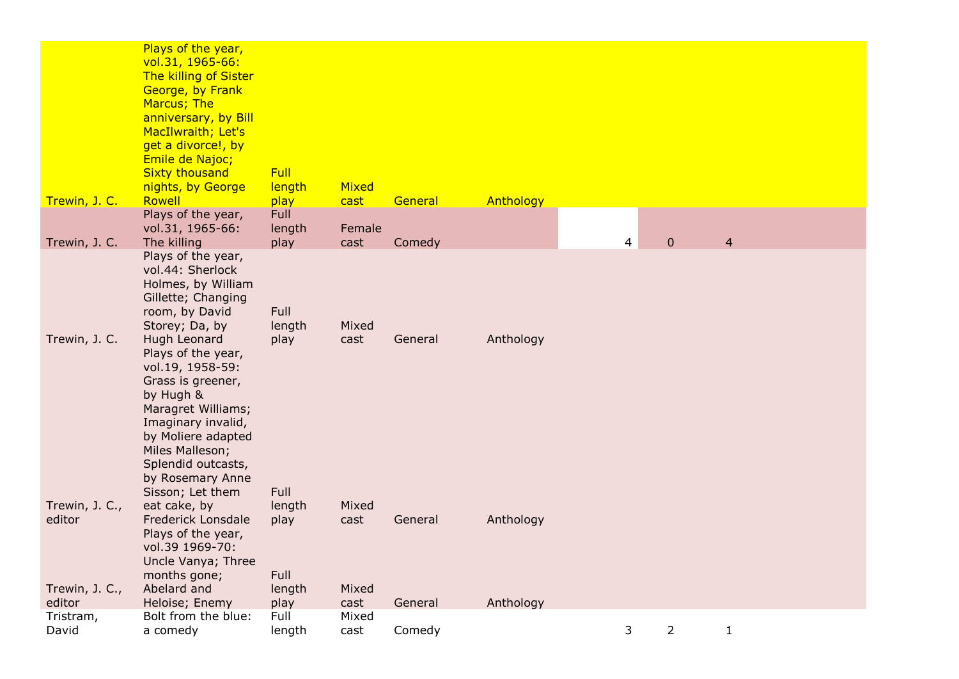| Trewin, J. C.                              | Plays of the year,<br>vol.31, 1965-66:<br>The killing of Sister<br>George, by Frank<br>Marcus; The<br>anniversary, by Bill<br>MacIlwraith; Let's<br>get a divorce!, by<br>Emile de Najoc;<br><b>Sixty thousand</b><br>nights, by George<br>Rowell                                                                                                                     | <b>Full</b><br>length<br>play    | <b>Mixed</b><br>cast   | General | Anthology |   |                |                |  |
|--------------------------------------------|-----------------------------------------------------------------------------------------------------------------------------------------------------------------------------------------------------------------------------------------------------------------------------------------------------------------------------------------------------------------------|----------------------------------|------------------------|---------|-----------|---|----------------|----------------|--|
|                                            | Plays of the year,                                                                                                                                                                                                                                                                                                                                                    | Full                             |                        |         |           |   |                |                |  |
|                                            | vol.31, 1965-66:                                                                                                                                                                                                                                                                                                                                                      | length                           | Female                 |         |           |   |                |                |  |
| Trewin, J. C.                              | The killing                                                                                                                                                                                                                                                                                                                                                           | play                             | cast                   | Comedy  |           | 4 | $\mathbf 0$    | $\overline{4}$ |  |
| Trewin, J. C.                              | Plays of the year,<br>vol.44: Sherlock<br>Holmes, by William<br>Gillette; Changing<br>room, by David<br>Storey; Da, by<br>Hugh Leonard<br>Plays of the year,<br>vol.19, 1958-59:<br>Grass is greener,<br>by Hugh &<br>Maragret Williams;<br>Imaginary invalid,<br>by Moliere adapted<br>Miles Malleson;<br>Splendid outcasts,<br>by Rosemary Anne<br>Sisson; Let them | Full<br>length<br>play<br>Full   | Mixed<br>cast          | General | Anthology |   |                |                |  |
| Trewin, J. C.,<br>editor<br>Trewin, J. C., | eat cake, by<br><b>Frederick Lonsdale</b><br>Plays of the year,<br>vol.39 1969-70:<br>Uncle Vanya; Three<br>months gone;<br>Abelard and                                                                                                                                                                                                                               | length<br>play<br>Full<br>length | Mixed<br>cast<br>Mixed | General | Anthology |   |                |                |  |
| editor                                     | Heloise; Enemy                                                                                                                                                                                                                                                                                                                                                        | play                             | cast                   | General | Anthology |   |                |                |  |
| Tristram,<br>David                         | Bolt from the blue:<br>a comedy                                                                                                                                                                                                                                                                                                                                       | Full<br>length                   | Mixed<br>cast          | Comedy  |           | 3 | $\overline{2}$ | 1              |  |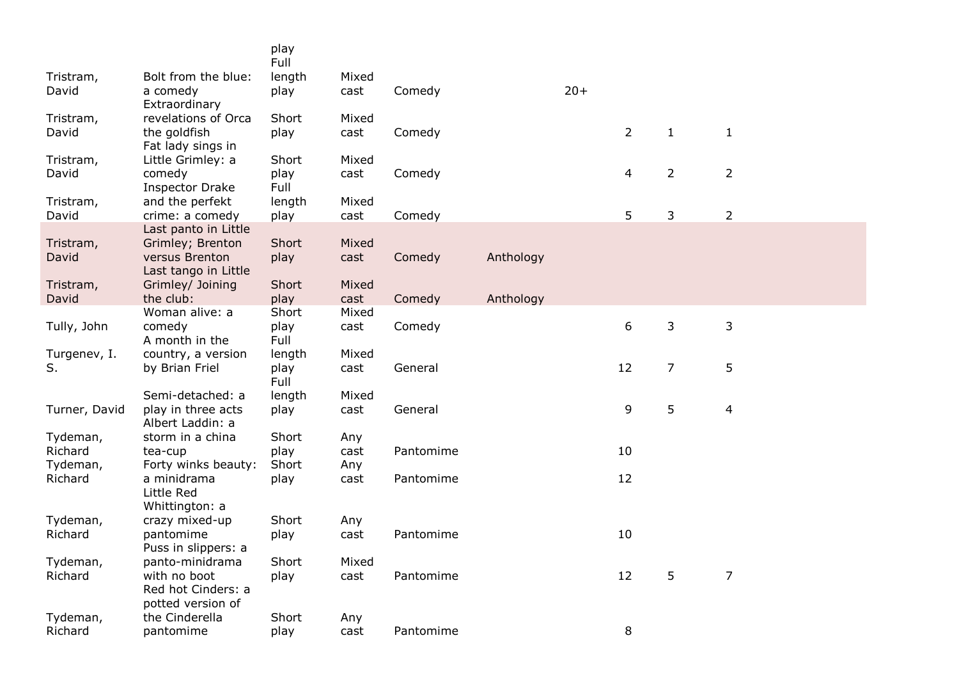|                     |                                           | play<br>Full  |               |           |           |       |                |                |                |
|---------------------|-------------------------------------------|---------------|---------------|-----------|-----------|-------|----------------|----------------|----------------|
| Tristram,           | Bolt from the blue:                       | length        | Mixed         |           |           |       |                |                |                |
| David               | a comedy                                  | play          | cast          | Comedy    |           | $20+$ |                |                |                |
|                     | Extraordinary                             |               |               |           |           |       |                |                |                |
| Tristram,           | revelations of Orca                       | Short         | Mixed         |           |           |       |                |                |                |
| David               | the goldfish                              | play          | cast          | Comedy    |           |       | $\overline{2}$ | $\mathbf{1}$   | $\mathbf{1}$   |
|                     | Fat lady sings in                         |               |               |           |           |       |                |                |                |
| Tristram,           | Little Grimley: a                         | Short         | Mixed         |           |           |       |                |                |                |
| David               | comedy                                    | play<br>Full  | cast          | Comedy    |           |       | 4              | $\overline{2}$ | $\overline{2}$ |
| Tristram,           | <b>Inspector Drake</b><br>and the perfekt | length        | Mixed         |           |           |       |                |                |                |
| David               | crime: a comedy                           | play          | cast          | Comedy    |           |       | 5              | 3              | $\overline{2}$ |
|                     | Last panto in Little                      |               |               |           |           |       |                |                |                |
| Tristram,           | Grimley; Brenton                          | Short         | Mixed         |           |           |       |                |                |                |
| David               | versus Brenton                            | play          | cast          | Comedy    | Anthology |       |                |                |                |
|                     | Last tango in Little                      |               |               |           |           |       |                |                |                |
| Tristram,           | Grimley/ Joining                          | Short         | Mixed         |           |           |       |                |                |                |
| David               | the club:<br>Woman alive: a               | play<br>Short | cast<br>Mixed | Comedy    | Anthology |       |                |                |                |
| Tully, John         | comedy                                    | play          | cast          | Comedy    |           |       | 6              | 3              | $\mathsf{3}$   |
|                     | A month in the                            | Full          |               |           |           |       |                |                |                |
| Turgenev, I.        | country, a version                        | length        | Mixed         |           |           |       |                |                |                |
| S.                  | by Brian Friel                            | play          | cast          | General   |           |       | 12             | $\overline{7}$ | 5              |
|                     |                                           | Full          |               |           |           |       |                |                |                |
|                     | Semi-detached: a                          | length        | Mixed         |           |           |       |                |                |                |
| Turner, David       | play in three acts                        | play          | cast          | General   |           |       | 9              | 5              | $\overline{4}$ |
|                     | Albert Laddin: a<br>storm in a china      | Short         |               |           |           |       |                |                |                |
| Tydeman,<br>Richard | tea-cup                                   | play          | Any<br>cast   | Pantomime |           |       | 10             |                |                |
| Tydeman,            | Forty winks beauty:                       | Short         | Any           |           |           |       |                |                |                |
| Richard             | a minidrama                               | play          | cast          | Pantomime |           |       | 12             |                |                |
|                     | Little Red                                |               |               |           |           |       |                |                |                |
|                     | Whittington: a                            |               |               |           |           |       |                |                |                |
| Tydeman,            | crazy mixed-up                            | Short         | Any           |           |           |       |                |                |                |
| Richard             | pantomime                                 | play          | cast          | Pantomime |           |       | 10             |                |                |
|                     | Puss in slippers: a                       | Short         |               |           |           |       |                |                |                |
| Tydeman,<br>Richard | panto-minidrama<br>with no boot           | play          | Mixed<br>cast | Pantomime |           |       | 12             | 5              | $\overline{7}$ |
|                     | Red hot Cinders: a                        |               |               |           |           |       |                |                |                |
|                     | potted version of                         |               |               |           |           |       |                |                |                |
| Tydeman,            | the Cinderella                            | Short         | Any           |           |           |       |                |                |                |
| Richard             | pantomime                                 | play          | cast          | Pantomime |           |       | 8              |                |                |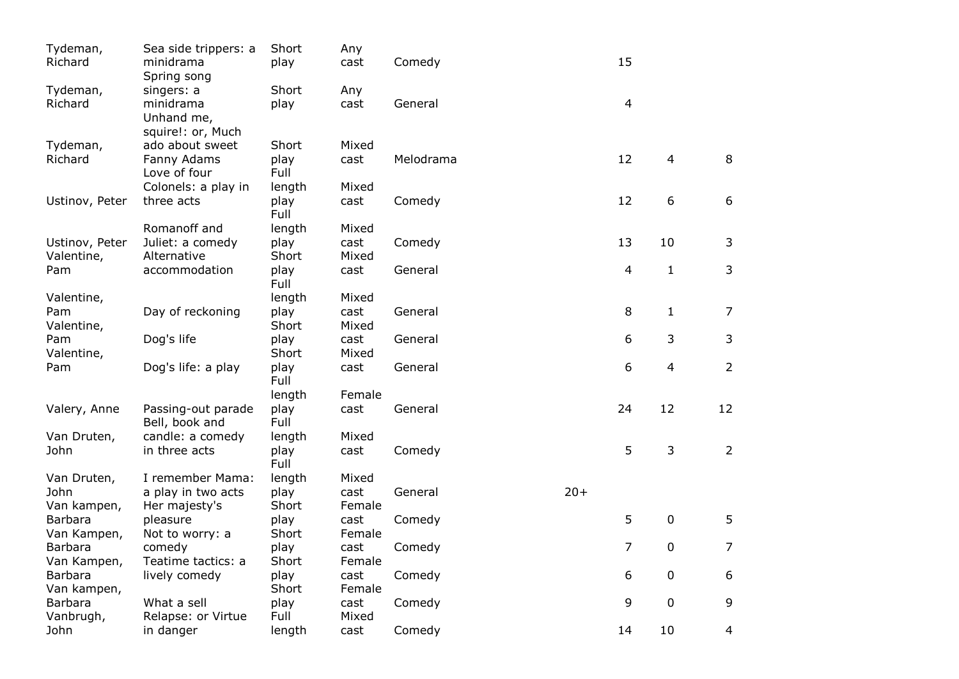| Tydeman,<br>Richard  | Sea side trippers: a<br>minidrama    | Short<br>play | Any<br>cast   | Comedy    |       | 15             |              |                |
|----------------------|--------------------------------------|---------------|---------------|-----------|-------|----------------|--------------|----------------|
|                      | Spring song                          |               |               |           |       |                |              |                |
| Tydeman,             | singers: a                           | Short         | Any           |           |       |                |              |                |
| Richard              | minidrama<br>Unhand me,              | play          | cast          | General   |       | $\overline{4}$ |              |                |
|                      | squire!: or, Much                    |               |               |           |       |                |              |                |
| Tydeman,             | ado about sweet                      | Short         | Mixed         |           |       |                |              |                |
| Richard              | Fanny Adams                          | play          | cast          | Melodrama |       | 12             | 4            | 8              |
|                      | Love of four                         | Full          |               |           |       |                |              |                |
|                      | Colonels: a play in                  | length        | Mixed         |           |       |                |              |                |
| Ustinov, Peter       | three acts                           | play<br>Full  | cast          | Comedy    |       | 12             | 6            | 6              |
|                      | Romanoff and                         | length        | Mixed         |           |       |                |              |                |
| Ustinov, Peter       | Juliet: a comedy                     | play          | cast          | Comedy    |       | 13             | 10           | 3              |
| Valentine,           | Alternative                          | Short         | Mixed         |           |       |                |              |                |
| Pam                  | accommodation                        | play<br>Full  | cast          | General   |       | 4              | $\mathbf{1}$ | 3              |
| Valentine,           |                                      | length        | Mixed         |           |       |                |              |                |
| Pam                  | Day of reckoning                     | play          | cast          | General   |       | 8              | $\mathbf{1}$ | $\overline{7}$ |
| Valentine,           |                                      | Short         | Mixed         |           |       |                |              |                |
| Pam                  | Dog's life                           | play          | cast          | General   |       | 6              | 3            | 3              |
| Valentine,           |                                      | Short         | Mixed         |           |       |                |              |                |
| Pam                  | Dog's life: a play                   | play<br>Full  | cast          | General   |       | 6              | 4            | $\overline{2}$ |
|                      |                                      | length        | Female        |           |       |                |              |                |
| Valery, Anne         | Passing-out parade<br>Bell, book and | play<br>Full  | cast          | General   |       | 24             | 12           | 12             |
| Van Druten,          | candle: a comedy                     | length        | Mixed         |           |       |                |              |                |
| John                 | in three acts                        | play<br>Full  | cast          | Comedy    |       | 5              | 3            | $\overline{2}$ |
| Van Druten,          | I remember Mama:                     | length        | Mixed         |           |       |                |              |                |
| John                 | a play in two acts                   | play          | cast          | General   | $20+$ |                |              |                |
| Van kampen,          | Her majesty's                        | Short         | Female        |           |       |                |              |                |
| Barbara              | pleasure                             | play          | cast          | Comedy    |       | 5              | $\pmb{0}$    | 5              |
| Van Kampen,          | Not to worry: a                      | Short         | Female        |           |       |                |              |                |
| <b>Barbara</b>       | comedy                               | play          | cast          | Comedy    |       | 7              | 0            | 7              |
| Van Kampen,          | Teatime tactics: a                   | Short         | Female        |           |       |                |              |                |
| Barbara              | lively comedy                        | play          | cast          | Comedy    |       | 6              | 0            | 6              |
| Van kampen,          |                                      | Short         | Female        |           |       |                |              |                |
| Barbara<br>Vanbrugh, | What a sell<br>Relapse: or Virtue    | play<br>Full  | cast<br>Mixed | Comedy    |       | 9              | $\mathbf 0$  | 9              |
| John                 | in danger                            | length        | cast          | Comedy    |       | 14             | 10           | 4              |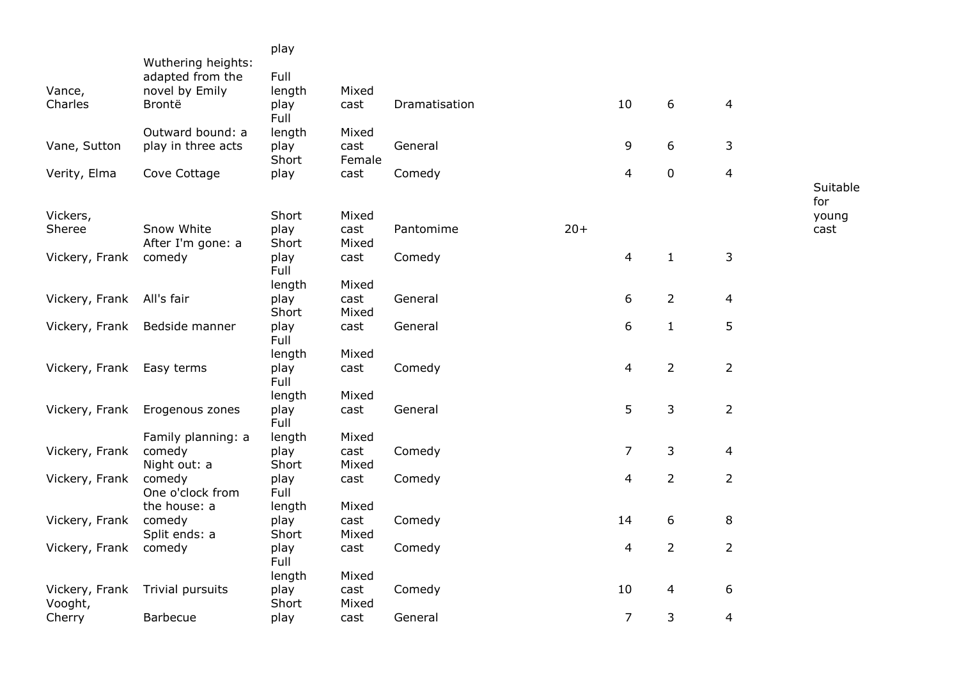|                           |                                                          | play           |                |               |       |                          |                |                |              |
|---------------------------|----------------------------------------------------------|----------------|----------------|---------------|-------|--------------------------|----------------|----------------|--------------|
| Vance,                    | Wuthering heights:<br>adapted from the<br>novel by Emily | Full<br>length | Mixed          |               |       |                          |                |                |              |
| Charles                   | Brontë                                                   | play<br>Full   | cast           | Dramatisation |       | 10                       | 6              | $\overline{4}$ |              |
|                           | Outward bound: a                                         | length         | Mixed          |               |       |                          |                |                |              |
| Vane, Sutton              | play in three acts                                       | play<br>Short  | cast<br>Female | General       |       | 9                        | 6              | 3              |              |
| Verity, Elma              | Cove Cottage                                             | play           | cast           | Comedy        |       | 4                        | $\pmb{0}$      | $\overline{4}$ |              |
|                           |                                                          |                |                |               |       |                          |                |                | Suitable     |
| Vickers,                  |                                                          | Short          | Mixed          |               |       |                          |                |                | for<br>young |
| Sheree                    | Snow White                                               | play           | cast           | Pantomime     | $20+$ |                          |                |                | cast         |
|                           | After I'm gone: a                                        | Short          | Mixed          |               |       |                          |                |                |              |
| Vickery, Frank            | comedy                                                   | play<br>Full   | cast           | Comedy        |       | $\overline{4}$           | $\mathbf{1}$   | 3              |              |
|                           |                                                          | length         | Mixed          |               |       |                          |                |                |              |
| Vickery, Frank            | All's fair                                               | play           | cast           | General       |       | 6                        | $\overline{2}$ | $\overline{4}$ |              |
|                           |                                                          | Short          | Mixed          |               |       |                          |                |                |              |
| Vickery, Frank            | Bedside manner                                           | play<br>Full   | cast           | General       |       | 6                        | $\mathbf{1}$   | 5              |              |
|                           |                                                          | length         | Mixed          |               |       |                          |                |                |              |
| Vickery, Frank            | Easy terms                                               | play<br>Full   | cast           | Comedy        |       | 4                        | $\overline{2}$ | $\overline{2}$ |              |
|                           |                                                          | length         | Mixed          |               |       |                          |                |                |              |
| Vickery, Frank            | Erogenous zones                                          | play<br>Full   | cast           | General       |       | 5                        | 3              | $\overline{2}$ |              |
|                           | Family planning: a                                       | length         | Mixed          |               |       |                          |                |                |              |
| Vickery, Frank            | comedy                                                   | play           | cast           | Comedy        |       | $\overline{7}$           | 3              | $\overline{4}$ |              |
|                           | Night out: a                                             | Short          | Mixed          |               |       |                          |                |                |              |
| Vickery, Frank            | comedy<br>One o'clock from                               | play<br>Full   | cast           | Comedy        |       | 4                        | $\overline{2}$ | $\overline{2}$ |              |
|                           | the house: a                                             | length         | Mixed          |               |       |                          |                |                |              |
| Vickery, Frank            | comedy                                                   | play           | cast           | Comedy        |       | 14                       | 6              | 8              |              |
|                           | Split ends: a                                            | Short          | Mixed          |               |       |                          |                |                |              |
| Vickery, Frank            | comedy                                                   | play<br>Full   | cast           | Comedy        |       | $\overline{\mathcal{L}}$ | $\overline{2}$ | $\overline{2}$ |              |
|                           |                                                          | length         | Mixed          |               |       |                          |                |                |              |
| Vickery, Frank<br>Vooght, | Trivial pursuits                                         | play<br>Short  | cast<br>Mixed  | Comedy        |       | 10                       | 4              | 6              |              |
| Cherry                    | <b>Barbecue</b>                                          | play           | cast           | General       |       | $\overline{7}$           | 3              | $\overline{4}$ |              |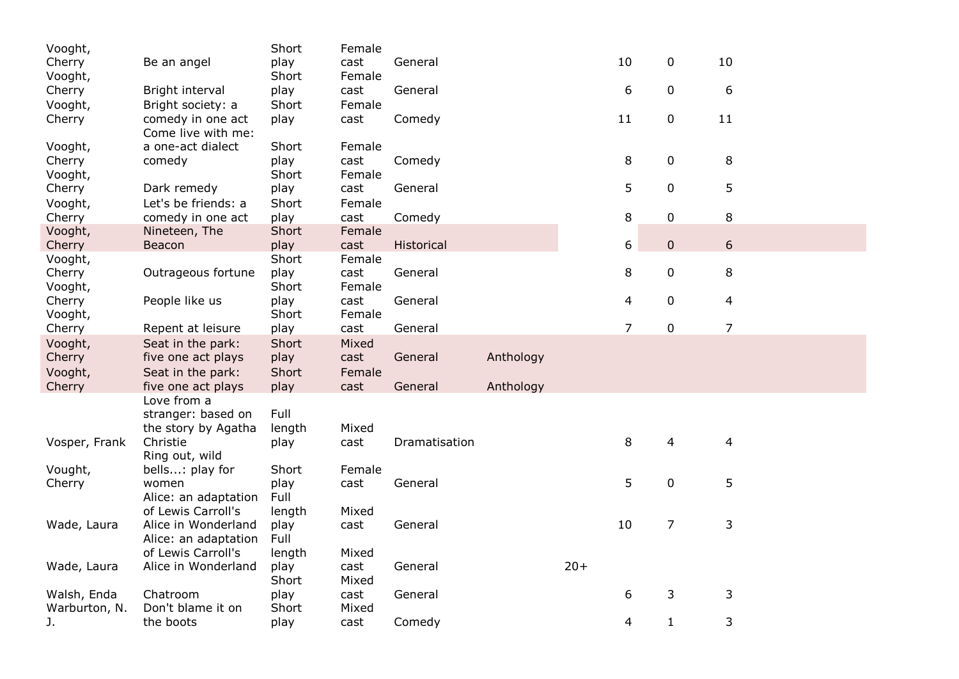| Vooght,       |                                                          | Short          | Female |               |           |       |                |                |                |
|---------------|----------------------------------------------------------|----------------|--------|---------------|-----------|-------|----------------|----------------|----------------|
| Cherry        | Be an angel                                              | play           | cast   | General       |           |       | 10             | 0              | 10             |
| Vooght,       |                                                          | Short          | Female |               |           |       |                |                |                |
| Cherry        | Bright interval                                          | play           | cast   | General       |           |       | 6              | $\mathbf 0$    | 6              |
| Vooght,       | Bright society: a                                        | Short          | Female |               |           |       |                |                |                |
| Cherry        | comedy in one act<br>Come live with me:                  | play           | cast   | Comedy        |           |       | 11             | 0              | 11             |
| Vooght,       | a one-act dialect                                        | Short          | Female |               |           |       |                |                |                |
| Cherry        | comedy                                                   | play           | cast   | Comedy        |           |       | 8              | 0              | 8              |
| Vooght,       |                                                          | Short          | Female |               |           |       |                |                |                |
| Cherry        | Dark remedy                                              | play           | cast   | General       |           |       | 5              | $\mathbf 0$    | 5              |
| Vooght,       | Let's be friends: a                                      | Short          | Female |               |           |       |                |                |                |
| Cherry        | comedy in one act                                        | play           | cast   | Comedy        |           |       | 8              | $\mathbf 0$    | 8              |
| Vooght,       | Nineteen, The                                            | Short          | Female |               |           |       |                |                |                |
| Cherry        | Beacon                                                   | play           | cast   | Historical    |           |       | 6              | $\mathbf 0$    | 6              |
| Vooght,       |                                                          | Short          | Female |               |           |       |                |                |                |
| Cherry        | Outrageous fortune                                       | play           | cast   | General       |           |       | 8              | $\mathbf 0$    | 8              |
| Vooght,       |                                                          | Short          | Female |               |           |       |                |                |                |
| Cherry        | People like us                                           | play           | cast   | General       |           |       | 4              | $\mathbf 0$    | $\overline{4}$ |
| Vooght,       |                                                          | Short          | Female |               |           |       |                |                |                |
| Cherry        | Repent at leisure                                        | play           | cast   | General       |           |       | $\overline{7}$ | $\mathbf 0$    | 7              |
| Vooght,       | Seat in the park:                                        | Short          | Mixed  |               |           |       |                |                |                |
| Cherry        | five one act plays                                       | play           | cast   | General       | Anthology |       |                |                |                |
| Vooght,       | Seat in the park:                                        | Short          | Female |               |           |       |                |                |                |
| Cherry        | five one act plays                                       | play           | cast   | General       | Anthology |       |                |                |                |
|               | Love from a<br>stranger: based on<br>the story by Agatha | Full<br>length | Mixed  |               |           |       |                |                |                |
| Vosper, Frank | Christie                                                 | play           | cast   | Dramatisation |           |       | 8              | 4              | $\overline{4}$ |
|               | Ring out, wild                                           |                |        |               |           |       |                |                |                |
| Vought,       | bells: play for                                          | Short          | Female |               |           |       |                |                |                |
| Cherry        | women                                                    | play           | cast   | General       |           |       | 5              | $\mathbf 0$    | 5              |
|               | Alice: an adaptation                                     | Full           |        |               |           |       |                |                |                |
|               | of Lewis Carroll's                                       | length         | Mixed  |               |           |       |                |                |                |
| Wade, Laura   | Alice in Wonderland                                      | play           | cast   | General       |           |       | 10             | $\overline{7}$ | 3              |
|               | Alice: an adaptation                                     | Full           |        |               |           |       |                |                |                |
|               | of Lewis Carroll's                                       | length         | Mixed  |               |           |       |                |                |                |
| Wade, Laura   | Alice in Wonderland                                      | play           | cast   | General       |           | $20+$ |                |                |                |
|               |                                                          | Short          | Mixed  |               |           |       |                |                |                |
| Walsh, Enda   | Chatroom                                                 | play           | cast   | General       |           |       | 6              | 3              | 3              |
| Warburton, N. | Don't blame it on                                        | Short          | Mixed  |               |           |       |                |                |                |
| J.            | the boots                                                | play           | cast   | Comedy        |           |       | 4              | $\mathbf{1}$   | 3              |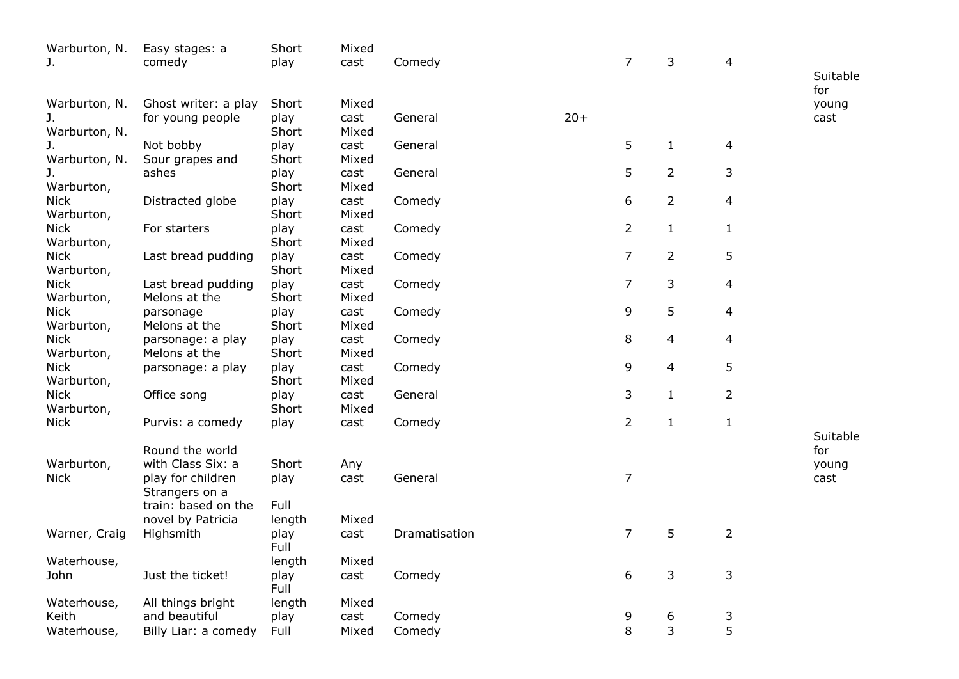| Warburton, N. | Easy stages: a       | Short        | Mixed |               |       |                |                |                          |                 |
|---------------|----------------------|--------------|-------|---------------|-------|----------------|----------------|--------------------------|-----------------|
| J.            | comedy               | play         | cast  | Comedy        |       | 7              | 3              | 4                        |                 |
|               |                      |              |       |               |       |                |                |                          | Suitable<br>for |
| Warburton, N. | Ghost writer: a play | Short        | Mixed |               |       |                |                |                          | young           |
| J.            | for young people     | play         | cast  | General       | $20+$ |                |                |                          | cast            |
| Warburton, N. |                      | Short        | Mixed |               |       |                |                |                          |                 |
| J.            | Not bobby            | play         | cast  | General       |       | 5              | $\mathbf{1}$   | $\overline{a}$           |                 |
| Warburton, N. | Sour grapes and      | Short        | Mixed |               |       |                |                |                          |                 |
| J.            | ashes                | play         | cast  | General       |       | 5              | $\overline{2}$ | 3                        |                 |
| Warburton,    |                      | Short        | Mixed |               |       |                |                |                          |                 |
| <b>Nick</b>   | Distracted globe     | play         | cast  | Comedy        |       | 6              | $\overline{2}$ | $\overline{4}$           |                 |
| Warburton,    |                      | Short        | Mixed |               |       |                |                |                          |                 |
| <b>Nick</b>   | For starters         | play         | cast  | Comedy        |       | $\overline{2}$ | $\mathbf{1}$   | $\mathbf{1}$             |                 |
| Warburton,    |                      | Short        | Mixed |               |       |                |                |                          |                 |
| <b>Nick</b>   | Last bread pudding   | play         | cast  | Comedy        |       | 7              | $\overline{2}$ | 5                        |                 |
| Warburton,    |                      | Short        | Mixed |               |       |                |                |                          |                 |
| <b>Nick</b>   | Last bread pudding   | play         | cast  | Comedy        |       | $\overline{7}$ | 3              | 4                        |                 |
| Warburton,    | Melons at the        | Short        | Mixed |               |       |                |                |                          |                 |
| <b>Nick</b>   | parsonage            | play         | cast  | Comedy        |       | 9              | 5              | $\overline{\mathcal{L}}$ |                 |
| Warburton,    | Melons at the        | Short        | Mixed |               |       |                |                |                          |                 |
| <b>Nick</b>   | parsonage: a play    | play         | cast  | Comedy        |       | 8              | $\overline{4}$ | 4                        |                 |
| Warburton,    | Melons at the        | Short        | Mixed |               |       |                |                |                          |                 |
| <b>Nick</b>   | parsonage: a play    | play         | cast  | Comedy        |       | 9              | $\overline{4}$ | 5                        |                 |
| Warburton,    |                      | Short        | Mixed |               |       |                |                |                          |                 |
| <b>Nick</b>   | Office song          | play         | cast  | General       |       | 3              | $\mathbf{1}$   | $\overline{2}$           |                 |
| Warburton,    |                      | Short        | Mixed |               |       |                |                |                          |                 |
| <b>Nick</b>   | Purvis: a comedy     | play         | cast  | Comedy        |       | $\overline{2}$ | $\mathbf 1$    | $\mathbf{1}$             |                 |
|               |                      |              |       |               |       |                |                |                          | Suitable        |
|               | Round the world      |              |       |               |       |                |                |                          | for             |
| Warburton,    | with Class Six: a    | Short        | Any   |               |       |                |                |                          | young           |
| <b>Nick</b>   | play for children    | play         | cast  | General       |       | $\overline{7}$ |                |                          | cast            |
|               | Strangers on a       |              |       |               |       |                |                |                          |                 |
|               | train: based on the  | Full         |       |               |       |                |                |                          |                 |
|               | novel by Patricia    | length       | Mixed |               |       |                |                |                          |                 |
| Warner, Craig | Highsmith            | play         | cast  | Dramatisation |       | $\overline{7}$ | 5              | $\overline{2}$           |                 |
|               |                      | Full         |       |               |       |                |                |                          |                 |
| Waterhouse,   |                      | length       | Mixed |               |       | 6              |                |                          |                 |
| John          | Just the ticket!     | play<br>Full | cast  | Comedy        |       |                | $\mathsf 3$    | 3                        |                 |
| Waterhouse,   | All things bright    | length       | Mixed |               |       |                |                |                          |                 |
| Keith         | and beautiful        | play         | cast  | Comedy        |       | 9              | 6              | 3                        |                 |
| Waterhouse,   | Billy Liar: a comedy | Full         | Mixed | Comedy        |       | 8              | 3              | 5                        |                 |
|               |                      |              |       |               |       |                |                |                          |                 |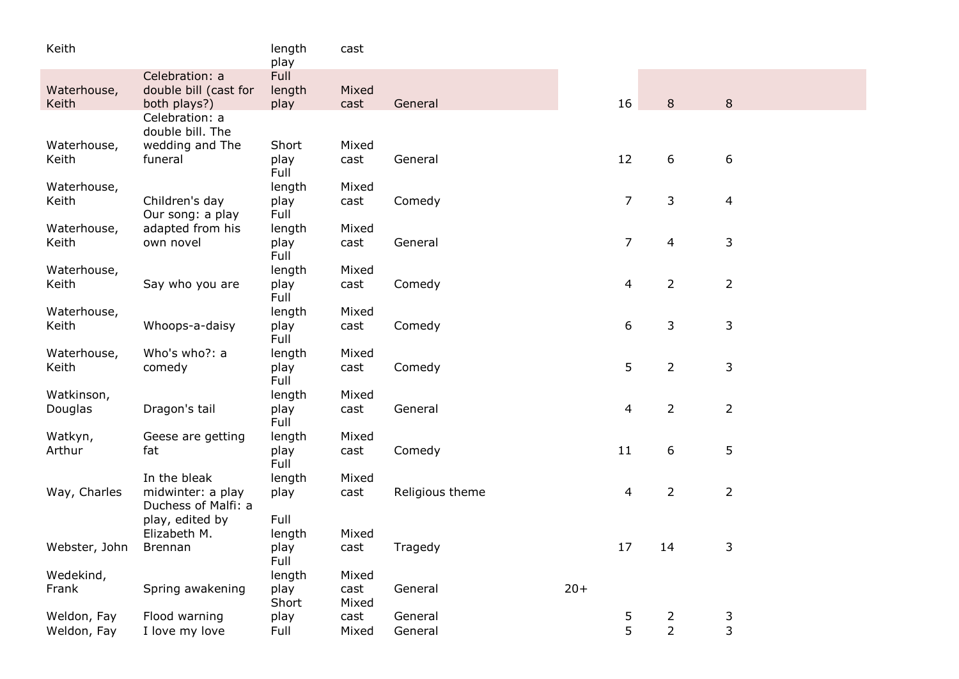| Keith         |                                          | length<br>play | cast          |                 |       |                  |                |                |  |
|---------------|------------------------------------------|----------------|---------------|-----------------|-------|------------------|----------------|----------------|--|
| Waterhouse,   | Celebration: a<br>double bill (cast for  | Full<br>length | Mixed         |                 |       |                  |                |                |  |
| Keith         | both plays?)<br>Celebration: a           | play           | cast          | General         |       | 16               | 8              | 8              |  |
|               | double bill. The                         |                |               |                 |       |                  |                |                |  |
| Waterhouse,   | wedding and The                          | Short          | Mixed         |                 |       | 12               |                |                |  |
| Keith         | funeral                                  | play<br>Full   | cast          | General         |       |                  | 6              | 6              |  |
| Waterhouse,   |                                          | length         | Mixed         |                 |       |                  |                |                |  |
| Keith         | Children's day<br>Our song: a play       | play<br>Full   | cast          | Comedy          |       | $\overline{7}$   | 3              | 4              |  |
| Waterhouse,   | adapted from his                         | length         | Mixed         |                 |       |                  |                |                |  |
| Keith         | own novel                                | play<br>Full   | cast          | General         |       | $\overline{7}$   | $\overline{4}$ | 3              |  |
| Waterhouse,   |                                          | length         | Mixed         |                 |       |                  |                |                |  |
| Keith         | Say who you are                          | play<br>Full   | cast          | Comedy          |       | 4                | $\overline{2}$ | $\overline{2}$ |  |
| Waterhouse,   |                                          | length         | Mixed         |                 |       |                  |                |                |  |
| Keith         | Whoops-a-daisy                           | play<br>Full   | cast          | Comedy          |       | $\boldsymbol{6}$ | 3              | 3              |  |
| Waterhouse,   | Who's who?: a                            | length         | Mixed         |                 |       |                  |                |                |  |
| Keith         | comedy                                   | play<br>Full   | cast          | Comedy          |       | 5                | $\overline{2}$ | 3              |  |
| Watkinson,    |                                          | length         | Mixed         |                 |       |                  |                |                |  |
| Douglas       | Dragon's tail                            | play<br>Full   | cast          | General         |       | 4                | $\overline{2}$ | $\overline{2}$ |  |
| Watkyn,       | Geese are getting                        | length         | Mixed         |                 |       |                  |                |                |  |
| Arthur        | fat                                      | play<br>Full   | cast          | Comedy          |       | 11               | 6              | 5              |  |
| Way, Charles  | In the bleak                             | length         | Mixed         | Religious theme |       | 4                | $\overline{2}$ |                |  |
|               | midwinter: a play<br>Duchess of Malfi: a | play           | cast          |                 |       |                  |                | $\overline{2}$ |  |
|               | play, edited by                          | Full           |               |                 |       |                  |                |                |  |
| Webster, John | Elizabeth M.<br><b>Brennan</b>           | length<br>play | Mixed<br>cast | Tragedy         |       | 17               | 14             | 3              |  |
|               |                                          | Full           |               |                 |       |                  |                |                |  |
| Wedekind,     |                                          | length         | Mixed         |                 |       |                  |                |                |  |
| Frank         | Spring awakening                         | play<br>Short  | cast<br>Mixed | General         | $20+$ |                  |                |                |  |
| Weldon, Fay   | Flood warning                            | play           | cast          | General         |       | 5                | $\overline{2}$ | 3              |  |
| Weldon, Fay   | I love my love                           | Full           | Mixed         | General         |       | 5                | $\overline{2}$ | 3              |  |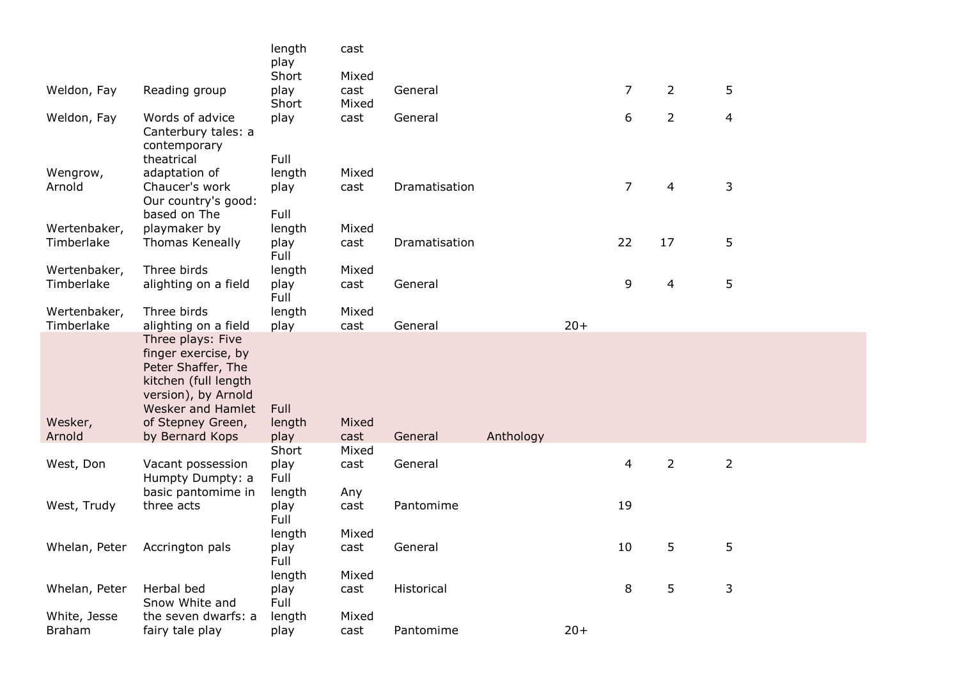|                   |                                                                                                                                                                            | length<br>play         | cast          |               |           |       |                |                |                         |  |
|-------------------|----------------------------------------------------------------------------------------------------------------------------------------------------------------------------|------------------------|---------------|---------------|-----------|-------|----------------|----------------|-------------------------|--|
|                   |                                                                                                                                                                            | Short                  | Mixed         |               |           |       |                |                |                         |  |
| Weldon, Fay       | Reading group                                                                                                                                                              | play                   | cast          | General       |           |       | $\overline{7}$ | $\overline{2}$ | 5                       |  |
|                   |                                                                                                                                                                            | Short                  | Mixed         |               |           |       |                |                |                         |  |
| Weldon, Fay       | Words of advice<br>Canterbury tales: a<br>contemporary                                                                                                                     | play                   | cast          | General       |           |       | 6              | $\overline{2}$ | $\overline{\mathbf{4}}$ |  |
|                   | theatrical                                                                                                                                                                 | Full                   |               |               |           |       |                |                |                         |  |
| Wengrow,          | adaptation of                                                                                                                                                              | length                 | Mixed         |               |           |       |                |                |                         |  |
| Arnold            | Chaucer's work<br>Our country's good:                                                                                                                                      | play                   | cast          | Dramatisation |           |       | $\overline{7}$ | 4              | 3                       |  |
|                   | based on The                                                                                                                                                               | Full                   |               |               |           |       |                |                |                         |  |
| Wertenbaker,      | playmaker by                                                                                                                                                               | length                 | Mixed         |               |           |       |                |                |                         |  |
| Timberlake        | Thomas Keneally                                                                                                                                                            | play<br>Full           | cast          | Dramatisation |           |       | 22             | 17             | 5                       |  |
| Wertenbaker,      | Three birds                                                                                                                                                                | length                 | Mixed         |               |           |       |                |                |                         |  |
| Timberlake        | alighting on a field                                                                                                                                                       | play<br>Full           | cast          | General       |           |       | 9              | 4              | 5                       |  |
| Wertenbaker,      | Three birds                                                                                                                                                                | length                 | Mixed         |               |           |       |                |                |                         |  |
| Timberlake        | alighting on a field                                                                                                                                                       | play                   | cast          | General       |           | $20+$ |                |                |                         |  |
| Wesker,<br>Arnold | Three plays: Five<br>finger exercise, by<br>Peter Shaffer, The<br>kitchen (full length<br>version), by Arnold<br>Wesker and Hamlet<br>of Stepney Green,<br>by Bernard Kops | Full<br>length<br>play | Mixed<br>cast | General       | Anthology |       |                |                |                         |  |
| West, Don         | Vacant possession                                                                                                                                                          | Short<br>play          | Mixed<br>cast | General       |           |       | $\overline{4}$ | $\overline{2}$ | $\overline{2}$          |  |
|                   | Humpty Dumpty: a<br>basic pantomime in                                                                                                                                     | Full<br>length         | Any           |               |           |       |                |                |                         |  |
| West, Trudy       | three acts                                                                                                                                                                 | play<br>Full           | cast          | Pantomime     |           |       | 19             |                |                         |  |
|                   |                                                                                                                                                                            | length                 | Mixed         |               |           |       |                |                |                         |  |
| Whelan, Peter     | Accrington pals                                                                                                                                                            | play<br>Full           | cast          | General       |           |       | 10             | 5              | 5                       |  |
|                   |                                                                                                                                                                            | length                 | Mixed         |               |           |       |                |                |                         |  |
| Whelan, Peter     | Herbal bed<br>Snow White and                                                                                                                                               | play<br>Full           | cast          | Historical    |           |       | 8              | 5              | 3                       |  |
| White, Jesse      | the seven dwarfs: a                                                                                                                                                        | length                 | Mixed         |               |           |       |                |                |                         |  |
| <b>Braham</b>     | fairy tale play                                                                                                                                                            | play                   | cast          | Pantomime     |           | $20+$ |                |                |                         |  |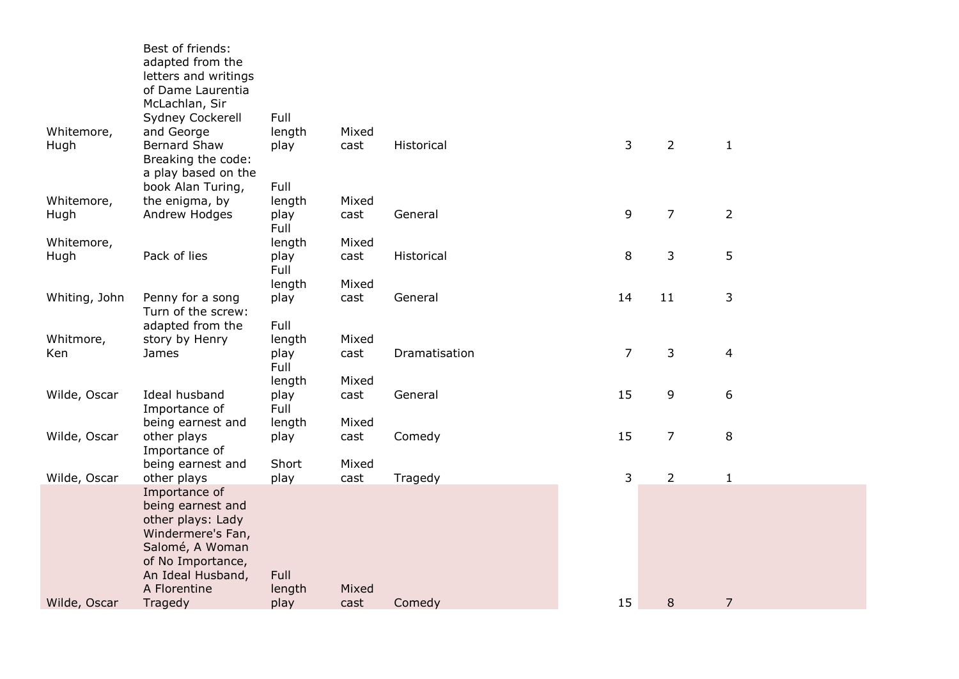| Best of friends:<br>adapted from the<br>letters and writings<br>of Dame Laurentia |                                                                                                                                                                                                                                                                                                                                                                             |                                                                                                   |                                                         |                                                              |                                      |                                     |                                                 |
|-----------------------------------------------------------------------------------|-----------------------------------------------------------------------------------------------------------------------------------------------------------------------------------------------------------------------------------------------------------------------------------------------------------------------------------------------------------------------------|---------------------------------------------------------------------------------------------------|---------------------------------------------------------|--------------------------------------------------------------|--------------------------------------|-------------------------------------|-------------------------------------------------|
|                                                                                   |                                                                                                                                                                                                                                                                                                                                                                             |                                                                                                   |                                                         |                                                              |                                      |                                     |                                                 |
|                                                                                   |                                                                                                                                                                                                                                                                                                                                                                             | Mixed                                                                                             |                                                         |                                                              |                                      |                                     |                                                 |
| <b>Bernard Shaw</b>                                                               | play                                                                                                                                                                                                                                                                                                                                                                        | cast                                                                                              | Historical                                              | 3                                                            | $\overline{2}$                       | $\mathbf{1}$                        |                                                 |
|                                                                                   |                                                                                                                                                                                                                                                                                                                                                                             |                                                                                                   |                                                         |                                                              |                                      |                                     |                                                 |
| book Alan Turing,                                                                 | Full                                                                                                                                                                                                                                                                                                                                                                        |                                                                                                   |                                                         |                                                              |                                      |                                     |                                                 |
| the enigma, by                                                                    | length                                                                                                                                                                                                                                                                                                                                                                      |                                                                                                   |                                                         |                                                              |                                      |                                     |                                                 |
|                                                                                   |                                                                                                                                                                                                                                                                                                                                                                             |                                                                                                   |                                                         |                                                              |                                      |                                     |                                                 |
|                                                                                   | length                                                                                                                                                                                                                                                                                                                                                                      | Mixed                                                                                             |                                                         |                                                              |                                      |                                     |                                                 |
|                                                                                   |                                                                                                                                                                                                                                                                                                                                                                             |                                                                                                   |                                                         |                                                              |                                      |                                     |                                                 |
|                                                                                   | length                                                                                                                                                                                                                                                                                                                                                                      | Mixed                                                                                             |                                                         |                                                              |                                      |                                     |                                                 |
|                                                                                   | play                                                                                                                                                                                                                                                                                                                                                                        | cast                                                                                              |                                                         |                                                              |                                      |                                     |                                                 |
|                                                                                   | Full                                                                                                                                                                                                                                                                                                                                                                        |                                                                                                   |                                                         |                                                              |                                      |                                     |                                                 |
| story by Henry                                                                    | length                                                                                                                                                                                                                                                                                                                                                                      | Mixed                                                                                             |                                                         |                                                              |                                      |                                     |                                                 |
|                                                                                   |                                                                                                                                                                                                                                                                                                                                                                             |                                                                                                   |                                                         |                                                              |                                      |                                     |                                                 |
|                                                                                   | length                                                                                                                                                                                                                                                                                                                                                                      | Mixed                                                                                             |                                                         |                                                              |                                      |                                     |                                                 |
|                                                                                   |                                                                                                                                                                                                                                                                                                                                                                             |                                                                                                   |                                                         |                                                              |                                      |                                     |                                                 |
| being earnest and                                                                 | length                                                                                                                                                                                                                                                                                                                                                                      | Mixed                                                                                             |                                                         |                                                              |                                      |                                     |                                                 |
| other plays                                                                       | play                                                                                                                                                                                                                                                                                                                                                                        | cast                                                                                              | Comedy                                                  | 15                                                           | $\overline{7}$                       | 8                                   |                                                 |
|                                                                                   |                                                                                                                                                                                                                                                                                                                                                                             |                                                                                                   |                                                         |                                                              |                                      |                                     |                                                 |
| other plays                                                                       | play                                                                                                                                                                                                                                                                                                                                                                        | cast                                                                                              | Tragedy                                                 | 3                                                            | $\overline{2}$                       | $\mathbf{1}$                        |                                                 |
|                                                                                   |                                                                                                                                                                                                                                                                                                                                                                             |                                                                                                   |                                                         |                                                              |                                      |                                     |                                                 |
| other plays: Lady                                                                 |                                                                                                                                                                                                                                                                                                                                                                             |                                                                                                   |                                                         |                                                              |                                      |                                     |                                                 |
|                                                                                   |                                                                                                                                                                                                                                                                                                                                                                             |                                                                                                   |                                                         |                                                              |                                      |                                     |                                                 |
| of No Importance,                                                                 |                                                                                                                                                                                                                                                                                                                                                                             |                                                                                                   |                                                         |                                                              |                                      |                                     |                                                 |
| An Ideal Husband,                                                                 | Full                                                                                                                                                                                                                                                                                                                                                                        |                                                                                                   |                                                         |                                                              |                                      |                                     |                                                 |
| Tragedy                                                                           | play                                                                                                                                                                                                                                                                                                                                                                        | cast                                                                                              | Comedy                                                  | 15                                                           | 8                                    | $\overline{7}$                      |                                                 |
|                                                                                   | McLachlan, Sir<br>Sydney Cockerell<br>and George<br>Breaking the code:<br>a play based on the<br>Andrew Hodges<br>Pack of lies<br>Penny for a song<br>Turn of the screw:<br>adapted from the<br>James<br>Ideal husband<br>Importance of<br>Importance of<br>being earnest and<br>Importance of<br>being earnest and<br>Windermere's Fan,<br>Salomé, A Woman<br>A Florentine | Full<br>length<br>play<br>Full<br>play<br>Full<br>play<br>Full<br>play<br>Full<br>Short<br>length | Mixed<br>cast<br>cast<br>cast<br>cast<br>Mixed<br>Mixed | General<br>Historical<br>General<br>Dramatisation<br>General | 9<br>8<br>14<br>$\overline{7}$<br>15 | $\overline{7}$<br>3<br>11<br>3<br>9 | $\overline{2}$<br>5<br>3<br>$\overline{4}$<br>6 |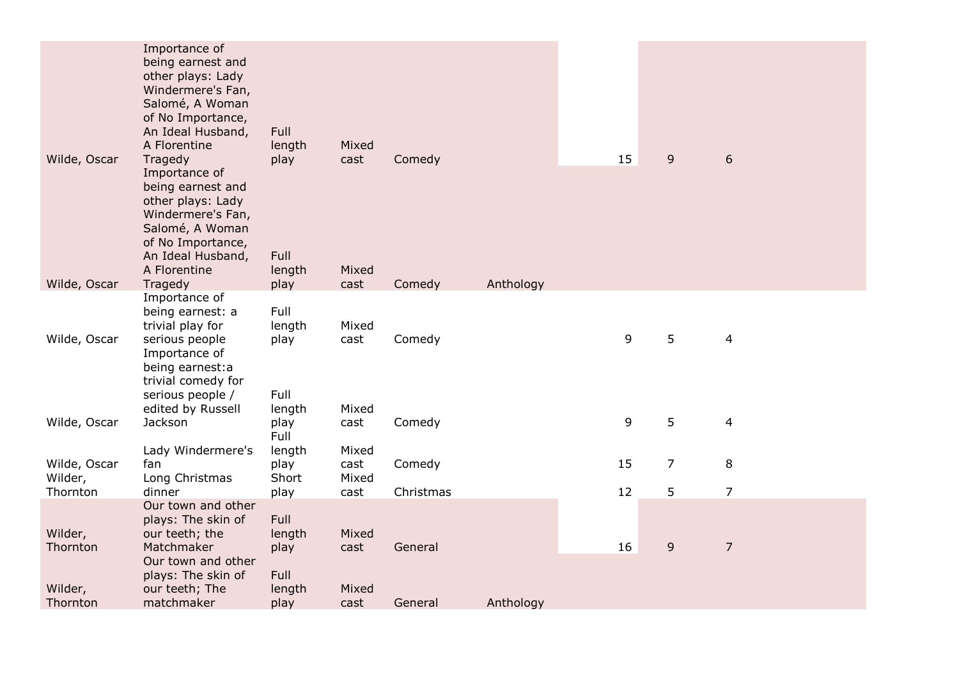| Wilde, Oscar            | Importance of<br>being earnest and<br>other plays: Lady<br>Windermere's Fan,<br>Salomé, A Woman<br>of No Importance,<br>An Ideal Husband,<br>A Florentine<br>Tragedy | Full<br>length<br>play         | Mixed<br>cast          | Comedy    |           | 15 | $\overline{9}$ | 6                       |  |
|-------------------------|----------------------------------------------------------------------------------------------------------------------------------------------------------------------|--------------------------------|------------------------|-----------|-----------|----|----------------|-------------------------|--|
| Wilde, Oscar            | Importance of<br>being earnest and<br>other plays: Lady<br>Windermere's Fan,<br>Salomé, A Woman<br>of No Importance,<br>An Ideal Husband,<br>A Florentine            | Full<br>length                 | Mixed                  |           | Anthology |    |                |                         |  |
|                         | Tragedy<br>Importance of                                                                                                                                             | play                           | cast                   | Comedy    |           |    |                |                         |  |
| Wilde, Oscar            | being earnest: a<br>trivial play for<br>serious people<br>Importance of<br>being earnest: a<br>trivial comedy for                                                    | Full<br>length<br>play         | Mixed<br>cast          | Comedy    |           | 9  | 5              | $\overline{4}$          |  |
| Wilde, Oscar            | serious people /<br>edited by Russell<br>Jackson                                                                                                                     | Full<br>length<br>play<br>Full | Mixed<br>cast          | Comedy    |           | 9  | 5              | $\overline{\mathbf{4}}$ |  |
| Wilde, Oscar<br>Wilder, | Lady Windermere's<br>fan<br>Long Christmas                                                                                                                           | length<br>play<br>Short        | Mixed<br>cast<br>Mixed | Comedy    |           | 15 | $\overline{7}$ | 8                       |  |
| Thornton                | dinner                                                                                                                                                               | play                           | cast                   | Christmas |           | 12 | 5              | $\overline{7}$          |  |
| Wilder,<br>Thornton     | Our town and other<br>plays: The skin of<br>our teeth; the<br>Matchmaker                                                                                             | Full<br>length<br>play         | Mixed<br>cast          | General   |           | 16 | $\overline{9}$ | $\overline{7}$          |  |
| Wilder,                 | Our town and other<br>plays: The skin of<br>our teeth; The                                                                                                           | Full<br>length                 | Mixed                  |           |           |    |                |                         |  |
| Thornton                | matchmaker                                                                                                                                                           | play                           | cast                   | General   | Anthology |    |                |                         |  |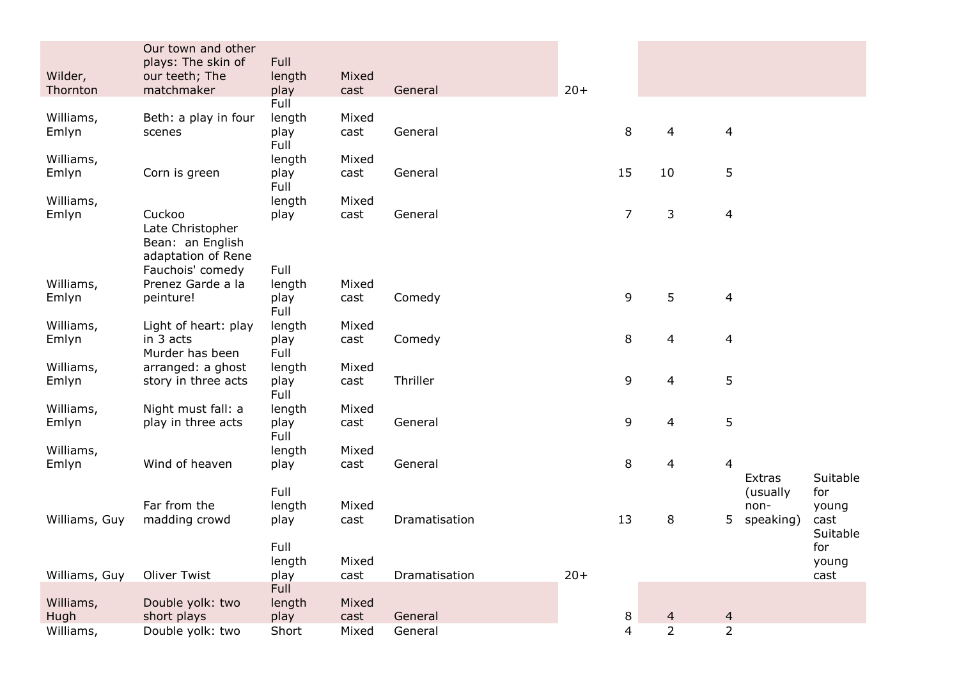|               | Our town and other<br>plays: The skin of | Full           |       |               |       |                |                |                         |           |                 |
|---------------|------------------------------------------|----------------|-------|---------------|-------|----------------|----------------|-------------------------|-----------|-----------------|
| Wilder,       | our teeth; The                           | length         | Mixed |               |       |                |                |                         |           |                 |
| Thornton      | matchmaker                               | play           | cast  | General       | $20+$ |                |                |                         |           |                 |
|               |                                          | Full           |       |               |       |                |                |                         |           |                 |
| Williams,     | Beth: a play in four                     | length         | Mixed |               |       |                |                |                         |           |                 |
| Emlyn         | scenes                                   | play           | cast  | General       |       | 8              | 4              | $\overline{\mathbf{4}}$ |           |                 |
|               |                                          | Full           |       |               |       |                |                |                         |           |                 |
| Williams,     |                                          | length         | Mixed |               |       |                |                |                         |           |                 |
| Emlyn         | Corn is green                            | play<br>Full   | cast  | General       |       | 15             | 10             | 5                       |           |                 |
| Williams,     |                                          | length         | Mixed |               |       |                |                |                         |           |                 |
| Emlyn         | Cuckoo                                   | play           | cast  | General       |       | $\overline{7}$ | 3              | 4                       |           |                 |
|               | Late Christopher                         |                |       |               |       |                |                |                         |           |                 |
|               | Bean: an English                         |                |       |               |       |                |                |                         |           |                 |
|               | adaptation of Rene<br>Fauchois' comedy   | Full           |       |               |       |                |                |                         |           |                 |
| Williams,     | Prenez Garde a la                        | length         | Mixed |               |       |                |                |                         |           |                 |
| Emlyn         | peinture!                                | play           | cast  | Comedy        |       | 9              | 5              | 4                       |           |                 |
|               |                                          | Full           |       |               |       |                |                |                         |           |                 |
| Williams,     | Light of heart: play                     | length         | Mixed |               |       |                |                |                         |           |                 |
| Emlyn         | in 3 acts                                | play           | cast  | Comedy        |       | 8              | 4              | $\overline{\mathbf{4}}$ |           |                 |
|               | Murder has been                          | Full           |       |               |       |                |                |                         |           |                 |
| Williams,     | arranged: a ghost                        | length         | Mixed |               |       |                |                |                         |           |                 |
| Emlyn         | story in three acts                      | play           | cast  | Thriller      |       | 9              | 4              | 5                       |           |                 |
| Williams,     | Night must fall: a                       | Full<br>length | Mixed |               |       |                |                |                         |           |                 |
| Emlyn         | play in three acts                       | play           | cast  | General       |       | 9              | 4              | 5                       |           |                 |
|               |                                          | Full           |       |               |       |                |                |                         |           |                 |
| Williams,     |                                          | length         | Mixed |               |       |                |                |                         |           |                 |
| Emlyn         | Wind of heaven                           | play           | cast  | General       |       | 8              | 4              | 4                       |           |                 |
|               |                                          |                |       |               |       |                |                |                         | Extras    | Suitable        |
|               |                                          | Full           |       |               |       |                |                |                         | (usually  | for             |
|               | Far from the                             | length         | Mixed |               |       |                |                |                         | non-      | young           |
| Williams, Guy | madding crowd                            | play           | cast  | Dramatisation |       | 13             | 8              | 5                       | speaking) | cast            |
|               |                                          | Full           |       |               |       |                |                |                         |           | Suitable<br>for |
|               |                                          | length         | Mixed |               |       |                |                |                         |           | young           |
| Williams, Guy | Oliver Twist                             | play           | cast  | Dramatisation | $20+$ |                |                |                         |           | cast            |
|               |                                          | Full           |       |               |       |                |                |                         |           |                 |
| Williams,     | Double yolk: two                         | length         | Mixed |               |       |                |                |                         |           |                 |
| Hugh          | short plays                              | play           | cast  | General       |       | 8              | 4              | $\overline{4}$          |           |                 |
| Williams,     | Double yolk: two                         | Short          | Mixed | General       |       | $\overline{4}$ | $\overline{2}$ | $\overline{2}$          |           |                 |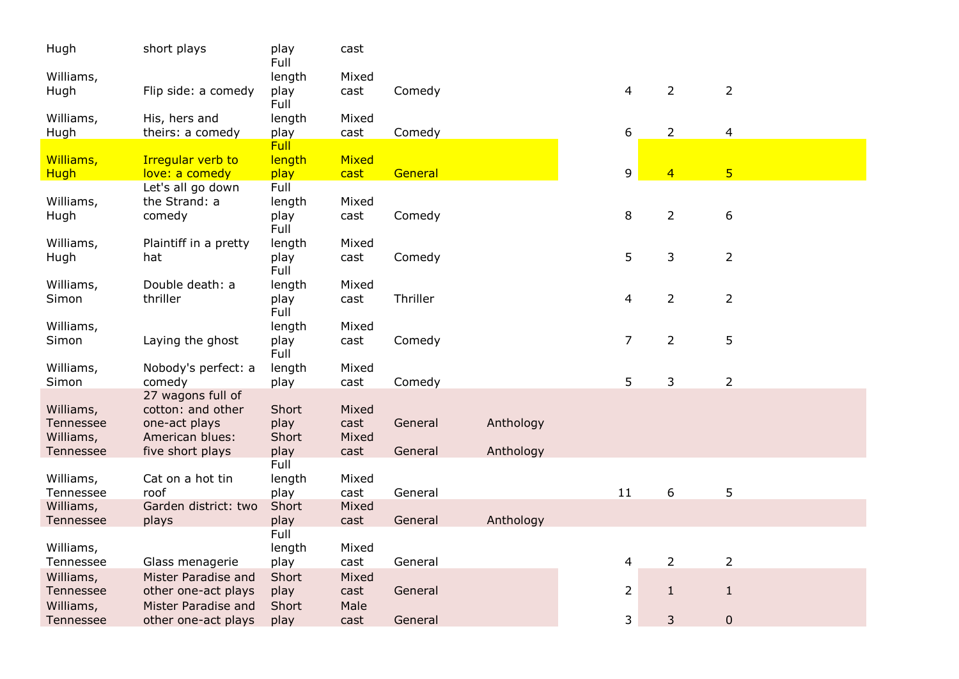| Hugh                   | short plays                                | play<br>Full  | cast         |          |           |                |                |                |
|------------------------|--------------------------------------------|---------------|--------------|----------|-----------|----------------|----------------|----------------|
| Williams,              |                                            | length        | Mixed        |          |           |                |                |                |
| Hugh                   | Flip side: a comedy                        | play<br>Full  | cast         | Comedy   |           | 4              | $\overline{2}$ | $\overline{2}$ |
| Williams,              | His, hers and                              | length        | Mixed        |          |           |                |                |                |
| Hugh                   | theirs: a comedy                           | play          | cast         | Comedy   |           | 6              | $\overline{2}$ | $\overline{4}$ |
|                        |                                            | <b>Full</b>   |              |          |           |                |                |                |
| Williams,              | <b>Irregular verb to</b>                   | length        | Mixed        |          |           | 9              | $\overline{4}$ | $\overline{5}$ |
| <b>Hugh</b>            | love: a comedy<br>Let's all go down        | play<br>Full  | cast         | General  |           |                |                |                |
| Williams,              | the Strand: a                              | length        | Mixed        |          |           |                |                |                |
| Hugh                   | comedy                                     | play          | cast         | Comedy   |           | 8              | $\overline{2}$ | 6              |
|                        |                                            | Full          |              |          |           |                |                |                |
| Williams,              | Plaintiff in a pretty                      | length        | Mixed        |          |           |                |                |                |
| Hugh                   | hat                                        | play          | cast         | Comedy   |           | 5              | 3              | $\overline{2}$ |
|                        |                                            | Full          |              |          |           |                |                |                |
| Williams,              | Double death: a                            | length        | Mixed        |          |           |                |                |                |
| Simon                  | thriller                                   | play          | cast         | Thriller |           | 4              | $\overline{2}$ | $\overline{2}$ |
|                        |                                            | Full          |              |          |           |                |                |                |
| Williams,              |                                            | length        | Mixed        |          |           |                |                |                |
| Simon                  | Laying the ghost                           | play<br>Full  | cast         | Comedy   |           | 7              | $\overline{2}$ | 5              |
| Williams,              | Nobody's perfect: a                        | length        | Mixed        |          |           |                |                |                |
| Simon                  | comedy                                     | play          | cast         | Comedy   |           | 5              | 3              | $\overline{2}$ |
|                        | 27 wagons full of                          |               |              |          |           |                |                |                |
| Williams,              | cotton: and other                          | Short         | Mixed        |          |           |                |                |                |
| Tennessee              | one-act plays                              | play          | cast         | General  | Anthology |                |                |                |
| Williams,              | American blues:                            | Short         | Mixed        |          |           |                |                |                |
| Tennessee              | five short plays                           | play          | cast         | General  | Anthology |                |                |                |
|                        |                                            | Full          |              |          |           |                |                |                |
| Williams,              | Cat on a hot tin                           | length        | Mixed        |          |           |                |                |                |
| Tennessee              | roof                                       | play          | cast         | General  |           | 11             | 6              | 5              |
| Williams,              | Garden district: two                       | Short         | Mixed        |          |           |                |                |                |
| Tennessee              | plays                                      | play          | cast         | General  | Anthology |                |                |                |
|                        |                                            | Full          |              |          |           |                |                |                |
| Williams,              |                                            | length        | Mixed        |          |           |                |                |                |
| Tennessee              | Glass menagerie                            | play          | cast         | General  |           | 4              | $\overline{2}$ | $\overline{2}$ |
| Williams,<br>Tennessee | Mister Paradise and                        | Short         | Mixed        | General  |           | $\overline{2}$ | $\mathbf{1}$   |                |
|                        | other one-act plays                        | play          | cast         |          |           |                |                | $\mathbf{1}$   |
| Williams,<br>Tennessee | Mister Paradise and<br>other one-act plays | Short<br>play | Male<br>cast | General  |           | 3              | 3              | 0              |
|                        |                                            |               |              |          |           |                |                |                |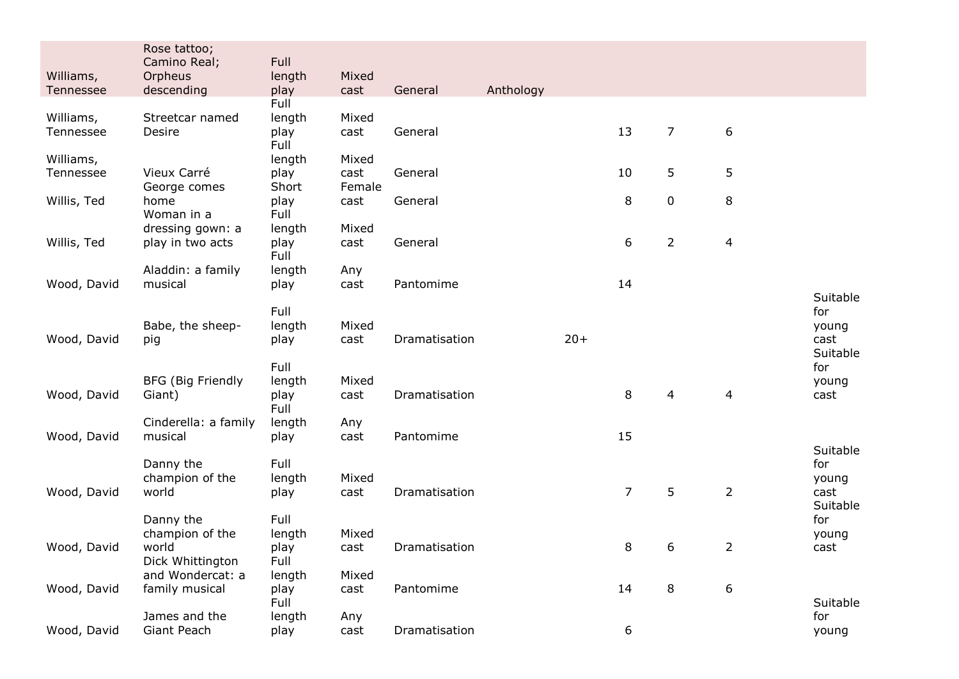|             | Rose tattoo;<br>Camino Real; | Full           |                |               |           |       |                |                |                |                  |
|-------------|------------------------------|----------------|----------------|---------------|-----------|-------|----------------|----------------|----------------|------------------|
| Williams,   | Orpheus                      | length         | Mixed          |               |           |       |                |                |                |                  |
| Tennessee   | descending                   | play           | cast           | General       | Anthology |       |                |                |                |                  |
|             |                              | Full           |                |               |           |       |                |                |                |                  |
| Williams,   | Streetcar named              | length         | Mixed          |               |           |       |                |                |                |                  |
| Tennessee   | Desire                       | play           | cast           | General       |           |       | 13             | $\overline{7}$ | 6              |                  |
|             |                              | Full           |                |               |           |       |                |                |                |                  |
| Williams,   | Vieux Carré                  | length         | Mixed          |               |           |       | 10             |                | 5              |                  |
| Tennessee   | George comes                 | play<br>Short  | cast<br>Female | General       |           |       |                | 5              |                |                  |
| Willis, Ted | home                         | play           | cast           | General       |           |       | 8              | 0              | 8              |                  |
|             | Woman in a                   | Full           |                |               |           |       |                |                |                |                  |
|             | dressing gown: a             | length         | Mixed          |               |           |       |                |                |                |                  |
| Willis, Ted | play in two acts             | play           | cast           | General       |           |       | 6              | $\overline{2}$ | 4              |                  |
|             |                              | Full           |                |               |           |       |                |                |                |                  |
|             | Aladdin: a family            | length         | Any            |               |           |       |                |                |                |                  |
| Wood, David | musical                      | play           | cast           | Pantomime     |           |       | 14             |                |                |                  |
|             |                              |                |                |               |           |       |                |                |                | Suitable         |
|             |                              | Full           |                |               |           |       |                |                |                | for              |
| Wood, David | Babe, the sheep-             | length<br>play | Mixed<br>cast  | Dramatisation |           | $20+$ |                |                |                | young<br>cast    |
|             | pig                          |                |                |               |           |       |                |                |                | Suitable         |
|             |                              | Full           |                |               |           |       |                |                |                | for              |
|             | <b>BFG (Big Friendly</b>     | length         | Mixed          |               |           |       |                |                |                | young            |
| Wood, David | Giant)                       | play           | cast           | Dramatisation |           |       | 8              | $\overline{4}$ | $\overline{a}$ | cast             |
|             |                              | Full           |                |               |           |       |                |                |                |                  |
|             | Cinderella: a family         | length         | Any            |               |           |       |                |                |                |                  |
| Wood, David | musical                      | play           | cast           | Pantomime     |           |       | 15             |                |                |                  |
|             |                              |                |                |               |           |       |                |                |                | Suitable         |
|             | Danny the                    | Full           |                |               |           |       |                |                |                | for              |
|             | champion of the              | length         | Mixed          |               |           |       |                |                |                | young            |
| Wood, David | world                        | play           | cast           | Dramatisation |           |       | $\overline{7}$ | 5              | $\overline{2}$ | cast<br>Suitable |
|             | Danny the                    | Full           |                |               |           |       |                |                |                | for              |
|             | champion of the              | length         | Mixed          |               |           |       |                |                |                | young            |
| Wood, David | world                        | play           | cast           | Dramatisation |           |       | 8              | 6              | $\overline{2}$ | cast             |
|             | Dick Whittington             | Full           |                |               |           |       |                |                |                |                  |
|             | and Wondercat: a             | length         | Mixed          |               |           |       |                |                |                |                  |
| Wood, David | family musical               | play           | cast           | Pantomime     |           |       | 14             | 8              | 6              |                  |
|             |                              | Full           |                |               |           |       |                |                |                | Suitable         |
|             | James and the                | length         | Any            |               |           |       |                |                |                | for              |
| Wood, David | Giant Peach                  | play           | cast           | Dramatisation |           |       | 6              |                |                | young            |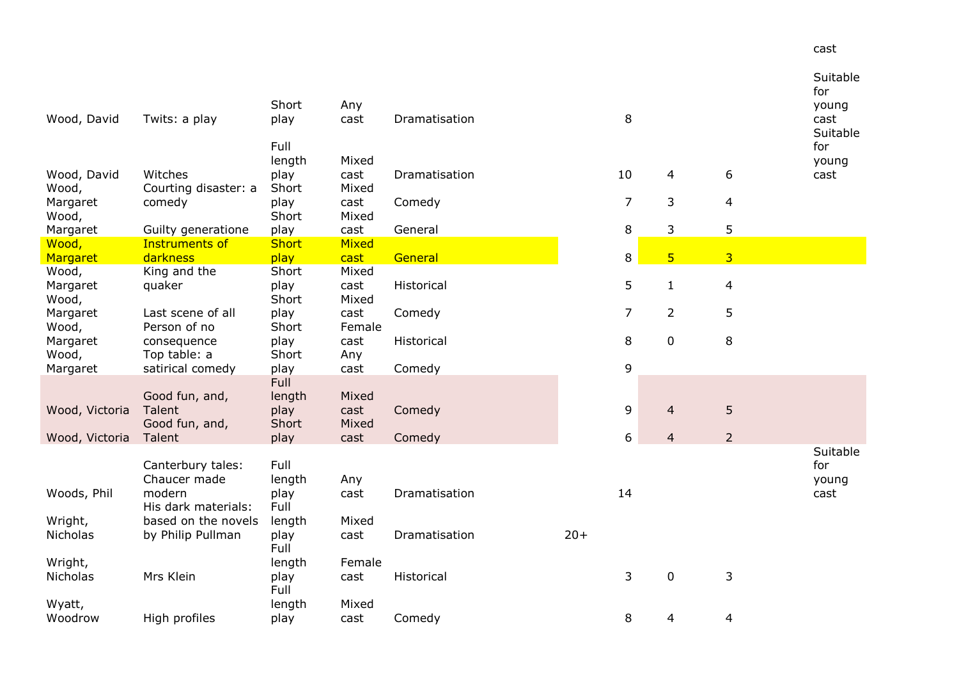| Wood, David                | Twits: a play                               | Short<br>play          | Any<br>cast            | Dramatisation |       | 8              |                 |                | Suitable<br>for<br>young<br>cast<br>Suitable |
|----------------------------|---------------------------------------------|------------------------|------------------------|---------------|-------|----------------|-----------------|----------------|----------------------------------------------|
|                            |                                             | Full<br>length         | Mixed                  |               |       |                |                 |                | for<br>young                                 |
| Wood, David<br>Wood,       | Witches<br>Courting disaster: a             | play<br>Short          | cast<br>Mixed          | Dramatisation |       | 10             | 4               | 6              | cast                                         |
| Margaret<br>Wood,          | comedy                                      | play<br>Short          | cast<br>Mixed          | Comedy        |       | $\overline{7}$ | 3               | 4              |                                              |
| Margaret                   | Guilty generatione                          | play                   | cast                   | General       |       | 8              | 3               | 5              |                                              |
| Wood,                      | <b>Instruments of</b>                       | <b>Short</b>           | Mixed                  |               |       |                |                 |                |                                              |
| Margaret                   | darkness                                    | play                   | cast                   | General       |       | 8              | $5\overline{)}$ | $\overline{3}$ |                                              |
| Wood,<br>Margaret<br>Wood, | King and the<br>quaker                      | Short<br>play<br>Short | Mixed<br>cast<br>Mixed | Historical    |       | 5              | $\mathbf{1}$    | $\overline{4}$ |                                              |
| Margaret<br>Wood,          | Last scene of all<br>Person of no           | play<br>Short          | cast<br>Female         | Comedy        |       | $\overline{7}$ | $\overline{2}$  | 5              |                                              |
| Margaret<br>Wood,          | consequence<br>Top table: a                 | play<br>Short          | cast<br>Any            | Historical    |       | 8              | $\mathbf 0$     | 8              |                                              |
| Margaret                   | satirical comedy                            | play                   | cast                   | Comedy        |       | 9              |                 |                |                                              |
|                            | Good fun, and,                              | <b>Full</b><br>length  | Mixed                  |               |       |                |                 |                |                                              |
| Wood, Victoria             | Talent<br>Good fun, and,                    | play<br>Short          | cast<br>Mixed          | Comedy        |       | 9              | $\overline{4}$  | 5              |                                              |
| Wood, Victoria             | Talent                                      | play                   | cast                   | Comedy        |       | 6              | 4               | $\overline{2}$ |                                              |
| Woods, Phil                | Canterbury tales:<br>Chaucer made<br>modern | Full<br>length<br>play | Any<br>cast            | Dramatisation |       | 14             |                 |                | Suitable<br>for<br>young<br>cast             |
| Wright,                    | His dark materials:<br>based on the novels  | Full<br>length         | Mixed                  |               |       |                |                 |                |                                              |
| Nicholas                   | by Philip Pullman                           | play<br>Full           | cast                   | Dramatisation | $20+$ |                |                 |                |                                              |
| Wright,<br><b>Nicholas</b> | Mrs Klein                                   | length<br>play<br>Full | Female<br>cast         | Historical    |       | 3              | $\pmb{0}$       | 3              |                                              |
| Wyatt,                     |                                             | length                 | Mixed                  |               |       |                |                 |                |                                              |
| Woodrow                    | High profiles                               | play                   | cast                   | Comedy        |       | 8              | 4               | 4              |                                              |